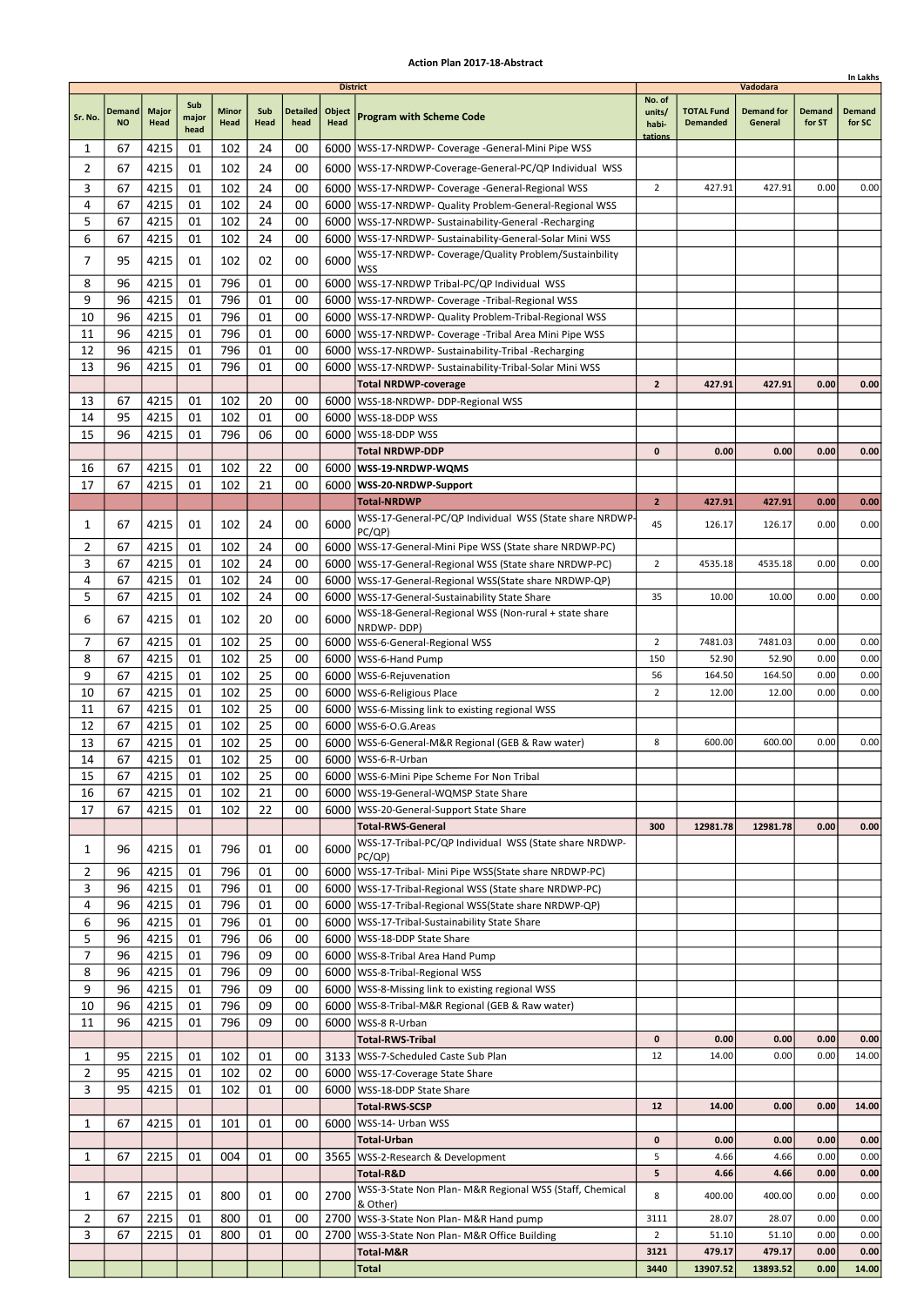|                |                            |                      |                      |                      |             |                         |                                   |                                                                                                                       |                                      |                                      |                                          |                         | In Lakhs                |
|----------------|----------------------------|----------------------|----------------------|----------------------|-------------|-------------------------|-----------------------------------|-----------------------------------------------------------------------------------------------------------------------|--------------------------------------|--------------------------------------|------------------------------------------|-------------------------|-------------------------|
| Sr. No.        | <b>Demand</b><br><b>NO</b> | <b>Major</b><br>Head | Sub<br>major<br>head | <b>Minor</b><br>Head | Sub<br>Head | <b>Detailed</b><br>head | <b>District</b><br>Object<br>Head | <b>Program with Scheme Code</b>                                                                                       | No. of<br>units/<br>habi-<br>tations | <b>TOTAL Fund</b><br><b>Demanded</b> | Vadodara<br><b>Demand for</b><br>General | <b>Demand</b><br>for ST | <b>Demand</b><br>for SC |
| 1              | 67                         | 4215                 | 01                   | 102                  | 24          | 00                      |                                   | 6000   WSS-17-NRDWP- Coverage - General-Mini Pipe WSS                                                                 |                                      |                                      |                                          |                         |                         |
| $\overline{2}$ | 67                         | 4215                 | 01                   | 102                  | 24          | 00                      |                                   | 6000   WSS-17-NRDWP-Coverage-General-PC/QP Individual WSS                                                             |                                      |                                      |                                          |                         |                         |
| 3              | 67                         | 4215                 | 01                   | 102                  | 24          | 00                      |                                   | 6000   WSS-17-NRDWP- Coverage - General-Regional WSS                                                                  | $\overline{2}$                       | 427.91                               | 427.91                                   | 0.00                    | 0.00                    |
| 4              | 67                         | 4215                 | 01                   | 102                  | 24          | 00                      |                                   | 6000   WSS-17-NRDWP- Quality Problem-General-Regional WSS                                                             |                                      |                                      |                                          |                         |                         |
| 5              | 67                         | 4215                 | 01                   | 102                  | 24          | 00                      |                                   | 6000   WSS-17-NRDWP- Sustainability-General -Recharging                                                               |                                      |                                      |                                          |                         |                         |
| 6              | 67                         | 4215                 | 01                   | 102                  | 24          | 00                      |                                   | 6000 WSS-17-NRDWP- Sustainability-General-Solar Mini WSS                                                              |                                      |                                      |                                          |                         |                         |
| 7              | 95                         | 4215                 | 01                   | 102                  | 02          | 00                      | 6000                              | WSS-17-NRDWP- Coverage/Quality Problem/Sustainbility                                                                  |                                      |                                      |                                          |                         |                         |
|                |                            |                      |                      |                      |             |                         |                                   | <b>WSS</b>                                                                                                            |                                      |                                      |                                          |                         |                         |
| 8              | 96                         | 4215                 | 01                   | 796                  | 01          | 00                      |                                   | 6000 WSS-17-NRDWP Tribal-PC/QP Individual WSS                                                                         |                                      |                                      |                                          |                         |                         |
| 9              | 96<br>96                   | 4215                 | 01<br>01             | 796<br>796           | 01<br>01    | 00                      |                                   | 6000   WSS-17-NRDWP- Coverage - Tribal-Regional WSS                                                                   |                                      |                                      |                                          |                         |                         |
| 10<br>11       | 96                         | 4215<br>4215         | 01                   | 796                  | 01          | 00<br>00                |                                   | 6000   WSS-17-NRDWP- Quality Problem-Tribal-Regional WSS<br>6000   WSS-17-NRDWP- Coverage - Tribal Area Mini Pipe WSS |                                      |                                      |                                          |                         |                         |
| 12             | 96                         | 4215                 | 01                   | 796                  | 01          | 00                      |                                   | 6000   WSS-17-NRDWP- Sustainability-Tribal -Recharging                                                                |                                      |                                      |                                          |                         |                         |
| 13             | 96                         | 4215                 | 01                   | 796                  | 01          | 00                      | 6000                              | WSS-17-NRDWP- Sustainability-Tribal-Solar Mini WSS                                                                    |                                      |                                      |                                          |                         |                         |
|                |                            |                      |                      |                      |             |                         |                                   | <b>Total NRDWP-coverage</b>                                                                                           | $\overline{2}$                       | 427.91                               | 427.91                                   | 0.00                    | 0.00                    |
| 13             | 67                         | 4215                 | 01                   | 102                  | 20          | 00                      |                                   | 6000   WSS-18-NRDWP- DDP-Regional WSS                                                                                 |                                      |                                      |                                          |                         |                         |
| 14             | 95                         | 4215                 | 01                   | 102                  | 01          | 00                      |                                   | 6000 WSS-18-DDP WSS                                                                                                   |                                      |                                      |                                          |                         |                         |
| 15             | 96                         | 4215                 | 01                   | 796                  | 06          | 00                      | 6000                              | WSS-18-DDP WSS                                                                                                        |                                      |                                      |                                          |                         |                         |
|                |                            |                      |                      |                      |             |                         |                                   | <b>Total NRDWP-DDP</b>                                                                                                | 0                                    | 0.00                                 | 0.00                                     | 0.00                    | 0.00                    |
| 16             | 67                         | 4215                 | 01                   | 102                  | 22          | 00                      |                                   | 6000   WSS-19-NRDWP-WQMS                                                                                              |                                      |                                      |                                          |                         |                         |
| 17             | 67                         | 4215                 | 01                   | 102                  | 21          | 00                      |                                   | 6000   WSS-20-NRDWP-Support                                                                                           |                                      |                                      |                                          |                         |                         |
|                |                            |                      |                      |                      |             |                         |                                   | <b>Total-NRDWP</b>                                                                                                    | $\overline{2}$                       | 427.91                               | 427.91                                   | 0.00                    | 0.00                    |
| 1              | 67                         | 4215                 | 01                   | 102                  | 24          | 00                      | 6000                              | WSS-17-General-PC/QP Individual WSS (State share NRDWP-<br>PC/QP)                                                     | 45                                   | 126.17                               | 126.17                                   | 0.00                    | 0.00                    |
| 2              | 67                         | 4215                 | 01                   | 102                  | 24          | 00                      |                                   | 6000   WSS-17-General-Mini Pipe WSS (State share NRDWP-PC)                                                            |                                      |                                      |                                          |                         |                         |
| 3              | 67                         | 4215                 | 01                   | 102                  | 24          | 00                      |                                   | 6000   WSS-17-General-Regional WSS (State share NRDWP-PC)                                                             | $\overline{2}$                       | 4535.18                              | 4535.18                                  | 0.00                    | 0.00                    |
| 4              | 67                         | 4215                 | 01                   | 102                  | 24          | 00                      |                                   | 6000   WSS-17-General-Regional WSS (State share NRDWP-QP)                                                             |                                      |                                      |                                          |                         |                         |
| 5              | 67                         | 4215                 | 01                   | 102                  | 24          | 00                      |                                   | 6000   WSS-17-General-Sustainability State Share                                                                      | 35                                   | 10.00                                | 10.00                                    | 0.00                    | 0.00                    |
| 6              | 67                         | 4215                 | 01                   | 102                  | 20          | 00                      | 6000                              | WSS-18-General-Regional WSS (Non-rural + state share                                                                  |                                      |                                      |                                          |                         |                         |
|                |                            |                      |                      |                      |             |                         |                                   | NRDWP-DDP)                                                                                                            |                                      |                                      |                                          |                         |                         |
| 7              | 67                         | 4215                 | 01                   | 102                  | 25          | 00                      |                                   | 6000   WSS-6-General-Regional WSS                                                                                     | $\overline{2}$                       | 7481.03                              | 7481.03                                  | 0.00                    | 0.00                    |
| 8<br>9         | 67                         | 4215                 | 01                   | 102                  | 25          | 00                      | 6000                              | WSS-6-Hand Pump                                                                                                       | 150                                  | 52.90                                | 52.90                                    | 0.00<br>0.00            | 0.00                    |
| 10             | 67<br>67                   | 4215<br>4215         | 01<br>01             | 102<br>102           | 25<br>25    | 00<br>00                |                                   | 6000   WSS-6-Rejuvenation<br>6000   WSS-6-Religious Place                                                             | 56<br>$\overline{2}$                 | 164.50<br>12.00                      | 164.50<br>12.00                          | 0.00                    | 0.00<br>0.00            |
| 11             | 67                         | 4215                 | 01                   | 102                  | 25          | 00                      |                                   | 6000   WSS-6-Missing link to existing regional WSS                                                                    |                                      |                                      |                                          |                         |                         |
| 12             | 67                         | 4215                 | 01                   | 102                  | 25          | 00                      |                                   | 6000   WSS-6-O.G. Areas                                                                                               |                                      |                                      |                                          |                         |                         |
| 13             | 67                         | 4215                 | 01                   | 102                  | 25          | 00                      |                                   | 6000   WSS-6-General-M&R Regional (GEB & Raw water)                                                                   | 8                                    | 600.00                               | 600.00                                   | 0.00                    | 0.00                    |
| 14             | 67                         | 4215                 | 01                   | 102                  | 25          | 00                      |                                   | 6000   WSS-6-R-Urban                                                                                                  |                                      |                                      |                                          |                         |                         |
| 15             | 67                         | 4215                 | 01                   | 102                  | 25          | 00                      |                                   | 6000   WSS-6-Mini Pipe Scheme For Non Tribal                                                                          |                                      |                                      |                                          |                         |                         |
| 16             | 67                         | 4215                 | 01                   | 102                  | 21          | 00                      |                                   | 6000   WSS-19-General-WQMSP State Share                                                                               |                                      |                                      |                                          |                         |                         |
| 17             | 67                         | 4215                 | 01                   | 102                  | 22          | 00                      |                                   | 6000   WSS-20-General-Support State Share                                                                             |                                      |                                      |                                          |                         |                         |
|                |                            |                      |                      |                      |             |                         |                                   | <b>Total-RWS-General</b>                                                                                              | 300                                  | 12981.78                             | 12981.78                                 | 0.00                    | 0.00                    |
| 1              | 96                         | 4215                 | 01                   | 796                  | 01          | 00                      | 6000                              | WSS-17-Tribal-PC/QP Individual WSS (State share NRDWP-                                                                |                                      |                                      |                                          |                         |                         |
| 2              | 96                         | 4215                 | 01                   | 796                  | 01          | 00                      |                                   | PC(QP)<br>6000   WSS-17-Tribal- Mini Pipe WSS (State share NRDWP-PC)                                                  |                                      |                                      |                                          |                         |                         |
| 3              | 96                         | 4215                 | 01                   | 796                  | 01          | 00                      |                                   | 6000   WSS-17-Tribal-Regional WSS (State share NRDWP-PC)                                                              |                                      |                                      |                                          |                         |                         |
| 4              | 96                         | 4215                 | 01                   | 796                  | 01          | 00                      |                                   | 6000   WSS-17-Tribal-Regional WSS (State share NRDWP-QP)                                                              |                                      |                                      |                                          |                         |                         |
| 6              | 96                         | 4215                 | 01                   | 796                  | 01          | 00                      |                                   | 6000   WSS-17-Tribal-Sustainability State Share                                                                       |                                      |                                      |                                          |                         |                         |
| 5              | 96                         | 4215                 | 01                   | 796                  | 06          | 00                      |                                   | 6000   WSS-18-DDP State Share                                                                                         |                                      |                                      |                                          |                         |                         |
| 7              | 96                         | 4215                 | 01                   | 796                  | 09          | 00                      |                                   | 6000   WSS-8-Tribal Area Hand Pump                                                                                    |                                      |                                      |                                          |                         |                         |
| 8              | 96                         | 4215                 | 01                   | 796                  | 09          | 00                      |                                   | 6000   WSS-8-Tribal-Regional WSS                                                                                      |                                      |                                      |                                          |                         |                         |
| 9              | 96                         | 4215                 | 01                   | 796                  | 09          | 00                      |                                   | 6000   WSS-8-Missing link to existing regional WSS                                                                    |                                      |                                      |                                          |                         |                         |
| 10             | 96                         | 4215                 | 01                   | 796                  | 09          | 00                      |                                   | 6000   WSS-8-Tribal-M&R Regional (GEB & Raw water)                                                                    |                                      |                                      |                                          |                         |                         |
| 11             | 96                         | 4215                 | 01                   | 796                  | 09          | 00                      |                                   | 6000   WSS-8 R-Urban<br><b>Total-RWS-Tribal</b>                                                                       | $\mathbf 0$                          | 0.00                                 | 0.00                                     | 0.00                    | 0.00                    |
| 1              | 95                         | 2215                 | 01                   | 102                  | 01          | 00                      |                                   | 3133   WSS-7-Scheduled Caste Sub Plan                                                                                 | 12                                   | 14.00                                | 0.00                                     | 0.00                    | 14.00                   |
| $\overline{2}$ | 95                         | 4215                 | 01                   | 102                  | 02          | 00                      |                                   | 6000   WSS-17-Coverage State Share                                                                                    |                                      |                                      |                                          |                         |                         |
| 3              | 95                         | 4215                 | 01                   | 102                  | 01          | 00                      |                                   | 6000   WSS-18-DDP State Share                                                                                         |                                      |                                      |                                          |                         |                         |
|                |                            |                      |                      |                      |             |                         |                                   | <b>Total-RWS-SCSP</b>                                                                                                 | 12                                   | 14.00                                | 0.00                                     | 0.00                    | 14.00                   |
| 1              | 67                         | 4215                 | 01                   | 101                  | 01          | 00                      | 6000                              | WSS-14- Urban WSS                                                                                                     |                                      |                                      |                                          |                         |                         |
|                |                            |                      |                      |                      |             |                         |                                   | <b>Total-Urban</b>                                                                                                    | 0                                    | 0.00                                 | 0.00                                     | 0.00                    | 0.00                    |
| 1              | 67                         | 2215                 | 01                   | 004                  | 01          | 00                      |                                   | 3565   WSS-2-Research & Development                                                                                   | 5                                    | 4.66                                 | 4.66                                     | 0.00                    | 0.00                    |
|                |                            |                      |                      |                      |             |                         |                                   | Total-R&D                                                                                                             | 5                                    | 4.66                                 | 4.66                                     | 0.00                    | 0.00                    |
| 1              | 67                         | 2215                 | 01                   | 800                  | 01          | 00                      | 2700                              | WSS-3-State Non Plan- M&R Regional WSS (Staff, Chemical                                                               | 8                                    | 400.00                               | 400.00                                   | 0.00                    | 0.00                    |
| 2              | 67                         | 2215                 | 01                   | 800                  | 01          | 00                      |                                   | & Other)<br>2700   WSS-3-State Non Plan- M&R Hand pump                                                                | 3111                                 | 28.07                                | 28.07                                    | 0.00                    | 0.00                    |
| 3              | 67                         | 2215                 | 01                   | 800                  | 01          | 00                      | 2700                              | WSS-3-State Non Plan- M&R Office Building                                                                             | $\overline{2}$                       | 51.10                                | 51.10                                    | 0.00                    | 0.00                    |
|                |                            |                      |                      |                      |             |                         |                                   | Total-M&R                                                                                                             | 3121                                 | 479.17                               | 479.17                                   | 0.00                    | 0.00                    |
|                |                            |                      |                      |                      |             |                         |                                   | <b>Total</b>                                                                                                          | 3440                                 | 13907.52                             | 13893.52                                 | 0.00                    | 14.00                   |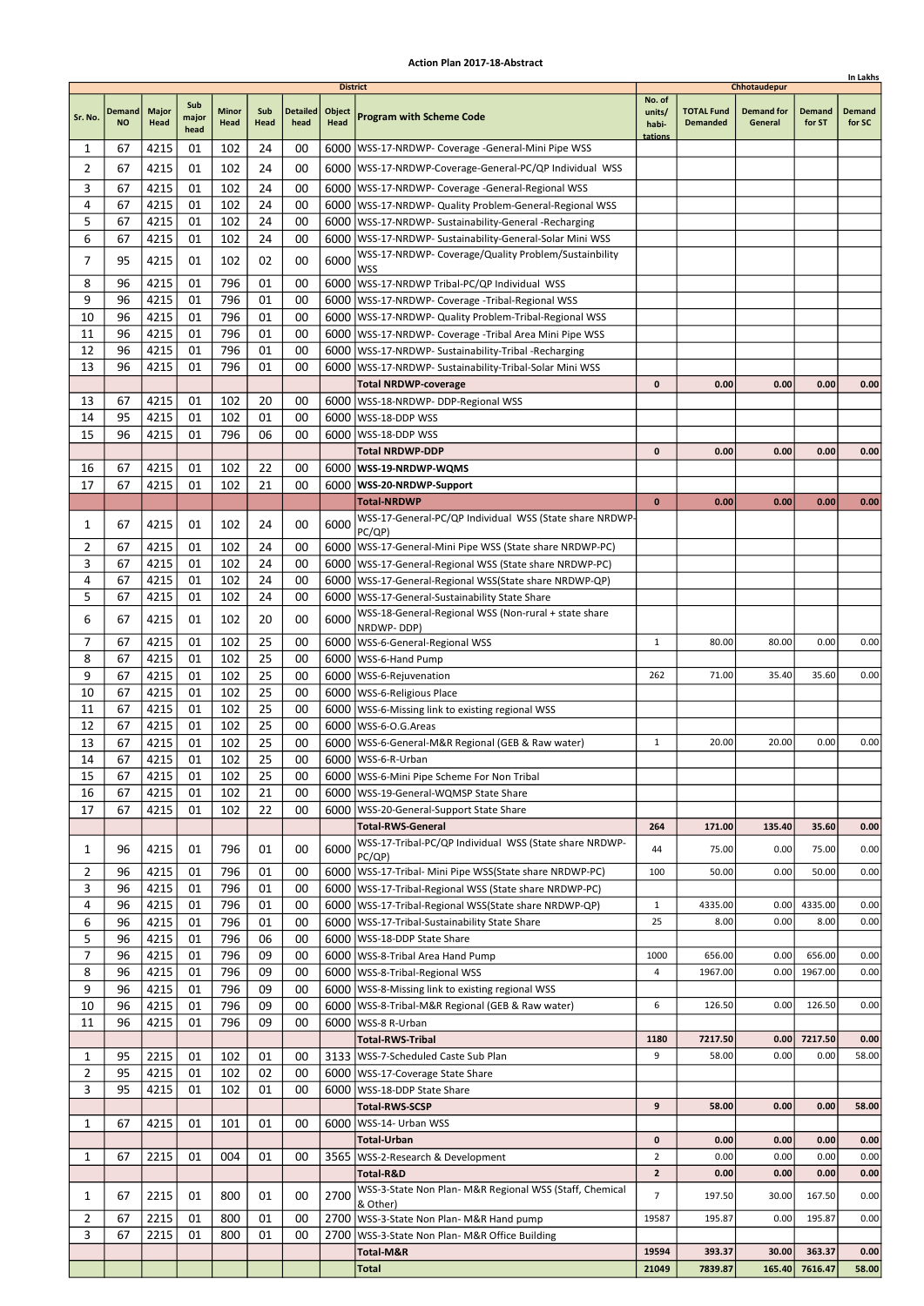| <b>District</b><br>Chhotaudepur<br>No. of<br>Sub<br>Minor<br>Sub<br><b>Detailed</b><br>Object<br><b>TOTAL Fund</b><br><b>Demand for</b><br><b>Demand</b><br><b>Major</b><br>Demand<br>Demand<br>units/<br><b>Program with Scheme Code</b><br>Sr. No.<br>major<br>Head<br>Head<br>head<br><b>NO</b><br>Head<br>Head<br><b>Demanded</b><br>General<br>for ST<br>for SC<br>habi-<br>head<br>tations<br>4215<br>102<br>24<br>00<br>1<br>67<br>01<br>6000   WSS-17-NRDWP- Coverage - General-Mini Pipe WSS<br>102<br>2<br>67<br>4215<br>01<br>24<br>00<br>6000   WSS-17-NRDWP-Coverage-General-PC/QP Individual WSS<br>3<br>4215<br>102<br>24<br>00<br>67<br>01<br>6000   WSS-17-NRDWP- Coverage -General-Regional WSS<br>24<br>4<br>67<br>4215<br>01<br>102<br>00<br>6000   WSS-17-NRDWP- Quality Problem-General-Regional WSS<br>5<br>102<br>24<br>00<br>67<br>4215<br>01<br>6000   WSS-17-NRDWP- Sustainability-General -Recharging<br>6<br>4215<br>01<br>102<br>24<br>00<br>67<br>6000   WSS-17-NRDWP- Sustainability-General-Solar Mini WSS<br>WSS-17-NRDWP- Coverage/Quality Problem/Sustainbility<br>7<br>102<br>6000<br>95<br>4215<br>02<br>00<br>01<br>WSS<br>8<br>796<br>96<br>4215<br>01<br>01<br>00<br>6000   WSS-17-NRDWP Tribal-PC/QP Individual WSS<br>9<br>796<br>96<br>4215<br>01<br>01<br>00<br>6000   WSS-17-NRDWP- Coverage - Tribal-Regional WSS<br>796<br>10<br>96<br>4215<br>01<br>01<br>00<br>6000   WSS-17-NRDWP- Quality Problem-Tribal-Regional WSS<br>796<br>00<br>11<br>96<br>4215<br>01<br>01<br>6000<br>WSS-17-NRDWP- Coverage -Tribal Area Mini Pipe WSS<br>12<br>96<br>4215<br>01<br>796<br>01<br>00<br>6000   WSS-17-NRDWP- Sustainability-Tribal - Recharging<br>13<br>96<br>796<br>01<br>4215<br>01<br>00<br>6000<br>WSS-17-NRDWP- Sustainability-Tribal-Solar Mini WSS<br><b>Total NRDWP-coverage</b><br>0<br>0.00<br>0.00<br>0.00<br>0.00<br>13<br>67<br>4215<br>01<br>102<br>20<br>00<br>6000   WSS-18-NRDWP- DDP-Regional WSS<br>14<br>95<br>4215<br>01<br>102<br>01<br>00<br>6000<br>WSS-18-DDP WSS<br>15<br>796<br>06<br>96<br>4215<br>01<br>00<br>6000   WSS-18-DDP WSS<br>$\mathbf{0}$<br>0.00<br>0.00<br>0.00<br>0.00<br>Total NRDWP-DDP<br>102<br>22<br>16<br>67<br>4215<br>01<br>00<br>6000   WSS-19-NRDWP-WQMS<br>4215<br>102<br>21<br>17<br>67<br>01<br>00<br>6000 WSS-20-NRDWP-Support<br>$\bf{0}$<br>0.00<br>0.00<br>0.00<br><b>Total-NRDWP</b><br>0.00<br>WSS-17-General-PC/QP Individual WSS (State share NRDWP-<br>67<br>102<br>24<br>00<br>6000<br>1<br>4215<br>01<br>PC/QP)<br>102<br>2<br>4215<br>24<br>00<br>67<br>01<br>6000   WSS-17-General-Mini Pipe WSS (State share NRDWP-PC)<br>3<br>67<br>4215<br>01<br>102<br>24<br>00<br>6000<br> WSS-17-General-Regional WSS (State share NRDWP-PC)<br>24<br>4<br>67<br>4215<br>01<br>102<br>00<br>6000   WSS-17-General-Regional WSS (State share NRDWP-QP)<br>102<br>24<br>5<br>67<br>4215<br>01<br>00<br>6000   WSS-17-General-Sustainability State Share<br>WSS-18-General-Regional WSS (Non-rural + state share<br>6<br>67<br>4215<br>102<br>20<br>00<br>6000<br>01<br>NRDWP-DDP)<br>7<br>25<br>67<br>4215<br>01<br>102<br>0.00<br>00<br>6000   WSS-6-General-Regional WSS<br>1<br>80.00<br>80.00<br>0.00<br>8<br>102<br>25<br>67<br>4215<br>01<br>00<br>6000<br>WSS-6-Hand Pump<br>9<br>4215<br>01<br>102<br>25<br>00<br>35.60<br>0.00<br>67<br>6000   WSS-6-Rejuvenation<br>262<br>71.00<br>35.40<br>10<br>25<br>67<br>4215<br>01<br>102<br>00<br>6000   WSS-6-Religious Place<br>25<br>4215<br>102<br>11<br>67<br>01<br>00<br>6000   WSS-6-Missing link to existing regional WSS<br>25<br>12<br>67<br>4215<br>01<br>102<br>00<br>6000   WSS-6-O.G. Areas<br>25<br>13<br>67<br>4215<br>01<br>102<br>00<br>6000   WSS-6-General-M&R Regional (GEB & Raw water)<br>$\mathbf{1}$<br>20.00<br>20.00<br>0.00<br>0.00<br>25<br>67<br>4215<br>01<br>102<br>00<br>14<br>6000 WSS-6-R-Urban<br>15<br>4215<br>25<br>67<br>01<br>102<br>00<br>6000   WSS-6-Mini Pipe Scheme For Non Tribal<br>16<br>4215<br>102<br>21<br>67<br>01<br>00<br>6000   WSS-19-General-WQMSP State Share<br>22<br>17<br>4215<br>01<br>102<br>67<br>00<br>6000   WSS-20-General-Support State Share<br><b>Total-RWS-General</b><br>171.00<br>135.40<br>35.60<br>0.00<br>264<br>WSS-17-Tribal-PC/QP Individual WSS (State share NRDWP-<br>6000<br>96<br>01<br>796<br>01<br>00<br>75.00<br>0.00<br>1<br>4215<br>44<br>75.00<br>0.00<br>PC(QP)<br>4215<br>2<br>796<br>01<br>00<br>6000   WSS-17-Tribal- Mini Pipe WSS(State share NRDWP-PC)<br>0.00<br>50.00<br>0.00<br>96<br>01<br>100<br>50.00<br>3<br>96<br>4215<br>01<br>796<br>01<br>00<br>6000   WSS-17-Tribal-Regional WSS (State share NRDWP-PC)<br>796<br>4<br>96<br>4215<br>01<br>01<br>00<br>6000   WSS-17-Tribal-Regional WSS (State share NRDWP-QP)<br>$\mathbf{1}$<br>4335.00<br>0.00<br>4335.00<br>0.00<br>6<br>4215<br>796<br>96<br>01<br>01<br>00<br>25<br>8.00<br>0.00<br>8.00<br>0.00<br>6000   WSS-17-Tribal-Sustainability State Share<br>5<br>796<br>96<br>4215<br>01<br>06<br>00<br>6000   WSS-18-DDP State Share<br>7<br>4215<br>796<br>09<br>96<br>01<br>00<br>6000   WSS-8-Tribal Area Hand Pump<br>656.00<br>0.00<br>656.00<br>0.00<br>1000<br>8<br>96<br>4215<br>01<br>796<br>09<br>00<br>1967.00<br>6000   WSS-8-Tribal-Regional WSS<br>4<br>1967.00<br>0.00<br>0.00<br>9<br>796<br>96<br>4215<br>01<br>09<br>00<br>6000   WSS-8-Missing link to existing regional WSS<br>10<br>796<br>09<br>6<br>96<br>4215<br>01<br>00<br>126.50<br>0.00<br>126.50<br>0.00<br>6000   WSS-8-Tribal-M&R Regional (GEB & Raw water)<br>11<br>96<br>4215<br>01<br>796<br>09<br>00<br>6000   WSS-8 R-Urban<br><b>Total-RWS-Tribal</b><br>7217.50<br>0.00<br>1180<br>7217.50<br>0.00<br>9<br>1<br>95<br>2215<br>01<br>102<br>01<br>00<br>3133   WSS-7-Scheduled Caste Sub Plan<br>58.00<br>0.00<br>0.00<br>58.00<br>$\overline{2}$<br>102<br>95<br>4215<br>01<br>02<br>00<br>6000   WSS-17-Coverage State Share<br>3<br>95<br>4215<br>102<br>01<br>01<br>00<br>6000   WSS-18-DDP State Share<br>9<br>0.00<br><b>Total-RWS-SCSP</b><br>58.00<br>0.00<br>58.00<br>1<br>67<br>4215<br>101<br>01<br>00<br>6000   WSS-14- Urban WSS<br>01<br>Total-Urban<br>0<br>0.00<br>0.00<br>0.00<br>0.00<br>$\overline{2}$<br>0.00<br>67<br>2215<br>01<br>004<br>01<br>3565   WSS-2-Research & Development<br>0.00<br>0.00<br>0.00<br>1<br>00<br>$\mathbf{2}$<br>0.00<br>0.00<br>0.00<br>Total-R&D<br>0.00<br>WSS-3-State Non Plan- M&R Regional WSS (Staff, Chemical<br>800<br>2700<br>7<br>0.00<br>1<br>67<br>2215<br>01<br>01<br>00<br>197.50<br>30.00<br>167.50<br>& Other)<br>$\overline{2}$<br>800<br>01<br>67<br>2215<br>01<br>00<br>2700   WSS-3-State Non Plan- M&R Hand pump<br>19587<br>195.87<br>0.00<br>195.87<br>0.00<br>3<br>67<br>2215<br>01<br>800<br>01<br>00<br>WSS-3-State Non Plan- M&R Office Building<br>2700<br>Total-M&R<br>19594<br>393.37<br>30.00<br>363.37<br>0.00<br>Total<br>21049<br>7839.87<br>165.40<br>7616.47<br>58.00 |  |  |  |  |  |  | In Lakhs |
|-----------------------------------------------------------------------------------------------------------------------------------------------------------------------------------------------------------------------------------------------------------------------------------------------------------------------------------------------------------------------------------------------------------------------------------------------------------------------------------------------------------------------------------------------------------------------------------------------------------------------------------------------------------------------------------------------------------------------------------------------------------------------------------------------------------------------------------------------------------------------------------------------------------------------------------------------------------------------------------------------------------------------------------------------------------------------------------------------------------------------------------------------------------------------------------------------------------------------------------------------------------------------------------------------------------------------------------------------------------------------------------------------------------------------------------------------------------------------------------------------------------------------------------------------------------------------------------------------------------------------------------------------------------------------------------------------------------------------------------------------------------------------------------------------------------------------------------------------------------------------------------------------------------------------------------------------------------------------------------------------------------------------------------------------------------------------------------------------------------------------------------------------------------------------------------------------------------------------------------------------------------------------------------------------------------------------------------------------------------------------------------------------------------------------------------------------------------------------------------------------------------------------------------------------------------------------------------------------------------------------------------------------------------------------------------------------------------------------------------------------------------------------------------------------------------------------------------------------------------------------------------------------------------------------------------------------------------------------------------------------------------------------------------------------------------------------------------------------------------------------------------------------------------------------------------------------------------------------------------------------------------------------------------------------------------------------------------------------------------------------------------------------------------------------------------------------------------------------------------------------------------------------------------------------------------------------------------------------------------------------------------------------------------------------------------------------------------------------------------------------------------------------------------------------------------------------------------------------------------------------------------------------------------------------------------------------------------------------------------------------------------------------------------------------------------------------------------------------------------------------------------------------------------------------------------------------------------------------------------------------------------------------------------------------------------------------------------------------------------------------------------------------------------------------------------------------------------------------------------------------------------------------------------------------------------------------------------------------------------------------------------------------------------------------------------------------------------------------------------------------------------------------------------------------------------------------------------------------------------------------------------------------------------------------------------------------------------------------------------------------------------------------------------------------------------------------------------------------------------------------------------------------------------------------------------------------------------------------------------------------------------------------------------------------------------------------------------------------------------------------------------------------------------------------------------------------------------------------------------------------------------------------------------------------------------------------------------------------------------------------------------------------------------------------------------------------------------------------------------------------------------------------------------------------------------------------------------------------------------------------------------------------------------------------------------------------------------------------------------------------------------------------------------------------------------------------------------------------------------------------------------------------------------------------------------------------------------------------------------------------------------------------------------------------------------------------------------------------------------------------------------------------------------------------------------------------------------------------------------------------------------------------------------------------------------------------------------------------------------------------------------------------------------------------------------------------------------------------------------------------------------------------------------------------------------------------------------------------------------------------------------------------------------------------------------------------------------------------|--|--|--|--|--|--|----------|
|                                                                                                                                                                                                                                                                                                                                                                                                                                                                                                                                                                                                                                                                                                                                                                                                                                                                                                                                                                                                                                                                                                                                                                                                                                                                                                                                                                                                                                                                                                                                                                                                                                                                                                                                                                                                                                                                                                                                                                                                                                                                                                                                                                                                                                                                                                                                                                                                                                                                                                                                                                                                                                                                                                                                                                                                                                                                                                                                                                                                                                                                                                                                                                                                                                                                                                                                                                                                                                                                                                                                                                                                                                                                                                                                                                                                                                                                                                                                                                                                                                                                                                                                                                                                                                                                                                                                                                                                                                                                                                                                                                                                                                                                                                                                                                                                                                                                                                                                                                                                                                                                                                                                                                                                                                                                                                                                                                                                                                                                                                                                                                                                                                                                                                                                                                                                                                                                                                                                                                                                                                                                                                                                                                                                                                                                                                                                                                                                                                                                                                                                                                                                                                                                                                                                                                                                                                                                                                                                                                       |  |  |  |  |  |  |          |
|                                                                                                                                                                                                                                                                                                                                                                                                                                                                                                                                                                                                                                                                                                                                                                                                                                                                                                                                                                                                                                                                                                                                                                                                                                                                                                                                                                                                                                                                                                                                                                                                                                                                                                                                                                                                                                                                                                                                                                                                                                                                                                                                                                                                                                                                                                                                                                                                                                                                                                                                                                                                                                                                                                                                                                                                                                                                                                                                                                                                                                                                                                                                                                                                                                                                                                                                                                                                                                                                                                                                                                                                                                                                                                                                                                                                                                                                                                                                                                                                                                                                                                                                                                                                                                                                                                                                                                                                                                                                                                                                                                                                                                                                                                                                                                                                                                                                                                                                                                                                                                                                                                                                                                                                                                                                                                                                                                                                                                                                                                                                                                                                                                                                                                                                                                                                                                                                                                                                                                                                                                                                                                                                                                                                                                                                                                                                                                                                                                                                                                                                                                                                                                                                                                                                                                                                                                                                                                                                                                       |  |  |  |  |  |  |          |
|                                                                                                                                                                                                                                                                                                                                                                                                                                                                                                                                                                                                                                                                                                                                                                                                                                                                                                                                                                                                                                                                                                                                                                                                                                                                                                                                                                                                                                                                                                                                                                                                                                                                                                                                                                                                                                                                                                                                                                                                                                                                                                                                                                                                                                                                                                                                                                                                                                                                                                                                                                                                                                                                                                                                                                                                                                                                                                                                                                                                                                                                                                                                                                                                                                                                                                                                                                                                                                                                                                                                                                                                                                                                                                                                                                                                                                                                                                                                                                                                                                                                                                                                                                                                                                                                                                                                                                                                                                                                                                                                                                                                                                                                                                                                                                                                                                                                                                                                                                                                                                                                                                                                                                                                                                                                                                                                                                                                                                                                                                                                                                                                                                                                                                                                                                                                                                                                                                                                                                                                                                                                                                                                                                                                                                                                                                                                                                                                                                                                                                                                                                                                                                                                                                                                                                                                                                                                                                                                                                       |  |  |  |  |  |  |          |
|                                                                                                                                                                                                                                                                                                                                                                                                                                                                                                                                                                                                                                                                                                                                                                                                                                                                                                                                                                                                                                                                                                                                                                                                                                                                                                                                                                                                                                                                                                                                                                                                                                                                                                                                                                                                                                                                                                                                                                                                                                                                                                                                                                                                                                                                                                                                                                                                                                                                                                                                                                                                                                                                                                                                                                                                                                                                                                                                                                                                                                                                                                                                                                                                                                                                                                                                                                                                                                                                                                                                                                                                                                                                                                                                                                                                                                                                                                                                                                                                                                                                                                                                                                                                                                                                                                                                                                                                                                                                                                                                                                                                                                                                                                                                                                                                                                                                                                                                                                                                                                                                                                                                                                                                                                                                                                                                                                                                                                                                                                                                                                                                                                                                                                                                                                                                                                                                                                                                                                                                                                                                                                                                                                                                                                                                                                                                                                                                                                                                                                                                                                                                                                                                                                                                                                                                                                                                                                                                                                       |  |  |  |  |  |  |          |
|                                                                                                                                                                                                                                                                                                                                                                                                                                                                                                                                                                                                                                                                                                                                                                                                                                                                                                                                                                                                                                                                                                                                                                                                                                                                                                                                                                                                                                                                                                                                                                                                                                                                                                                                                                                                                                                                                                                                                                                                                                                                                                                                                                                                                                                                                                                                                                                                                                                                                                                                                                                                                                                                                                                                                                                                                                                                                                                                                                                                                                                                                                                                                                                                                                                                                                                                                                                                                                                                                                                                                                                                                                                                                                                                                                                                                                                                                                                                                                                                                                                                                                                                                                                                                                                                                                                                                                                                                                                                                                                                                                                                                                                                                                                                                                                                                                                                                                                                                                                                                                                                                                                                                                                                                                                                                                                                                                                                                                                                                                                                                                                                                                                                                                                                                                                                                                                                                                                                                                                                                                                                                                                                                                                                                                                                                                                                                                                                                                                                                                                                                                                                                                                                                                                                                                                                                                                                                                                                                                       |  |  |  |  |  |  |          |
|                                                                                                                                                                                                                                                                                                                                                                                                                                                                                                                                                                                                                                                                                                                                                                                                                                                                                                                                                                                                                                                                                                                                                                                                                                                                                                                                                                                                                                                                                                                                                                                                                                                                                                                                                                                                                                                                                                                                                                                                                                                                                                                                                                                                                                                                                                                                                                                                                                                                                                                                                                                                                                                                                                                                                                                                                                                                                                                                                                                                                                                                                                                                                                                                                                                                                                                                                                                                                                                                                                                                                                                                                                                                                                                                                                                                                                                                                                                                                                                                                                                                                                                                                                                                                                                                                                                                                                                                                                                                                                                                                                                                                                                                                                                                                                                                                                                                                                                                                                                                                                                                                                                                                                                                                                                                                                                                                                                                                                                                                                                                                                                                                                                                                                                                                                                                                                                                                                                                                                                                                                                                                                                                                                                                                                                                                                                                                                                                                                                                                                                                                                                                                                                                                                                                                                                                                                                                                                                                                                       |  |  |  |  |  |  |          |
|                                                                                                                                                                                                                                                                                                                                                                                                                                                                                                                                                                                                                                                                                                                                                                                                                                                                                                                                                                                                                                                                                                                                                                                                                                                                                                                                                                                                                                                                                                                                                                                                                                                                                                                                                                                                                                                                                                                                                                                                                                                                                                                                                                                                                                                                                                                                                                                                                                                                                                                                                                                                                                                                                                                                                                                                                                                                                                                                                                                                                                                                                                                                                                                                                                                                                                                                                                                                                                                                                                                                                                                                                                                                                                                                                                                                                                                                                                                                                                                                                                                                                                                                                                                                                                                                                                                                                                                                                                                                                                                                                                                                                                                                                                                                                                                                                                                                                                                                                                                                                                                                                                                                                                                                                                                                                                                                                                                                                                                                                                                                                                                                                                                                                                                                                                                                                                                                                                                                                                                                                                                                                                                                                                                                                                                                                                                                                                                                                                                                                                                                                                                                                                                                                                                                                                                                                                                                                                                                                                       |  |  |  |  |  |  |          |
|                                                                                                                                                                                                                                                                                                                                                                                                                                                                                                                                                                                                                                                                                                                                                                                                                                                                                                                                                                                                                                                                                                                                                                                                                                                                                                                                                                                                                                                                                                                                                                                                                                                                                                                                                                                                                                                                                                                                                                                                                                                                                                                                                                                                                                                                                                                                                                                                                                                                                                                                                                                                                                                                                                                                                                                                                                                                                                                                                                                                                                                                                                                                                                                                                                                                                                                                                                                                                                                                                                                                                                                                                                                                                                                                                                                                                                                                                                                                                                                                                                                                                                                                                                                                                                                                                                                                                                                                                                                                                                                                                                                                                                                                                                                                                                                                                                                                                                                                                                                                                                                                                                                                                                                                                                                                                                                                                                                                                                                                                                                                                                                                                                                                                                                                                                                                                                                                                                                                                                                                                                                                                                                                                                                                                                                                                                                                                                                                                                                                                                                                                                                                                                                                                                                                                                                                                                                                                                                                                                       |  |  |  |  |  |  |          |
|                                                                                                                                                                                                                                                                                                                                                                                                                                                                                                                                                                                                                                                                                                                                                                                                                                                                                                                                                                                                                                                                                                                                                                                                                                                                                                                                                                                                                                                                                                                                                                                                                                                                                                                                                                                                                                                                                                                                                                                                                                                                                                                                                                                                                                                                                                                                                                                                                                                                                                                                                                                                                                                                                                                                                                                                                                                                                                                                                                                                                                                                                                                                                                                                                                                                                                                                                                                                                                                                                                                                                                                                                                                                                                                                                                                                                                                                                                                                                                                                                                                                                                                                                                                                                                                                                                                                                                                                                                                                                                                                                                                                                                                                                                                                                                                                                                                                                                                                                                                                                                                                                                                                                                                                                                                                                                                                                                                                                                                                                                                                                                                                                                                                                                                                                                                                                                                                                                                                                                                                                                                                                                                                                                                                                                                                                                                                                                                                                                                                                                                                                                                                                                                                                                                                                                                                                                                                                                                                                                       |  |  |  |  |  |  |          |
|                                                                                                                                                                                                                                                                                                                                                                                                                                                                                                                                                                                                                                                                                                                                                                                                                                                                                                                                                                                                                                                                                                                                                                                                                                                                                                                                                                                                                                                                                                                                                                                                                                                                                                                                                                                                                                                                                                                                                                                                                                                                                                                                                                                                                                                                                                                                                                                                                                                                                                                                                                                                                                                                                                                                                                                                                                                                                                                                                                                                                                                                                                                                                                                                                                                                                                                                                                                                                                                                                                                                                                                                                                                                                                                                                                                                                                                                                                                                                                                                                                                                                                                                                                                                                                                                                                                                                                                                                                                                                                                                                                                                                                                                                                                                                                                                                                                                                                                                                                                                                                                                                                                                                                                                                                                                                                                                                                                                                                                                                                                                                                                                                                                                                                                                                                                                                                                                                                                                                                                                                                                                                                                                                                                                                                                                                                                                                                                                                                                                                                                                                                                                                                                                                                                                                                                                                                                                                                                                                                       |  |  |  |  |  |  |          |
|                                                                                                                                                                                                                                                                                                                                                                                                                                                                                                                                                                                                                                                                                                                                                                                                                                                                                                                                                                                                                                                                                                                                                                                                                                                                                                                                                                                                                                                                                                                                                                                                                                                                                                                                                                                                                                                                                                                                                                                                                                                                                                                                                                                                                                                                                                                                                                                                                                                                                                                                                                                                                                                                                                                                                                                                                                                                                                                                                                                                                                                                                                                                                                                                                                                                                                                                                                                                                                                                                                                                                                                                                                                                                                                                                                                                                                                                                                                                                                                                                                                                                                                                                                                                                                                                                                                                                                                                                                                                                                                                                                                                                                                                                                                                                                                                                                                                                                                                                                                                                                                                                                                                                                                                                                                                                                                                                                                                                                                                                                                                                                                                                                                                                                                                                                                                                                                                                                                                                                                                                                                                                                                                                                                                                                                                                                                                                                                                                                                                                                                                                                                                                                                                                                                                                                                                                                                                                                                                                                       |  |  |  |  |  |  |          |
|                                                                                                                                                                                                                                                                                                                                                                                                                                                                                                                                                                                                                                                                                                                                                                                                                                                                                                                                                                                                                                                                                                                                                                                                                                                                                                                                                                                                                                                                                                                                                                                                                                                                                                                                                                                                                                                                                                                                                                                                                                                                                                                                                                                                                                                                                                                                                                                                                                                                                                                                                                                                                                                                                                                                                                                                                                                                                                                                                                                                                                                                                                                                                                                                                                                                                                                                                                                                                                                                                                                                                                                                                                                                                                                                                                                                                                                                                                                                                                                                                                                                                                                                                                                                                                                                                                                                                                                                                                                                                                                                                                                                                                                                                                                                                                                                                                                                                                                                                                                                                                                                                                                                                                                                                                                                                                                                                                                                                                                                                                                                                                                                                                                                                                                                                                                                                                                                                                                                                                                                                                                                                                                                                                                                                                                                                                                                                                                                                                                                                                                                                                                                                                                                                                                                                                                                                                                                                                                                                                       |  |  |  |  |  |  |          |
|                                                                                                                                                                                                                                                                                                                                                                                                                                                                                                                                                                                                                                                                                                                                                                                                                                                                                                                                                                                                                                                                                                                                                                                                                                                                                                                                                                                                                                                                                                                                                                                                                                                                                                                                                                                                                                                                                                                                                                                                                                                                                                                                                                                                                                                                                                                                                                                                                                                                                                                                                                                                                                                                                                                                                                                                                                                                                                                                                                                                                                                                                                                                                                                                                                                                                                                                                                                                                                                                                                                                                                                                                                                                                                                                                                                                                                                                                                                                                                                                                                                                                                                                                                                                                                                                                                                                                                                                                                                                                                                                                                                                                                                                                                                                                                                                                                                                                                                                                                                                                                                                                                                                                                                                                                                                                                                                                                                                                                                                                                                                                                                                                                                                                                                                                                                                                                                                                                                                                                                                                                                                                                                                                                                                                                                                                                                                                                                                                                                                                                                                                                                                                                                                                                                                                                                                                                                                                                                                                                       |  |  |  |  |  |  |          |
|                                                                                                                                                                                                                                                                                                                                                                                                                                                                                                                                                                                                                                                                                                                                                                                                                                                                                                                                                                                                                                                                                                                                                                                                                                                                                                                                                                                                                                                                                                                                                                                                                                                                                                                                                                                                                                                                                                                                                                                                                                                                                                                                                                                                                                                                                                                                                                                                                                                                                                                                                                                                                                                                                                                                                                                                                                                                                                                                                                                                                                                                                                                                                                                                                                                                                                                                                                                                                                                                                                                                                                                                                                                                                                                                                                                                                                                                                                                                                                                                                                                                                                                                                                                                                                                                                                                                                                                                                                                                                                                                                                                                                                                                                                                                                                                                                                                                                                                                                                                                                                                                                                                                                                                                                                                                                                                                                                                                                                                                                                                                                                                                                                                                                                                                                                                                                                                                                                                                                                                                                                                                                                                                                                                                                                                                                                                                                                                                                                                                                                                                                                                                                                                                                                                                                                                                                                                                                                                                                                       |  |  |  |  |  |  |          |
|                                                                                                                                                                                                                                                                                                                                                                                                                                                                                                                                                                                                                                                                                                                                                                                                                                                                                                                                                                                                                                                                                                                                                                                                                                                                                                                                                                                                                                                                                                                                                                                                                                                                                                                                                                                                                                                                                                                                                                                                                                                                                                                                                                                                                                                                                                                                                                                                                                                                                                                                                                                                                                                                                                                                                                                                                                                                                                                                                                                                                                                                                                                                                                                                                                                                                                                                                                                                                                                                                                                                                                                                                                                                                                                                                                                                                                                                                                                                                                                                                                                                                                                                                                                                                                                                                                                                                                                                                                                                                                                                                                                                                                                                                                                                                                                                                                                                                                                                                                                                                                                                                                                                                                                                                                                                                                                                                                                                                                                                                                                                                                                                                                                                                                                                                                                                                                                                                                                                                                                                                                                                                                                                                                                                                                                                                                                                                                                                                                                                                                                                                                                                                                                                                                                                                                                                                                                                                                                                                                       |  |  |  |  |  |  |          |
|                                                                                                                                                                                                                                                                                                                                                                                                                                                                                                                                                                                                                                                                                                                                                                                                                                                                                                                                                                                                                                                                                                                                                                                                                                                                                                                                                                                                                                                                                                                                                                                                                                                                                                                                                                                                                                                                                                                                                                                                                                                                                                                                                                                                                                                                                                                                                                                                                                                                                                                                                                                                                                                                                                                                                                                                                                                                                                                                                                                                                                                                                                                                                                                                                                                                                                                                                                                                                                                                                                                                                                                                                                                                                                                                                                                                                                                                                                                                                                                                                                                                                                                                                                                                                                                                                                                                                                                                                                                                                                                                                                                                                                                                                                                                                                                                                                                                                                                                                                                                                                                                                                                                                                                                                                                                                                                                                                                                                                                                                                                                                                                                                                                                                                                                                                                                                                                                                                                                                                                                                                                                                                                                                                                                                                                                                                                                                                                                                                                                                                                                                                                                                                                                                                                                                                                                                                                                                                                                                                       |  |  |  |  |  |  |          |
|                                                                                                                                                                                                                                                                                                                                                                                                                                                                                                                                                                                                                                                                                                                                                                                                                                                                                                                                                                                                                                                                                                                                                                                                                                                                                                                                                                                                                                                                                                                                                                                                                                                                                                                                                                                                                                                                                                                                                                                                                                                                                                                                                                                                                                                                                                                                                                                                                                                                                                                                                                                                                                                                                                                                                                                                                                                                                                                                                                                                                                                                                                                                                                                                                                                                                                                                                                                                                                                                                                                                                                                                                                                                                                                                                                                                                                                                                                                                                                                                                                                                                                                                                                                                                                                                                                                                                                                                                                                                                                                                                                                                                                                                                                                                                                                                                                                                                                                                                                                                                                                                                                                                                                                                                                                                                                                                                                                                                                                                                                                                                                                                                                                                                                                                                                                                                                                                                                                                                                                                                                                                                                                                                                                                                                                                                                                                                                                                                                                                                                                                                                                                                                                                                                                                                                                                                                                                                                                                                                       |  |  |  |  |  |  |          |
|                                                                                                                                                                                                                                                                                                                                                                                                                                                                                                                                                                                                                                                                                                                                                                                                                                                                                                                                                                                                                                                                                                                                                                                                                                                                                                                                                                                                                                                                                                                                                                                                                                                                                                                                                                                                                                                                                                                                                                                                                                                                                                                                                                                                                                                                                                                                                                                                                                                                                                                                                                                                                                                                                                                                                                                                                                                                                                                                                                                                                                                                                                                                                                                                                                                                                                                                                                                                                                                                                                                                                                                                                                                                                                                                                                                                                                                                                                                                                                                                                                                                                                                                                                                                                                                                                                                                                                                                                                                                                                                                                                                                                                                                                                                                                                                                                                                                                                                                                                                                                                                                                                                                                                                                                                                                                                                                                                                                                                                                                                                                                                                                                                                                                                                                                                                                                                                                                                                                                                                                                                                                                                                                                                                                                                                                                                                                                                                                                                                                                                                                                                                                                                                                                                                                                                                                                                                                                                                                                                       |  |  |  |  |  |  |          |
|                                                                                                                                                                                                                                                                                                                                                                                                                                                                                                                                                                                                                                                                                                                                                                                                                                                                                                                                                                                                                                                                                                                                                                                                                                                                                                                                                                                                                                                                                                                                                                                                                                                                                                                                                                                                                                                                                                                                                                                                                                                                                                                                                                                                                                                                                                                                                                                                                                                                                                                                                                                                                                                                                                                                                                                                                                                                                                                                                                                                                                                                                                                                                                                                                                                                                                                                                                                                                                                                                                                                                                                                                                                                                                                                                                                                                                                                                                                                                                                                                                                                                                                                                                                                                                                                                                                                                                                                                                                                                                                                                                                                                                                                                                                                                                                                                                                                                                                                                                                                                                                                                                                                                                                                                                                                                                                                                                                                                                                                                                                                                                                                                                                                                                                                                                                                                                                                                                                                                                                                                                                                                                                                                                                                                                                                                                                                                                                                                                                                                                                                                                                                                                                                                                                                                                                                                                                                                                                                                                       |  |  |  |  |  |  |          |
|                                                                                                                                                                                                                                                                                                                                                                                                                                                                                                                                                                                                                                                                                                                                                                                                                                                                                                                                                                                                                                                                                                                                                                                                                                                                                                                                                                                                                                                                                                                                                                                                                                                                                                                                                                                                                                                                                                                                                                                                                                                                                                                                                                                                                                                                                                                                                                                                                                                                                                                                                                                                                                                                                                                                                                                                                                                                                                                                                                                                                                                                                                                                                                                                                                                                                                                                                                                                                                                                                                                                                                                                                                                                                                                                                                                                                                                                                                                                                                                                                                                                                                                                                                                                                                                                                                                                                                                                                                                                                                                                                                                                                                                                                                                                                                                                                                                                                                                                                                                                                                                                                                                                                                                                                                                                                                                                                                                                                                                                                                                                                                                                                                                                                                                                                                                                                                                                                                                                                                                                                                                                                                                                                                                                                                                                                                                                                                                                                                                                                                                                                                                                                                                                                                                                                                                                                                                                                                                                                                       |  |  |  |  |  |  |          |
|                                                                                                                                                                                                                                                                                                                                                                                                                                                                                                                                                                                                                                                                                                                                                                                                                                                                                                                                                                                                                                                                                                                                                                                                                                                                                                                                                                                                                                                                                                                                                                                                                                                                                                                                                                                                                                                                                                                                                                                                                                                                                                                                                                                                                                                                                                                                                                                                                                                                                                                                                                                                                                                                                                                                                                                                                                                                                                                                                                                                                                                                                                                                                                                                                                                                                                                                                                                                                                                                                                                                                                                                                                                                                                                                                                                                                                                                                                                                                                                                                                                                                                                                                                                                                                                                                                                                                                                                                                                                                                                                                                                                                                                                                                                                                                                                                                                                                                                                                                                                                                                                                                                                                                                                                                                                                                                                                                                                                                                                                                                                                                                                                                                                                                                                                                                                                                                                                                                                                                                                                                                                                                                                                                                                                                                                                                                                                                                                                                                                                                                                                                                                                                                                                                                                                                                                                                                                                                                                                                       |  |  |  |  |  |  |          |
|                                                                                                                                                                                                                                                                                                                                                                                                                                                                                                                                                                                                                                                                                                                                                                                                                                                                                                                                                                                                                                                                                                                                                                                                                                                                                                                                                                                                                                                                                                                                                                                                                                                                                                                                                                                                                                                                                                                                                                                                                                                                                                                                                                                                                                                                                                                                                                                                                                                                                                                                                                                                                                                                                                                                                                                                                                                                                                                                                                                                                                                                                                                                                                                                                                                                                                                                                                                                                                                                                                                                                                                                                                                                                                                                                                                                                                                                                                                                                                                                                                                                                                                                                                                                                                                                                                                                                                                                                                                                                                                                                                                                                                                                                                                                                                                                                                                                                                                                                                                                                                                                                                                                                                                                                                                                                                                                                                                                                                                                                                                                                                                                                                                                                                                                                                                                                                                                                                                                                                                                                                                                                                                                                                                                                                                                                                                                                                                                                                                                                                                                                                                                                                                                                                                                                                                                                                                                                                                                                                       |  |  |  |  |  |  |          |
|                                                                                                                                                                                                                                                                                                                                                                                                                                                                                                                                                                                                                                                                                                                                                                                                                                                                                                                                                                                                                                                                                                                                                                                                                                                                                                                                                                                                                                                                                                                                                                                                                                                                                                                                                                                                                                                                                                                                                                                                                                                                                                                                                                                                                                                                                                                                                                                                                                                                                                                                                                                                                                                                                                                                                                                                                                                                                                                                                                                                                                                                                                                                                                                                                                                                                                                                                                                                                                                                                                                                                                                                                                                                                                                                                                                                                                                                                                                                                                                                                                                                                                                                                                                                                                                                                                                                                                                                                                                                                                                                                                                                                                                                                                                                                                                                                                                                                                                                                                                                                                                                                                                                                                                                                                                                                                                                                                                                                                                                                                                                                                                                                                                                                                                                                                                                                                                                                                                                                                                                                                                                                                                                                                                                                                                                                                                                                                                                                                                                                                                                                                                                                                                                                                                                                                                                                                                                                                                                                                       |  |  |  |  |  |  |          |
|                                                                                                                                                                                                                                                                                                                                                                                                                                                                                                                                                                                                                                                                                                                                                                                                                                                                                                                                                                                                                                                                                                                                                                                                                                                                                                                                                                                                                                                                                                                                                                                                                                                                                                                                                                                                                                                                                                                                                                                                                                                                                                                                                                                                                                                                                                                                                                                                                                                                                                                                                                                                                                                                                                                                                                                                                                                                                                                                                                                                                                                                                                                                                                                                                                                                                                                                                                                                                                                                                                                                                                                                                                                                                                                                                                                                                                                                                                                                                                                                                                                                                                                                                                                                                                                                                                                                                                                                                                                                                                                                                                                                                                                                                                                                                                                                                                                                                                                                                                                                                                                                                                                                                                                                                                                                                                                                                                                                                                                                                                                                                                                                                                                                                                                                                                                                                                                                                                                                                                                                                                                                                                                                                                                                                                                                                                                                                                                                                                                                                                                                                                                                                                                                                                                                                                                                                                                                                                                                                                       |  |  |  |  |  |  |          |
|                                                                                                                                                                                                                                                                                                                                                                                                                                                                                                                                                                                                                                                                                                                                                                                                                                                                                                                                                                                                                                                                                                                                                                                                                                                                                                                                                                                                                                                                                                                                                                                                                                                                                                                                                                                                                                                                                                                                                                                                                                                                                                                                                                                                                                                                                                                                                                                                                                                                                                                                                                                                                                                                                                                                                                                                                                                                                                                                                                                                                                                                                                                                                                                                                                                                                                                                                                                                                                                                                                                                                                                                                                                                                                                                                                                                                                                                                                                                                                                                                                                                                                                                                                                                                                                                                                                                                                                                                                                                                                                                                                                                                                                                                                                                                                                                                                                                                                                                                                                                                                                                                                                                                                                                                                                                                                                                                                                                                                                                                                                                                                                                                                                                                                                                                                                                                                                                                                                                                                                                                                                                                                                                                                                                                                                                                                                                                                                                                                                                                                                                                                                                                                                                                                                                                                                                                                                                                                                                                                       |  |  |  |  |  |  |          |
|                                                                                                                                                                                                                                                                                                                                                                                                                                                                                                                                                                                                                                                                                                                                                                                                                                                                                                                                                                                                                                                                                                                                                                                                                                                                                                                                                                                                                                                                                                                                                                                                                                                                                                                                                                                                                                                                                                                                                                                                                                                                                                                                                                                                                                                                                                                                                                                                                                                                                                                                                                                                                                                                                                                                                                                                                                                                                                                                                                                                                                                                                                                                                                                                                                                                                                                                                                                                                                                                                                                                                                                                                                                                                                                                                                                                                                                                                                                                                                                                                                                                                                                                                                                                                                                                                                                                                                                                                                                                                                                                                                                                                                                                                                                                                                                                                                                                                                                                                                                                                                                                                                                                                                                                                                                                                                                                                                                                                                                                                                                                                                                                                                                                                                                                                                                                                                                                                                                                                                                                                                                                                                                                                                                                                                                                                                                                                                                                                                                                                                                                                                                                                                                                                                                                                                                                                                                                                                                                                                       |  |  |  |  |  |  |          |
|                                                                                                                                                                                                                                                                                                                                                                                                                                                                                                                                                                                                                                                                                                                                                                                                                                                                                                                                                                                                                                                                                                                                                                                                                                                                                                                                                                                                                                                                                                                                                                                                                                                                                                                                                                                                                                                                                                                                                                                                                                                                                                                                                                                                                                                                                                                                                                                                                                                                                                                                                                                                                                                                                                                                                                                                                                                                                                                                                                                                                                                                                                                                                                                                                                                                                                                                                                                                                                                                                                                                                                                                                                                                                                                                                                                                                                                                                                                                                                                                                                                                                                                                                                                                                                                                                                                                                                                                                                                                                                                                                                                                                                                                                                                                                                                                                                                                                                                                                                                                                                                                                                                                                                                                                                                                                                                                                                                                                                                                                                                                                                                                                                                                                                                                                                                                                                                                                                                                                                                                                                                                                                                                                                                                                                                                                                                                                                                                                                                                                                                                                                                                                                                                                                                                                                                                                                                                                                                                                                       |  |  |  |  |  |  |          |
|                                                                                                                                                                                                                                                                                                                                                                                                                                                                                                                                                                                                                                                                                                                                                                                                                                                                                                                                                                                                                                                                                                                                                                                                                                                                                                                                                                                                                                                                                                                                                                                                                                                                                                                                                                                                                                                                                                                                                                                                                                                                                                                                                                                                                                                                                                                                                                                                                                                                                                                                                                                                                                                                                                                                                                                                                                                                                                                                                                                                                                                                                                                                                                                                                                                                                                                                                                                                                                                                                                                                                                                                                                                                                                                                                                                                                                                                                                                                                                                                                                                                                                                                                                                                                                                                                                                                                                                                                                                                                                                                                                                                                                                                                                                                                                                                                                                                                                                                                                                                                                                                                                                                                                                                                                                                                                                                                                                                                                                                                                                                                                                                                                                                                                                                                                                                                                                                                                                                                                                                                                                                                                                                                                                                                                                                                                                                                                                                                                                                                                                                                                                                                                                                                                                                                                                                                                                                                                                                                                       |  |  |  |  |  |  |          |
|                                                                                                                                                                                                                                                                                                                                                                                                                                                                                                                                                                                                                                                                                                                                                                                                                                                                                                                                                                                                                                                                                                                                                                                                                                                                                                                                                                                                                                                                                                                                                                                                                                                                                                                                                                                                                                                                                                                                                                                                                                                                                                                                                                                                                                                                                                                                                                                                                                                                                                                                                                                                                                                                                                                                                                                                                                                                                                                                                                                                                                                                                                                                                                                                                                                                                                                                                                                                                                                                                                                                                                                                                                                                                                                                                                                                                                                                                                                                                                                                                                                                                                                                                                                                                                                                                                                                                                                                                                                                                                                                                                                                                                                                                                                                                                                                                                                                                                                                                                                                                                                                                                                                                                                                                                                                                                                                                                                                                                                                                                                                                                                                                                                                                                                                                                                                                                                                                                                                                                                                                                                                                                                                                                                                                                                                                                                                                                                                                                                                                                                                                                                                                                                                                                                                                                                                                                                                                                                                                                       |  |  |  |  |  |  |          |
|                                                                                                                                                                                                                                                                                                                                                                                                                                                                                                                                                                                                                                                                                                                                                                                                                                                                                                                                                                                                                                                                                                                                                                                                                                                                                                                                                                                                                                                                                                                                                                                                                                                                                                                                                                                                                                                                                                                                                                                                                                                                                                                                                                                                                                                                                                                                                                                                                                                                                                                                                                                                                                                                                                                                                                                                                                                                                                                                                                                                                                                                                                                                                                                                                                                                                                                                                                                                                                                                                                                                                                                                                                                                                                                                                                                                                                                                                                                                                                                                                                                                                                                                                                                                                                                                                                                                                                                                                                                                                                                                                                                                                                                                                                                                                                                                                                                                                                                                                                                                                                                                                                                                                                                                                                                                                                                                                                                                                                                                                                                                                                                                                                                                                                                                                                                                                                                                                                                                                                                                                                                                                                                                                                                                                                                                                                                                                                                                                                                                                                                                                                                                                                                                                                                                                                                                                                                                                                                                                                       |  |  |  |  |  |  |          |
|                                                                                                                                                                                                                                                                                                                                                                                                                                                                                                                                                                                                                                                                                                                                                                                                                                                                                                                                                                                                                                                                                                                                                                                                                                                                                                                                                                                                                                                                                                                                                                                                                                                                                                                                                                                                                                                                                                                                                                                                                                                                                                                                                                                                                                                                                                                                                                                                                                                                                                                                                                                                                                                                                                                                                                                                                                                                                                                                                                                                                                                                                                                                                                                                                                                                                                                                                                                                                                                                                                                                                                                                                                                                                                                                                                                                                                                                                                                                                                                                                                                                                                                                                                                                                                                                                                                                                                                                                                                                                                                                                                                                                                                                                                                                                                                                                                                                                                                                                                                                                                                                                                                                                                                                                                                                                                                                                                                                                                                                                                                                                                                                                                                                                                                                                                                                                                                                                                                                                                                                                                                                                                                                                                                                                                                                                                                                                                                                                                                                                                                                                                                                                                                                                                                                                                                                                                                                                                                                                                       |  |  |  |  |  |  |          |
|                                                                                                                                                                                                                                                                                                                                                                                                                                                                                                                                                                                                                                                                                                                                                                                                                                                                                                                                                                                                                                                                                                                                                                                                                                                                                                                                                                                                                                                                                                                                                                                                                                                                                                                                                                                                                                                                                                                                                                                                                                                                                                                                                                                                                                                                                                                                                                                                                                                                                                                                                                                                                                                                                                                                                                                                                                                                                                                                                                                                                                                                                                                                                                                                                                                                                                                                                                                                                                                                                                                                                                                                                                                                                                                                                                                                                                                                                                                                                                                                                                                                                                                                                                                                                                                                                                                                                                                                                                                                                                                                                                                                                                                                                                                                                                                                                                                                                                                                                                                                                                                                                                                                                                                                                                                                                                                                                                                                                                                                                                                                                                                                                                                                                                                                                                                                                                                                                                                                                                                                                                                                                                                                                                                                                                                                                                                                                                                                                                                                                                                                                                                                                                                                                                                                                                                                                                                                                                                                                                       |  |  |  |  |  |  |          |
|                                                                                                                                                                                                                                                                                                                                                                                                                                                                                                                                                                                                                                                                                                                                                                                                                                                                                                                                                                                                                                                                                                                                                                                                                                                                                                                                                                                                                                                                                                                                                                                                                                                                                                                                                                                                                                                                                                                                                                                                                                                                                                                                                                                                                                                                                                                                                                                                                                                                                                                                                                                                                                                                                                                                                                                                                                                                                                                                                                                                                                                                                                                                                                                                                                                                                                                                                                                                                                                                                                                                                                                                                                                                                                                                                                                                                                                                                                                                                                                                                                                                                                                                                                                                                                                                                                                                                                                                                                                                                                                                                                                                                                                                                                                                                                                                                                                                                                                                                                                                                                                                                                                                                                                                                                                                                                                                                                                                                                                                                                                                                                                                                                                                                                                                                                                                                                                                                                                                                                                                                                                                                                                                                                                                                                                                                                                                                                                                                                                                                                                                                                                                                                                                                                                                                                                                                                                                                                                                                                       |  |  |  |  |  |  |          |
|                                                                                                                                                                                                                                                                                                                                                                                                                                                                                                                                                                                                                                                                                                                                                                                                                                                                                                                                                                                                                                                                                                                                                                                                                                                                                                                                                                                                                                                                                                                                                                                                                                                                                                                                                                                                                                                                                                                                                                                                                                                                                                                                                                                                                                                                                                                                                                                                                                                                                                                                                                                                                                                                                                                                                                                                                                                                                                                                                                                                                                                                                                                                                                                                                                                                                                                                                                                                                                                                                                                                                                                                                                                                                                                                                                                                                                                                                                                                                                                                                                                                                                                                                                                                                                                                                                                                                                                                                                                                                                                                                                                                                                                                                                                                                                                                                                                                                                                                                                                                                                                                                                                                                                                                                                                                                                                                                                                                                                                                                                                                                                                                                                                                                                                                                                                                                                                                                                                                                                                                                                                                                                                                                                                                                                                                                                                                                                                                                                                                                                                                                                                                                                                                                                                                                                                                                                                                                                                                                                       |  |  |  |  |  |  |          |
|                                                                                                                                                                                                                                                                                                                                                                                                                                                                                                                                                                                                                                                                                                                                                                                                                                                                                                                                                                                                                                                                                                                                                                                                                                                                                                                                                                                                                                                                                                                                                                                                                                                                                                                                                                                                                                                                                                                                                                                                                                                                                                                                                                                                                                                                                                                                                                                                                                                                                                                                                                                                                                                                                                                                                                                                                                                                                                                                                                                                                                                                                                                                                                                                                                                                                                                                                                                                                                                                                                                                                                                                                                                                                                                                                                                                                                                                                                                                                                                                                                                                                                                                                                                                                                                                                                                                                                                                                                                                                                                                                                                                                                                                                                                                                                                                                                                                                                                                                                                                                                                                                                                                                                                                                                                                                                                                                                                                                                                                                                                                                                                                                                                                                                                                                                                                                                                                                                                                                                                                                                                                                                                                                                                                                                                                                                                                                                                                                                                                                                                                                                                                                                                                                                                                                                                                                                                                                                                                                                       |  |  |  |  |  |  |          |
|                                                                                                                                                                                                                                                                                                                                                                                                                                                                                                                                                                                                                                                                                                                                                                                                                                                                                                                                                                                                                                                                                                                                                                                                                                                                                                                                                                                                                                                                                                                                                                                                                                                                                                                                                                                                                                                                                                                                                                                                                                                                                                                                                                                                                                                                                                                                                                                                                                                                                                                                                                                                                                                                                                                                                                                                                                                                                                                                                                                                                                                                                                                                                                                                                                                                                                                                                                                                                                                                                                                                                                                                                                                                                                                                                                                                                                                                                                                                                                                                                                                                                                                                                                                                                                                                                                                                                                                                                                                                                                                                                                                                                                                                                                                                                                                                                                                                                                                                                                                                                                                                                                                                                                                                                                                                                                                                                                                                                                                                                                                                                                                                                                                                                                                                                                                                                                                                                                                                                                                                                                                                                                                                                                                                                                                                                                                                                                                                                                                                                                                                                                                                                                                                                                                                                                                                                                                                                                                                                                       |  |  |  |  |  |  |          |
|                                                                                                                                                                                                                                                                                                                                                                                                                                                                                                                                                                                                                                                                                                                                                                                                                                                                                                                                                                                                                                                                                                                                                                                                                                                                                                                                                                                                                                                                                                                                                                                                                                                                                                                                                                                                                                                                                                                                                                                                                                                                                                                                                                                                                                                                                                                                                                                                                                                                                                                                                                                                                                                                                                                                                                                                                                                                                                                                                                                                                                                                                                                                                                                                                                                                                                                                                                                                                                                                                                                                                                                                                                                                                                                                                                                                                                                                                                                                                                                                                                                                                                                                                                                                                                                                                                                                                                                                                                                                                                                                                                                                                                                                                                                                                                                                                                                                                                                                                                                                                                                                                                                                                                                                                                                                                                                                                                                                                                                                                                                                                                                                                                                                                                                                                                                                                                                                                                                                                                                                                                                                                                                                                                                                                                                                                                                                                                                                                                                                                                                                                                                                                                                                                                                                                                                                                                                                                                                                                                       |  |  |  |  |  |  |          |
|                                                                                                                                                                                                                                                                                                                                                                                                                                                                                                                                                                                                                                                                                                                                                                                                                                                                                                                                                                                                                                                                                                                                                                                                                                                                                                                                                                                                                                                                                                                                                                                                                                                                                                                                                                                                                                                                                                                                                                                                                                                                                                                                                                                                                                                                                                                                                                                                                                                                                                                                                                                                                                                                                                                                                                                                                                                                                                                                                                                                                                                                                                                                                                                                                                                                                                                                                                                                                                                                                                                                                                                                                                                                                                                                                                                                                                                                                                                                                                                                                                                                                                                                                                                                                                                                                                                                                                                                                                                                                                                                                                                                                                                                                                                                                                                                                                                                                                                                                                                                                                                                                                                                                                                                                                                                                                                                                                                                                                                                                                                                                                                                                                                                                                                                                                                                                                                                                                                                                                                                                                                                                                                                                                                                                                                                                                                                                                                                                                                                                                                                                                                                                                                                                                                                                                                                                                                                                                                                                                       |  |  |  |  |  |  |          |
|                                                                                                                                                                                                                                                                                                                                                                                                                                                                                                                                                                                                                                                                                                                                                                                                                                                                                                                                                                                                                                                                                                                                                                                                                                                                                                                                                                                                                                                                                                                                                                                                                                                                                                                                                                                                                                                                                                                                                                                                                                                                                                                                                                                                                                                                                                                                                                                                                                                                                                                                                                                                                                                                                                                                                                                                                                                                                                                                                                                                                                                                                                                                                                                                                                                                                                                                                                                                                                                                                                                                                                                                                                                                                                                                                                                                                                                                                                                                                                                                                                                                                                                                                                                                                                                                                                                                                                                                                                                                                                                                                                                                                                                                                                                                                                                                                                                                                                                                                                                                                                                                                                                                                                                                                                                                                                                                                                                                                                                                                                                                                                                                                                                                                                                                                                                                                                                                                                                                                                                                                                                                                                                                                                                                                                                                                                                                                                                                                                                                                                                                                                                                                                                                                                                                                                                                                                                                                                                                                                       |  |  |  |  |  |  |          |
|                                                                                                                                                                                                                                                                                                                                                                                                                                                                                                                                                                                                                                                                                                                                                                                                                                                                                                                                                                                                                                                                                                                                                                                                                                                                                                                                                                                                                                                                                                                                                                                                                                                                                                                                                                                                                                                                                                                                                                                                                                                                                                                                                                                                                                                                                                                                                                                                                                                                                                                                                                                                                                                                                                                                                                                                                                                                                                                                                                                                                                                                                                                                                                                                                                                                                                                                                                                                                                                                                                                                                                                                                                                                                                                                                                                                                                                                                                                                                                                                                                                                                                                                                                                                                                                                                                                                                                                                                                                                                                                                                                                                                                                                                                                                                                                                                                                                                                                                                                                                                                                                                                                                                                                                                                                                                                                                                                                                                                                                                                                                                                                                                                                                                                                                                                                                                                                                                                                                                                                                                                                                                                                                                                                                                                                                                                                                                                                                                                                                                                                                                                                                                                                                                                                                                                                                                                                                                                                                                                       |  |  |  |  |  |  |          |
|                                                                                                                                                                                                                                                                                                                                                                                                                                                                                                                                                                                                                                                                                                                                                                                                                                                                                                                                                                                                                                                                                                                                                                                                                                                                                                                                                                                                                                                                                                                                                                                                                                                                                                                                                                                                                                                                                                                                                                                                                                                                                                                                                                                                                                                                                                                                                                                                                                                                                                                                                                                                                                                                                                                                                                                                                                                                                                                                                                                                                                                                                                                                                                                                                                                                                                                                                                                                                                                                                                                                                                                                                                                                                                                                                                                                                                                                                                                                                                                                                                                                                                                                                                                                                                                                                                                                                                                                                                                                                                                                                                                                                                                                                                                                                                                                                                                                                                                                                                                                                                                                                                                                                                                                                                                                                                                                                                                                                                                                                                                                                                                                                                                                                                                                                                                                                                                                                                                                                                                                                                                                                                                                                                                                                                                                                                                                                                                                                                                                                                                                                                                                                                                                                                                                                                                                                                                                                                                                                                       |  |  |  |  |  |  |          |
|                                                                                                                                                                                                                                                                                                                                                                                                                                                                                                                                                                                                                                                                                                                                                                                                                                                                                                                                                                                                                                                                                                                                                                                                                                                                                                                                                                                                                                                                                                                                                                                                                                                                                                                                                                                                                                                                                                                                                                                                                                                                                                                                                                                                                                                                                                                                                                                                                                                                                                                                                                                                                                                                                                                                                                                                                                                                                                                                                                                                                                                                                                                                                                                                                                                                                                                                                                                                                                                                                                                                                                                                                                                                                                                                                                                                                                                                                                                                                                                                                                                                                                                                                                                                                                                                                                                                                                                                                                                                                                                                                                                                                                                                                                                                                                                                                                                                                                                                                                                                                                                                                                                                                                                                                                                                                                                                                                                                                                                                                                                                                                                                                                                                                                                                                                                                                                                                                                                                                                                                                                                                                                                                                                                                                                                                                                                                                                                                                                                                                                                                                                                                                                                                                                                                                                                                                                                                                                                                                                       |  |  |  |  |  |  |          |
|                                                                                                                                                                                                                                                                                                                                                                                                                                                                                                                                                                                                                                                                                                                                                                                                                                                                                                                                                                                                                                                                                                                                                                                                                                                                                                                                                                                                                                                                                                                                                                                                                                                                                                                                                                                                                                                                                                                                                                                                                                                                                                                                                                                                                                                                                                                                                                                                                                                                                                                                                                                                                                                                                                                                                                                                                                                                                                                                                                                                                                                                                                                                                                                                                                                                                                                                                                                                                                                                                                                                                                                                                                                                                                                                                                                                                                                                                                                                                                                                                                                                                                                                                                                                                                                                                                                                                                                                                                                                                                                                                                                                                                                                                                                                                                                                                                                                                                                                                                                                                                                                                                                                                                                                                                                                                                                                                                                                                                                                                                                                                                                                                                                                                                                                                                                                                                                                                                                                                                                                                                                                                                                                                                                                                                                                                                                                                                                                                                                                                                                                                                                                                                                                                                                                                                                                                                                                                                                                                                       |  |  |  |  |  |  |          |
|                                                                                                                                                                                                                                                                                                                                                                                                                                                                                                                                                                                                                                                                                                                                                                                                                                                                                                                                                                                                                                                                                                                                                                                                                                                                                                                                                                                                                                                                                                                                                                                                                                                                                                                                                                                                                                                                                                                                                                                                                                                                                                                                                                                                                                                                                                                                                                                                                                                                                                                                                                                                                                                                                                                                                                                                                                                                                                                                                                                                                                                                                                                                                                                                                                                                                                                                                                                                                                                                                                                                                                                                                                                                                                                                                                                                                                                                                                                                                                                                                                                                                                                                                                                                                                                                                                                                                                                                                                                                                                                                                                                                                                                                                                                                                                                                                                                                                                                                                                                                                                                                                                                                                                                                                                                                                                                                                                                                                                                                                                                                                                                                                                                                                                                                                                                                                                                                                                                                                                                                                                                                                                                                                                                                                                                                                                                                                                                                                                                                                                                                                                                                                                                                                                                                                                                                                                                                                                                                                                       |  |  |  |  |  |  |          |
|                                                                                                                                                                                                                                                                                                                                                                                                                                                                                                                                                                                                                                                                                                                                                                                                                                                                                                                                                                                                                                                                                                                                                                                                                                                                                                                                                                                                                                                                                                                                                                                                                                                                                                                                                                                                                                                                                                                                                                                                                                                                                                                                                                                                                                                                                                                                                                                                                                                                                                                                                                                                                                                                                                                                                                                                                                                                                                                                                                                                                                                                                                                                                                                                                                                                                                                                                                                                                                                                                                                                                                                                                                                                                                                                                                                                                                                                                                                                                                                                                                                                                                                                                                                                                                                                                                                                                                                                                                                                                                                                                                                                                                                                                                                                                                                                                                                                                                                                                                                                                                                                                                                                                                                                                                                                                                                                                                                                                                                                                                                                                                                                                                                                                                                                                                                                                                                                                                                                                                                                                                                                                                                                                                                                                                                                                                                                                                                                                                                                                                                                                                                                                                                                                                                                                                                                                                                                                                                                                                       |  |  |  |  |  |  |          |
|                                                                                                                                                                                                                                                                                                                                                                                                                                                                                                                                                                                                                                                                                                                                                                                                                                                                                                                                                                                                                                                                                                                                                                                                                                                                                                                                                                                                                                                                                                                                                                                                                                                                                                                                                                                                                                                                                                                                                                                                                                                                                                                                                                                                                                                                                                                                                                                                                                                                                                                                                                                                                                                                                                                                                                                                                                                                                                                                                                                                                                                                                                                                                                                                                                                                                                                                                                                                                                                                                                                                                                                                                                                                                                                                                                                                                                                                                                                                                                                                                                                                                                                                                                                                                                                                                                                                                                                                                                                                                                                                                                                                                                                                                                                                                                                                                                                                                                                                                                                                                                                                                                                                                                                                                                                                                                                                                                                                                                                                                                                                                                                                                                                                                                                                                                                                                                                                                                                                                                                                                                                                                                                                                                                                                                                                                                                                                                                                                                                                                                                                                                                                                                                                                                                                                                                                                                                                                                                                                                       |  |  |  |  |  |  |          |
|                                                                                                                                                                                                                                                                                                                                                                                                                                                                                                                                                                                                                                                                                                                                                                                                                                                                                                                                                                                                                                                                                                                                                                                                                                                                                                                                                                                                                                                                                                                                                                                                                                                                                                                                                                                                                                                                                                                                                                                                                                                                                                                                                                                                                                                                                                                                                                                                                                                                                                                                                                                                                                                                                                                                                                                                                                                                                                                                                                                                                                                                                                                                                                                                                                                                                                                                                                                                                                                                                                                                                                                                                                                                                                                                                                                                                                                                                                                                                                                                                                                                                                                                                                                                                                                                                                                                                                                                                                                                                                                                                                                                                                                                                                                                                                                                                                                                                                                                                                                                                                                                                                                                                                                                                                                                                                                                                                                                                                                                                                                                                                                                                                                                                                                                                                                                                                                                                                                                                                                                                                                                                                                                                                                                                                                                                                                                                                                                                                                                                                                                                                                                                                                                                                                                                                                                                                                                                                                                                                       |  |  |  |  |  |  |          |
|                                                                                                                                                                                                                                                                                                                                                                                                                                                                                                                                                                                                                                                                                                                                                                                                                                                                                                                                                                                                                                                                                                                                                                                                                                                                                                                                                                                                                                                                                                                                                                                                                                                                                                                                                                                                                                                                                                                                                                                                                                                                                                                                                                                                                                                                                                                                                                                                                                                                                                                                                                                                                                                                                                                                                                                                                                                                                                                                                                                                                                                                                                                                                                                                                                                                                                                                                                                                                                                                                                                                                                                                                                                                                                                                                                                                                                                                                                                                                                                                                                                                                                                                                                                                                                                                                                                                                                                                                                                                                                                                                                                                                                                                                                                                                                                                                                                                                                                                                                                                                                                                                                                                                                                                                                                                                                                                                                                                                                                                                                                                                                                                                                                                                                                                                                                                                                                                                                                                                                                                                                                                                                                                                                                                                                                                                                                                                                                                                                                                                                                                                                                                                                                                                                                                                                                                                                                                                                                                                                       |  |  |  |  |  |  |          |
|                                                                                                                                                                                                                                                                                                                                                                                                                                                                                                                                                                                                                                                                                                                                                                                                                                                                                                                                                                                                                                                                                                                                                                                                                                                                                                                                                                                                                                                                                                                                                                                                                                                                                                                                                                                                                                                                                                                                                                                                                                                                                                                                                                                                                                                                                                                                                                                                                                                                                                                                                                                                                                                                                                                                                                                                                                                                                                                                                                                                                                                                                                                                                                                                                                                                                                                                                                                                                                                                                                                                                                                                                                                                                                                                                                                                                                                                                                                                                                                                                                                                                                                                                                                                                                                                                                                                                                                                                                                                                                                                                                                                                                                                                                                                                                                                                                                                                                                                                                                                                                                                                                                                                                                                                                                                                                                                                                                                                                                                                                                                                                                                                                                                                                                                                                                                                                                                                                                                                                                                                                                                                                                                                                                                                                                                                                                                                                                                                                                                                                                                                                                                                                                                                                                                                                                                                                                                                                                                                                       |  |  |  |  |  |  |          |
|                                                                                                                                                                                                                                                                                                                                                                                                                                                                                                                                                                                                                                                                                                                                                                                                                                                                                                                                                                                                                                                                                                                                                                                                                                                                                                                                                                                                                                                                                                                                                                                                                                                                                                                                                                                                                                                                                                                                                                                                                                                                                                                                                                                                                                                                                                                                                                                                                                                                                                                                                                                                                                                                                                                                                                                                                                                                                                                                                                                                                                                                                                                                                                                                                                                                                                                                                                                                                                                                                                                                                                                                                                                                                                                                                                                                                                                                                                                                                                                                                                                                                                                                                                                                                                                                                                                                                                                                                                                                                                                                                                                                                                                                                                                                                                                                                                                                                                                                                                                                                                                                                                                                                                                                                                                                                                                                                                                                                                                                                                                                                                                                                                                                                                                                                                                                                                                                                                                                                                                                                                                                                                                                                                                                                                                                                                                                                                                                                                                                                                                                                                                                                                                                                                                                                                                                                                                                                                                                                                       |  |  |  |  |  |  |          |
|                                                                                                                                                                                                                                                                                                                                                                                                                                                                                                                                                                                                                                                                                                                                                                                                                                                                                                                                                                                                                                                                                                                                                                                                                                                                                                                                                                                                                                                                                                                                                                                                                                                                                                                                                                                                                                                                                                                                                                                                                                                                                                                                                                                                                                                                                                                                                                                                                                                                                                                                                                                                                                                                                                                                                                                                                                                                                                                                                                                                                                                                                                                                                                                                                                                                                                                                                                                                                                                                                                                                                                                                                                                                                                                                                                                                                                                                                                                                                                                                                                                                                                                                                                                                                                                                                                                                                                                                                                                                                                                                                                                                                                                                                                                                                                                                                                                                                                                                                                                                                                                                                                                                                                                                                                                                                                                                                                                                                                                                                                                                                                                                                                                                                                                                                                                                                                                                                                                                                                                                                                                                                                                                                                                                                                                                                                                                                                                                                                                                                                                                                                                                                                                                                                                                                                                                                                                                                                                                                                       |  |  |  |  |  |  |          |
|                                                                                                                                                                                                                                                                                                                                                                                                                                                                                                                                                                                                                                                                                                                                                                                                                                                                                                                                                                                                                                                                                                                                                                                                                                                                                                                                                                                                                                                                                                                                                                                                                                                                                                                                                                                                                                                                                                                                                                                                                                                                                                                                                                                                                                                                                                                                                                                                                                                                                                                                                                                                                                                                                                                                                                                                                                                                                                                                                                                                                                                                                                                                                                                                                                                                                                                                                                                                                                                                                                                                                                                                                                                                                                                                                                                                                                                                                                                                                                                                                                                                                                                                                                                                                                                                                                                                                                                                                                                                                                                                                                                                                                                                                                                                                                                                                                                                                                                                                                                                                                                                                                                                                                                                                                                                                                                                                                                                                                                                                                                                                                                                                                                                                                                                                                                                                                                                                                                                                                                                                                                                                                                                                                                                                                                                                                                                                                                                                                                                                                                                                                                                                                                                                                                                                                                                                                                                                                                                                                       |  |  |  |  |  |  |          |
|                                                                                                                                                                                                                                                                                                                                                                                                                                                                                                                                                                                                                                                                                                                                                                                                                                                                                                                                                                                                                                                                                                                                                                                                                                                                                                                                                                                                                                                                                                                                                                                                                                                                                                                                                                                                                                                                                                                                                                                                                                                                                                                                                                                                                                                                                                                                                                                                                                                                                                                                                                                                                                                                                                                                                                                                                                                                                                                                                                                                                                                                                                                                                                                                                                                                                                                                                                                                                                                                                                                                                                                                                                                                                                                                                                                                                                                                                                                                                                                                                                                                                                                                                                                                                                                                                                                                                                                                                                                                                                                                                                                                                                                                                                                                                                                                                                                                                                                                                                                                                                                                                                                                                                                                                                                                                                                                                                                                                                                                                                                                                                                                                                                                                                                                                                                                                                                                                                                                                                                                                                                                                                                                                                                                                                                                                                                                                                                                                                                                                                                                                                                                                                                                                                                                                                                                                                                                                                                                                                       |  |  |  |  |  |  |          |
|                                                                                                                                                                                                                                                                                                                                                                                                                                                                                                                                                                                                                                                                                                                                                                                                                                                                                                                                                                                                                                                                                                                                                                                                                                                                                                                                                                                                                                                                                                                                                                                                                                                                                                                                                                                                                                                                                                                                                                                                                                                                                                                                                                                                                                                                                                                                                                                                                                                                                                                                                                                                                                                                                                                                                                                                                                                                                                                                                                                                                                                                                                                                                                                                                                                                                                                                                                                                                                                                                                                                                                                                                                                                                                                                                                                                                                                                                                                                                                                                                                                                                                                                                                                                                                                                                                                                                                                                                                                                                                                                                                                                                                                                                                                                                                                                                                                                                                                                                                                                                                                                                                                                                                                                                                                                                                                                                                                                                                                                                                                                                                                                                                                                                                                                                                                                                                                                                                                                                                                                                                                                                                                                                                                                                                                                                                                                                                                                                                                                                                                                                                                                                                                                                                                                                                                                                                                                                                                                                                       |  |  |  |  |  |  |          |
|                                                                                                                                                                                                                                                                                                                                                                                                                                                                                                                                                                                                                                                                                                                                                                                                                                                                                                                                                                                                                                                                                                                                                                                                                                                                                                                                                                                                                                                                                                                                                                                                                                                                                                                                                                                                                                                                                                                                                                                                                                                                                                                                                                                                                                                                                                                                                                                                                                                                                                                                                                                                                                                                                                                                                                                                                                                                                                                                                                                                                                                                                                                                                                                                                                                                                                                                                                                                                                                                                                                                                                                                                                                                                                                                                                                                                                                                                                                                                                                                                                                                                                                                                                                                                                                                                                                                                                                                                                                                                                                                                                                                                                                                                                                                                                                                                                                                                                                                                                                                                                                                                                                                                                                                                                                                                                                                                                                                                                                                                                                                                                                                                                                                                                                                                                                                                                                                                                                                                                                                                                                                                                                                                                                                                                                                                                                                                                                                                                                                                                                                                                                                                                                                                                                                                                                                                                                                                                                                                                       |  |  |  |  |  |  |          |
|                                                                                                                                                                                                                                                                                                                                                                                                                                                                                                                                                                                                                                                                                                                                                                                                                                                                                                                                                                                                                                                                                                                                                                                                                                                                                                                                                                                                                                                                                                                                                                                                                                                                                                                                                                                                                                                                                                                                                                                                                                                                                                                                                                                                                                                                                                                                                                                                                                                                                                                                                                                                                                                                                                                                                                                                                                                                                                                                                                                                                                                                                                                                                                                                                                                                                                                                                                                                                                                                                                                                                                                                                                                                                                                                                                                                                                                                                                                                                                                                                                                                                                                                                                                                                                                                                                                                                                                                                                                                                                                                                                                                                                                                                                                                                                                                                                                                                                                                                                                                                                                                                                                                                                                                                                                                                                                                                                                                                                                                                                                                                                                                                                                                                                                                                                                                                                                                                                                                                                                                                                                                                                                                                                                                                                                                                                                                                                                                                                                                                                                                                                                                                                                                                                                                                                                                                                                                                                                                                                       |  |  |  |  |  |  |          |
|                                                                                                                                                                                                                                                                                                                                                                                                                                                                                                                                                                                                                                                                                                                                                                                                                                                                                                                                                                                                                                                                                                                                                                                                                                                                                                                                                                                                                                                                                                                                                                                                                                                                                                                                                                                                                                                                                                                                                                                                                                                                                                                                                                                                                                                                                                                                                                                                                                                                                                                                                                                                                                                                                                                                                                                                                                                                                                                                                                                                                                                                                                                                                                                                                                                                                                                                                                                                                                                                                                                                                                                                                                                                                                                                                                                                                                                                                                                                                                                                                                                                                                                                                                                                                                                                                                                                                                                                                                                                                                                                                                                                                                                                                                                                                                                                                                                                                                                                                                                                                                                                                                                                                                                                                                                                                                                                                                                                                                                                                                                                                                                                                                                                                                                                                                                                                                                                                                                                                                                                                                                                                                                                                                                                                                                                                                                                                                                                                                                                                                                                                                                                                                                                                                                                                                                                                                                                                                                                                                       |  |  |  |  |  |  |          |
|                                                                                                                                                                                                                                                                                                                                                                                                                                                                                                                                                                                                                                                                                                                                                                                                                                                                                                                                                                                                                                                                                                                                                                                                                                                                                                                                                                                                                                                                                                                                                                                                                                                                                                                                                                                                                                                                                                                                                                                                                                                                                                                                                                                                                                                                                                                                                                                                                                                                                                                                                                                                                                                                                                                                                                                                                                                                                                                                                                                                                                                                                                                                                                                                                                                                                                                                                                                                                                                                                                                                                                                                                                                                                                                                                                                                                                                                                                                                                                                                                                                                                                                                                                                                                                                                                                                                                                                                                                                                                                                                                                                                                                                                                                                                                                                                                                                                                                                                                                                                                                                                                                                                                                                                                                                                                                                                                                                                                                                                                                                                                                                                                                                                                                                                                                                                                                                                                                                                                                                                                                                                                                                                                                                                                                                                                                                                                                                                                                                                                                                                                                                                                                                                                                                                                                                                                                                                                                                                                                       |  |  |  |  |  |  |          |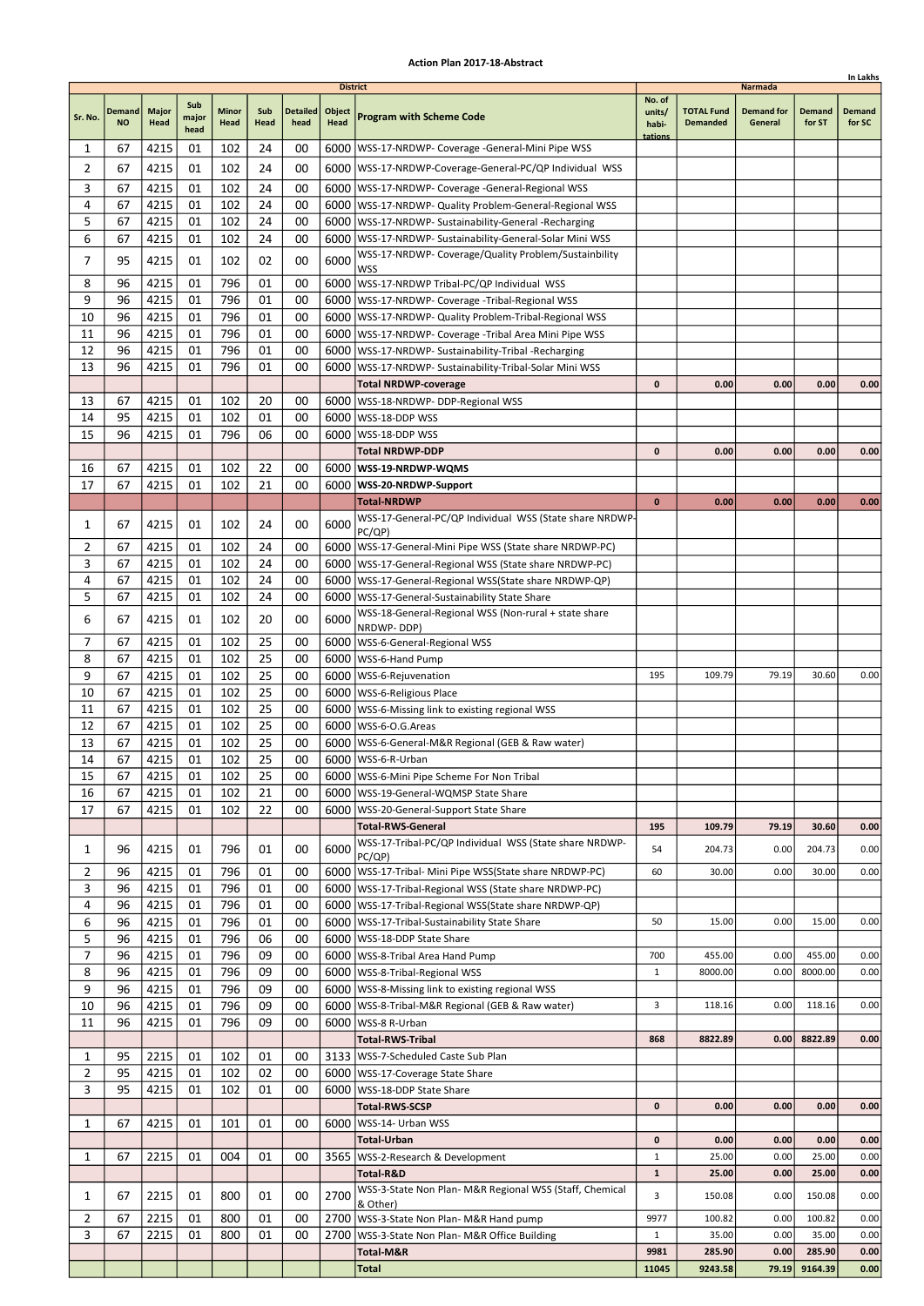|          |                     |                      |                      |                      |             |                         |                                   |                                                                                                                        |                                      |                                      |                                         |                         | In Lakhs                |
|----------|---------------------|----------------------|----------------------|----------------------|-------------|-------------------------|-----------------------------------|------------------------------------------------------------------------------------------------------------------------|--------------------------------------|--------------------------------------|-----------------------------------------|-------------------------|-------------------------|
| Sr. No.  | Demand<br><b>NO</b> | <b>Major</b><br>Head | Sub<br>major<br>head | <b>Minor</b><br>Head | Sub<br>Head | <b>Detailed</b><br>head | <b>District</b><br>Object<br>Head | <b>Program with Scheme Code</b>                                                                                        | No. of<br>units/<br>habi-<br>tations | <b>TOTAL Fund</b><br><b>Demanded</b> | Narmada<br><b>Demand for</b><br>General | <b>Demand</b><br>for ST | <b>Demand</b><br>for SC |
| 1        | 67                  | 4215                 | 01                   | 102                  | 24          | 00                      |                                   | 6000   WSS-17-NRDWP- Coverage -General-Mini Pipe WSS                                                                   |                                      |                                      |                                         |                         |                         |
| 2        | 67                  | 4215                 | 01                   | 102                  | 24          | 00                      |                                   | 6000   WSS-17-NRDWP-Coverage-General-PC/QP Individual WSS                                                              |                                      |                                      |                                         |                         |                         |
| 3        | 67                  | 4215                 | 01                   | 102                  | 24          | 00                      |                                   | 6000   WSS-17-NRDWP- Coverage -General-Regional WSS                                                                    |                                      |                                      |                                         |                         |                         |
| 4        | 67                  | 4215                 | 01                   | 102                  | 24          | 00                      |                                   | 6000   WSS-17-NRDWP- Quality Problem-General-Regional WSS                                                              |                                      |                                      |                                         |                         |                         |
| 5        | 67                  | 4215                 | 01                   | 102                  | 24          | 00                      |                                   | 6000   WSS-17-NRDWP- Sustainability-General -Recharging                                                                |                                      |                                      |                                         |                         |                         |
| 6        | 67                  | 4215                 | 01                   | 102                  | 24          | 00                      |                                   | 6000   WSS-17-NRDWP- Sustainability-General-Solar Mini WSS                                                             |                                      |                                      |                                         |                         |                         |
| 7        | 95                  | 4215                 | 01                   | 102                  | 02          | 00                      | 6000                              | WSS-17-NRDWP- Coverage/Quality Problem/Sustainbility                                                                   |                                      |                                      |                                         |                         |                         |
| 8        | 96                  | 4215                 | 01                   | 796                  | 01          | 00                      |                                   | <b>WSS</b><br>6000 WSS-17-NRDWP Tribal-PC/QP Individual WSS                                                            |                                      |                                      |                                         |                         |                         |
| 9        | 96                  | 4215                 | 01                   | 796                  | 01          | 00                      |                                   | 6000   WSS-17-NRDWP- Coverage - Tribal-Regional WSS                                                                    |                                      |                                      |                                         |                         |                         |
| 10       | 96                  | 4215                 | 01                   | 796                  | 01          | 00                      |                                   | 6000   WSS-17-NRDWP- Quality Problem-Tribal-Regional WSS                                                               |                                      |                                      |                                         |                         |                         |
| 11       | 96                  | 4215                 | 01                   | 796                  | 01          | 00                      |                                   | 6000   WSS-17-NRDWP- Coverage - Tribal Area Mini Pipe WSS                                                              |                                      |                                      |                                         |                         |                         |
| 12       | 96                  | 4215                 | 01                   | 796                  | 01          | 00                      |                                   | 6000   WSS-17-NRDWP- Sustainability-Tribal -Recharging                                                                 |                                      |                                      |                                         |                         |                         |
| 13       | 96                  | 4215                 | 01                   | 796                  | 01          | 00                      | 6000                              | WSS-17-NRDWP- Sustainability-Tribal-Solar Mini WSS                                                                     |                                      |                                      |                                         |                         |                         |
|          |                     |                      |                      |                      |             |                         |                                   | <b>Total NRDWP-coverage</b>                                                                                            | 0                                    | 0.00                                 | 0.00                                    | 0.00                    | 0.00                    |
| 13       | 67                  | 4215                 | 01                   | 102                  | 20          | 00                      |                                   | 6000   WSS-18-NRDWP- DDP-Regional WSS                                                                                  |                                      |                                      |                                         |                         |                         |
| 14<br>15 | 95<br>96            | 4215<br>4215         | 01<br>01             | 102<br>796           | 01<br>06    | 00<br>00                |                                   | 6000   WSS-18-DDP WSS<br>6000   WSS-18-DDP WSS                                                                         |                                      |                                      |                                         |                         |                         |
|          |                     |                      |                      |                      |             |                         |                                   | <b>Total NRDWP-DDP</b>                                                                                                 | 0                                    | 0.00                                 | 0.00                                    | 0.00                    | 0.00                    |
| 16       | 67                  | 4215                 | 01                   | 102                  | 22          | 00                      |                                   | 6000   WSS-19-NRDWP-WQMS                                                                                               |                                      |                                      |                                         |                         |                         |
| 17       | 67                  | 4215                 | 01                   | 102                  | 21          | 00                      |                                   | 6000   WSS-20-NRDWP-Support                                                                                            |                                      |                                      |                                         |                         |                         |
|          |                     |                      |                      |                      |             |                         |                                   | <b>Total-NRDWP</b>                                                                                                     | $\bf{0}$                             | 0.00                                 | 0.00                                    | 0.00                    | 0.00                    |
| 1        | 67                  | 4215                 | 01                   | 102                  | 24          | 00                      | 6000                              | WSS-17-General-PC/QP Individual WSS (State share NRDWP-                                                                |                                      |                                      |                                         |                         |                         |
|          |                     |                      |                      |                      |             |                         |                                   | PC/QP)                                                                                                                 |                                      |                                      |                                         |                         |                         |
| 2<br>3   | 67<br>67            | 4215<br>4215         | 01<br>01             | 102<br>102           | 24<br>24    | 00<br>00                |                                   | 6000   WSS-17-General-Mini Pipe WSS (State share NRDWP-PC)                                                             |                                      |                                      |                                         |                         |                         |
| 4        | 67                  | 4215                 | 01                   | 102                  | 24          | 00                      |                                   | 6000   WSS-17-General-Regional WSS (State share NRDWP-PC)<br>6000   WSS-17-General-Regional WSS (State share NRDWP-QP) |                                      |                                      |                                         |                         |                         |
| 5        | 67                  | 4215                 | 01                   | 102                  | 24          | 00                      |                                   | 6000   WSS-17-General-Sustainability State Share                                                                       |                                      |                                      |                                         |                         |                         |
|          |                     |                      |                      | 102                  |             |                         |                                   | WSS-18-General-Regional WSS (Non-rural + state share                                                                   |                                      |                                      |                                         |                         |                         |
| 6        | 67                  | 4215                 | 01                   |                      | 20          | 00                      | 6000                              | NRDWP-DDP)                                                                                                             |                                      |                                      |                                         |                         |                         |
| 7        | 67                  | 4215                 | 01                   | 102                  | 25          | 00                      |                                   | 6000   WSS-6-General-Regional WSS                                                                                      |                                      |                                      |                                         |                         |                         |
| 8        | 67                  | 4215                 | 01                   | 102                  | 25          | 00                      |                                   | 6000   WSS-6-Hand Pump                                                                                                 |                                      |                                      |                                         |                         |                         |
| 9<br>10  | 67<br>67            | 4215<br>4215         | 01<br>01             | 102<br>102           | 25<br>25    | 00<br>00                |                                   | 6000   WSS-6-Rejuvenation<br>6000   WSS-6-Religious Place                                                              | 195                                  | 109.79                               | 79.19                                   | 30.60                   | 0.00                    |
| 11       | 67                  | 4215                 | 01                   | 102                  | 25          | 00                      |                                   | 6000   WSS-6-Missing link to existing regional WSS                                                                     |                                      |                                      |                                         |                         |                         |
| 12       | 67                  | 4215                 | 01                   | 102                  | 25          | 00                      |                                   | 6000   WSS-6-O.G. Areas                                                                                                |                                      |                                      |                                         |                         |                         |
| 13       | 67                  | 4215                 | 01                   | 102                  | 25          | 00                      |                                   | 6000   WSS-6-General-M&R Regional (GEB & Raw water)                                                                    |                                      |                                      |                                         |                         |                         |
| 14       | 67                  | 4215                 | 01                   | 102                  | 25          | 00                      |                                   | 6000   WSS-6-R-Urban                                                                                                   |                                      |                                      |                                         |                         |                         |
| 15       | 67                  | 4215                 | 01                   | 102                  | 25          | 00                      |                                   | 6000 WSS-6-Mini Pipe Scheme For Non Tribal                                                                             |                                      |                                      |                                         |                         |                         |
| 16       | 67                  | 4215                 | 01                   | 102                  | 21          | 00                      |                                   | 6000   WSS-19-General-WQMSP State Share                                                                                |                                      |                                      |                                         |                         |                         |
| 17       | 67                  | 4215                 | 01                   | 102                  | 22          | 00                      |                                   | 6000   WSS-20-General-Support State Share                                                                              |                                      |                                      |                                         |                         |                         |
|          |                     |                      |                      |                      |             |                         |                                   | <b>Total-RWS-General</b><br>WSS-17-Tribal-PC/QP Individual WSS (State share NRDWP-                                     | 195                                  | 109.79                               | 79.19                                   | 30.60                   | 0.00                    |
| 1        | 96                  | 4215                 | 01                   | 796                  | 01          | 00                      | 6000                              | PC/QP)                                                                                                                 | 54                                   | 204.73                               | 0.00                                    | 204.73                  | 0.00                    |
| 2        | 96                  | 4215                 | 01                   | 796                  | 01          | 00                      |                                   | 6000   WSS-17-Tribal- Mini Pipe WSS (State share NRDWP-PC)                                                             | 60                                   | 30.00                                | 0.00                                    | 30.00                   | 0.00                    |
| 3        | 96                  | 4215                 | 01                   | 796                  | 01          | 00                      |                                   | 6000   WSS-17-Tribal-Regional WSS (State share NRDWP-PC)                                                               |                                      |                                      |                                         |                         |                         |
| 4        | 96                  | 4215                 | 01                   | 796                  | 01          | 00                      |                                   | 6000   WSS-17-Tribal-Regional WSS (State share NRDWP-QP)                                                               |                                      |                                      |                                         |                         |                         |
| 6        | 96                  | 4215                 | 01                   | 796                  | 01          | 00                      |                                   | 6000   WSS-17-Tribal-Sustainability State Share                                                                        | 50                                   | 15.00                                | 0.00                                    | 15.00                   | 0.00                    |
| 5<br>7   | 96<br>96            | 4215<br>4215         | 01<br>01             | 796<br>796           | 06<br>09    | 00<br>00                |                                   | 6000   WSS-18-DDP State Share<br>6000 WSS-8-Tribal Area Hand Pump                                                      | 700                                  | 455.00                               | 0.00                                    | 455.00                  | 0.00                    |
| 8        | 96                  | 4215                 | 01                   | 796                  | 09          | 00                      |                                   | 6000   WSS-8-Tribal-Regional WSS                                                                                       | 1                                    | 8000.00                              | 0.00                                    | 8000.00                 | 0.00                    |
| 9        | 96                  | 4215                 | 01                   | 796                  | 09          | 00                      |                                   | 6000   WSS-8-Missing link to existing regional WSS                                                                     |                                      |                                      |                                         |                         |                         |
| 10       | 96                  | 4215                 | 01                   | 796                  | 09          | 00                      |                                   | 6000   WSS-8-Tribal-M&R Regional (GEB & Raw water)                                                                     | 3                                    | 118.16                               | 0.00                                    | 118.16                  | 0.00                    |
| 11       | 96                  | 4215                 | 01                   | 796                  | 09          | 00                      |                                   | 6000   WSS-8 R-Urban                                                                                                   |                                      |                                      |                                         |                         |                         |
|          |                     |                      |                      |                      |             |                         |                                   | <b>Total-RWS-Tribal</b>                                                                                                | 868                                  | 8822.89                              | 0.00                                    | 8822.89                 | 0.00                    |
| 1        | 95                  | 2215                 | 01                   | 102                  | 01          | 00                      |                                   | 3133   WSS-7-Scheduled Caste Sub Plan                                                                                  |                                      |                                      |                                         |                         |                         |
| 2        | 95                  | 4215                 | 01                   | 102                  | 02          | 00                      |                                   | 6000   WSS-17-Coverage State Share                                                                                     |                                      |                                      |                                         |                         |                         |
| 3        | 95                  | 4215                 | 01                   | 102                  | 01          | 00                      |                                   | 6000   WSS-18-DDP State Share                                                                                          | 0                                    | 0.00                                 | 0.00                                    | 0.00                    |                         |
| 1        | 67                  | 4215                 | 01                   | 101                  | 01          | 00                      |                                   | <b>Total-RWS-SCSP</b><br>6000   WSS-14- Urban WSS                                                                      |                                      |                                      |                                         |                         | 0.00                    |
|          |                     |                      |                      |                      |             |                         |                                   | <b>Total-Urban</b>                                                                                                     | 0                                    | 0.00                                 | 0.00                                    | 0.00                    | 0.00                    |
| 1        | 67                  | 2215                 | 01                   | 004                  | 01          | 00                      |                                   | 3565   WSS-2-Research & Development                                                                                    | $\mathbf 1$                          | 25.00                                | 0.00                                    | 25.00                   | 0.00                    |
|          |                     |                      |                      |                      |             |                         |                                   | Total-R&D                                                                                                              | $\mathbf 1$                          | 25.00                                | 0.00                                    | 25.00                   | 0.00                    |
| 1        | 67                  | 2215                 | 01                   | 800                  | 01          | 00                      | 2700                              | WSS-3-State Non Plan- M&R Regional WSS (Staff, Chemical                                                                | 3                                    | 150.08                               | 0.00                                    | 150.08                  | 0.00                    |
| 2        | 67                  | 2215                 | 01                   | 800                  | 01          | 00                      |                                   | & Other)<br>2700 WSS-3-State Non Plan- M&R Hand pump                                                                   | 9977                                 | 100.82                               | 0.00                                    | 100.82                  | 0.00                    |
| 3        | 67                  | 2215                 | 01                   | 800                  | 01          | 00                      | 2700                              | WSS-3-State Non Plan- M&R Office Building                                                                              | $\mathbf{1}$                         | 35.00                                | 0.00                                    | 35.00                   | 0.00                    |
|          |                     |                      |                      |                      |             |                         |                                   | Total-M&R                                                                                                              | 9981                                 | 285.90                               | 0.00                                    | 285.90                  | 0.00                    |
|          |                     |                      |                      |                      |             |                         |                                   | <b>Total</b>                                                                                                           | 11045                                | 9243.58                              | 79.19                                   | 9164.39                 | 0.00                    |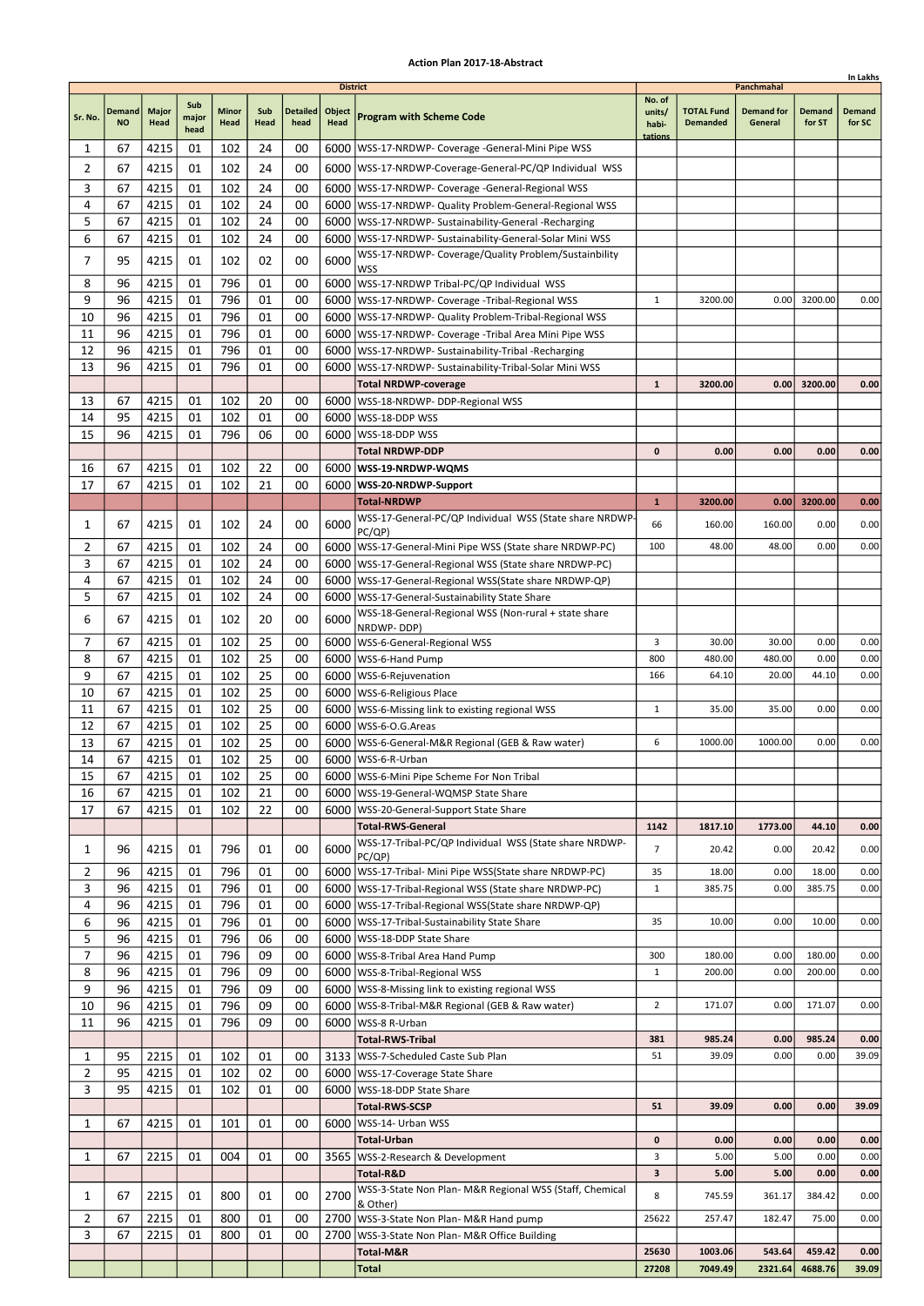|                     |                            |                      |              |                      |             |                         |                                   |                                                                                                           |                           |                                      |                                            |                  | In Lakhs                |
|---------------------|----------------------------|----------------------|--------------|----------------------|-------------|-------------------------|-----------------------------------|-----------------------------------------------------------------------------------------------------------|---------------------------|--------------------------------------|--------------------------------------------|------------------|-------------------------|
| Sr. No.             | <b>Demand</b><br><b>NO</b> | <b>Major</b><br>Head | Sub<br>major | <b>Minor</b><br>Head | Sub<br>Head | <b>Detailed</b><br>head | <b>District</b><br>Object<br>Head | <b>Program with Scheme Code</b>                                                                           | No. of<br>units/<br>habi- | <b>TOTAL Fund</b><br><b>Demanded</b> | Panchmahal<br><b>Demand for</b><br>General | Demand<br>for ST | <b>Demand</b><br>for SC |
| 1                   | 67                         | 4215                 | head<br>01   | 102                  | 24          | 00                      |                                   | 6000   WSS-17-NRDWP- Coverage - General-Mini Pipe WSS                                                     | tations                   |                                      |                                            |                  |                         |
| 2                   | 67                         | 4215                 | 01           | 102                  | 24          | 00                      |                                   | 6000   WSS-17-NRDWP-Coverage-General-PC/QP Individual WSS                                                 |                           |                                      |                                            |                  |                         |
| 3                   | 67                         | 4215                 | 01           | 102                  | 24          | 00                      |                                   | 6000   WSS-17-NRDWP- Coverage - General-Regional WSS                                                      |                           |                                      |                                            |                  |                         |
| 4                   | 67                         | 4215                 | 01           | 102                  | 24          | 00                      |                                   | 6000   WSS-17-NRDWP- Quality Problem-General-Regional WSS                                                 |                           |                                      |                                            |                  |                         |
| 5                   | 67                         | 4215                 | 01           | 102                  | 24          | 00                      | 6000                              | WSS-17-NRDWP- Sustainability-General -Recharging                                                          |                           |                                      |                                            |                  |                         |
| 6                   | 67                         | 4215                 | 01           | 102                  | 24          | 00                      | 6000                              | WSS-17-NRDWP- Sustainability-General-Solar Mini WSS                                                       |                           |                                      |                                            |                  |                         |
| $\overline{7}$      | 95                         | 4215                 | 01           | 102                  | 02          | 00                      | 6000                              | WSS-17-NRDWP- Coverage/Quality Problem/Sustainbility<br>WSS                                               |                           |                                      |                                            |                  |                         |
| 8                   | 96                         | 4215                 | 01           | 796                  | 01          | 00                      | 6000                              | WSS-17-NRDWP Tribal-PC/QP Individual WSS                                                                  |                           |                                      |                                            |                  |                         |
| 9                   | 96                         | 4215                 | 01           | 796                  | 01          | 00                      |                                   | 6000   WSS-17-NRDWP- Coverage - Tribal-Regional WSS                                                       | $\mathbf{1}$              | 3200.00                              | 0.00                                       | 3200.00          | 0.00                    |
| 10                  | 96                         | 4215                 | 01           | 796                  | 01          | 00                      |                                   | 6000   WSS-17-NRDWP- Quality Problem-Tribal-Regional WSS                                                  |                           |                                      |                                            |                  |                         |
| 11                  | 96                         | 4215                 | 01           | 796                  | 01          | 00                      | 6000                              | WSS-17-NRDWP- Coverage -Tribal Area Mini Pipe WSS                                                         |                           |                                      |                                            |                  |                         |
| 12                  | 96                         | 4215                 | 01           | 796                  | 01          | 00                      | 6000                              | WSS-17-NRDWP- Sustainability-Tribal -Recharging                                                           |                           |                                      |                                            |                  |                         |
| 13                  | 96                         | 4215                 | 01           | 796                  | 01          | 00                      | 6000                              | WSS-17-NRDWP- Sustainability-Tribal-Solar Mini WSS<br><b>Total NRDWP-coverage</b>                         | $\mathbf{1}$              | 3200.00                              | 0.00                                       | 3200.00          | 0.00                    |
| 13                  | 67                         | 4215                 | 01           | 102                  | 20          | 00                      |                                   | 6000   WSS-18-NRDWP- DDP-Regional WSS                                                                     |                           |                                      |                                            |                  |                         |
| 14                  | 95                         | 4215                 | 01           | 102                  | 01          | 00                      | 6000                              | WSS-18-DDP WSS                                                                                            |                           |                                      |                                            |                  |                         |
| 15                  | 96                         | 4215                 | 01           | 796                  | 06          | 00                      |                                   | 6000   WSS-18-DDP WSS                                                                                     |                           |                                      |                                            |                  |                         |
|                     |                            |                      |              |                      |             |                         |                                   | <b>Total NRDWP-DDP</b>                                                                                    | $\mathbf{0}$              | 0.00                                 | 0.00                                       | 0.00             | 0.00                    |
| 16                  | 67                         | 4215                 | 01           | 102                  | 22          | 00                      |                                   | 6000   WSS-19-NRDWP-WQMS                                                                                  |                           |                                      |                                            |                  |                         |
| 17                  | 67                         | 4215                 | 01           | 102                  | 21          | 00                      |                                   | 6000   WSS-20-NRDWP-Support                                                                               |                           |                                      |                                            |                  |                         |
|                     |                            |                      |              |                      |             |                         |                                   | <b>Total-NRDWP</b>                                                                                        | $\mathbf{1}$              | 3200.00                              | 0.00                                       | 3200.00          | 0.00                    |
| 1                   | 67                         | 4215                 | 01           | 102                  | 24          | 00                      | 6000                              | WSS-17-General-PC/QP Individual WSS (State share NRDWP<br>PC/QP)                                          | 66                        | 160.00                               | 160.00                                     | 0.00             | 0.00                    |
| 2                   | 67                         | 4215                 | 01           | 102                  | 24          | 00                      |                                   | 6000   WSS-17-General-Mini Pipe WSS (State share NRDWP-PC)                                                | 100                       | 48.00                                | 48.00                                      | 0.00             | 0.00                    |
| 3                   | 67                         | 4215                 | 01           | 102                  | 24          | 00                      | 6000                              | WSS-17-General-Regional WSS (State share NRDWP-PC)                                                        |                           |                                      |                                            |                  |                         |
| 4                   | 67                         | 4215                 | 01           | 102                  | 24          | 00                      |                                   | 6000   WSS-17-General-Regional WSS (State share NRDWP-QP)                                                 |                           |                                      |                                            |                  |                         |
| 5                   | 67                         | 4215                 | 01           | 102                  | 24          | 00                      |                                   | 6000   WSS-17-General-Sustainability State Share                                                          |                           |                                      |                                            |                  |                         |
| 6                   | 67                         | 4215                 | 01           | 102                  | 20          | 00                      | 6000                              | WSS-18-General-Regional WSS (Non-rural + state share<br>NRDWP-DDP)                                        |                           |                                      |                                            |                  |                         |
| 7                   | 67                         | 4215                 | 01           | 102                  | 25          | 00                      |                                   | 6000   WSS-6-General-Regional WSS                                                                         | 3                         | 30.00                                | 30.00                                      | 0.00             | 0.00                    |
| 8                   | 67                         | 4215                 | 01           | 102                  | 25          | 00                      | 6000                              | WSS-6-Hand Pump                                                                                           | 800                       | 480.00                               | 480.00                                     | 0.00             | 0.00                    |
| 9                   | 67                         | 4215                 | 01           | 102                  | 25          | 00                      | 6000                              | WSS-6-Rejuvenation                                                                                        | 166                       | 64.10                                | 20.00                                      | 44.10            | 0.00                    |
| 10                  | 67                         | 4215                 | 01           | 102                  | 25          | 00                      |                                   | 6000   WSS-6-Religious Place                                                                              |                           |                                      |                                            |                  |                         |
| 11<br>12            | 67<br>67                   | 4215                 | 01<br>01     | 102<br>102           | 25<br>25    | 00<br>00                |                                   | 6000   WSS-6-Missing link to existing regional WSS                                                        | 1                         | 35.00                                | 35.00                                      | 0.00             | 0.00                    |
| 13                  | 67                         | 4215<br>4215         | 01           | 102                  | 25          | 00                      |                                   | 6000   WSS-6-O.G. Areas<br>6000   WSS-6-General-M&R Regional (GEB & Raw water)                            | 6                         | 1000.00                              | 1000.00                                    | 0.00             | 0.00                    |
| 14                  | 67                         | 4215                 | 01           | 102                  | 25          | 00                      |                                   | 6000 WSS-6-R-Urban                                                                                        |                           |                                      |                                            |                  |                         |
| 15                  | 67                         | 4215                 | 01           | 102                  | 25          | 00                      |                                   | 6000   WSS-6-Mini Pipe Scheme For Non Tribal                                                              |                           |                                      |                                            |                  |                         |
| 16                  | 67                         | 4215                 | 01           | 102                  | 21          | 00                      |                                   | 6000   WSS-19-General-WQMSP State Share                                                                   |                           |                                      |                                            |                  |                         |
| 17                  | 67                         | 4215                 | 01           | 102                  | 22          | 00                      |                                   | 6000   WSS-20-General-Support State Share                                                                 |                           |                                      |                                            |                  |                         |
|                     |                            |                      |              |                      |             |                         |                                   | <b>Total-RWS-General</b>                                                                                  | 1142                      | 1817.10                              | 1773.00                                    | 44.10            | 0.00                    |
| 1                   | 96                         | 4215                 | 01           | 796                  | 01          | 00                      | 6000                              | WSS-17-Tribal-PC/QP Individual WSS (State share NRDWP-<br>PC/QP)                                          | $\overline{7}$            | 20.42                                | 0.00                                       | 20.42            | 0.00                    |
| 2                   | 96                         | 4215                 | 01           | 796                  | 01          | 00                      |                                   | 6000   WSS-17-Tribal- Mini Pipe WSS(State share NRDWP-PC)                                                 | 35                        | 18.00                                | 0.00                                       | 18.00            | 0.00                    |
| 3                   | 96                         | 4215                 | 01           | 796                  | 01          | 00                      |                                   | 6000   WSS-17-Tribal-Regional WSS (State share NRDWP-PC)                                                  | $\mathbf{1}$              | 385.75                               | 0.00                                       | 385.75           | 0.00                    |
| 4<br>6              | 96<br>96                   | 4215<br>4215         | 01<br>01     | 796<br>796           | 01<br>01    | 00<br>00                |                                   | 6000   WSS-17-Tribal-Regional WSS (State share NRDWP-QP)<br>6000 WSS-17-Tribal-Sustainability State Share | 35                        | 10.00                                | 0.00                                       | 10.00            | 0.00                    |
| 5                   | 96                         | 4215                 | 01           | 796                  | 06          | 00                      | 6000                              | WSS-18-DDP State Share                                                                                    |                           |                                      |                                            |                  |                         |
| 7                   | 96                         | 4215                 | 01           | 796                  | 09          | 00                      |                                   | 6000 WSS-8-Tribal Area Hand Pump                                                                          | 300                       | 180.00                               | 0.00                                       | 180.00           | 0.00                    |
| 8                   | 96                         | 4215                 | 01           | 796                  | 09          | 00                      |                                   | 6000   WSS-8-Tribal-Regional WSS                                                                          | $\mathbf{1}$              | 200.00                               | 0.00                                       | 200.00           | 0.00                    |
| 9                   | 96                         | 4215                 | 01           | 796                  | 09          | 00                      |                                   | 6000   WSS-8-Missing link to existing regional WSS                                                        |                           |                                      |                                            |                  |                         |
| 10                  | 96                         | 4215                 | 01           | 796                  | 09          | 00                      |                                   | 6000   WSS-8-Tribal-M&R Regional (GEB & Raw water)                                                        | $\overline{2}$            | 171.07                               | 0.00                                       | 171.07           | 0.00                    |
| 11                  | 96                         | 4215                 | 01           | 796                  | 09          | 00                      | 6000                              | WSS-8 R-Urban                                                                                             |                           |                                      |                                            |                  |                         |
|                     |                            |                      |              |                      |             |                         |                                   | <b>Total-RWS-Tribal</b>                                                                                   | 381                       | 985.24                               | 0.00                                       | 985.24           | 0.00                    |
| 1<br>$\overline{2}$ | 95<br>95                   | 2215<br>4215         | 01<br>01     | 102<br>102           | 01<br>02    | 00<br>00                |                                   | 3133   WSS-7-Scheduled Caste Sub Plan<br>6000   WSS-17-Coverage State Share                               | 51                        | 39.09                                | 0.00                                       | 0.00             | 39.09                   |
| 3                   | 95                         | 4215                 | 01           | 102                  | 01          | 00                      |                                   | 6000   WSS-18-DDP State Share                                                                             |                           |                                      |                                            |                  |                         |
|                     |                            |                      |              |                      |             |                         |                                   | <b>Total-RWS-SCSP</b>                                                                                     | 51                        | 39.09                                | 0.00                                       | 0.00             | 39.09                   |
| 1                   | 67                         | 4215                 | 01           | 101                  | 01          | 00                      |                                   | 6000   WSS-14- Urban WSS                                                                                  |                           |                                      |                                            |                  |                         |
|                     |                            |                      |              |                      |             |                         |                                   | Total-Urban                                                                                               | $\mathbf 0$               | 0.00                                 | 0.00                                       | 0.00             | 0.00                    |
| 1                   | 67                         | 2215                 | 01           | 004                  | 01          | 00                      |                                   | 3565   WSS-2-Research & Development                                                                       | 3                         | 5.00                                 | 5.00                                       | 0.00             | 0.00                    |
|                     |                            |                      |              |                      |             |                         |                                   | Total-R&D                                                                                                 | 3                         | 5.00                                 | 5.00                                       | 0.00             | 0.00                    |
| 1                   | 67                         | 2215                 | 01           | 800                  | 01          | 00                      | 2700                              | WSS-3-State Non Plan- M&R Regional WSS (Staff, Chemical<br>& Other)                                       | 8                         | 745.59                               | 361.17                                     | 384.42           | 0.00                    |
| 2                   | 67                         | 2215                 | 01           | 800                  | 01          | 00                      |                                   | 2700 WSS-3-State Non Plan- M&R Hand pump                                                                  | 25622                     | 257.47                               | 182.47                                     | 75.00            | 0.00                    |
| 3                   | 67                         | 2215                 | 01           | 800                  | 01          | 00                      | 2700                              | WSS-3-State Non Plan- M&R Office Building                                                                 |                           |                                      |                                            |                  |                         |
|                     |                            |                      |              |                      |             |                         |                                   | Total-M&R                                                                                                 | 25630                     | 1003.06                              | 543.64                                     | 459.42           | 0.00                    |
|                     |                            |                      |              |                      |             |                         |                                   | Total                                                                                                     | 27208                     | 7049.49                              | 2321.64                                    | 4688.76          | 39.09                   |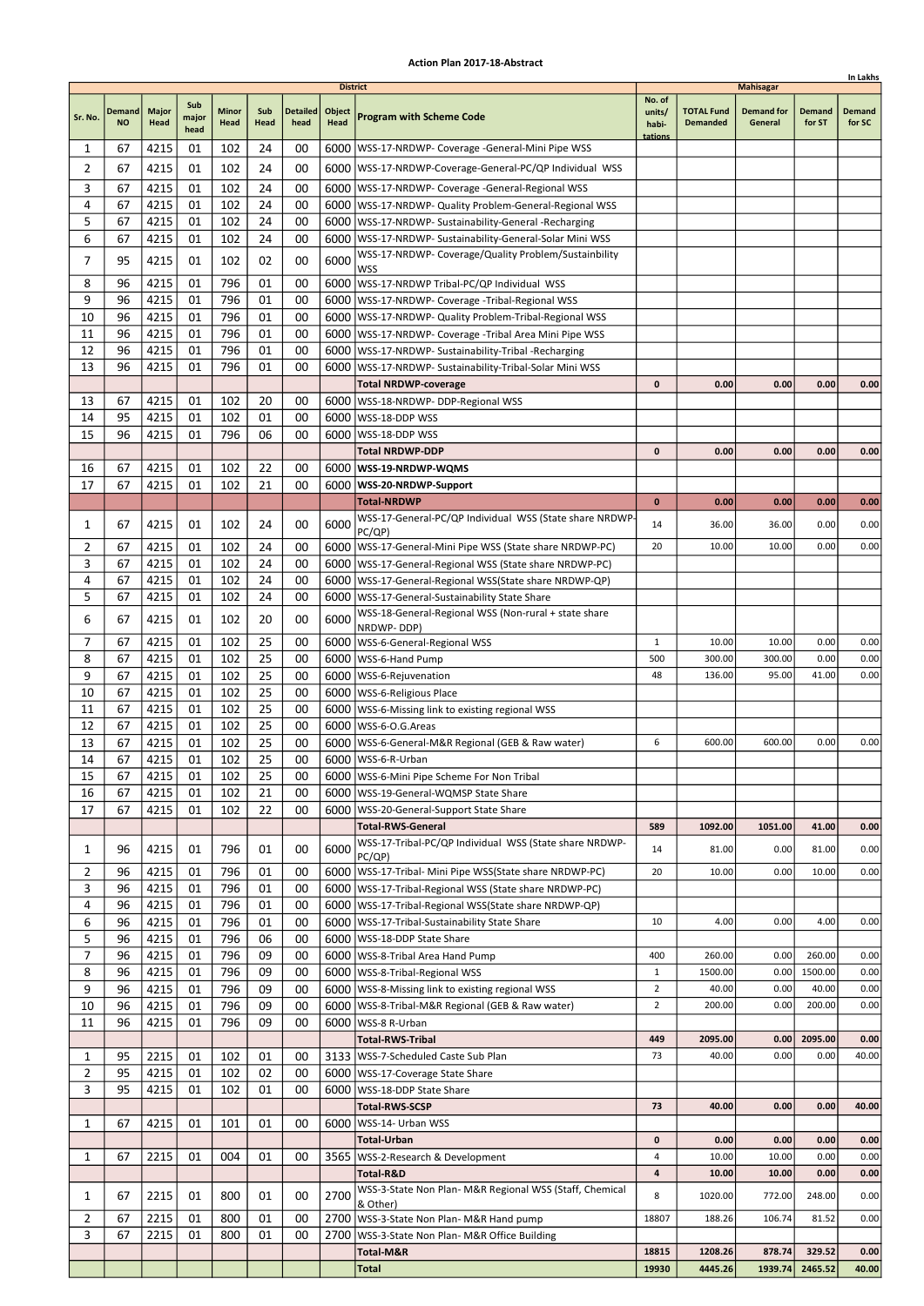|                |                            |                      |                      |                      |             |                         |                                          |                                                                                                                       |                                      |                                      |                                                  |                         | In Lakhs                |
|----------------|----------------------------|----------------------|----------------------|----------------------|-------------|-------------------------|------------------------------------------|-----------------------------------------------------------------------------------------------------------------------|--------------------------------------|--------------------------------------|--------------------------------------------------|-------------------------|-------------------------|
| Sr. No.        | <b>Demand</b><br><b>NO</b> | <b>Major</b><br>Head | Sub<br>major<br>head | <b>Minor</b><br>Head | Sub<br>Head | <b>Detailed</b><br>head | <b>District</b><br>Object<br><b>Head</b> | <b>Program with Scheme Code</b>                                                                                       | No. of<br>units/<br>habi-<br>tations | <b>TOTAL Fund</b><br><b>Demanded</b> | <b>Mahisagar</b><br><b>Demand for</b><br>General | <b>Demand</b><br>for ST | <b>Demand</b><br>for SC |
| 1              | 67                         | 4215                 | 01                   | 102                  | 24          | 00                      |                                          | 6000   WSS-17-NRDWP- Coverage - General-Mini Pipe WSS                                                                 |                                      |                                      |                                                  |                         |                         |
| $\overline{2}$ | 67                         | 4215                 | 01                   | 102                  | 24          | 00                      |                                          | 6000   WSS-17-NRDWP-Coverage-General-PC/QP Individual WSS                                                             |                                      |                                      |                                                  |                         |                         |
| 3              | 67                         | 4215                 | 01                   | 102                  | 24          | 00                      |                                          | 6000   WSS-17-NRDWP- Coverage - General-Regional WSS                                                                  |                                      |                                      |                                                  |                         |                         |
| 4              | 67                         | 4215                 | 01                   | 102                  | 24          | 00                      |                                          | 6000   WSS-17-NRDWP- Quality Problem-General-Regional WSS                                                             |                                      |                                      |                                                  |                         |                         |
| 5              | 67                         | 4215                 | 01                   | 102                  | 24          | 00                      |                                          | 6000   WSS-17-NRDWP- Sustainability-General -Recharging                                                               |                                      |                                      |                                                  |                         |                         |
| 6              | 67                         | 4215                 | 01                   | 102                  | 24          | 00                      |                                          | 6000   WSS-17-NRDWP- Sustainability-General-Solar Mini WSS                                                            |                                      |                                      |                                                  |                         |                         |
| 7              | 95                         | 4215                 | 01                   | 102                  | 02          | 00                      | 6000                                     | WSS-17-NRDWP- Coverage/Quality Problem/Sustainbility                                                                  |                                      |                                      |                                                  |                         |                         |
|                |                            |                      |                      |                      |             |                         |                                          | <b>WSS</b>                                                                                                            |                                      |                                      |                                                  |                         |                         |
| 8              | 96                         | 4215                 | 01                   | 796                  | 01          | 00                      |                                          | 6000 WSS-17-NRDWP Tribal-PC/QP Individual WSS                                                                         |                                      |                                      |                                                  |                         |                         |
| 9<br>10        | 96<br>96                   | 4215                 | 01<br>01             | 796<br>796           | 01<br>01    | 00                      |                                          | 6000   WSS-17-NRDWP- Coverage - Tribal-Regional WSS                                                                   |                                      |                                      |                                                  |                         |                         |
| 11             | 96                         | 4215<br>4215         | 01                   | 796                  | 01          | 00<br>00                |                                          | 6000   WSS-17-NRDWP- Quality Problem-Tribal-Regional WSS<br>6000   WSS-17-NRDWP- Coverage - Tribal Area Mini Pipe WSS |                                      |                                      |                                                  |                         |                         |
| 12             | 96                         | 4215                 | 01                   | 796                  | 01          | 00                      |                                          | 6000   WSS-17-NRDWP- Sustainability-Tribal -Recharging                                                                |                                      |                                      |                                                  |                         |                         |
| 13             | 96                         | 4215                 | 01                   | 796                  | 01          | 00                      | 6000                                     | WSS-17-NRDWP- Sustainability-Tribal-Solar Mini WSS                                                                    |                                      |                                      |                                                  |                         |                         |
|                |                            |                      |                      |                      |             |                         |                                          | <b>Total NRDWP-coverage</b>                                                                                           | $\mathbf 0$                          | 0.00                                 | 0.00                                             | 0.00                    | 0.00                    |
| 13             | 67                         | 4215                 | 01                   | 102                  | 20          | 00                      |                                          | 6000   WSS-18-NRDWP- DDP-Regional WSS                                                                                 |                                      |                                      |                                                  |                         |                         |
| 14             | 95                         | 4215                 | 01                   | 102                  | 01          | 00                      |                                          | 6000 WSS-18-DDP WSS                                                                                                   |                                      |                                      |                                                  |                         |                         |
| 15             | 96                         | 4215                 | 01                   | 796                  | 06          | 00                      | 6000                                     | WSS-18-DDP WSS                                                                                                        |                                      |                                      |                                                  |                         |                         |
|                |                            |                      |                      |                      |             |                         |                                          | <b>Total NRDWP-DDP</b>                                                                                                | 0                                    | 0.00                                 | 0.00                                             | 0.00                    | 0.00                    |
| 16             | 67                         | 4215                 | 01                   | 102                  | 22          | 00                      |                                          | 6000   WSS-19-NRDWP-WQMS                                                                                              |                                      |                                      |                                                  |                         |                         |
| 17             | 67                         | 4215                 | 01                   | 102                  | 21          | 00                      |                                          | 6000   WSS-20-NRDWP-Support                                                                                           |                                      |                                      |                                                  |                         |                         |
|                |                            |                      |                      |                      |             |                         |                                          | <b>Total-NRDWP</b>                                                                                                    | $\bf{0}$                             | 0.00                                 | 0.00                                             | 0.00                    | 0.00                    |
| 1              | 67                         | 4215                 | 01                   | 102                  | 24          | 00                      | 6000                                     | WSS-17-General-PC/QP Individual WSS (State share NRDWP-                                                               | 14                                   | 36.00                                | 36.00                                            | 0.00                    | 0.00                    |
| 2              | 67                         | 4215                 | 01                   | 102                  | 24          | 00                      |                                          | PC/QP)<br>6000   WSS-17-General-Mini Pipe WSS (State share NRDWP-PC)                                                  | 20                                   | 10.00                                | 10.00                                            | 0.00                    | 0.00                    |
| 3              | 67                         | 4215                 | 01                   | 102                  | 24          | 00                      |                                          | 6000   WSS-17-General-Regional WSS (State share NRDWP-PC)                                                             |                                      |                                      |                                                  |                         |                         |
| 4              | 67                         | 4215                 | 01                   | 102                  | 24          | 00                      |                                          | 6000   WSS-17-General-Regional WSS (State share NRDWP-QP)                                                             |                                      |                                      |                                                  |                         |                         |
| 5              | 67                         | 4215                 | 01                   | 102                  | 24          | 00                      |                                          | 6000   WSS-17-General-Sustainability State Share                                                                      |                                      |                                      |                                                  |                         |                         |
|                |                            |                      |                      |                      |             |                         |                                          | WSS-18-General-Regional WSS (Non-rural + state share                                                                  |                                      |                                      |                                                  |                         |                         |
| 6              | 67                         | 4215                 | 01                   | 102                  | 20          | 00                      | 6000                                     | NRDWP-DDP)                                                                                                            |                                      |                                      |                                                  |                         |                         |
| 7              | 67                         | 4215                 | 01                   | 102                  | 25          | 00                      |                                          | 6000   WSS-6-General-Regional WSS                                                                                     | 1                                    | 10.00                                | 10.00                                            | 0.00                    | 0.00                    |
| 8              | 67                         | 4215                 | 01                   | 102                  | 25          | 00                      | 6000                                     | WSS-6-Hand Pump                                                                                                       | 500                                  | 300.00                               | 300.00                                           | 0.00                    | 0.00                    |
| 9              | 67                         | 4215                 | 01                   | 102                  | 25          | 00                      |                                          | 6000   WSS-6-Rejuvenation                                                                                             | 48                                   | 136.00                               | 95.00                                            | 41.00                   | 0.00                    |
| 10             | 67                         | 4215                 | 01                   | 102                  | 25          | 00                      |                                          | 6000   WSS-6-Religious Place                                                                                          |                                      |                                      |                                                  |                         |                         |
| 11             | 67                         | 4215                 | 01                   | 102                  | 25          | 00                      |                                          | 6000   WSS-6-Missing link to existing regional WSS                                                                    |                                      |                                      |                                                  |                         |                         |
| 12<br>13       | 67<br>67                   | 4215<br>4215         | 01<br>01             | 102<br>102           | 25<br>25    | 00<br>00                |                                          | 6000   WSS-6-O.G. Areas<br>6000   WSS-6-General-M&R Regional (GEB & Raw water)                                        | 6                                    | 600.00                               | 600.00                                           | 0.00                    | 0.00                    |
| 14             | 67                         | 4215                 | 01                   | 102                  | 25          | 00                      |                                          | 6000   WSS-6-R-Urban                                                                                                  |                                      |                                      |                                                  |                         |                         |
| 15             | 67                         | 4215                 | 01                   | 102                  | 25          | 00                      |                                          | 6000   WSS-6-Mini Pipe Scheme For Non Tribal                                                                          |                                      |                                      |                                                  |                         |                         |
| 16             | 67                         | 4215                 | 01                   | 102                  | 21          | 00                      |                                          | 6000   WSS-19-General-WQMSP State Share                                                                               |                                      |                                      |                                                  |                         |                         |
| 17             | 67                         | 4215                 | 01                   | 102                  | 22          | 00                      |                                          | 6000   WSS-20-General-Support State Share                                                                             |                                      |                                      |                                                  |                         |                         |
|                |                            |                      |                      |                      |             |                         |                                          | <b>Total-RWS-General</b>                                                                                              | 589                                  | 1092.00                              | 1051.00                                          | 41.00                   | 0.00                    |
| 1              | 96                         | 4215                 | 01                   | 796                  | 01          | 00                      | 6000                                     | WSS-17-Tribal-PC/QP Individual WSS (State share NRDWP-<br>PC(QP)                                                      | 14                                   | 81.00                                | 0.00                                             | 81.00                   | 0.00                    |
| $\overline{2}$ | 96                         | 4215                 | 01                   | 796                  | 01          | 00                      |                                          | 6000   WSS-17-Tribal- Mini Pipe WSS (State share NRDWP-PC)                                                            | 20                                   | 10.00                                | 0.00                                             | 10.00                   | 0.00                    |
| 3              | 96                         | 4215                 | 01                   | 796                  | 01          | 00                      |                                          | 6000   WSS-17-Tribal-Regional WSS (State share NRDWP-PC)                                                              |                                      |                                      |                                                  |                         |                         |
| 4              | 96                         | 4215                 | 01                   | 796                  | 01          | 00                      |                                          | 6000   WSS-17-Tribal-Regional WSS (State share NRDWP-QP)                                                              |                                      |                                      |                                                  |                         |                         |
| 6              | 96                         | 4215                 | 01                   | 796                  | 01          | 00                      |                                          | 6000   WSS-17-Tribal-Sustainability State Share                                                                       | 10                                   | 4.00                                 | 0.00                                             | 4.00                    | 0.00                    |
| 5              | 96                         | 4215                 | 01                   | 796                  | 06          | 00                      |                                          | 6000   WSS-18-DDP State Share                                                                                         |                                      |                                      |                                                  |                         |                         |
| $\overline{7}$ | 96                         | 4215                 | 01                   | 796                  | 09          | 00                      |                                          | 6000   WSS-8-Tribal Area Hand Pump                                                                                    | 400                                  | 260.00                               | 0.00                                             | 260.00                  | 0.00                    |
| 8              | 96                         | 4215                 | 01                   | 796                  | 09          | 00                      |                                          | 6000   WSS-8-Tribal-Regional WSS                                                                                      | $\mathbf{1}$                         | 1500.00                              | 0.00                                             | 1500.00                 | 0.00                    |
| 9<br>10        | 96<br>96                   | 4215<br>4215         | 01<br>01             | 796<br>796           | 09<br>09    | 00<br>00                |                                          | 6000   WSS-8-Missing link to existing regional WSS                                                                    | $\overline{2}$<br>$\overline{2}$     | 40.00<br>200.00                      | 0.00<br>0.00                                     | 40.00<br>200.00         | 0.00<br>0.00            |
|                | 96                         | 4215                 | 01                   | 796                  | 09          | 00                      |                                          | 6000   WSS-8-Tribal-M&R Regional (GEB & Raw water)                                                                    |                                      |                                      |                                                  |                         |                         |
| 11             |                            |                      |                      |                      |             |                         |                                          | 6000   WSS-8 R-Urban<br><b>Total-RWS-Tribal</b>                                                                       | 449                                  | 2095.00                              | 0.00                                             | 2095.00                 | 0.00                    |
| 1              | 95                         | 2215                 | 01                   | 102                  | 01          | 00                      |                                          | 3133   WSS-7-Scheduled Caste Sub Plan                                                                                 | 73                                   | 40.00                                | 0.00                                             | 0.00                    | 40.00                   |
| $\overline{2}$ | 95                         | 4215                 | 01                   | 102                  | 02          | 00                      |                                          | 6000   WSS-17-Coverage State Share                                                                                    |                                      |                                      |                                                  |                         |                         |
| 3              | 95                         | 4215                 | 01                   | 102                  | 01          | 00                      |                                          | 6000   WSS-18-DDP State Share                                                                                         |                                      |                                      |                                                  |                         |                         |
|                |                            |                      |                      |                      |             |                         |                                          | <b>Total-RWS-SCSP</b>                                                                                                 | 73                                   | 40.00                                | 0.00                                             | 0.00                    | 40.00                   |
| 1              | 67                         | 4215                 | 01                   | 101                  | 01          | 00                      | 6000                                     | WSS-14- Urban WSS                                                                                                     |                                      |                                      |                                                  |                         |                         |
|                |                            |                      |                      |                      |             |                         |                                          | <b>Total-Urban</b>                                                                                                    | 0                                    | 0.00                                 | 0.00                                             | 0.00                    | 0.00                    |
| 1              | 67                         | 2215                 | 01                   | 004                  | 01          | 00                      |                                          | 3565   WSS-2-Research & Development                                                                                   | 4                                    | 10.00                                | 10.00                                            | 0.00                    | 0.00                    |
|                |                            |                      |                      |                      |             |                         |                                          | Total-R&D                                                                                                             | 4                                    | 10.00                                | 10.00                                            | 0.00                    | 0.00                    |
| 1              | 67                         | 2215                 | 01                   | 800                  | 01          | 00                      | 2700                                     | WSS-3-State Non Plan- M&R Regional WSS (Staff, Chemical                                                               | 8                                    | 1020.00                              | 772.00                                           | 248.00                  | 0.00                    |
| 2              | 67                         | 2215                 | 01                   | 800                  | 01          | 00                      |                                          | & Other)<br>2700   WSS-3-State Non Plan- M&R Hand pump                                                                | 18807                                | 188.26                               | 106.74                                           | 81.52                   | 0.00                    |
| 3              | 67                         | 2215                 | 01                   | 800                  | 01          | 00                      | 2700                                     | WSS-3-State Non Plan- M&R Office Building                                                                             |                                      |                                      |                                                  |                         |                         |
|                |                            |                      |                      |                      |             |                         |                                          | Total-M&R                                                                                                             | 18815                                | 1208.26                              | 878.74                                           | 329.52                  | 0.00                    |
|                |                            |                      |                      |                      |             |                         |                                          | <b>Total</b>                                                                                                          | 19930                                | 4445.26                              | 1939.74                                          | 2465.52                 | 40.00                   |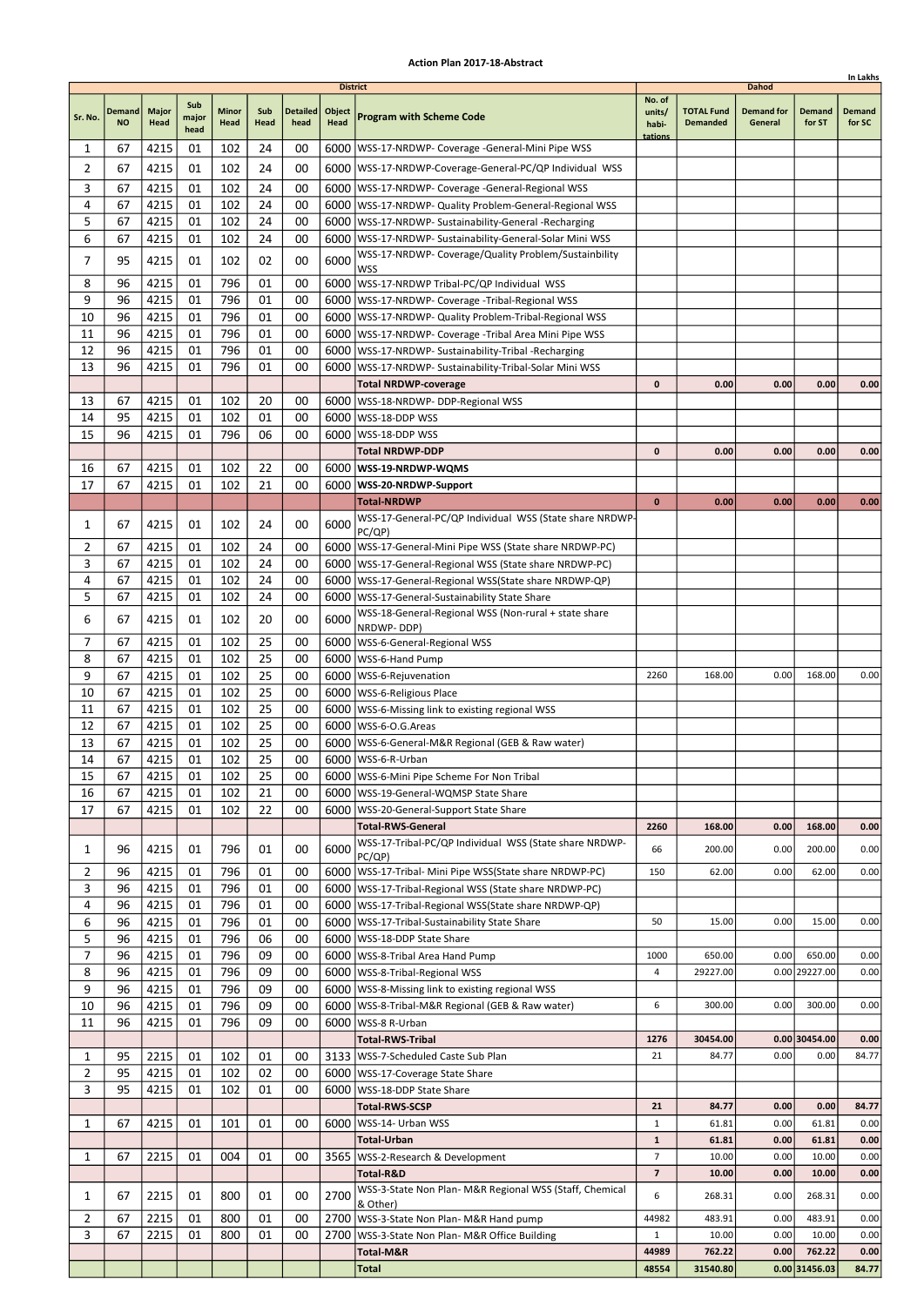|          |                     |                      |                      |                      |             |                         |                                          |                                                                             |                                      |                                      |                                              |                         | In Lakhs                |
|----------|---------------------|----------------------|----------------------|----------------------|-------------|-------------------------|------------------------------------------|-----------------------------------------------------------------------------|--------------------------------------|--------------------------------------|----------------------------------------------|-------------------------|-------------------------|
| Sr. No.  | Demand<br><b>NO</b> | <b>Major</b><br>Head | Sub<br>major<br>head | <b>Minor</b><br>Head | Sub<br>Head | <b>Detailed</b><br>head | <b>District</b><br>Object<br><b>Head</b> | <b>Program with Scheme Code</b>                                             | No. of<br>units/<br>habi-<br>tations | <b>TOTAL Fund</b><br><b>Demanded</b> | <b>Dahod</b><br><b>Demand for</b><br>General | <b>Demand</b><br>for ST | <b>Demand</b><br>for SC |
| 1        | 67                  | 4215                 | 01                   | 102                  | 24          | 00                      |                                          | 6000   WSS-17-NRDWP- Coverage -General-Mini Pipe WSS                        |                                      |                                      |                                              |                         |                         |
| 2        | 67                  | 4215                 | 01                   | 102                  | 24          | 00                      |                                          | 6000   WSS-17-NRDWP-Coverage-General-PC/QP Individual WSS                   |                                      |                                      |                                              |                         |                         |
| 3        | 67                  | 4215                 | 01                   | 102                  | 24          | 00                      |                                          | 6000   WSS-17-NRDWP- Coverage -General-Regional WSS                         |                                      |                                      |                                              |                         |                         |
| 4        | 67                  | 4215                 | 01                   | 102                  | 24          | 00                      |                                          | 6000   WSS-17-NRDWP- Quality Problem-General-Regional WSS                   |                                      |                                      |                                              |                         |                         |
| 5        | 67                  | 4215                 | 01                   | 102                  | 24          | 00                      |                                          | 6000   WSS-17-NRDWP- Sustainability-General -Recharging                     |                                      |                                      |                                              |                         |                         |
| 6        | 67                  | 4215                 | 01                   | 102                  | 24          | 00                      |                                          | 6000   WSS-17-NRDWP- Sustainability-General-Solar Mini WSS                  |                                      |                                      |                                              |                         |                         |
| 7        | 95                  | 4215                 | 01                   | 102                  | 02          | 00                      | 6000                                     | WSS-17-NRDWP- Coverage/Quality Problem/Sustainbility                        |                                      |                                      |                                              |                         |                         |
| 8        | 96                  | 4215                 | 01                   | 796                  | 01          | 00                      |                                          | <b>WSS</b><br>6000 WSS-17-NRDWP Tribal-PC/QP Individual WSS                 |                                      |                                      |                                              |                         |                         |
| 9        | 96                  | 4215                 | 01                   | 796                  | 01          | 00                      |                                          | 6000   WSS-17-NRDWP- Coverage - Tribal-Regional WSS                         |                                      |                                      |                                              |                         |                         |
| 10       | 96                  | 4215                 | 01                   | 796                  | 01          | 00                      |                                          | 6000   WSS-17-NRDWP- Quality Problem-Tribal-Regional WSS                    |                                      |                                      |                                              |                         |                         |
| 11       | 96                  | 4215                 | 01                   | 796                  | 01          | 00                      |                                          | 6000   WSS-17-NRDWP- Coverage - Tribal Area Mini Pipe WSS                   |                                      |                                      |                                              |                         |                         |
| 12       | 96                  | 4215                 | 01                   | 796                  | 01          | 00                      |                                          | 6000   WSS-17-NRDWP- Sustainability-Tribal -Recharging                      |                                      |                                      |                                              |                         |                         |
| 13       | 96                  | 4215                 | 01                   | 796                  | 01          | 00                      | 6000                                     | WSS-17-NRDWP- Sustainability-Tribal-Solar Mini WSS                          |                                      |                                      |                                              |                         |                         |
|          |                     |                      |                      |                      |             |                         |                                          | <b>Total NRDWP-coverage</b>                                                 | 0                                    | 0.00                                 | 0.00                                         | 0.00                    | 0.00                    |
| 13       | 67                  | 4215                 | 01                   | 102                  | 20          | 00                      |                                          | 6000   WSS-18-NRDWP- DDP-Regional WSS                                       |                                      |                                      |                                              |                         |                         |
| 14       | 95                  | 4215                 | 01                   | 102                  | 01          | 00                      |                                          | 6000   WSS-18-DDP WSS                                                       |                                      |                                      |                                              |                         |                         |
| 15       | 96                  | 4215                 | 01                   | 796                  | 06          | 00                      |                                          | 6000   WSS-18-DDP WSS                                                       |                                      |                                      |                                              |                         |                         |
| 16       | 67                  | 4215                 | 01                   | 102                  | 22          | 00                      |                                          | <b>Total NRDWP-DDP</b><br>6000   WSS-19-NRDWP-WQMS                          | 0                                    | 0.00                                 | 0.00                                         | 0.00                    | 0.00                    |
| 17       | 67                  | 4215                 | 01                   | 102                  | 21          | 00                      |                                          | 6000   WSS-20-NRDWP-Support                                                 |                                      |                                      |                                              |                         |                         |
|          |                     |                      |                      |                      |             |                         |                                          | <b>Total-NRDWP</b>                                                          | $\bf{0}$                             | 0.00                                 | 0.00                                         | 0.00                    | 0.00                    |
|          |                     |                      |                      |                      |             |                         |                                          | WSS-17-General-PC/QP Individual WSS (State share NRDWP-                     |                                      |                                      |                                              |                         |                         |
| 1        | 67                  | 4215                 | 01                   | 102                  | 24          | 00                      | 6000                                     | PC/QP)                                                                      |                                      |                                      |                                              |                         |                         |
| 2        | 67                  | 4215                 | 01                   | 102                  | 24          | 00                      |                                          | 6000   WSS-17-General-Mini Pipe WSS (State share NRDWP-PC)                  |                                      |                                      |                                              |                         |                         |
| 3        | 67                  | 4215                 | 01                   | 102                  | 24          | 00                      |                                          | 6000   WSS-17-General-Regional WSS (State share NRDWP-PC)                   |                                      |                                      |                                              |                         |                         |
| 4        | 67                  | 4215                 | 01                   | 102                  | 24          | 00                      |                                          | 6000   WSS-17-General-Regional WSS (State share NRDWP-QP)                   |                                      |                                      |                                              |                         |                         |
| 5        | 67                  | 4215                 | 01                   | 102                  | 24          | 00                      |                                          | 6000   WSS-17-General-Sustainability State Share                            |                                      |                                      |                                              |                         |                         |
| 6        | 67                  | 4215                 | 01                   | 102                  | 20          | 00                      | 6000                                     | WSS-18-General-Regional WSS (Non-rural + state share<br>NRDWP-DDP)          |                                      |                                      |                                              |                         |                         |
| 7        | 67                  | 4215                 | 01                   | 102                  | 25          | 00                      |                                          | 6000   WSS-6-General-Regional WSS                                           |                                      |                                      |                                              |                         |                         |
| 8        | 67                  | 4215                 | 01                   | 102                  | 25          | 00                      |                                          | 6000   WSS-6-Hand Pump                                                      |                                      |                                      |                                              |                         |                         |
| 9        | 67                  | 4215                 | 01                   | 102                  | 25          | 00                      |                                          | 6000   WSS-6-Rejuvenation                                                   | 2260                                 | 168.00                               | 0.00                                         | 168.00                  | 0.00                    |
| 10       | 67                  | 4215                 | 01                   | 102                  | 25          | 00                      |                                          | 6000   WSS-6-Religious Place                                                |                                      |                                      |                                              |                         |                         |
| 11       | 67                  | 4215                 | 01                   | 102                  | 25          | 00                      |                                          | 6000   WSS-6-Missing link to existing regional WSS                          |                                      |                                      |                                              |                         |                         |
| 12       | 67                  | 4215                 | 01                   | 102                  | 25<br>25    | 00                      |                                          | 6000   WSS-6-O.G. Areas                                                     |                                      |                                      |                                              |                         |                         |
| 13<br>14 | 67<br>67            | 4215<br>4215         | 01<br>01             | 102<br>102           | 25          | 00<br>00                |                                          | 6000   WSS-6-General-M&R Regional (GEB & Raw water)<br>6000   WSS-6-R-Urban |                                      |                                      |                                              |                         |                         |
| 15       | 67                  | 4215                 | 01                   | 102                  | 25          | 00                      |                                          | 6000 WSS-6-Mini Pipe Scheme For Non Tribal                                  |                                      |                                      |                                              |                         |                         |
| 16       | 67                  | 4215                 | 01                   | 102                  | 21          | 00                      |                                          | 6000   WSS-19-General-WQMSP State Share                                     |                                      |                                      |                                              |                         |                         |
| 17       | 67                  | 4215                 | 01                   | 102                  | 22          | 00                      |                                          | 6000   WSS-20-General-Support State Share                                   |                                      |                                      |                                              |                         |                         |
|          |                     |                      |                      |                      |             |                         |                                          | <b>Total-RWS-General</b>                                                    | 2260                                 | 168.00                               | 0.00                                         | 168.00                  | 0.00                    |
| 1        | 96                  | 4215                 | 01                   | 796                  | 01          | 00                      | 6000                                     | WSS-17-Tribal-PC/QP Individual WSS (State share NRDWP-                      | 66                                   | 200.00                               | 0.00                                         | 200.00                  | 0.00                    |
| 2        | 96                  | 4215                 | 01                   | 796                  | 01          | 00                      |                                          | PC/QP)<br>6000   WSS-17-Tribal- Mini Pipe WSS (State share NRDWP-PC)        | 150                                  | 62.00                                | 0.00                                         | 62.00                   | 0.00                    |
| 3        | 96                  | 4215                 | 01                   | 796                  | 01          | 00                      |                                          | 6000   WSS-17-Tribal-Regional WSS (State share NRDWP-PC)                    |                                      |                                      |                                              |                         |                         |
| 4        | 96                  | 4215                 | 01                   | 796                  | 01          | 00                      |                                          | 6000   WSS-17-Tribal-Regional WSS (State share NRDWP-QP)                    |                                      |                                      |                                              |                         |                         |
| 6        | 96                  | 4215                 | 01                   | 796                  | 01          | 00                      |                                          | 6000   WSS-17-Tribal-Sustainability State Share                             | 50                                   | 15.00                                | 0.00                                         | 15.00                   | 0.00                    |
| 5        | 96                  | 4215                 | 01                   | 796                  | 06          | 00                      |                                          | 6000 WSS-18-DDP State Share                                                 |                                      |                                      |                                              |                         |                         |
| 7        | 96                  | 4215                 | 01                   | 796                  | 09          | 00                      |                                          | 6000 WSS-8-Tribal Area Hand Pump                                            | 1000                                 | 650.00                               | 0.00                                         | 650.00                  | 0.00                    |
| 8        | 96                  | 4215                 | 01                   | 796                  | 09          | 00                      |                                          | 6000   WSS-8-Tribal-Regional WSS                                            | 4                                    | 29227.00                             |                                              | 0.00 29227.00           | 0.00                    |
| 9        | 96                  | 4215                 | 01                   | 796                  | 09          | 00                      |                                          | 6000   WSS-8-Missing link to existing regional WSS                          |                                      |                                      |                                              |                         |                         |
| 10       | 96<br>96            | 4215                 | 01                   | 796                  | 09          | 00                      |                                          | 6000   WSS-8-Tribal-M&R Regional (GEB & Raw water)                          | 6                                    | 300.00                               | 0.00                                         | 300.00                  | 0.00                    |
| 11       |                     | 4215                 | 01                   | 796                  | 09          | 00                      |                                          | 6000   WSS-8 R-Urban<br><b>Total-RWS-Tribal</b>                             | 1276                                 | 30454.00                             |                                              | $0.00$ 30454.00         | 0.00                    |
| 1        | 95                  | 2215                 | 01                   | 102                  | 01          | 00                      |                                          | 3133   WSS-7-Scheduled Caste Sub Plan                                       | 21                                   | 84.77                                | 0.00                                         | 0.00                    | 84.77                   |
| 2        | 95                  | 4215                 | 01                   | 102                  | 02          | 00                      |                                          | 6000   WSS-17-Coverage State Share                                          |                                      |                                      |                                              |                         |                         |
| 3        | 95                  | 4215                 | 01                   | 102                  | 01          | 00                      |                                          | 6000   WSS-18-DDP State Share                                               |                                      |                                      |                                              |                         |                         |
|          |                     |                      |                      |                      |             |                         |                                          | <b>Total-RWS-SCSP</b>                                                       | 21                                   | 84.77                                | 0.00                                         | 0.00                    | 84.77                   |
| 1        | 67                  | 4215                 | 01                   | 101                  | 01          | 00                      | 6000                                     | WSS-14- Urban WSS                                                           | $\mathbf{1}$                         | 61.81                                | 0.00                                         | 61.81                   | 0.00                    |
|          |                     |                      |                      |                      |             |                         |                                          | <b>Total-Urban</b>                                                          | 1                                    | 61.81                                | 0.00                                         | 61.81                   | 0.00                    |
| 1        | 67                  | 2215                 | 01                   | 004                  | 01          | 00                      |                                          | 3565   WSS-2-Research & Development                                         | $\overline{7}$                       | 10.00                                | 0.00                                         | 10.00                   | 0.00                    |
|          |                     |                      |                      |                      |             |                         |                                          | Total-R&D                                                                   | 7                                    | 10.00                                | 0.00                                         | 10.00                   | 0.00                    |
| 1        | 67                  | 2215                 | 01                   | 800                  | 01          | 00                      | 2700                                     | WSS-3-State Non Plan- M&R Regional WSS (Staff, Chemical<br>& Other)         | 6                                    | 268.31                               | 0.00                                         | 268.31                  | 0.00                    |
| 2        | 67                  | 2215                 | 01                   | 800                  | 01          | 00                      |                                          | 2700 WSS-3-State Non Plan- M&R Hand pump                                    | 44982                                | 483.91                               | 0.00                                         | 483.91                  | 0.00                    |
| 3        | 67                  | 2215                 | 01                   | 800                  | 01          | 00                      | 2700                                     | WSS-3-State Non Plan- M&R Office Building                                   | $\mathbf{1}$                         | 10.00                                | 0.00                                         | 10.00                   | 0.00                    |
|          |                     |                      |                      |                      |             |                         |                                          | Total-M&R                                                                   | 44989                                | 762.22                               | 0.00                                         | 762.22                  | 0.00                    |
|          |                     |                      |                      |                      |             |                         |                                          | <b>Total</b>                                                                | 48554                                | 31540.80                             |                                              | $0.00$ 31456.03         | 84.77                   |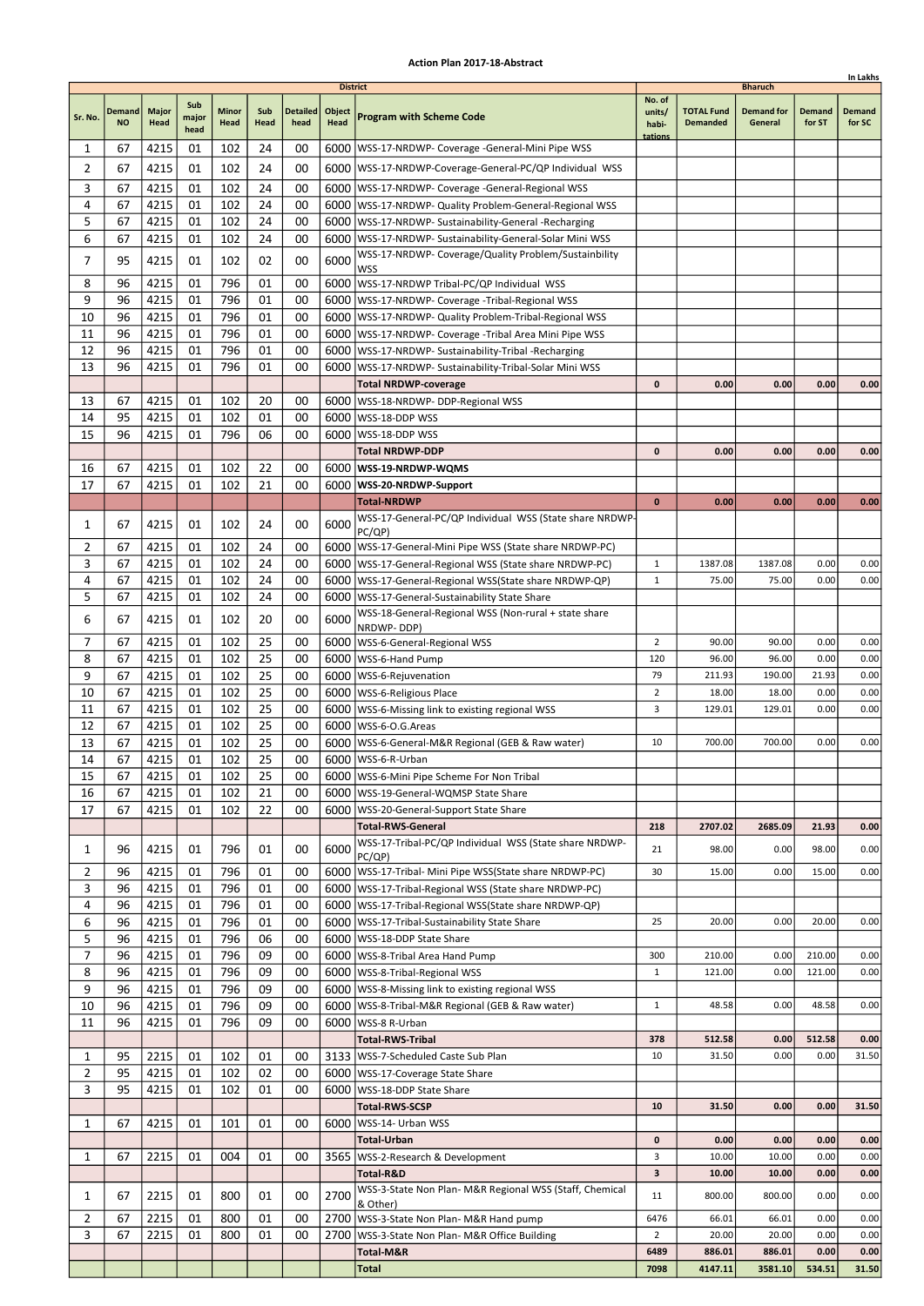|                |               |              |               |       |      |                 |                 |                                                                    |                  |                   |                   |        | In Lakhs |
|----------------|---------------|--------------|---------------|-------|------|-----------------|-----------------|--------------------------------------------------------------------|------------------|-------------------|-------------------|--------|----------|
|                |               |              |               |       |      |                 | <b>District</b> |                                                                    |                  |                   | <b>Bharuch</b>    |        |          |
|                | <b>Demand</b> | <b>Major</b> | Sub           | Minor | Sub  | <b>Detailed</b> | Object          |                                                                    | No. of<br>units/ | <b>TOTAL Fund</b> | <b>Demand for</b> | Demand | Demand   |
| Sr. No.        | <b>NO</b>     | Head         | major<br>head | Head  | Head | head            | Head            | <b>Program with Scheme Code</b>                                    | habi-            | <b>Demanded</b>   | General           | for ST | for SC   |
|                |               |              |               |       |      |                 |                 |                                                                    | tations          |                   |                   |        |          |
| 1              | 67            | 4215         | 01            | 102   | 24   | 00              |                 | 6000   WSS-17-NRDWP- Coverage - General-Mini Pipe WSS              |                  |                   |                   |        |          |
| 2              | 67            | 4215         | 01            | 102   | 24   | 00              |                 | 6000 WSS-17-NRDWP-Coverage-General-PC/QP Individual WSS            |                  |                   |                   |        |          |
| 3              | 67            | 4215         | 01            | 102   | 24   | 00              |                 | 6000   WSS-17-NRDWP- Coverage -General-Regional WSS                |                  |                   |                   |        |          |
| 4              | 67            | 4215         | 01            | 102   | 24   | 00              |                 | 6000   WSS-17-NRDWP- Quality Problem-General-Regional WSS          |                  |                   |                   |        |          |
| 5              | 67            | 4215         | 01            | 102   | 24   | 00              |                 | 6000   WSS-17-NRDWP- Sustainability-General -Recharging            |                  |                   |                   |        |          |
| 6              | 67            | 4215         | 01            | 102   | 24   | 00              |                 | 6000   WSS-17-NRDWP- Sustainability-General-Solar Mini WSS         |                  |                   |                   |        |          |
| 7              | 95            | 4215         | 01            | 102   | 02   | 00              | 6000            | WSS-17-NRDWP- Coverage/Quality Problem/Sustainbility               |                  |                   |                   |        |          |
|                |               |              |               |       |      |                 |                 | WSS                                                                |                  |                   |                   |        |          |
| 8              | 96            | 4215         | 01            | 796   | 01   | 00              |                 | 6000   WSS-17-NRDWP Tribal-PC/QP Individual WSS                    |                  |                   |                   |        |          |
| 9              | 96            | 4215         | 01            | 796   | 01   | 00              |                 | 6000   WSS-17-NRDWP- Coverage - Tribal-Regional WSS                |                  |                   |                   |        |          |
| 10             | 96            | 4215         | 01            | 796   | 01   | 00              |                 | 6000   WSS-17-NRDWP- Quality Problem-Tribal-Regional WSS           |                  |                   |                   |        |          |
| 11             | 96            | 4215         | 01            | 796   | 01   | 00              | 6000            | WSS-17-NRDWP- Coverage -Tribal Area Mini Pipe WSS                  |                  |                   |                   |        |          |
| 12             | 96            | 4215         | 01            | 796   | 01   | 00              |                 | 6000   WSS-17-NRDWP- Sustainability-Tribal - Recharging            |                  |                   |                   |        |          |
| 13             | 96            | 4215         | 01            | 796   | 01   | 00              | 6000            | WSS-17-NRDWP- Sustainability-Tribal-Solar Mini WSS                 |                  |                   |                   |        |          |
|                |               |              |               |       |      |                 |                 | <b>Total NRDWP-coverage</b>                                        | 0                | 0.00              | 0.00              | 0.00   | 0.00     |
| 13             | 67            | 4215         | 01            | 102   | 20   | 00              |                 | 6000   WSS-18-NRDWP- DDP-Regional WSS                              |                  |                   |                   |        |          |
| 14             | 95            | 4215         | 01            | 102   | 01   | 00              | 6000            | WSS-18-DDP WSS                                                     |                  |                   |                   |        |          |
| 15             | 96            | 4215         | 01            | 796   | 06   | 00              |                 | 6000   WSS-18-DDP WSS                                              |                  |                   |                   |        |          |
|                |               |              |               |       |      |                 |                 | Total NRDWP-DDP                                                    | $\mathbf{0}$     | 0.00              | 0.00              | 0.00   | 0.00     |
| 16             | 67            | 4215         | 01            | 102   | 22   | 00              |                 | 6000   WSS-19-NRDWP-WQMS                                           |                  |                   |                   |        |          |
| 17             | 67            | 4215         | 01            | 102   | 21   | 00              |                 | 6000 WSS-20-NRDWP-Support                                          |                  |                   |                   |        |          |
|                |               |              |               |       |      |                 |                 | <b>Total-NRDWP</b>                                                 | $\bf{0}$         | 0.00              | 0.00              | 0.00   | 0.00     |
| 1              | 67            | 4215         | 01            | 102   | 24   | 00              | 6000            | WSS-17-General-PC/QP Individual WSS (State share NRDWP-            |                  |                   |                   |        |          |
|                |               |              |               |       |      |                 |                 | PC(QP)                                                             |                  |                   |                   |        |          |
| 2              | 67            | 4215         | 01            | 102   | 24   | 00              |                 | 6000   WSS-17-General-Mini Pipe WSS (State share NRDWP-PC)         |                  |                   |                   |        |          |
| 3              | 67            | 4215         | 01            | 102   | 24   | 00              | 6000            | WSS-17-General-Regional WSS (State share NRDWP-PC)                 | $\mathbf{1}$     | 1387.08           | 1387.08           | 0.00   | 0.00     |
| 4              | 67            | 4215         | 01            | 102   | 24   | 00              |                 | 6000   WSS-17-General-Regional WSS (State share NRDWP-QP)          | $\mathbf{1}$     | 75.00             | 75.00             | 0.00   | 0.00     |
| 5              | 67            | 4215         | 01            | 102   | 24   | 00              |                 | 6000   WSS-17-General-Sustainability State Share                   |                  |                   |                   |        |          |
| 6              | 67            | 4215         | 01            | 102   | 20   | 00              | 6000            | WSS-18-General-Regional WSS (Non-rural + state share<br>NRDWP-DDP) |                  |                   |                   |        |          |
| 7              | 67            | 4215         | 01            | 102   | 25   | 00              |                 | 6000   WSS-6-General-Regional WSS                                  | $\overline{2}$   | 90.00             | 90.00             | 0.00   | 0.00     |
| 8              | 67            | 4215         | 01            | 102   | 25   | 00              | 6000            | WSS-6-Hand Pump                                                    | 120              | 96.00             | 96.00             | 0.00   | 0.00     |
| 9              | 67            | 4215         | 01            | 102   | 25   | 00              |                 | 6000   WSS-6-Rejuvenation                                          | 79               | 211.93            | 190.00            | 21.93  | 0.00     |
| 10             | 67            | 4215         | 01            | 102   | 25   | 00              |                 | 6000   WSS-6-Religious Place                                       | 2                | 18.00             | 18.00             | 0.00   | 0.00     |
| 11             | 67            | 4215         | 01            | 102   | 25   | 00              |                 | 6000   WSS-6-Missing link to existing regional WSS                 | 3                | 129.01            | 129.01            | 0.00   | 0.00     |
| 12             | 67            | 4215         | 01            | 102   | 25   | 00              |                 | 6000   WSS-6-O.G. Areas                                            |                  |                   |                   |        |          |
| 13             | 67            | 4215         | 01            | 102   | 25   | 00              |                 | 6000   WSS-6-General-M&R Regional (GEB & Raw water)                | 10               | 700.00            | 700.00            | 0.00   | 0.00     |
| 14             | 67            | 4215         | 01            | 102   | 25   | 00              |                 | 6000 WSS-6-R-Urban                                                 |                  |                   |                   |        |          |
| 15             | 67            | 4215         | 01            | 102   | 25   | 00              |                 | 6000   WSS-6-Mini Pipe Scheme For Non Tribal                       |                  |                   |                   |        |          |
| 16             | 67            | 4215         | 01            | 102   | 21   | 00              |                 | 6000   WSS-19-General-WQMSP State Share                            |                  |                   |                   |        |          |
| 17             | 67            | 4215         | 01            | 102   | 22   | 00              |                 | 6000   WSS-20-General-Support State Share                          |                  |                   |                   |        |          |
|                |               |              |               |       |      |                 |                 | <b>Total-RWS-General</b>                                           | 218              | 2707.02           | 2685.09           | 21.93  | 0.00     |
|                |               |              |               |       |      |                 |                 | WSS-17-Tribal-PC/QP Individual WSS (State share NRDWP-             |                  |                   |                   |        |          |
| 1              | 96            | 4215         | 01            | 796   | 01   | 00              | 6000            | PC(QP)                                                             | 21               | 98.00             | 0.00              | 98.00  | 0.00     |
| 2              | 96            | 4215         | 01            | 796   | 01   | 00              |                 | 6000   WSS-17-Tribal- Mini Pipe WSS(State share NRDWP-PC)          | 30               | 15.00             | 0.00              | 15.00  | 0.00     |
| 3              | 96            | 4215         | 01            | 796   | 01   | 00              |                 | 6000   WSS-17-Tribal-Regional WSS (State share NRDWP-PC)           |                  |                   |                   |        |          |
| 4              | 96            | 4215         | 01            | 796   | 01   | 00              |                 | 6000   WSS-17-Tribal-Regional WSS (State share NRDWP-QP)           |                  |                   |                   |        |          |
| 6              | 96            | 4215         | 01            | 796   | 01   | 00              |                 | 6000 WSS-17-Tribal-Sustainability State Share                      | 25               | 20.00             | 0.00              | 20.00  | 0.00     |
| 5              | 96            | 4215         | 01            | 796   | 06   | 00              |                 | 6000   WSS-18-DDP State Share                                      |                  |                   |                   |        |          |
| 7              | 96            | 4215         | 01            | 796   | 09   | 00              |                 | 6000   WSS-8-Tribal Area Hand Pump                                 | 300              | 210.00            | 0.00              | 210.00 | 0.00     |
| 8              | 96            | 4215         | 01            | 796   | 09   | 00              |                 | 6000   WSS-8-Tribal-Regional WSS                                   | 1                | 121.00            | 0.00              | 121.00 | 0.00     |
| 9              | 96            | 4215         | 01            | 796   | 09   | 00              |                 | 6000   WSS-8-Missing link to existing regional WSS                 |                  |                   |                   |        |          |
| 10             | 96            | 4215         | 01            | 796   | 09   | 00              |                 | 6000   WSS-8-Tribal-M&R Regional (GEB & Raw water)                 | $\mathbf{1}$     | 48.58             | 0.00              | 48.58  | 0.00     |
| 11             | 96            | 4215         | 01            | 796   | 09   | 00              |                 | 6000   WSS-8 R-Urban                                               |                  |                   |                   |        |          |
|                |               |              |               |       |      |                 |                 | <b>Total-RWS-Tribal</b>                                            | 378              | 512.58            | 0.00              | 512.58 | 0.00     |
| 1              | 95            | 2215         | 01            | 102   | 01   | 00              |                 | 3133   WSS-7-Scheduled Caste Sub Plan                              | 10               | 31.50             | 0.00              | 0.00   | 31.50    |
| $\overline{2}$ | 95            | 4215         | 01            | 102   | 02   | 00              |                 | 6000   WSS-17-Coverage State Share                                 |                  |                   |                   |        |          |
| 3              | 95            | 4215         | 01            | 102   | 01   | 00              |                 | 6000   WSS-18-DDP State Share                                      |                  |                   |                   |        |          |
|                |               |              |               |       |      |                 |                 | <b>Total-RWS-SCSP</b>                                              | 10               | 31.50             | 0.00              | 0.00   | 31.50    |
| 1              | 67            | 4215         | 01            | 101   | 01   | 00              |                 | 6000   WSS-14- Urban WSS                                           |                  |                   |                   |        |          |
|                |               |              |               |       |      |                 |                 | Total-Urban                                                        | 0                | 0.00              | 0.00              | 0.00   | 0.00     |
|                |               |              |               |       |      |                 |                 |                                                                    | 3                | 10.00             | 10.00             | 0.00   | 0.00     |
| 1              | 67            | 2215         | 01            | 004   | 01   | 00              |                 | 3565   WSS-2-Research & Development<br>Total-R&D                   | 3                | 10.00             | 10.00             | 0.00   |          |
|                |               |              |               |       |      |                 |                 | WSS-3-State Non Plan- M&R Regional WSS (Staff, Chemical            |                  |                   |                   |        | 0.00     |
| 1              | 67            | 2215         | 01            | 800   | 01   | 00              | 2700            | & Other)                                                           | 11               | 800.00            | 800.00            | 0.00   | 0.00     |
| $\overline{2}$ | 67            | 2215         | 01            | 800   | 01   | 00              |                 | 2700   WSS-3-State Non Plan- M&R Hand pump                         | 6476             | 66.01             | 66.01             | 0.00   | 0.00     |
| 3              | 67            | 2215         | 01            | 800   | 01   | 00              | 2700            | WSS-3-State Non Plan- M&R Office Building                          | 2                | 20.00             | 20.00             | 0.00   | 0.00     |
|                |               |              |               |       |      |                 |                 | Total-M&R                                                          | 6489             | 886.01            | 886.01            | 0.00   | 0.00     |
|                |               |              |               |       |      |                 |                 | Total                                                              | 7098             | 4147.11           | 3581.10           | 534.51 | 31.50    |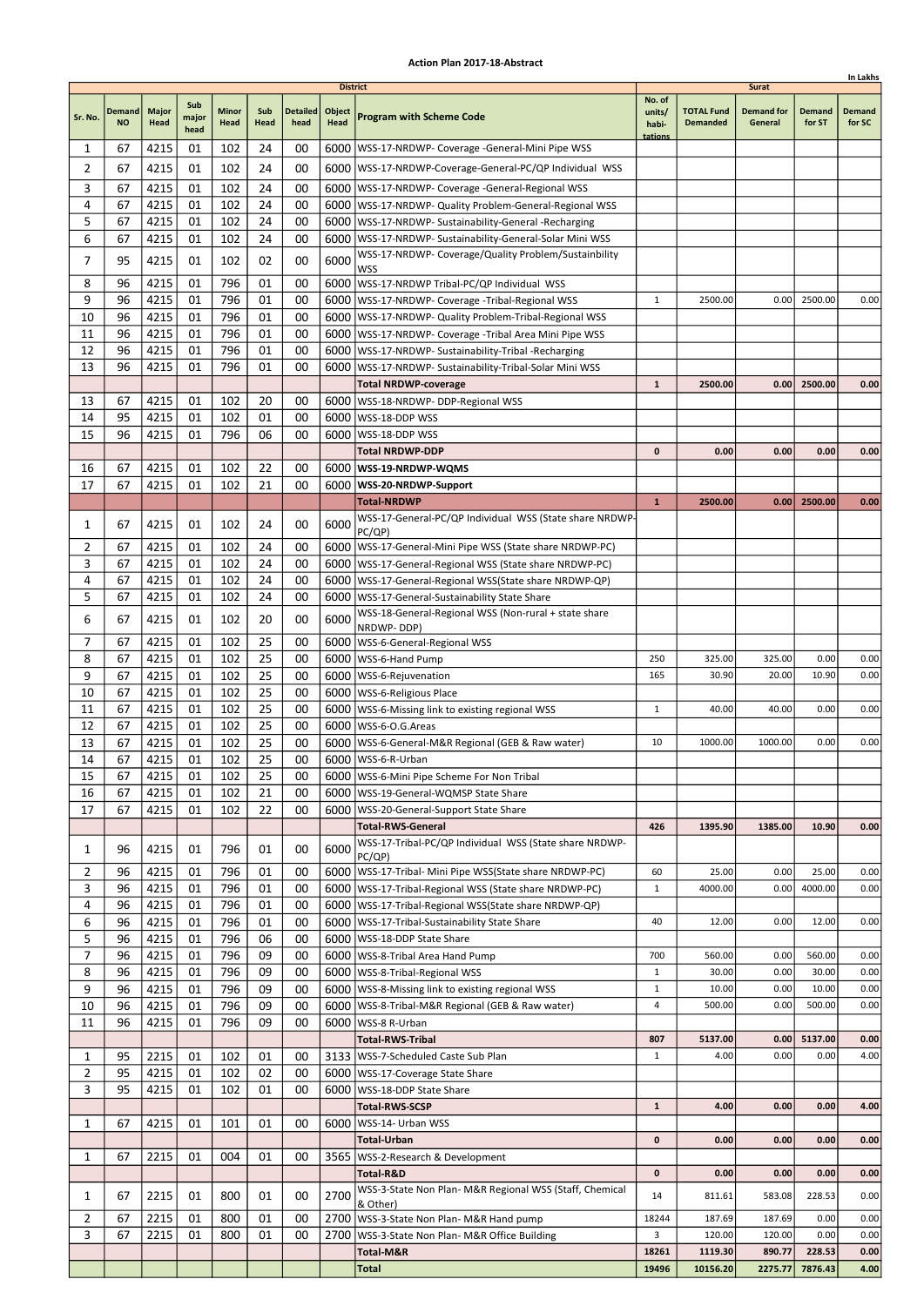|                     |                            |                      |                      |               |             |                         |                                          |                                                                                                                  |                              |                                      |                                              |                  | In Lakhs         |
|---------------------|----------------------------|----------------------|----------------------|---------------|-------------|-------------------------|------------------------------------------|------------------------------------------------------------------------------------------------------------------|------------------------------|--------------------------------------|----------------------------------------------|------------------|------------------|
| Sr. No.             | <b>Demand</b><br><b>NO</b> | <b>Major</b><br>Head | Sub<br>major<br>head | Minor<br>Head | Sub<br>Head | <b>Detailed</b><br>head | <b>District</b><br>Object<br><b>Head</b> | <b>Program with Scheme Code</b>                                                                                  | No. of<br>units/<br>habi-    | <b>TOTAL Fund</b><br><b>Demanded</b> | <b>Surat</b><br><b>Demand for</b><br>General | Demand<br>for ST | Demand<br>for SC |
| 1                   | 67                         | 4215                 | 01                   | 102           | 24          | 00                      |                                          | 6000   WSS-17-NRDWP- Coverage - General-Mini Pipe WSS                                                            | tations                      |                                      |                                              |                  |                  |
| 2                   | 67                         | 4215                 | 01                   | 102           | 24          | 00                      |                                          | 6000   WSS-17-NRDWP-Coverage-General-PC/QP Individual WSS                                                        |                              |                                      |                                              |                  |                  |
| 3                   | 67                         | 4215                 | 01                   | 102           | 24          | 00                      |                                          | 6000   WSS-17-NRDWP- Coverage -General-Regional WSS                                                              |                              |                                      |                                              |                  |                  |
| 4                   | 67                         | 4215                 | 01                   | 102           | 24          | 00                      |                                          | 6000   WSS-17-NRDWP- Quality Problem-General-Regional WSS                                                        |                              |                                      |                                              |                  |                  |
| 5                   | 67                         | 4215                 | 01                   | 102           | 24          | 00                      |                                          | 6000   WSS-17-NRDWP- Sustainability-General -Recharging                                                          |                              |                                      |                                              |                  |                  |
| 6                   | 67                         | 4215                 | 01                   | 102           | 24          | 00                      |                                          | 6000 WSS-17-NRDWP- Sustainability-General-Solar Mini WSS<br>WSS-17-NRDWP- Coverage/Quality Problem/Sustainbility |                              |                                      |                                              |                  |                  |
| 7                   | 95                         | 4215                 | 01                   | 102           | 02          | 00                      | 6000                                     | WSS                                                                                                              |                              |                                      |                                              |                  |                  |
| 8                   | 96                         | 4215                 | 01                   | 796           | 01          | 00                      |                                          | 6000   WSS-17-NRDWP Tribal-PC/QP Individual WSS                                                                  |                              |                                      |                                              |                  |                  |
| 9                   | 96                         | 4215                 | 01                   | 796           | 01          | 00                      |                                          | 6000   WSS-17-NRDWP- Coverage - Tribal-Regional WSS                                                              | $\mathbf{1}$                 | 2500.00                              | 0.00                                         | 2500.00          | 0.00             |
| 10<br>11            | 96<br>96                   | 4215<br>4215         | 01<br>01             | 796<br>796    | 01<br>01    | 00<br>00                | 6000                                     | 6000   WSS-17-NRDWP- Quality Problem-Tribal-Regional WSS<br>WSS-17-NRDWP- Coverage -Tribal Area Mini Pipe WSS    |                              |                                      |                                              |                  |                  |
| 12                  | 96                         | 4215                 | 01                   | 796           | 01          | 00                      |                                          | 6000   WSS-17-NRDWP- Sustainability-Tribal - Recharging                                                          |                              |                                      |                                              |                  |                  |
| 13                  | 96                         | 4215                 | 01                   | 796           | 01          | 00                      | 6000                                     | WSS-17-NRDWP- Sustainability-Tribal-Solar Mini WSS                                                               |                              |                                      |                                              |                  |                  |
|                     |                            |                      |                      |               |             |                         |                                          | <b>Total NRDWP-coverage</b>                                                                                      | $\mathbf{1}$                 | 2500.00                              | 0.00                                         | 2500.00          | 0.00             |
| 13                  | 67                         | 4215                 | 01                   | 102           | 20          | 00                      |                                          | 6000   WSS-18-NRDWP- DDP-Regional WSS                                                                            |                              |                                      |                                              |                  |                  |
| 14                  | 95                         | 4215                 | 01                   | 102           | 01          | 00                      | 6000                                     | WSS-18-DDP WSS                                                                                                   |                              |                                      |                                              |                  |                  |
| 15                  | 96                         | 4215                 | 01                   | 796           | 06          | 00                      |                                          | 6000   WSS-18-DDP WSS<br>Total NRDWP-DDP                                                                         | $\mathbf{0}$                 | 0.00                                 | 0.00                                         | 0.00             | 0.00             |
| 16                  | 67                         | 4215                 | 01                   | 102           | 22          | 00                      |                                          | 6000   WSS-19-NRDWP-WQMS                                                                                         |                              |                                      |                                              |                  |                  |
| 17                  | 67                         | 4215                 | 01                   | 102           | 21          | 00                      |                                          | 6000 WSS-20-NRDWP-Support                                                                                        |                              |                                      |                                              |                  |                  |
|                     |                            |                      |                      |               |             |                         |                                          | <b>Total-NRDWP</b>                                                                                               | $\mathbf{1}$                 | 2500.00                              | 0.00                                         | 2500.00          | 0.00             |
| 1                   | 67                         | 4215                 | 01                   | 102           | 24          | 00                      | 6000                                     | WSS-17-General-PC/QP Individual WSS (State share NRDWP-<br>PC(QP)                                                |                              |                                      |                                              |                  |                  |
| 2                   | 67                         | 4215                 | 01                   | 102           | 24          | 00                      |                                          | 6000   WSS-17-General-Mini Pipe WSS (State share NRDWP-PC)                                                       |                              |                                      |                                              |                  |                  |
| 3                   | 67                         | 4215                 | 01                   | 102           | 24          | 00                      | 6000                                     | WSS-17-General-Regional WSS (State share NRDWP-PC)                                                               |                              |                                      |                                              |                  |                  |
| 4                   | 67                         | 4215                 | 01                   | 102           | 24          | 00                      |                                          | 6000   WSS-17-General-Regional WSS (State share NRDWP-QP)                                                        |                              |                                      |                                              |                  |                  |
| 5                   | 67                         | 4215                 | 01                   | 102           | 24          | 00                      |                                          | 6000   WSS-17-General-Sustainability State Share                                                                 |                              |                                      |                                              |                  |                  |
| 6                   | 67                         | 4215                 | 01                   | 102           | 20          | 00                      | 6000                                     | WSS-18-General-Regional WSS (Non-rural + state share<br>NRDWP-DDP)                                               |                              |                                      |                                              |                  |                  |
| 7                   | 67                         | 4215                 | 01                   | 102           | 25          | 00                      |                                          | 6000   WSS-6-General-Regional WSS                                                                                |                              |                                      |                                              |                  |                  |
| 8                   | 67                         | 4215                 | 01                   | 102           | 25          | 00                      | 6000                                     | WSS-6-Hand Pump                                                                                                  | 250                          | 325.00                               | 325.00                                       | 0.00             | 0.00             |
| 9                   | 67                         | 4215                 | 01                   | 102           | 25          | 00                      |                                          | 6000   WSS-6-Rejuvenation                                                                                        | 165                          | 30.90                                | 20.00                                        | 10.90            | 0.00             |
| 10                  | 67                         | 4215                 | 01                   | 102           | 25<br>25    | 00                      |                                          | 6000   WSS-6-Religious Place                                                                                     |                              |                                      |                                              |                  | 0.00             |
| 11<br>12            | 67<br>67                   | 4215<br>4215         | 01<br>01             | 102<br>102    | 25          | 00<br>00                |                                          | 6000   WSS-6-Missing link to existing regional WSS<br>6000   WSS-6-O.G. Areas                                    | 1                            | 40.00                                | 40.00                                        | 0.00             |                  |
| 13                  | 67                         | 4215                 | 01                   | 102           | 25          | 00                      |                                          | 6000   WSS-6-General-M&R Regional (GEB & Raw water)                                                              | 10                           | 1000.00                              | 1000.00                                      | 0.00             | 0.00             |
| 14                  | 67                         | 4215                 | 01                   | 102           | 25          | 00                      |                                          | 6000 WSS-6-R-Urban                                                                                               |                              |                                      |                                              |                  |                  |
| 15                  | 67                         | 4215                 | 01                   | 102           | 25          | 00                      |                                          | 6000   WSS-6-Mini Pipe Scheme For Non Tribal                                                                     |                              |                                      |                                              |                  |                  |
| 16                  | 67                         | 4215                 | 01                   | 102           | 21          | 00                      |                                          | 6000   WSS-19-General-WQMSP State Share                                                                          |                              |                                      |                                              |                  |                  |
| 17                  | 67                         | 4215                 | 01                   | 102           | 22          | 00                      |                                          | 6000   WSS-20-General-Support State Share<br><b>Total-RWS-General</b>                                            | 426                          | 1395.90                              | 1385.00                                      | 10.90            | 0.00             |
| 1                   | 96                         | 4215                 | 01                   | 796           | 01          | 00                      | 6000                                     | WSS-17-Tribal-PC/QP Individual WSS (State share NRDWP-                                                           |                              |                                      |                                              |                  |                  |
| 2                   | 96                         | 4215                 | 01                   | 796           | 01          | 00                      |                                          | PC(QP)<br>6000   WSS-17-Tribal- Mini Pipe WSS(State share NRDWP-PC)                                              | 60                           | 25.00                                | 0.00                                         | 25.00            | 0.00             |
| 3                   | 96                         | 4215                 | 01                   | 796           | 01          | 00                      |                                          | 6000   WSS-17-Tribal-Regional WSS (State share NRDWP-PC)                                                         | $\mathbf{1}$                 | 4000.00                              | 0.00                                         | 4000.00          | 0.00             |
| 4                   | 96                         | 4215                 | 01                   | 796           | 01          | 00                      |                                          | 6000   WSS-17-Tribal-Regional WSS (State share NRDWP-QP)                                                         |                              |                                      |                                              |                  |                  |
| 6                   | 96                         | 4215                 | 01                   | 796           | 01          | 00                      |                                          | 6000   WSS-17-Tribal-Sustainability State Share                                                                  | 40                           | 12.00                                | 0.00                                         | 12.00            | 0.00             |
| 5                   | 96                         | 4215                 | 01                   | 796           | 06          | 00                      |                                          | 6000   WSS-18-DDP State Share                                                                                    |                              |                                      |                                              |                  |                  |
| 7                   | 96                         | 4215                 | 01                   | 796           | 09          | 00                      |                                          | 6000   WSS-8-Tribal Area Hand Pump                                                                               | 700                          | 560.00                               | 0.00                                         | 560.00           | 0.00             |
| 8<br>9              | 96<br>96                   | 4215<br>4215         | 01<br>01             | 796<br>796    | 09<br>09    | 00<br>00                |                                          | 6000   WSS-8-Tribal-Regional WSS<br>6000   WSS-8-Missing link to existing regional WSS                           | $\mathbf{1}$<br>$\mathbf{1}$ | 30.00<br>10.00                       | 0.00<br>0.00                                 | 30.00<br>10.00   | 0.00<br>0.00     |
| 10                  | 96                         | 4215                 | 01                   | 796           | 09          | 00                      |                                          | 6000   WSS-8-Tribal-M&R Regional (GEB & Raw water)                                                               | 4                            | 500.00                               | 0.00                                         | 500.00           | 0.00             |
| 11                  | 96                         | 4215                 | 01                   | 796           | 09          | 00                      |                                          | 6000   WSS-8 R-Urban                                                                                             |                              |                                      |                                              |                  |                  |
|                     |                            |                      |                      |               |             |                         |                                          | <b>Total-RWS-Tribal</b>                                                                                          | 807                          | 5137.00                              | 0.00                                         | 5137.00          | 0.00             |
| 1                   | 95                         | 2215                 | 01                   | 102           | 01          | 00                      |                                          | 3133   WSS-7-Scheduled Caste Sub Plan                                                                            | $\mathbf{1}$                 | 4.00                                 | 0.00                                         | 0.00             | 4.00             |
| $\overline{2}$      | 95                         | 4215                 | 01                   | 102           | 02          | 00                      |                                          | 6000   WSS-17-Coverage State Share                                                                               |                              |                                      |                                              |                  |                  |
| 3                   | 95                         | 4215                 | 01                   | 102           | 01          | 00                      |                                          | 6000   WSS-18-DDP State Share<br><b>Total-RWS-SCSP</b>                                                           | $\mathbf{1}$                 | 4.00                                 | 0.00                                         | 0.00             | 4.00             |
| 1                   | 67                         | 4215                 | 01                   | 101           | 01          | 00                      |                                          | 6000   WSS-14- Urban WSS                                                                                         |                              |                                      |                                              |                  |                  |
|                     |                            |                      |                      |               |             |                         |                                          | Total-Urban                                                                                                      | 0                            | 0.00                                 | 0.00                                         | 0.00             | 0.00             |
| 1                   | 67                         | 2215                 | 01                   | 004           | 01          | 00                      |                                          | 3565   WSS-2-Research & Development<br>Total-R&D                                                                 | 0                            | 0.00                                 | 0.00                                         | 0.00             | 0.00             |
|                     |                            |                      |                      |               |             |                         |                                          | WSS-3-State Non Plan- M&R Regional WSS (Staff, Chemical                                                          |                              |                                      |                                              |                  |                  |
| 1                   | 67                         | 2215                 | 01                   | 800           | 01          | 00                      | 2700                                     | & Other)                                                                                                         | 14                           | 811.61                               | 583.08                                       | 228.53           | 0.00             |
| $\overline{2}$<br>3 | 67<br>67                   | 2215<br>2215         | 01<br>01             | 800<br>800    | 01<br>01    | 00<br>00                | 2700                                     | 2700   WSS-3-State Non Plan- M&R Hand pump<br>WSS-3-State Non Plan- M&R Office Building                          | 18244<br>3                   | 187.69<br>120.00                     | 187.69<br>120.00                             | 0.00<br>0.00     | 0.00<br>0.00     |
|                     |                            |                      |                      |               |             |                         |                                          | Total-M&R                                                                                                        | 18261                        | 1119.30                              | 890.77                                       | 228.53           | 0.00             |
|                     |                            |                      |                      |               |             |                         |                                          | Total                                                                                                            | 19496                        | 10156.20                             | 2275.77                                      | 7876.43          | 4.00             |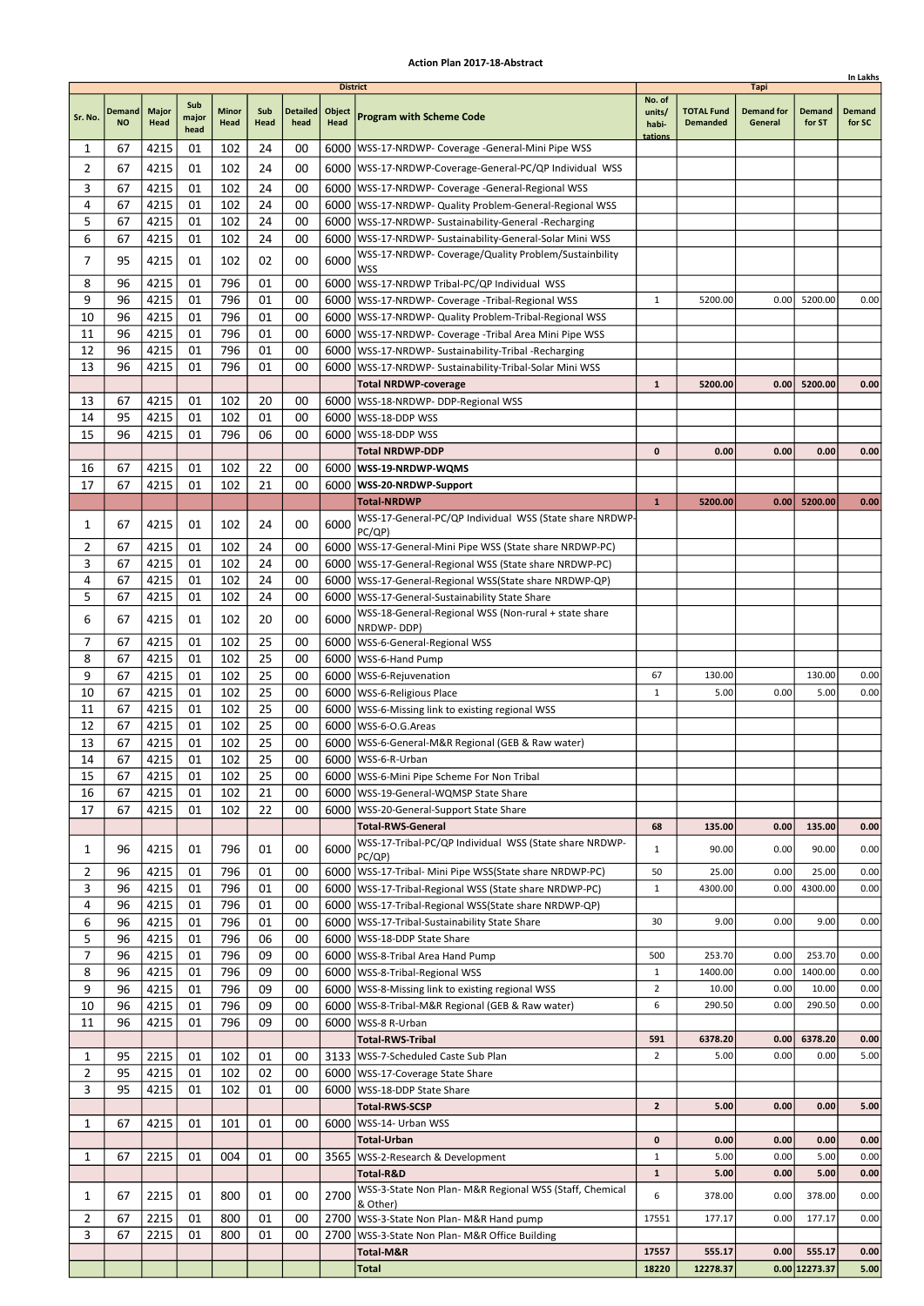|                |                     |                      |                      |                      |             |                         |                                   |                                                                                                      |                                      |                                      |                                      |                         | In Lakhs                |
|----------------|---------------------|----------------------|----------------------|----------------------|-------------|-------------------------|-----------------------------------|------------------------------------------------------------------------------------------------------|--------------------------------------|--------------------------------------|--------------------------------------|-------------------------|-------------------------|
| Sr. No.        | Demand<br><b>NO</b> | <b>Major</b><br>Head | Sub<br>major<br>head | <b>Minor</b><br>Head | Sub<br>Head | <b>Detailed</b><br>head | <b>District</b><br>Object<br>Head | <b>Program with Scheme Code</b>                                                                      | No. of<br>units/<br>habi-<br>tations | <b>TOTAL Fund</b><br><b>Demanded</b> | Tapi<br><b>Demand for</b><br>General | <b>Demand</b><br>for ST | <b>Demand</b><br>for SC |
| 1              | 67                  | 4215                 | 01                   | 102                  | 24          | 00                      |                                   | 6000   WSS-17-NRDWP- Coverage - General-Mini Pipe WSS                                                |                                      |                                      |                                      |                         |                         |
| 2              | 67                  | 4215                 | 01                   | 102                  | 24          | 00                      |                                   | 6000   WSS-17-NRDWP-Coverage-General-PC/QP Individual WSS                                            |                                      |                                      |                                      |                         |                         |
| 3              | 67                  | 4215                 | 01                   | 102                  | 24          | 00                      |                                   | 6000   WSS-17-NRDWP- Coverage - General-Regional WSS                                                 |                                      |                                      |                                      |                         |                         |
| 4              | 67                  | 4215                 | 01                   | 102                  | 24          | 00                      |                                   | 6000   WSS-17-NRDWP- Quality Problem-General-Regional WSS                                            |                                      |                                      |                                      |                         |                         |
| 5              | 67                  | 4215                 | 01                   | 102                  | 24          | 00                      |                                   | 6000   WSS-17-NRDWP- Sustainability-General -Recharging                                              |                                      |                                      |                                      |                         |                         |
| 6              | 67                  | 4215                 | 01                   | 102                  | 24          | 00                      |                                   | 6000   WSS-17-NRDWP- Sustainability-General-Solar Mini WSS                                           |                                      |                                      |                                      |                         |                         |
| 7              | 95                  | 4215                 | 01                   | 102                  | 02          | 00                      | 6000                              | WSS-17-NRDWP- Coverage/Quality Problem/Sustainbility                                                 |                                      |                                      |                                      |                         |                         |
| 8              | 96                  | 4215                 | 01                   | 796                  | 01          | 00                      |                                   | <b>WSS</b>                                                                                           |                                      |                                      |                                      |                         |                         |
| 9              | 96                  | 4215                 | 01                   | 796                  | 01          | 00                      |                                   | 6000 WSS-17-NRDWP Tribal-PC/QP Individual WSS<br>6000   WSS-17-NRDWP- Coverage - Tribal-Regional WSS | $\mathbf{1}$                         | 5200.00                              | 0.00                                 | 5200.00                 | 0.00                    |
| 10             | 96                  | 4215                 | 01                   | 796                  | 01          | 00                      |                                   | 6000   WSS-17-NRDWP- Quality Problem-Tribal-Regional WSS                                             |                                      |                                      |                                      |                         |                         |
| 11             | 96                  | 4215                 | 01                   | 796                  | 01          | 00                      |                                   | 6000   WSS-17-NRDWP- Coverage - Tribal Area Mini Pipe WSS                                            |                                      |                                      |                                      |                         |                         |
| 12             | 96                  | 4215                 | 01                   | 796                  | 01          | 00                      |                                   | 6000   WSS-17-NRDWP- Sustainability-Tribal -Recharging                                               |                                      |                                      |                                      |                         |                         |
| 13             | 96                  | 4215                 | 01                   | 796                  | 01          | 00                      | 6000                              | WSS-17-NRDWP- Sustainability-Tribal-Solar Mini WSS                                                   |                                      |                                      |                                      |                         |                         |
|                |                     |                      |                      |                      |             |                         |                                   | <b>Total NRDWP-coverage</b>                                                                          | $\mathbf{1}$                         | 5200.00                              | 0.00                                 | 5200.00                 | 0.00                    |
| 13             | 67                  | 4215                 | 01                   | 102                  | 20          | 00                      |                                   | 6000   WSS-18-NRDWP- DDP-Regional WSS                                                                |                                      |                                      |                                      |                         |                         |
| 14             | 95                  | 4215                 | 01                   | 102                  | 01          | 00                      |                                   | 6000   WSS-18-DDP WSS                                                                                |                                      |                                      |                                      |                         |                         |
| 15             | 96                  | 4215                 | 01                   | 796                  | 06          | 00                      | 6000                              | WSS-18-DDP WSS                                                                                       |                                      |                                      |                                      |                         |                         |
|                |                     |                      |                      |                      |             |                         |                                   | <b>Total NRDWP-DDP</b>                                                                               | 0                                    | 0.00                                 | 0.00                                 | 0.00                    | 0.00                    |
| 16             | 67                  | 4215                 | 01                   | 102                  | 22          | 00                      |                                   | 6000   WSS-19-NRDWP-WQMS                                                                             |                                      |                                      |                                      |                         |                         |
| 17             | 67                  | 4215                 | 01                   | 102                  | 21          | 00                      |                                   | 6000   WSS-20-NRDWP-Support                                                                          |                                      |                                      |                                      |                         |                         |
|                |                     |                      |                      |                      |             |                         |                                   | <b>Total-NRDWP</b>                                                                                   | $\mathbf{1}$                         | 5200.00                              | 0.00                                 | 5200.00                 | 0.00                    |
| 1              | 67                  | 4215                 | 01                   | 102                  | 24          | 00                      | 6000                              | WSS-17-General-PC/QP Individual WSS (State share NRDWP-<br>PC/QP)                                    |                                      |                                      |                                      |                         |                         |
| 2              | 67                  | 4215                 | 01                   | 102                  | 24          | 00                      |                                   | 6000   WSS-17-General-Mini Pipe WSS (State share NRDWP-PC)                                           |                                      |                                      |                                      |                         |                         |
| 3              | 67                  | 4215                 | 01                   | 102                  | 24          | 00                      |                                   | 6000   WSS-17-General-Regional WSS (State share NRDWP-PC)                                            |                                      |                                      |                                      |                         |                         |
| 4              | 67                  | 4215                 | 01                   | 102                  | 24          | 00                      |                                   | 6000   WSS-17-General-Regional WSS (State share NRDWP-QP)                                            |                                      |                                      |                                      |                         |                         |
| 5              | 67                  | 4215                 | 01                   | 102                  | 24          | 00                      |                                   | 6000   WSS-17-General-Sustainability State Share                                                     |                                      |                                      |                                      |                         |                         |
| 6              | 67                  | 4215                 | 01                   | 102                  | 20          | 00                      | 6000                              | WSS-18-General-Regional WSS (Non-rural + state share                                                 |                                      |                                      |                                      |                         |                         |
|                |                     |                      |                      |                      |             |                         |                                   | NRDWP-DDP)                                                                                           |                                      |                                      |                                      |                         |                         |
| 7              | 67                  | 4215                 | 01                   | 102                  | 25<br>25    | 00                      |                                   | 6000   WSS-6-General-Regional WSS                                                                    |                                      |                                      |                                      |                         |                         |
| 8<br>9         | 67<br>67            | 4215<br>4215         | 01<br>01             | 102<br>102           | 25          | 00<br>00                |                                   | 6000   WSS-6-Hand Pump<br>6000   WSS-6-Rejuvenation                                                  | 67                                   | 130.00                               |                                      | 130.00                  | 0.00                    |
| 10             | 67                  | 4215                 | 01                   | 102                  | 25          | 00                      |                                   | 6000   WSS-6-Religious Place                                                                         | $\mathbf{1}$                         | 5.00                                 | 0.00                                 | 5.00                    | 0.00                    |
| 11             | 67                  | 4215                 | 01                   | 102                  | 25          | 00                      |                                   | 6000   WSS-6-Missing link to existing regional WSS                                                   |                                      |                                      |                                      |                         |                         |
| 12             | 67                  | 4215                 | 01                   | 102                  | 25          | 00                      |                                   | 6000   WSS-6-O.G. Areas                                                                              |                                      |                                      |                                      |                         |                         |
| 13             | 67                  | 4215                 | 01                   | 102                  | 25          | 00                      |                                   | 6000   WSS-6-General-M&R Regional (GEB & Raw water)                                                  |                                      |                                      |                                      |                         |                         |
| 14             | 67                  | 4215                 | 01                   | 102                  | 25          | 00                      |                                   | 6000   WSS-6-R-Urban                                                                                 |                                      |                                      |                                      |                         |                         |
| 15             | 67                  | 4215                 | 01                   | 102                  | 25          | 00                      |                                   | 6000 WSS-6-Mini Pipe Scheme For Non Tribal                                                           |                                      |                                      |                                      |                         |                         |
| 16             | 67                  | 4215                 | 01                   | 102                  | 21          | 00                      |                                   | 6000   WSS-19-General-WQMSP State Share                                                              |                                      |                                      |                                      |                         |                         |
| 17             | 67                  | 4215                 | 01                   | 102                  | 22          | 00                      |                                   | 6000   WSS-20-General-Support State Share                                                            |                                      |                                      |                                      |                         |                         |
|                |                     |                      |                      |                      |             |                         |                                   | <b>Total-RWS-General</b>                                                                             | 68                                   | 135.00                               | 0.00                                 | 135.00                  | 0.00                    |
| 1              | 96                  | 4215                 | 01                   | 796                  | 01          | 00                      | 6000                              | WSS-17-Tribal-PC/QP Individual WSS (State share NRDWP-<br>PC/QP)                                     | $\mathbf{1}$                         | 90.00                                | 0.00                                 | 90.00                   | 0.00                    |
| 2              | 96                  | 4215                 | 01                   | 796                  | 01          | 00                      |                                   | 6000   WSS-17-Tribal- Mini Pipe WSS (State share NRDWP-PC)                                           | 50                                   | 25.00                                | 0.00                                 | 25.00                   | 0.00                    |
| 3              | 96                  | 4215                 | 01                   | 796                  | 01          | 00                      |                                   | 6000   WSS-17-Tribal-Regional WSS (State share NRDWP-PC)                                             | $\mathbf{1}$                         | 4300.00                              | 0.00                                 | 4300.00                 | 0.00                    |
| 4              | 96                  | 4215                 | 01                   | 796                  | 01          | 00                      |                                   | 6000   WSS-17-Tribal-Regional WSS (State share NRDWP-QP)                                             |                                      |                                      |                                      |                         |                         |
| 6              | 96                  | 4215                 | 01                   | 796                  | 01          | 00                      |                                   | 6000   WSS-17-Tribal-Sustainability State Share                                                      | 30                                   | 9.00                                 | 0.00                                 | 9.00                    | 0.00                    |
| 5              | 96                  | 4215                 | 01                   | 796                  | 06          | 00                      |                                   | 6000   WSS-18-DDP State Share                                                                        |                                      |                                      |                                      |                         |                         |
| 7              | 96                  | 4215                 | 01                   | 796                  | 09          | 00                      |                                   | 6000 WSS-8-Tribal Area Hand Pump                                                                     | 500                                  | 253.70                               | 0.00                                 | 253.70                  | 0.00                    |
| 8              | 96                  | 4215                 | 01                   | 796                  | 09          | 00                      |                                   | 6000   WSS-8-Tribal-Regional WSS                                                                     | 1                                    | 1400.00                              | 0.00                                 | 1400.00                 | 0.00                    |
| 9              | 96                  | 4215                 | 01                   | 796                  | 09          | 00                      |                                   | 6000   WSS-8-Missing link to existing regional WSS                                                   | $\overline{2}$                       | 10.00                                | 0.00                                 | 10.00                   | 0.00                    |
| 10             | 96<br>96            | 4215                 | 01<br>01             | 796<br>796           | 09<br>09    | 00                      |                                   | 6000   WSS-8-Tribal-M&R Regional (GEB & Raw water)                                                   | 6                                    | 290.50                               | 0.00                                 | 290.50                  | 0.00                    |
| 11             |                     | 4215                 |                      |                      |             | 00                      |                                   | 6000   WSS-8 R-Urban<br><b>Total-RWS-Tribal</b>                                                      | 591                                  | 6378.20                              | 0.00                                 | 6378.20                 | 0.00                    |
| 1              | 95                  | 2215                 | 01                   | 102                  | 01          | 00                      |                                   | 3133   WSS-7-Scheduled Caste Sub Plan                                                                | $\overline{2}$                       | 5.00                                 | 0.00                                 | 0.00                    | 5.00                    |
| $\overline{2}$ | 95                  | 4215                 | 01                   | 102                  | 02          | 00                      |                                   | 6000   WSS-17-Coverage State Share                                                                   |                                      |                                      |                                      |                         |                         |
| 3              | 95                  | 4215                 | 01                   | 102                  | 01          | 00                      |                                   | 6000   WSS-18-DDP State Share                                                                        |                                      |                                      |                                      |                         |                         |
|                |                     |                      |                      |                      |             |                         |                                   | <b>Total-RWS-SCSP</b>                                                                                | $\mathbf{z}$                         | 5.00                                 | 0.00                                 | 0.00                    | 5.00                    |
| 1              | 67                  | 4215                 | 01                   | 101                  | 01          | 00                      |                                   | 6000   WSS-14- Urban WSS                                                                             |                                      |                                      |                                      |                         |                         |
|                |                     |                      |                      |                      |             |                         |                                   | <b>Total-Urban</b>                                                                                   | 0                                    | 0.00                                 | 0.00                                 | 0.00                    | 0.00                    |
| 1              | 67                  | 2215                 | 01                   | 004                  | 01          | 00                      |                                   | 3565   WSS-2-Research & Development                                                                  | $\mathbf 1$                          | 5.00                                 | 0.00                                 | 5.00                    | 0.00                    |
|                |                     |                      |                      |                      |             |                         |                                   | Total-R&D                                                                                            | $\mathbf{1}$                         | 5.00                                 | 0.00                                 | 5.00                    | 0.00                    |
| 1              | 67                  | 2215                 | 01                   | 800                  | 01          | 00                      | 2700                              | WSS-3-State Non Plan- M&R Regional WSS (Staff, Chemical                                              | 6                                    | 378.00                               | 0.00                                 | 378.00                  | 0.00                    |
| 2              | 67                  | 2215                 | 01                   | 800                  | 01          | 00                      |                                   | & Other)<br>2700 WSS-3-State Non Plan- M&R Hand pump                                                 | 17551                                | 177.17                               | 0.00                                 | 177.17                  | 0.00                    |
| 3              | 67                  | 2215                 | 01                   | 800                  | 01          | 00                      | 2700                              | WSS-3-State Non Plan- M&R Office Building                                                            |                                      |                                      |                                      |                         |                         |
|                |                     |                      |                      |                      |             |                         |                                   | Total-M&R                                                                                            | 17557                                | 555.17                               | 0.00                                 | 555.17                  | 0.00                    |
|                |                     |                      |                      |                      |             |                         |                                   | <b>Total</b>                                                                                         | 18220                                | 12278.37                             |                                      | 0.00 12273.37           | 5.00                    |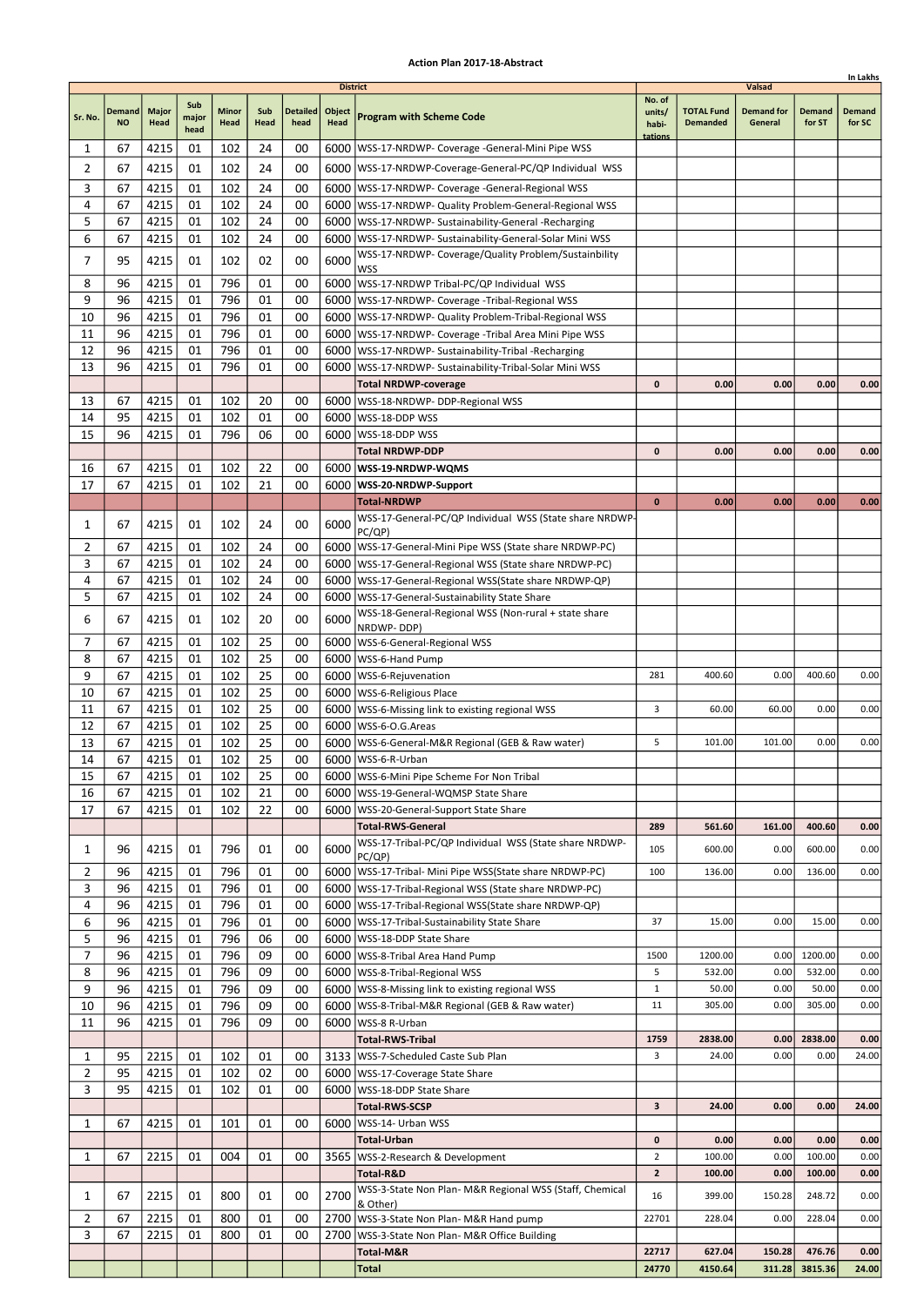|         |                     |                      |                      |                      |             |                         |                                   |                                                                                                                 |                                      |                                      |                                        |                         | In Lakhs                |
|---------|---------------------|----------------------|----------------------|----------------------|-------------|-------------------------|-----------------------------------|-----------------------------------------------------------------------------------------------------------------|--------------------------------------|--------------------------------------|----------------------------------------|-------------------------|-------------------------|
| Sr. No. | Demand<br><b>NO</b> | <b>Major</b><br>Head | Sub<br>major<br>head | <b>Minor</b><br>Head | Sub<br>Head | <b>Detailed</b><br>head | <b>District</b><br>Object<br>Head | <b>Program with Scheme Code</b>                                                                                 | No. of<br>units/<br>habi-<br>tations | <b>TOTAL Fund</b><br><b>Demanded</b> | Valsad<br><b>Demand for</b><br>General | <b>Demand</b><br>for ST | <b>Demand</b><br>for SC |
| 1       | 67                  | 4215                 | 01                   | 102                  | 24          | 00                      |                                   | 6000   WSS-17-NRDWP- Coverage -General-Mini Pipe WSS                                                            |                                      |                                      |                                        |                         |                         |
| 2       | 67                  | 4215                 | 01                   | 102                  | 24          | 00                      |                                   | 6000   WSS-17-NRDWP-Coverage-General-PC/QP Individual WSS                                                       |                                      |                                      |                                        |                         |                         |
| 3       | 67                  | 4215                 | 01                   | 102                  | 24          | 00                      |                                   | 6000   WSS-17-NRDWP- Coverage - General-Regional WSS                                                            |                                      |                                      |                                        |                         |                         |
| 4       | 67                  | 4215                 | 01                   | 102                  | 24          | 00                      |                                   | 6000   WSS-17-NRDWP- Quality Problem-General-Regional WSS                                                       |                                      |                                      |                                        |                         |                         |
| 5       | 67                  | 4215                 | 01                   | 102                  | 24          | 00                      |                                   | 6000   WSS-17-NRDWP- Sustainability-General -Recharging                                                         |                                      |                                      |                                        |                         |                         |
| 6       | 67                  | 4215                 | 01                   | 102                  | 24          | 00                      |                                   | 6000   WSS-17-NRDWP- Sustainability-General-Solar Mini WSS                                                      |                                      |                                      |                                        |                         |                         |
| 7       | 95                  | 4215                 | 01                   | 102                  | 02          | 00                      | 6000                              | WSS-17-NRDWP- Coverage/Quality Problem/Sustainbility                                                            |                                      |                                      |                                        |                         |                         |
|         |                     |                      |                      |                      |             |                         |                                   | <b>WSS</b>                                                                                                      |                                      |                                      |                                        |                         |                         |
| 8<br>9  | 96                  | 4215                 | 01                   | 796                  | 01          | 00                      |                                   | 6000 WSS-17-NRDWP Tribal-PC/QP Individual WSS                                                                   |                                      |                                      |                                        |                         |                         |
| 10      | 96<br>96            | 4215<br>4215         | 01<br>01             | 796<br>796           | 01<br>01    | 00<br>00                |                                   | 6000   WSS-17-NRDWP- Coverage - Tribal-Regional WSS<br>6000   WSS-17-NRDWP- Quality Problem-Tribal-Regional WSS |                                      |                                      |                                        |                         |                         |
| 11      | 96                  | 4215                 | 01                   | 796                  | 01          | 00                      |                                   | 6000   WSS-17-NRDWP- Coverage - Tribal Area Mini Pipe WSS                                                       |                                      |                                      |                                        |                         |                         |
| 12      | 96                  | 4215                 | 01                   | 796                  | 01          | 00                      |                                   | 6000   WSS-17-NRDWP- Sustainability-Tribal -Recharging                                                          |                                      |                                      |                                        |                         |                         |
| 13      | 96                  | 4215                 | 01                   | 796                  | 01          | 00                      | 6000                              | WSS-17-NRDWP- Sustainability-Tribal-Solar Mini WSS                                                              |                                      |                                      |                                        |                         |                         |
|         |                     |                      |                      |                      |             |                         |                                   | <b>Total NRDWP-coverage</b>                                                                                     | 0                                    | 0.00                                 | 0.00                                   | 0.00                    | 0.00                    |
| 13      | 67                  | 4215                 | 01                   | 102                  | 20          | 00                      |                                   | 6000   WSS-18-NRDWP- DDP-Regional WSS                                                                           |                                      |                                      |                                        |                         |                         |
| 14      | 95                  | 4215                 | 01                   | 102                  | 01          | 00                      |                                   | 6000   WSS-18-DDP WSS                                                                                           |                                      |                                      |                                        |                         |                         |
| 15      | 96                  | 4215                 | 01                   | 796                  | 06          | 00                      |                                   | 6000   WSS-18-DDP WSS                                                                                           |                                      |                                      |                                        |                         |                         |
|         |                     |                      |                      |                      |             |                         |                                   | <b>Total NRDWP-DDP</b>                                                                                          | 0                                    | 0.00                                 | 0.00                                   | 0.00                    | 0.00                    |
| 16      | 67                  | 4215                 | 01                   | 102                  | 22          | 00                      |                                   | 6000   WSS-19-NRDWP-WQMS                                                                                        |                                      |                                      |                                        |                         |                         |
| 17      | 67                  | 4215                 | 01                   | 102                  | 21          | 00                      |                                   | 6000   WSS-20-NRDWP-Support                                                                                     |                                      |                                      |                                        |                         |                         |
|         |                     |                      |                      |                      |             |                         |                                   | <b>Total-NRDWP</b>                                                                                              | $\bf{0}$                             | 0.00                                 | 0.00                                   | 0.00                    | 0.00                    |
| 1       | 67                  | 4215                 | 01                   | 102                  | 24          | 00                      | 6000                              | WSS-17-General-PC/QP Individual WSS (State share NRDWP-                                                         |                                      |                                      |                                        |                         |                         |
| 2       | 67                  | 4215                 | 01                   | 102                  | 24          | 00                      |                                   | PC/QP)<br>6000   WSS-17-General-Mini Pipe WSS (State share NRDWP-PC)                                            |                                      |                                      |                                        |                         |                         |
| 3       | 67                  | 4215                 | 01                   | 102                  | 24          | 00                      |                                   | 6000   WSS-17-General-Regional WSS (State share NRDWP-PC)                                                       |                                      |                                      |                                        |                         |                         |
| 4       | 67                  | 4215                 | 01                   | 102                  | 24          | 00                      |                                   | 6000   WSS-17-General-Regional WSS (State share NRDWP-QP)                                                       |                                      |                                      |                                        |                         |                         |
| 5       | 67                  | 4215                 | 01                   | 102                  | 24          | 00                      |                                   | 6000   WSS-17-General-Sustainability State Share                                                                |                                      |                                      |                                        |                         |                         |
| 6       | 67                  | 4215                 | 01                   | 102                  | 20          | 00                      | 6000                              | WSS-18-General-Regional WSS (Non-rural + state share                                                            |                                      |                                      |                                        |                         |                         |
|         |                     |                      |                      |                      |             |                         |                                   | NRDWP-DDP)                                                                                                      |                                      |                                      |                                        |                         |                         |
| 7       | 67                  | 4215                 | 01                   | 102                  | 25          | 00                      |                                   | 6000   WSS-6-General-Regional WSS                                                                               |                                      |                                      |                                        |                         |                         |
| 8       | 67                  | 4215                 | 01                   | 102                  | 25          | 00                      |                                   | 6000   WSS-6-Hand Pump                                                                                          |                                      |                                      |                                        |                         |                         |
| 9<br>10 | 67<br>67            | 4215<br>4215         | 01<br>01             | 102<br>102           | 25<br>25    | 00<br>00                |                                   | 6000   WSS-6-Rejuvenation                                                                                       | 281                                  | 400.60                               | 0.00                                   | 400.60                  | 0.00                    |
| 11      | 67                  | 4215                 | 01                   | 102                  | 25          | 00                      |                                   | 6000   WSS-6-Religious Place<br>6000   WSS-6-Missing link to existing regional WSS                              | 3                                    | 60.00                                | 60.00                                  | 0.00                    | 0.00                    |
| 12      | 67                  | 4215                 | 01                   | 102                  | 25          | 00                      |                                   | 6000   WSS-6-O.G. Areas                                                                                         |                                      |                                      |                                        |                         |                         |
| 13      | 67                  | 4215                 | 01                   | 102                  | 25          | 00                      |                                   | 6000   WSS-6-General-M&R Regional (GEB & Raw water)                                                             | 5                                    | 101.00                               | 101.00                                 | 0.00                    | 0.00                    |
| 14      | 67                  | 4215                 | 01                   | 102                  | 25          | 00                      |                                   | 6000   WSS-6-R-Urban                                                                                            |                                      |                                      |                                        |                         |                         |
| 15      | 67                  | 4215                 | 01                   | 102                  | 25          | 00                      |                                   | 6000   WSS-6-Mini Pipe Scheme For Non Tribal                                                                    |                                      |                                      |                                        |                         |                         |
| 16      | 67                  | 4215                 | 01                   | 102                  | 21          | 00                      |                                   | 6000   WSS-19-General-WQMSP State Share                                                                         |                                      |                                      |                                        |                         |                         |
| 17      | 67                  | 4215                 | 01                   | 102                  | 22          | 00                      |                                   | 6000   WSS-20-General-Support State Share                                                                       |                                      |                                      |                                        |                         |                         |
|         |                     |                      |                      |                      |             |                         |                                   | <b>Total-RWS-General</b>                                                                                        | 289                                  | 561.60                               | 161.00                                 | 400.60                  | 0.00                    |
| 1       | 96                  | 4215                 | 01                   | 796                  | 01          | 00                      | 6000                              | WSS-17-Tribal-PC/QP Individual WSS (State share NRDWP-<br>PC/QP)                                                | 105                                  | 600.00                               | 0.00                                   | 600.00                  | 0.00                    |
| 2       | 96                  | 4215                 | 01                   | 796                  | 01          | 00                      |                                   | 6000   WSS-17-Tribal- Mini Pipe WSS (State share NRDWP-PC)                                                      | 100                                  | 136.00                               | 0.00                                   | 136.00                  | 0.00                    |
| 3       | 96                  | 4215                 | 01                   | 796                  | 01          | 00                      |                                   | 6000   WSS-17-Tribal-Regional WSS (State share NRDWP-PC)                                                        |                                      |                                      |                                        |                         |                         |
| 4       | 96                  | 4215<br>4215         | 01<br>01             | 796<br>796           | 01<br>01    | 00                      |                                   | 6000   WSS-17-Tribal-Regional WSS(State share NRDWP-QP)                                                         | 37                                   |                                      | 0.00                                   | 15.00                   | 0.00                    |
| 6<br>5  | 96<br>96            | 4215                 | 01                   | 796                  | 06          | 00<br>00                |                                   | 6000   WSS-17-Tribal-Sustainability State Share<br>6000   WSS-18-DDP State Share                                |                                      | 15.00                                |                                        |                         |                         |
| 7       | 96                  | 4215                 | 01                   | 796                  | 09          | 00                      |                                   | 6000 WSS-8-Tribal Area Hand Pump                                                                                | 1500                                 | 1200.00                              | 0.00                                   | 1200.00                 | 0.00                    |
| 8       | 96                  | 4215                 | 01                   | 796                  | 09          | 00                      |                                   | 6000   WSS-8-Tribal-Regional WSS                                                                                | 5                                    | 532.00                               | 0.00                                   | 532.00                  | 0.00                    |
| 9       | 96                  | 4215                 | 01                   | 796                  | 09          | 00                      |                                   | 6000   WSS-8-Missing link to existing regional WSS                                                              | $\mathbf{1}$                         | 50.00                                | 0.00                                   | 50.00                   | 0.00                    |
| 10      | 96                  | 4215                 | 01                   | 796                  | 09          | 00                      |                                   | 6000   WSS-8-Tribal-M&R Regional (GEB & Raw water)                                                              | 11                                   | 305.00                               | 0.00                                   | 305.00                  | 0.00                    |
| 11      | 96                  | 4215                 | 01                   | 796                  | 09          | 00                      |                                   | 6000   WSS-8 R-Urban                                                                                            |                                      |                                      |                                        |                         |                         |
|         |                     |                      |                      |                      |             |                         |                                   | <b>Total-RWS-Tribal</b>                                                                                         | 1759                                 | 2838.00                              | 0.00                                   | 2838.00                 | 0.00                    |
| 1       | 95                  | 2215                 | 01                   | 102                  | 01          | 00                      |                                   | 3133   WSS-7-Scheduled Caste Sub Plan                                                                           | 3                                    | 24.00                                | 0.00                                   | 0.00                    | 24.00                   |
| 2       | 95                  | 4215                 | 01                   | 102                  | 02          | 00                      |                                   | 6000   WSS-17-Coverage State Share                                                                              |                                      |                                      |                                        |                         |                         |
| 3       | 95                  | 4215                 | 01                   | 102                  | 01          | 00                      |                                   | 6000   WSS-18-DDP State Share                                                                                   |                                      |                                      |                                        |                         |                         |
|         |                     |                      |                      |                      |             |                         |                                   | <b>Total-RWS-SCSP</b>                                                                                           | 3                                    | 24.00                                | 0.00                                   | 0.00                    | 24.00                   |
| 1       | 67                  | 4215                 | 01                   | 101                  | 01          | 00                      | 6000                              | WSS-14- Urban WSS                                                                                               |                                      |                                      |                                        |                         |                         |
|         |                     |                      |                      |                      |             |                         |                                   | <b>Total-Urban</b>                                                                                              | 0                                    | 0.00                                 | 0.00                                   | 0.00                    | 0.00                    |
| 1       | 67                  | 2215                 | 01                   | 004                  | 01          | 00                      |                                   | 3565   WSS-2-Research & Development                                                                             | $\overline{2}$                       | 100.00                               | 0.00                                   | 100.00                  | 0.00                    |
|         |                     |                      |                      |                      |             |                         |                                   | Total-R&D<br>WSS-3-State Non Plan- M&R Regional WSS (Staff, Chemical                                            | $\mathbf{z}$                         | 100.00                               | 0.00                                   | 100.00                  | 0.00                    |
| 1       | 67                  | 2215                 | 01                   | 800                  | 01          | 00                      | 2700                              | & Other)                                                                                                        | 16                                   | 399.00                               | 150.28                                 | 248.72                  | 0.00                    |
| 2       | 67                  | 2215                 | 01                   | 800                  | 01          | 00                      |                                   | 2700 WSS-3-State Non Plan- M&R Hand pump                                                                        | 22701                                | 228.04                               | 0.00                                   | 228.04                  | 0.00                    |
| 3       | 67                  | 2215                 | 01                   | 800                  | 01          | 00                      | 2700                              | WSS-3-State Non Plan- M&R Office Building                                                                       |                                      |                                      |                                        |                         |                         |
|         |                     |                      |                      |                      |             |                         |                                   | Total-M&R                                                                                                       | 22717                                | 627.04                               | 150.28                                 | 476.76                  | 0.00                    |
|         |                     |                      |                      |                      |             |                         |                                   | <b>Total</b>                                                                                                    | 24770                                | 4150.64                              | 311.28                                 | 3815.36                 | 24.00                   |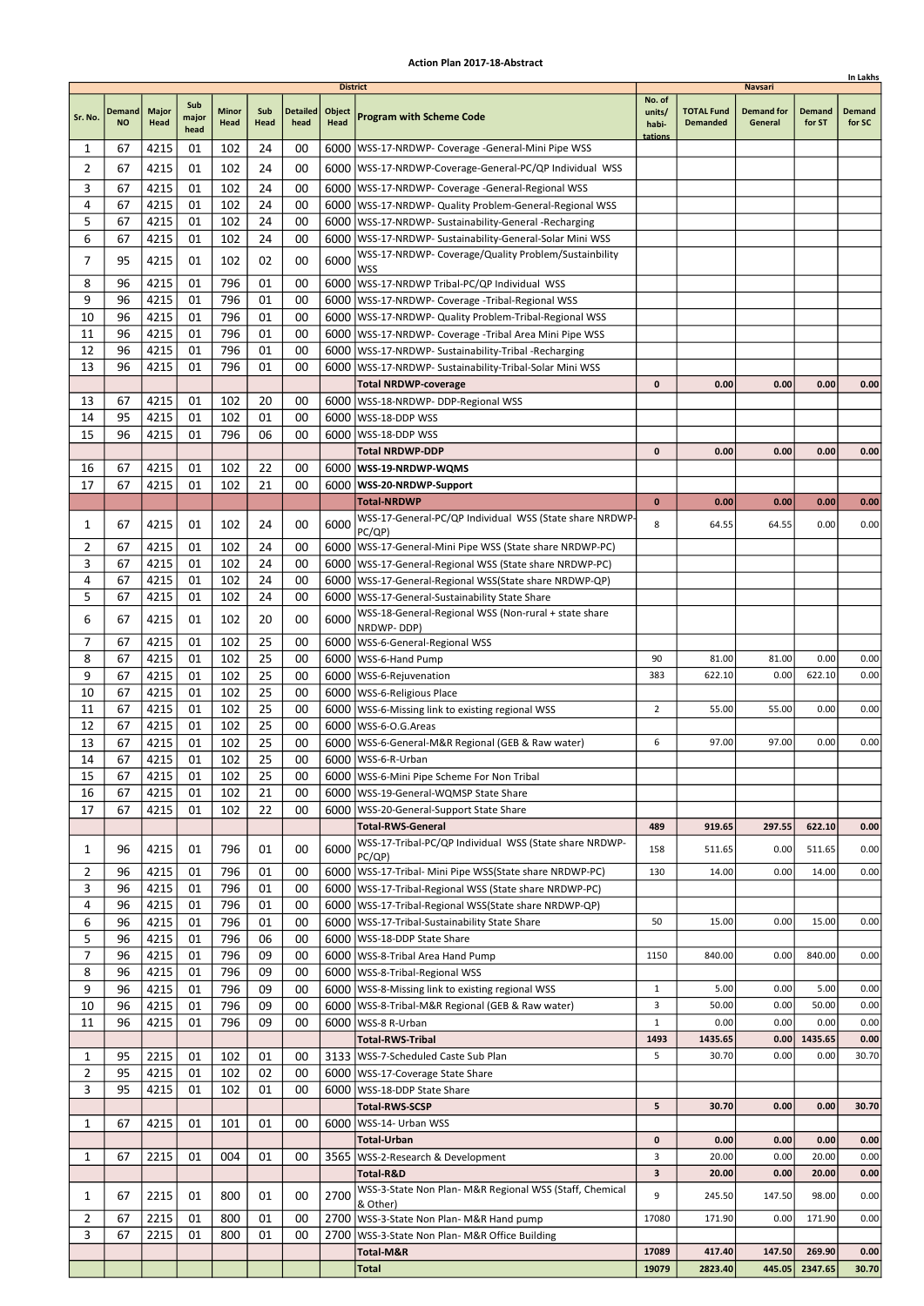|                |                     |                      |                      |                      |             |                         |                                   |                                                                                                                 |                                      |                                      |                                                |                         | In Lakhs                |
|----------------|---------------------|----------------------|----------------------|----------------------|-------------|-------------------------|-----------------------------------|-----------------------------------------------------------------------------------------------------------------|--------------------------------------|--------------------------------------|------------------------------------------------|-------------------------|-------------------------|
| Sr. No.        | Demand<br><b>NO</b> | <b>Major</b><br>Head | Sub<br>major<br>head | <b>Minor</b><br>Head | Sub<br>Head | <b>Detailed</b><br>head | <b>District</b><br>Object<br>Head | <b>Program with Scheme Code</b>                                                                                 | No. of<br>units/<br>habi-<br>tations | <b>TOTAL Fund</b><br><b>Demanded</b> | <b>Navsari</b><br><b>Demand for</b><br>General | <b>Demand</b><br>for ST | <b>Demand</b><br>for SC |
| 1              | 67                  | 4215                 | 01                   | 102                  | 24          | 00                      |                                   | 6000   WSS-17-NRDWP- Coverage - General-Mini Pipe WSS                                                           |                                      |                                      |                                                |                         |                         |
| 2              | 67                  | 4215                 | 01                   | 102                  | 24          | 00                      |                                   | 6000   WSS-17-NRDWP-Coverage-General-PC/QP Individual WSS                                                       |                                      |                                      |                                                |                         |                         |
| 3              | 67                  | 4215                 | 01                   | 102                  | 24          | 00                      |                                   | 6000   WSS-17-NRDWP- Coverage - General-Regional WSS                                                            |                                      |                                      |                                                |                         |                         |
| 4              | 67                  | 4215                 | 01                   | 102                  | 24          | 00                      |                                   | 6000   WSS-17-NRDWP- Quality Problem-General-Regional WSS                                                       |                                      |                                      |                                                |                         |                         |
| 5              | 67                  | 4215                 | 01                   | 102                  | 24          | 00                      |                                   | 6000   WSS-17-NRDWP- Sustainability-General -Recharging                                                         |                                      |                                      |                                                |                         |                         |
| 6              | 67                  | 4215                 | 01                   | 102                  | 24          | 00                      |                                   | 6000   WSS-17-NRDWP- Sustainability-General-Solar Mini WSS                                                      |                                      |                                      |                                                |                         |                         |
| $\overline{7}$ | 95                  | 4215                 | 01                   | 102                  | 02          | 00                      | 6000                              | WSS-17-NRDWP- Coverage/Quality Problem/Sustainbility                                                            |                                      |                                      |                                                |                         |                         |
|                |                     |                      |                      |                      |             |                         |                                   | <b>WSS</b>                                                                                                      |                                      |                                      |                                                |                         |                         |
| 8<br>9         | 96                  | 4215                 | 01                   | 796                  | 01<br>01    | 00                      |                                   | 6000 WSS-17-NRDWP Tribal-PC/QP Individual WSS                                                                   |                                      |                                      |                                                |                         |                         |
| 10             | 96<br>96            | 4215<br>4215         | 01<br>01             | 796<br>796           | 01          | 00<br>00                |                                   | 6000   WSS-17-NRDWP- Coverage - Tribal-Regional WSS<br>6000   WSS-17-NRDWP- Quality Problem-Tribal-Regional WSS |                                      |                                      |                                                |                         |                         |
| 11             | 96                  | 4215                 | 01                   | 796                  | 01          | 00                      |                                   | 6000   WSS-17-NRDWP- Coverage - Tribal Area Mini Pipe WSS                                                       |                                      |                                      |                                                |                         |                         |
| 12             | 96                  | 4215                 | 01                   | 796                  | 01          | 00                      |                                   | 6000   WSS-17-NRDWP- Sustainability-Tribal -Recharging                                                          |                                      |                                      |                                                |                         |                         |
| 13             | 96                  | 4215                 | 01                   | 796                  | 01          | 00                      | 6000                              | WSS-17-NRDWP- Sustainability-Tribal-Solar Mini WSS                                                              |                                      |                                      |                                                |                         |                         |
|                |                     |                      |                      |                      |             |                         |                                   | <b>Total NRDWP-coverage</b>                                                                                     | 0                                    | 0.00                                 | 0.00                                           | 0.00                    | 0.00                    |
| 13             | 67                  | 4215                 | 01                   | 102                  | 20          | 00                      |                                   | 6000   WSS-18-NRDWP- DDP-Regional WSS                                                                           |                                      |                                      |                                                |                         |                         |
| 14             | 95                  | 4215                 | 01                   | 102                  | 01          | 00                      |                                   | 6000   WSS-18-DDP WSS                                                                                           |                                      |                                      |                                                |                         |                         |
| 15             | 96                  | 4215                 | 01                   | 796                  | 06          | 00                      | 6000                              | WSS-18-DDP WSS                                                                                                  |                                      |                                      |                                                |                         |                         |
|                |                     |                      |                      |                      |             |                         |                                   | <b>Total NRDWP-DDP</b>                                                                                          | 0                                    | 0.00                                 | 0.00                                           | 0.00                    | 0.00                    |
| 16             | 67                  | 4215                 | 01                   | 102                  | 22          | 00                      |                                   | 6000   WSS-19-NRDWP-WQMS                                                                                        |                                      |                                      |                                                |                         |                         |
| 17             | 67                  | 4215                 | 01                   | 102                  | 21          | 00                      |                                   | 6000   WSS-20-NRDWP-Support                                                                                     |                                      |                                      |                                                |                         |                         |
|                |                     |                      |                      |                      |             |                         |                                   | <b>Total-NRDWP</b>                                                                                              | $\bf{0}$                             | 0.00                                 | 0.00                                           | 0.00                    | 0.00                    |
| 1              | 67                  | 4215                 | 01                   | 102                  | 24          | 00                      | 6000                              | WSS-17-General-PC/QP Individual WSS (State share NRDWP-                                                         | 8                                    | 64.55                                | 64.55                                          | 0.00                    | 0.00                    |
| 2              | 67                  | 4215                 | 01                   | 102                  | 24          | 00                      |                                   | PC/QP)<br>6000   WSS-17-General-Mini Pipe WSS (State share NRDWP-PC)                                            |                                      |                                      |                                                |                         |                         |
| 3              | 67                  | 4215                 | 01                   | 102                  | 24          | 00                      |                                   | 6000   WSS-17-General-Regional WSS (State share NRDWP-PC)                                                       |                                      |                                      |                                                |                         |                         |
| 4              | 67                  | 4215                 | 01                   | 102                  | 24          | 00                      |                                   | 6000   WSS-17-General-Regional WSS (State share NRDWP-QP)                                                       |                                      |                                      |                                                |                         |                         |
| 5              | 67                  | 4215                 | 01                   | 102                  | 24          | 00                      |                                   | 6000   WSS-17-General-Sustainability State Share                                                                |                                      |                                      |                                                |                         |                         |
| 6              | 67                  | 4215                 | 01                   | 102                  | 20          | 00                      | 6000                              | WSS-18-General-Regional WSS (Non-rural + state share                                                            |                                      |                                      |                                                |                         |                         |
|                |                     |                      |                      |                      |             |                         |                                   | NRDWP-DDP)                                                                                                      |                                      |                                      |                                                |                         |                         |
| 7              | 67                  | 4215                 | 01                   | 102                  | 25          | 00                      |                                   | 6000   WSS-6-General-Regional WSS                                                                               |                                      |                                      |                                                |                         |                         |
| 8              | 67                  | 4215                 | 01                   | 102                  | 25          | 00                      |                                   | 6000   WSS-6-Hand Pump                                                                                          | 90                                   | 81.00                                | 81.00                                          | 0.00                    | 0.00                    |
| 9              | 67                  | 4215                 | 01                   | 102                  | 25          | 00                      |                                   | 6000   WSS-6-Rejuvenation                                                                                       | 383                                  | 622.10                               | 0.00                                           | 622.10                  | 0.00                    |
| 10<br>11       | 67<br>67            | 4215<br>4215         | 01<br>01             | 102<br>102           | 25<br>25    | 00<br>00                |                                   | 6000   WSS-6-Religious Place                                                                                    | $\overline{2}$                       | 55.00                                | 55.00                                          | 0.00                    | 0.00                    |
| 12             | 67                  | 4215                 | 01                   | 102                  | 25          | 00                      |                                   | 6000   WSS-6-Missing link to existing regional WSS<br>6000   WSS-6-O.G. Areas                                   |                                      |                                      |                                                |                         |                         |
| 13             | 67                  | 4215                 | 01                   | 102                  | 25          | 00                      |                                   | 6000   WSS-6-General-M&R Regional (GEB & Raw water)                                                             | 6                                    | 97.00                                | 97.00                                          | 0.00                    | 0.00                    |
| 14             | 67                  | 4215                 | 01                   | 102                  | 25          | 00                      |                                   | 6000   WSS-6-R-Urban                                                                                            |                                      |                                      |                                                |                         |                         |
| 15             | 67                  | 4215                 | 01                   | 102                  | 25          | 00                      |                                   | 6000   WSS-6-Mini Pipe Scheme For Non Tribal                                                                    |                                      |                                      |                                                |                         |                         |
| 16             | 67                  | 4215                 | 01                   | 102                  | 21          | 00                      |                                   | 6000   WSS-19-General-WQMSP State Share                                                                         |                                      |                                      |                                                |                         |                         |
| 17             | 67                  | 4215                 | 01                   | 102                  | 22          | 00                      |                                   | 6000   WSS-20-General-Support State Share                                                                       |                                      |                                      |                                                |                         |                         |
|                |                     |                      |                      |                      |             |                         |                                   | <b>Total-RWS-General</b>                                                                                        | 489                                  | 919.65                               | 297.55                                         | 622.10                  | 0.00                    |
| 1              | 96                  | 4215                 | 01                   | 796                  | 01          | 00                      | 6000                              | WSS-17-Tribal-PC/QP Individual WSS (State share NRDWP-<br>PC/QP)                                                | 158                                  | 511.65                               | 0.00                                           | 511.65                  | 0.00                    |
| 2              | 96                  | 4215                 | 01                   | 796                  | 01          | 00                      |                                   | 6000   WSS-17-Tribal- Mini Pipe WSS (State share NRDWP-PC)                                                      | 130                                  | 14.00                                | 0.00                                           | 14.00                   | 0.00                    |
| 3              | 96                  | 4215                 | 01                   | 796                  | 01          | 00                      |                                   | 6000   WSS-17-Tribal-Regional WSS (State share NRDWP-PC)                                                        |                                      |                                      |                                                |                         |                         |
| 4              | 96                  | 4215<br>4215         | 01<br>01             | 796<br>796           | 01<br>01    | 00                      |                                   | 6000   WSS-17-Tribal-Regional WSS (State share NRDWP-QP)                                                        | 50                                   |                                      | 0.00                                           | 15.00                   | 0.00                    |
| 6<br>5         | 96<br>96            | 4215                 | 01                   | 796                  | 06          | 00<br>00                |                                   | 6000   WSS-17-Tribal-Sustainability State Share<br>6000   WSS-18-DDP State Share                                |                                      | 15.00                                |                                                |                         |                         |
| 7              | 96                  | 4215                 | 01                   | 796                  | 09          | 00                      |                                   | 6000 WSS-8-Tribal Area Hand Pump                                                                                | 1150                                 | 840.00                               | 0.00                                           | 840.00                  | 0.00                    |
| 8              | 96                  | 4215                 | 01                   | 796                  | 09          | 00                      |                                   | 6000   WSS-8-Tribal-Regional WSS                                                                                |                                      |                                      |                                                |                         |                         |
| 9              | 96                  | 4215                 | 01                   | 796                  | 09          | 00                      |                                   | 6000   WSS-8-Missing link to existing regional WSS                                                              | $\mathbf{1}$                         | 5.00                                 | 0.00                                           | 5.00                    | 0.00                    |
| 10             | 96                  | 4215                 | 01                   | 796                  | 09          | 00                      |                                   | 6000   WSS-8-Tribal-M&R Regional (GEB & Raw water)                                                              | 3                                    | 50.00                                | 0.00                                           | 50.00                   | 0.00                    |
| 11             | 96                  | 4215                 | 01                   | 796                  | 09          | 00                      |                                   | 6000   WSS-8 R-Urban                                                                                            | $\mathbf{1}$                         | 0.00                                 | 0.00                                           | 0.00                    | 0.00                    |
|                |                     |                      |                      |                      |             |                         |                                   | <b>Total-RWS-Tribal</b>                                                                                         | 1493                                 | 1435.65                              | 0.00                                           | 1435.65                 | 0.00                    |
| 1              | 95                  | 2215                 | 01                   | 102                  | 01          | 00                      |                                   | 3133   WSS-7-Scheduled Caste Sub Plan                                                                           | 5                                    | 30.70                                | 0.00                                           | 0.00                    | 30.70                   |
| 2              | 95                  | 4215                 | 01                   | 102                  | 02          | 00                      |                                   | 6000   WSS-17-Coverage State Share                                                                              |                                      |                                      |                                                |                         |                         |
| 3              | 95                  | 4215                 | 01                   | 102                  | 01          | 00                      |                                   | 6000   WSS-18-DDP State Share                                                                                   |                                      |                                      |                                                |                         |                         |
|                |                     |                      |                      |                      |             |                         |                                   | <b>Total-RWS-SCSP</b>                                                                                           | 5                                    | 30.70                                | 0.00                                           | 0.00                    | 30.70                   |
| 1              | 67                  | 4215                 | 01                   | 101                  | 01          | 00                      | 6000                              | WSS-14- Urban WSS                                                                                               |                                      |                                      |                                                |                         |                         |
|                |                     |                      |                      |                      |             |                         |                                   | <b>Total-Urban</b>                                                                                              | 0                                    | 0.00                                 | 0.00                                           | 0.00                    | 0.00                    |
| 1              | 67                  | 2215                 | 01                   | 004                  | 01          | 00                      |                                   | 3565   WSS-2-Research & Development                                                                             | 3                                    | 20.00                                | 0.00                                           | 20.00                   | 0.00                    |
|                |                     |                      |                      |                      |             |                         |                                   | Total-R&D                                                                                                       | 3                                    | 20.00                                | 0.00                                           | 20.00                   | 0.00                    |
| 1              | 67                  | 2215                 | 01                   | 800                  | 01          | 00                      | 2700                              | WSS-3-State Non Plan- M&R Regional WSS (Staff, Chemical<br>& Other)                                             | 9                                    | 245.50                               | 147.50                                         | 98.00                   | 0.00                    |
| 2              | 67                  | 2215                 | 01                   | 800                  | 01          | 00                      |                                   | 2700 WSS-3-State Non Plan- M&R Hand pump                                                                        | 17080                                | 171.90                               | 0.00                                           | 171.90                  | 0.00                    |
| 3              | 67                  | 2215                 | 01                   | 800                  | 01          | 00                      | 2700                              | WSS-3-State Non Plan- M&R Office Building                                                                       |                                      |                                      |                                                |                         |                         |
|                |                     |                      |                      |                      |             |                         |                                   | Total-M&R                                                                                                       | 17089                                | 417.40                               | 147.50                                         | 269.90                  | 0.00                    |
|                |                     |                      |                      |                      |             |                         |                                   | <b>Total</b>                                                                                                    | 19079                                | 2823.40                              | 445.05                                         | 2347.65                 | 30.70                   |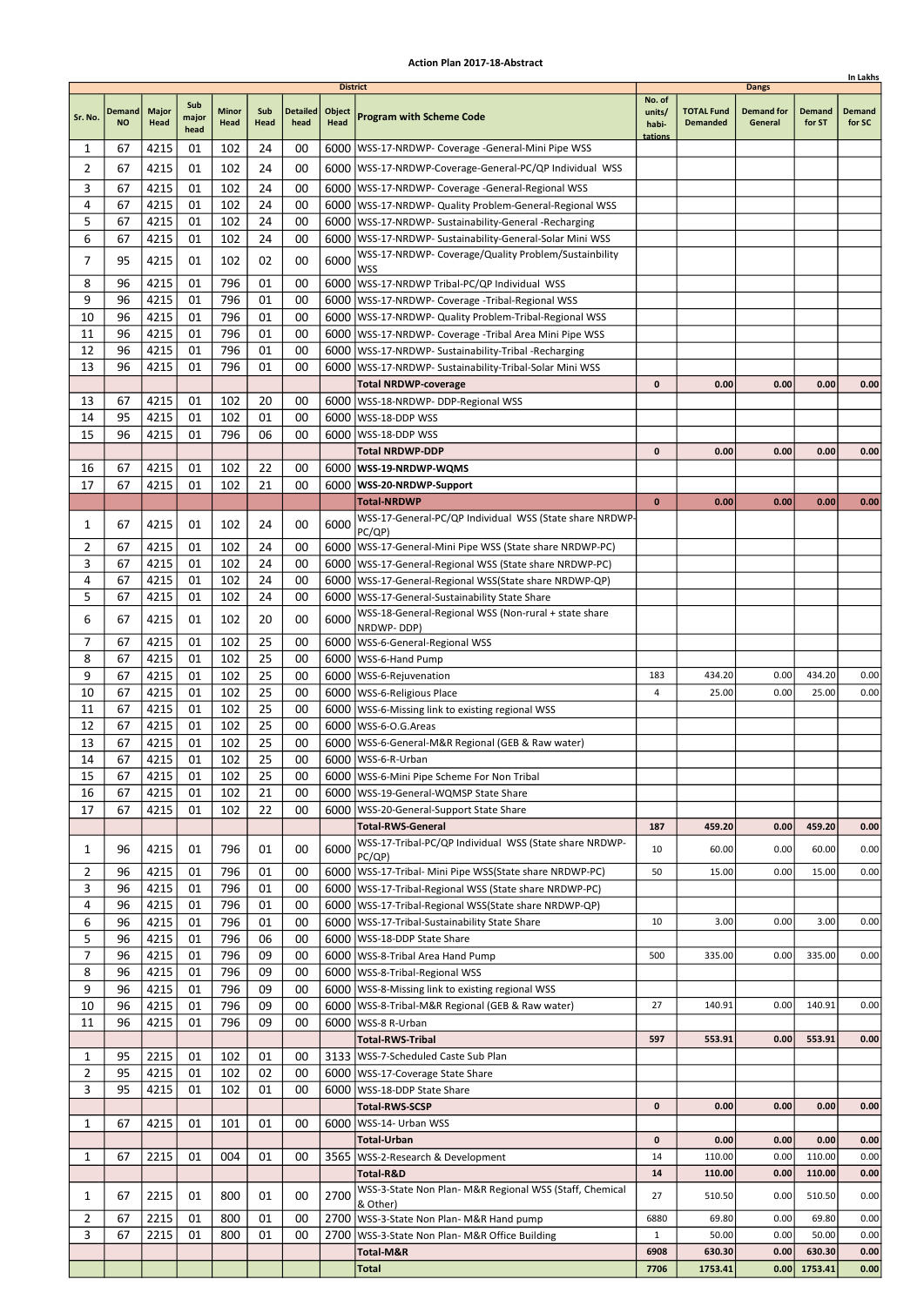|                |                     |                      |                      |                      |             |                         |                                   |                                                                                  |                                      |                                      |                                              |                         | In Lakhs                |
|----------------|---------------------|----------------------|----------------------|----------------------|-------------|-------------------------|-----------------------------------|----------------------------------------------------------------------------------|--------------------------------------|--------------------------------------|----------------------------------------------|-------------------------|-------------------------|
| Sr. No.        | Demand<br><b>NO</b> | <b>Major</b><br>Head | Sub<br>major<br>head | <b>Minor</b><br>Head | Sub<br>Head | <b>Detailed</b><br>head | <b>District</b><br>Object<br>Head | <b>Program with Scheme Code</b>                                                  | No. of<br>units/<br>habi-<br>tations | <b>TOTAL Fund</b><br><b>Demanded</b> | <b>Dangs</b><br><b>Demand for</b><br>General | <b>Demand</b><br>for ST | <b>Demand</b><br>for SC |
| 1              | 67                  | 4215                 | 01                   | 102                  | 24          | 00                      |                                   | 6000   WSS-17-NRDWP- Coverage - General-Mini Pipe WSS                            |                                      |                                      |                                              |                         |                         |
| 2              | 67                  | 4215                 | 01                   | 102                  | 24          | 00                      |                                   | 6000   WSS-17-NRDWP-Coverage-General-PC/QP Individual WSS                        |                                      |                                      |                                              |                         |                         |
| 3              | 67                  | 4215                 | 01                   | 102                  | 24          | 00                      |                                   | 6000   WSS-17-NRDWP- Coverage - General-Regional WSS                             |                                      |                                      |                                              |                         |                         |
| 4              | 67                  | 4215                 | 01                   | 102                  | 24          | 00                      |                                   | 6000   WSS-17-NRDWP- Quality Problem-General-Regional WSS                        |                                      |                                      |                                              |                         |                         |
| 5              | 67                  | 4215                 | 01                   | 102                  | 24          | 00                      |                                   | 6000   WSS-17-NRDWP- Sustainability-General -Recharging                          |                                      |                                      |                                              |                         |                         |
| 6              | 67                  | 4215                 | 01                   | 102                  | 24          | 00                      |                                   | 6000   WSS-17-NRDWP- Sustainability-General-Solar Mini WSS                       |                                      |                                      |                                              |                         |                         |
| $\overline{7}$ | 95                  | 4215                 | 01                   | 102                  | 02          | 00                      | 6000                              | WSS-17-NRDWP- Coverage/Quality Problem/Sustainbility                             |                                      |                                      |                                              |                         |                         |
| 8              | 96                  | 4215                 | 01                   | 796                  | 01          | 00                      |                                   | <b>WSS</b><br>6000 WSS-17-NRDWP Tribal-PC/QP Individual WSS                      |                                      |                                      |                                              |                         |                         |
| 9              | 96                  | 4215                 | 01                   | 796                  | 01          | 00                      |                                   | 6000   WSS-17-NRDWP- Coverage - Tribal-Regional WSS                              |                                      |                                      |                                              |                         |                         |
| 10             | 96                  | 4215                 | 01                   | 796                  | 01          | 00                      |                                   | 6000   WSS-17-NRDWP- Quality Problem-Tribal-Regional WSS                         |                                      |                                      |                                              |                         |                         |
| 11             | 96                  | 4215                 | 01                   | 796                  | 01          | 00                      |                                   | 6000   WSS-17-NRDWP- Coverage - Tribal Area Mini Pipe WSS                        |                                      |                                      |                                              |                         |                         |
| 12             | 96                  | 4215                 | 01                   | 796                  | 01          | 00                      |                                   | 6000   WSS-17-NRDWP- Sustainability-Tribal -Recharging                           |                                      |                                      |                                              |                         |                         |
| 13             | 96                  | 4215                 | 01                   | 796                  | 01          | 00                      | 6000                              | WSS-17-NRDWP- Sustainability-Tribal-Solar Mini WSS                               |                                      |                                      |                                              |                         |                         |
|                |                     |                      |                      |                      |             |                         |                                   | <b>Total NRDWP-coverage</b>                                                      | 0                                    | 0.00                                 | 0.00                                         | 0.00                    | 0.00                    |
| 13             | 67                  | 4215                 | 01                   | 102                  | 20          | 00                      |                                   | 6000   WSS-18-NRDWP- DDP-Regional WSS                                            |                                      |                                      |                                              |                         |                         |
| 14             | 95                  | 4215                 | 01                   | 102                  | 01          | 00                      |                                   | 6000   WSS-18-DDP WSS                                                            |                                      |                                      |                                              |                         |                         |
| 15             | 96                  | 4215                 | 01                   | 796                  | 06          | 00                      | 6000                              | WSS-18-DDP WSS                                                                   |                                      |                                      |                                              |                         |                         |
| 16             | 67                  | 4215                 | 01                   | 102                  | 22          | 00                      |                                   | <b>Total NRDWP-DDP</b><br>6000   WSS-19-NRDWP-WQMS                               | 0                                    | 0.00                                 | 0.00                                         | 0.00                    | 0.00                    |
| 17             | 67                  | 4215                 | 01                   | 102                  | 21          | 00                      |                                   | 6000   WSS-20-NRDWP-Support                                                      |                                      |                                      |                                              |                         |                         |
|                |                     |                      |                      |                      |             |                         |                                   | <b>Total-NRDWP</b>                                                               | $\bf{0}$                             | 0.00                                 | 0.00                                         | 0.00                    | 0.00                    |
|                |                     |                      |                      |                      |             |                         |                                   | WSS-17-General-PC/QP Individual WSS (State share NRDWP-                          |                                      |                                      |                                              |                         |                         |
| 1              | 67                  | 4215                 | 01                   | 102                  | 24          | 00                      | 6000                              | PC/QP)                                                                           |                                      |                                      |                                              |                         |                         |
| 2              | 67                  | 4215                 | 01                   | 102                  | 24          | 00                      |                                   | 6000   WSS-17-General-Mini Pipe WSS (State share NRDWP-PC)                       |                                      |                                      |                                              |                         |                         |
| 3              | 67                  | 4215                 | 01                   | 102                  | 24          | 00                      |                                   | 6000   WSS-17-General-Regional WSS (State share NRDWP-PC)                        |                                      |                                      |                                              |                         |                         |
| 4              | 67                  | 4215                 | 01                   | 102                  | 24          | 00                      |                                   | 6000   WSS-17-General-Regional WSS (State share NRDWP-QP)                        |                                      |                                      |                                              |                         |                         |
| 5              | 67                  | 4215                 | 01                   | 102                  | 24          | 00                      |                                   | 6000   WSS-17-General-Sustainability State Share                                 |                                      |                                      |                                              |                         |                         |
| 6              | 67                  | 4215                 | 01                   | 102                  | 20          | 00                      | 6000                              | WSS-18-General-Regional WSS (Non-rural + state share<br>NRDWP-DDP)               |                                      |                                      |                                              |                         |                         |
| 7              | 67                  | 4215                 | 01                   | 102                  | 25          | 00                      |                                   | 6000   WSS-6-General-Regional WSS                                                |                                      |                                      |                                              |                         |                         |
| 8              | 67                  | 4215                 | 01                   | 102                  | 25          | 00                      |                                   | 6000   WSS-6-Hand Pump                                                           |                                      |                                      |                                              |                         |                         |
| 9              | 67                  | 4215                 | 01                   | 102                  | 25          | 00                      |                                   | 6000   WSS-6-Rejuvenation                                                        | 183                                  | 434.20                               | 0.00                                         | 434.20                  | 0.00                    |
| 10             | 67                  | 4215                 | 01                   | 102                  | 25          | 00                      |                                   | 6000   WSS-6-Religious Place                                                     | 4                                    | 25.00                                | 0.00                                         | 25.00                   | 0.00                    |
| 11             | 67                  | 4215                 | 01                   | 102                  | 25          | 00                      |                                   | 6000   WSS-6-Missing link to existing regional WSS                               |                                      |                                      |                                              |                         |                         |
| 12             | 67                  | 4215                 | 01                   | 102                  | 25          | 00                      |                                   | 6000   WSS-6-O.G. Areas                                                          |                                      |                                      |                                              |                         |                         |
| 13<br>14       | 67<br>67            | 4215<br>4215         | 01<br>01             | 102<br>102           | 25<br>25    | 00<br>00                |                                   | 6000   WSS-6-General-M&R Regional (GEB & Raw water)<br>6000   WSS-6-R-Urban      |                                      |                                      |                                              |                         |                         |
| 15             | 67                  | 4215                 | 01                   | 102                  | 25          | 00                      |                                   | 6000 WSS-6-Mini Pipe Scheme For Non Tribal                                       |                                      |                                      |                                              |                         |                         |
| 16             | 67                  | 4215                 | 01                   | 102                  | 21          | 00                      |                                   | 6000   WSS-19-General-WQMSP State Share                                          |                                      |                                      |                                              |                         |                         |
| 17             | 67                  | 4215                 | 01                   | 102                  | 22          | 00                      |                                   | 6000   WSS-20-General-Support State Share                                        |                                      |                                      |                                              |                         |                         |
|                |                     |                      |                      |                      |             |                         |                                   | <b>Total-RWS-General</b>                                                         | 187                                  | 459.20                               | 0.00                                         | 459.20                  | 0.00                    |
| 1              | 96                  | 4215                 | 01                   | 796                  | 01          | 00                      | 6000                              | WSS-17-Tribal-PC/QP Individual WSS (State share NRDWP-<br>PC/QP)                 | 10                                   | 60.00                                | 0.00                                         | 60.00                   | 0.00                    |
| 2              | 96                  | 4215                 | 01                   | 796                  | 01          | 00                      |                                   | 6000   WSS-17-Tribal- Mini Pipe WSS (State share NRDWP-PC)                       | 50                                   | 15.00                                | 0.00                                         | 15.00                   | 0.00                    |
| 3              | 96                  | 4215                 | 01                   | 796                  | 01          | 00                      |                                   | 6000   WSS-17-Tribal-Regional WSS (State share NRDWP-PC)                         |                                      |                                      |                                              |                         |                         |
| 4              | 96                  | 4215                 | 01                   | 796                  | 01          | 00                      |                                   | 6000   WSS-17-Tribal-Regional WSS (State share NRDWP-QP)                         |                                      |                                      |                                              |                         |                         |
| 6<br>5         | 96<br>96            | 4215<br>4215         | 01<br>01             | 796<br>796           | 01<br>06    | 00<br>00                |                                   | 6000   WSS-17-Tribal-Sustainability State Share<br>6000   WSS-18-DDP State Share | 10                                   | 3.00                                 | 0.00                                         | 3.00                    | 0.00                    |
| 7              | 96                  | 4215                 | 01                   | 796                  | 09          | 00                      |                                   | 6000 WSS-8-Tribal Area Hand Pump                                                 | 500                                  | 335.00                               | 0.00                                         | 335.00                  | 0.00                    |
| 8              | 96                  | 4215                 | 01                   | 796                  | 09          | 00                      |                                   | 6000   WSS-8-Tribal-Regional WSS                                                 |                                      |                                      |                                              |                         |                         |
| 9              | 96                  | 4215                 | 01                   | 796                  | 09          | 00                      |                                   | 6000   WSS-8-Missing link to existing regional WSS                               |                                      |                                      |                                              |                         |                         |
| 10             | 96                  | 4215                 | 01                   | 796                  | 09          | 00                      |                                   | 6000   WSS-8-Tribal-M&R Regional (GEB & Raw water)                               | 27                                   | 140.91                               | 0.00                                         | 140.91                  | 0.00                    |
| 11             | 96                  | 4215                 | 01                   | 796                  | 09          | 00                      |                                   | 6000   WSS-8 R-Urban                                                             |                                      |                                      |                                              |                         |                         |
|                |                     |                      |                      |                      |             |                         |                                   | <b>Total-RWS-Tribal</b>                                                          | 597                                  | 553.91                               | 0.00                                         | 553.91                  | 0.00                    |
| 1              | 95                  | 2215                 | 01                   | 102                  | 01          | 00                      |                                   | 3133   WSS-7-Scheduled Caste Sub Plan                                            |                                      |                                      |                                              |                         |                         |
| 2              | 95                  | 4215                 | 01                   | 102                  | 02          | 00                      |                                   | 6000   WSS-17-Coverage State Share                                               |                                      |                                      |                                              |                         |                         |
| 3              | 95                  | 4215                 | 01                   | 102                  | 01          | 00                      |                                   | 6000   WSS-18-DDP State Share                                                    |                                      |                                      |                                              |                         |                         |
|                |                     |                      |                      |                      |             |                         |                                   | <b>Total-RWS-SCSP</b>                                                            | 0                                    | 0.00                                 | 0.00                                         | 0.00                    | 0.00                    |
| 1              | 67                  | 4215                 | 01                   | 101                  | 01          | 00                      |                                   | 6000   WSS-14- Urban WSS<br><b>Total-Urban</b>                                   | 0                                    | 0.00                                 | 0.00                                         | 0.00                    | 0.00                    |
| 1              | 67                  | 2215                 | 01                   | 004                  | 01          | 00                      |                                   | 3565   WSS-2-Research & Development                                              | 14                                   | 110.00                               | 0.00                                         | 110.00                  | 0.00                    |
|                |                     |                      |                      |                      |             |                         |                                   | Total-R&D                                                                        | 14                                   | 110.00                               | 0.00                                         | 110.00                  | 0.00                    |
| 1              | 67                  | 2215                 | 01                   | 800                  | 01          | 00                      | 2700                              | WSS-3-State Non Plan- M&R Regional WSS (Staff, Chemical                          | 27                                   | 510.50                               | 0.00                                         | 510.50                  | 0.00                    |
|                |                     |                      |                      |                      |             |                         |                                   | & Other)                                                                         |                                      |                                      |                                              |                         |                         |
| 2              | 67                  | 2215                 | 01                   | 800                  | 01          | 00                      |                                   | 2700 WSS-3-State Non Plan- M&R Hand pump                                         | 6880                                 | 69.80                                | 0.00                                         | 69.80                   | 0.00                    |
| 3              | 67                  | 2215                 | 01                   | 800                  | 01          | 00                      | 2700                              | WSS-3-State Non Plan- M&R Office Building<br>Total-M&R                           | $\mathbf{1}$<br>6908                 | 50.00<br>630.30                      | 0.00<br>0.00                                 | 50.00<br>630.30         | 0.00<br>0.00            |
|                |                     |                      |                      |                      |             |                         |                                   | <b>Total</b>                                                                     | 7706                                 | 1753.41                              | 0.00                                         | 1753.41                 | 0.00                    |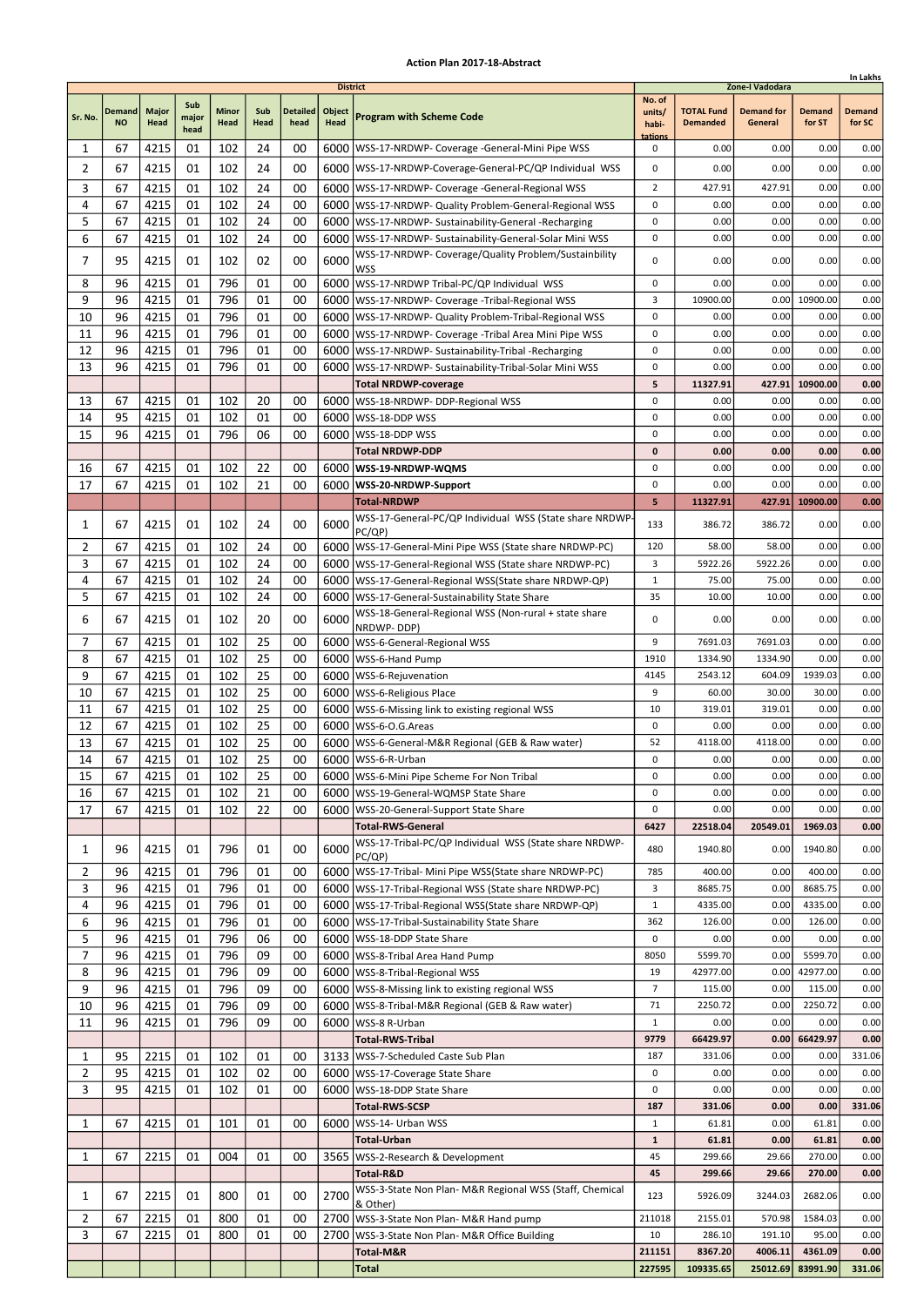|                |                            |                      |                      |                      |             |                         |                                   |                                                                                                                                |                                      |                                      |                                                 |                         | In Lakhs                |
|----------------|----------------------------|----------------------|----------------------|----------------------|-------------|-------------------------|-----------------------------------|--------------------------------------------------------------------------------------------------------------------------------|--------------------------------------|--------------------------------------|-------------------------------------------------|-------------------------|-------------------------|
| Sr. No.        | <b>Demand</b><br><b>NO</b> | <b>Major</b><br>Head | Sub<br>major<br>head | <b>Minor</b><br>Head | Sub<br>Head | <b>Detailed</b><br>head | <b>District</b><br>Object<br>Head | <b>Program with Scheme Code</b>                                                                                                | No. of<br>units/<br>habi-<br>tations | <b>TOTAL Fund</b><br><b>Demanded</b> | Zone-I Vadodara<br><b>Demand for</b><br>General | <b>Demand</b><br>for ST | <b>Demand</b><br>for SC |
| 1              | 67                         | 4215                 | 01                   | 102                  | 24          | 00                      |                                   | 6000   WSS-17-NRDWP- Coverage - General-Mini Pipe WSS                                                                          | 0                                    | 0.00                                 | 0.00                                            | 0.00                    | 0.00                    |
| 2              | 67                         | 4215                 | 01                   | 102                  | 24          | 00                      |                                   | 6000   WSS-17-NRDWP-Coverage-General-PC/QP Individual WSS                                                                      | 0                                    | 0.00                                 | 0.00                                            | 0.00                    | 0.00                    |
| 3              | 67                         | 4215                 | 01                   | 102                  | 24          | 00                      |                                   | 6000   WSS-17-NRDWP- Coverage -General-Regional WSS                                                                            | $\overline{2}$                       | 427.91                               | 427.91                                          | 0.00                    | 0.00                    |
| 4              | 67                         | 4215                 | 01                   | 102                  | 24          | 00                      |                                   | 6000   WSS-17-NRDWP- Quality Problem-General-Regional WSS                                                                      | 0                                    | 0.00                                 | 0.00                                            | 0.00                    | 0.00                    |
| 5              | 67                         | 4215                 | 01                   | 102                  | 24          | 00                      |                                   | 6000   WSS-17-NRDWP- Sustainability-General -Recharging                                                                        | 0                                    | 0.00                                 | 0.00                                            | 0.00                    | 0.00                    |
| 6              | 67                         | 4215                 | 01                   | 102                  | 24          | 00                      |                                   | 6000   WSS-17-NRDWP- Sustainability-General-Solar Mini WSS                                                                     | 0                                    | 0.00                                 | 0.00                                            | 0.00                    | 0.00                    |
| 7              | 95                         | 4215                 | 01                   | 102                  | 02          | 00                      | 6000                              | WSS-17-NRDWP- Coverage/Quality Problem/Sustainbility<br><b>WSS</b>                                                             | 0                                    | 0.00                                 | 0.00                                            | 0.00                    | 0.00                    |
| 8              | 96                         | 4215                 | 01                   | 796                  | 01          | 00                      | 6000                              | WSS-17-NRDWP Tribal-PC/QP Individual WSS                                                                                       | 0                                    | 0.00                                 | 0.00                                            | 0.00                    | 0.00                    |
| 9              | 96                         | 4215                 | 01                   | 796                  | 01          | 00                      |                                   | 6000   WSS-17-NRDWP- Coverage - Tribal-Regional WSS                                                                            | 3                                    | 10900.00                             | 0.00                                            | 10900.00                | 0.00                    |
| 10             | 96                         | 4215                 | 01                   | 796                  | 01          | 00                      |                                   | 6000   WSS-17-NRDWP- Quality Problem-Tribal-Regional WSS                                                                       | 0                                    | 0.00                                 | 0.00                                            | 0.00                    | 0.00                    |
| 11<br>12       | 96<br>96                   | 4215<br>4215         | 01<br>01             | 796<br>796           | 01<br>01    | 00<br>00                |                                   | 6000   WSS-17-NRDWP- Coverage - Tribal Area Mini Pipe WSS                                                                      | $\pmb{0}$<br>0                       | 0.00<br>0.00                         | 0.00<br>0.00                                    | 0.00<br>0.00            | 0.00                    |
| 13             | 96                         | 4215                 | 01                   | 796                  | 01          | 00                      | 6000                              | 6000   WSS-17-NRDWP- Sustainability-Tribal -Recharging<br>WSS-17-NRDWP- Sustainability-Tribal-Solar Mini WSS                   | 0                                    | 0.00                                 | 0.00                                            | 0.00                    | 0.00<br>0.00            |
|                |                            |                      |                      |                      |             |                         |                                   | <b>Total NRDWP-coverage</b>                                                                                                    | 5                                    | 11327.91                             | 427.91                                          | 10900.00                | 0.00                    |
| 13             | 67                         | 4215                 | 01                   | 102                  | 20          | 00                      |                                   | 6000   WSS-18-NRDWP- DDP-Regional WSS                                                                                          | $\mathbf 0$                          | 0.00                                 | 0.00                                            | 0.00                    | 0.00                    |
| 14             | 95                         | 4215                 | 01                   | 102                  | 01          | 00                      |                                   | 6000   WSS-18-DDP WSS                                                                                                          | 0                                    | 0.00                                 | 0.00                                            | 0.00                    | 0.00                    |
| 15             | 96                         | 4215                 | 01                   | 796                  | 06          | 00                      | 6000                              | WSS-18-DDP WSS                                                                                                                 | 0                                    | 0.00                                 | 0.00                                            | 0.00                    | 0.00                    |
|                |                            |                      |                      |                      |             |                         |                                   | <b>Total NRDWP-DDP</b>                                                                                                         | $\mathbf{0}$                         | 0.00                                 | 0.00                                            | 0.00                    | 0.00                    |
| 16             | 67                         | 4215                 | 01                   | 102                  | 22          | 00                      |                                   | 6000   WSS-19-NRDWP-WQMS                                                                                                       | $\pmb{0}$                            | 0.00                                 | 0.00                                            | 0.00                    | 0.00                    |
| 17             | 67                         | 4215                 | 01                   | 102                  | 21          | 00                      |                                   | 6000   WSS-20-NRDWP-Support                                                                                                    | 0                                    | 0.00                                 | 0.00                                            | 0.00                    | 0.00                    |
|                |                            |                      |                      |                      |             |                         |                                   | <b>Total-NRDWP</b><br>WSS-17-General-PC/QP Individual WSS (State share NRDWP-                                                  | 5                                    | 11327.91                             | 427.91                                          | 10900.00                | 0.00                    |
| 1              | 67                         | 4215                 | 01                   | 102                  | 24          | 00                      | 6000                              | PC/QP)                                                                                                                         | 133                                  | 386.72                               | 386.72                                          | 0.00                    | 0.00                    |
| 2              | 67                         | 4215                 | 01                   | 102                  | 24          | 00                      |                                   | 6000   WSS-17-General-Mini Pipe WSS (State share NRDWP-PC)                                                                     | 120                                  | 58.00                                | 58.00                                           | 0.00                    | 0.00                    |
| 3              | 67                         | 4215                 | 01                   | 102                  | 24          | 00                      |                                   | 6000   WSS-17-General-Regional WSS (State share NRDWP-PC)                                                                      | 3                                    | 5922.26                              | 5922.26                                         | 0.00                    | 0.00                    |
| 4              | 67                         | 4215                 | 01                   | 102                  | 24          | 00                      |                                   | 6000   WSS-17-General-Regional WSS (State share NRDWP-QP)                                                                      | 1                                    | 75.00                                | 75.00                                           | 0.00                    | 0.00                    |
| 5              | 67                         | 4215                 | 01                   | 102                  | 24          | 00                      |                                   | 6000   WSS-17-General-Sustainability State Share<br>WSS-18-General-Regional WSS (Non-rural + state share                       | 35                                   | 10.00                                | 10.00                                           | 0.00                    | 0.00                    |
| 6              | 67                         | 4215                 | 01                   | 102                  | 20          | 00                      | 6000                              | NRDWP-DDP)                                                                                                                     | 0                                    | 0.00                                 | 0.00                                            | 0.00                    | 0.00                    |
| 7              | 67                         | 4215                 | 01                   | 102                  | 25          | 00                      |                                   | 6000   WSS-6-General-Regional WSS                                                                                              | 9                                    | 7691.03                              | 7691.03                                         | 0.00                    | 0.00                    |
| 8              | 67                         | 4215                 | 01                   | 102                  | 25          | 00                      | 6000                              | WSS-6-Hand Pump                                                                                                                | 1910                                 | 1334.90                              | 1334.90                                         | 0.00                    | 0.00                    |
| 9              | 67                         | 4215                 | 01                   | 102                  | 25          | 00                      |                                   | 6000   WSS-6-Rejuvenation                                                                                                      | 4145                                 | 2543.12                              | 604.09                                          | 1939.03                 | 0.00                    |
| 10             | 67<br>67                   | 4215                 | 01                   | 102<br>102           | 25<br>25    | 00<br>00                |                                   | 6000   WSS-6-Religious Place                                                                                                   | 9<br>10                              | 60.00<br>319.01                      | 30.00<br>319.01                                 | 30.00<br>0.00           | 0.00<br>0.00            |
| 11<br>12       | 67                         | 4215<br>4215         | 01<br>01             | 102                  | 25          | 00                      |                                   | 6000   WSS-6-Missing link to existing regional WSS<br>6000   WSS-6-O.G. Areas                                                  | 0                                    | 0.00                                 | 0.00                                            | 0.00                    | 0.00                    |
| 13             | 67                         | 4215                 | 01                   | 102                  | 25          | 00                      | 6000                              | WSS-6-General-M&R Regional (GEB & Raw water)                                                                                   | 52                                   | 4118.00                              | 4118.00                                         | 0.00                    | 0.00                    |
| 14             | 67                         | 4215                 | 01                   | 102                  | 25          | 00                      |                                   | 6000   WSS-6-R-Urban                                                                                                           | 0                                    | 0.00                                 | 0.00                                            | 0.00                    | 0.00                    |
| 15             | 67                         | 4215                 | 01                   | 102                  | 25          | 00                      |                                   | 6000   WSS-6-Mini Pipe Scheme For Non Tribal                                                                                   | $\pmb{0}$                            | 0.00                                 | 0.00                                            | 0.00                    | 0.00                    |
| 16             | 67                         | 4215                 | 01                   | 102                  | 21          | 00                      |                                   | 6000   WSS-19-General-WQMSP State Share                                                                                        | 0                                    | 0.00                                 | 0.00                                            | 0.00                    | 0.00                    |
| 17             | 67                         | 4215                 | 01                   | 102                  | 22          | 00                      |                                   | 6000   WSS-20-General-Support State Share                                                                                      | 0                                    | 0.00                                 | 0.00                                            | 0.00                    | 0.00                    |
|                |                            |                      |                      |                      |             |                         |                                   | <b>Total-RWS-General</b>                                                                                                       | 6427                                 | 22518.04                             | 20549.01                                        | 1969.03                 | 0.00                    |
| 1<br>2         | 96<br>96                   | 4215<br>4215         | 01<br>01             | 796<br>796           | 01<br>01    | 00<br>00                | 6000                              | WSS-17-Tribal-PC/QP Individual WSS (State share NRDWP-<br>PC/QP)<br>6000   WSS-17-Tribal- Mini Pipe WSS (State share NRDWP-PC) | 480<br>785                           | 1940.80<br>400.00                    | 0.00<br>0.00                                    | 1940.80<br>400.00       | 0.00<br>0.00            |
| 3              | 96                         | 4215                 | 01                   | 796                  | 01          | 00                      |                                   | 6000   WSS-17-Tribal-Regional WSS (State share NRDWP-PC)                                                                       | 3                                    | 8685.75                              | 0.00                                            | 8685.75                 | 0.00                    |
| 4              | 96                         | 4215                 | 01                   | 796                  | 01          | 00                      |                                   | 6000   WSS-17-Tribal-Regional WSS(State share NRDWP-QP)                                                                        | $\mathbf{1}$                         | 4335.00                              | 0.00                                            | 4335.00                 | 0.00                    |
| 6              | 96                         | 4215                 | 01                   | 796                  | 01          | 00                      |                                   | 6000   WSS-17-Tribal-Sustainability State Share                                                                                | 362                                  | 126.00                               | 0.00                                            | 126.00                  | 0.00                    |
| 5              | 96                         | 4215                 | 01                   | 796                  | 06          | 00                      |                                   | 6000   WSS-18-DDP State Share                                                                                                  | 0                                    | 0.00                                 | 0.00                                            | 0.00                    | 0.00                    |
| $\overline{7}$ | 96                         | 4215                 | 01                   | 796                  | 09          | 00                      |                                   | 6000 WSS-8-Tribal Area Hand Pump                                                                                               | 8050                                 | 5599.70                              | 0.00                                            | 5599.70                 | 0.00                    |
| 8              | 96                         | 4215                 | 01                   | 796                  | 09          | 00                      |                                   | 6000   WSS-8-Tribal-Regional WSS                                                                                               | 19                                   | 42977.00                             | 0.00                                            | 42977.00                | 0.00                    |
| 9              | 96                         | 4215                 | 01                   | 796                  | 09          | 00                      |                                   | 6000   WSS-8-Missing link to existing regional WSS                                                                             | $\overline{7}$                       | 115.00                               | 0.00                                            | 115.00                  | 0.00                    |
| 10             | 96<br>96                   | 4215                 | 01                   | 796<br>796           | 09<br>09    | 00<br>00                |                                   | 6000   WSS-8-Tribal-M&R Regional (GEB & Raw water)                                                                             | 71<br>$\mathbf{1}$                   | 2250.72<br>0.00                      | 0.00<br>0.00                                    | 2250.72<br>0.00         | 0.00<br>0.00            |
| 11             |                            | 4215                 | 01                   |                      |             |                         |                                   | 6000   WSS-8 R-Urban<br><b>Total-RWS-Tribal</b>                                                                                | 9779                                 | 66429.97                             | 0.00                                            | 66429.97                | 0.00                    |
| 1              | 95                         | 2215                 | 01                   | 102                  | 01          | 00                      |                                   | 3133   WSS-7-Scheduled Caste Sub Plan                                                                                          | 187                                  | 331.06                               | 0.00                                            | 0.00                    | 331.06                  |
| $\overline{2}$ | 95                         | 4215                 | 01                   | 102                  | 02          | 00                      |                                   | 6000   WSS-17-Coverage State Share                                                                                             | 0                                    | 0.00                                 | 0.00                                            | 0.00                    | 0.00                    |
| 3              | 95                         | 4215                 | 01                   | 102                  | 01          | 00                      |                                   | 6000   WSS-18-DDP State Share                                                                                                  | 0                                    | 0.00                                 | 0.00                                            | 0.00                    | 0.00                    |
|                |                            |                      |                      |                      |             |                         |                                   | <b>Total-RWS-SCSP</b>                                                                                                          | 187                                  | 331.06                               | 0.00                                            | 0.00                    | 331.06                  |
| 1              | 67                         | 4215                 | 01                   | 101                  | 01          | 00                      | 6000                              | WSS-14- Urban WSS                                                                                                              | $\mathbf{1}$                         | 61.81                                | 0.00                                            | 61.81                   | 0.00                    |
|                |                            |                      |                      |                      |             |                         |                                   | <b>Total-Urban</b>                                                                                                             | $\mathbf{1}$                         | 61.81                                | 0.00                                            | 61.81                   | 0.00                    |
| 1              | 67                         | 2215                 | 01                   | 004                  | 01          | 00                      |                                   | 3565   WSS-2-Research & Development<br>Total-R&D                                                                               | 45<br>45                             | 299.66<br>299.66                     | 29.66<br>29.66                                  | 270.00<br>270.00        | 0.00<br>0.00            |
|                |                            |                      |                      |                      |             |                         |                                   | WSS-3-State Non Plan- M&R Regional WSS (Staff, Chemical                                                                        |                                      |                                      |                                                 |                         |                         |
| 1              | 67                         | 2215                 | 01                   | 800                  | 01          | 00                      | 2700                              | & Other)                                                                                                                       | 123                                  | 5926.09                              | 3244.03                                         | 2682.06                 | 0.00                    |
| 2              | 67                         | 2215                 | 01                   | 800                  | 01          | 00                      |                                   | 2700 WSS-3-State Non Plan- M&R Hand pump                                                                                       | 211018                               | 2155.01                              | 570.98                                          | 1584.03                 | 0.00                    |
| 3              | 67                         | 2215                 | 01                   | 800                  | 01          | 00                      | 2700                              | WSS-3-State Non Plan- M&R Office Building                                                                                      | 10                                   | 286.10                               | 191.10                                          | 95.00                   | 0.00                    |
|                |                            |                      |                      |                      |             |                         |                                   | Total-M&R<br>Total                                                                                                             | 211151<br>227595                     | 8367.20<br>109335.65                 | 4006.11<br>25012.69                             | 4361.09<br>83991.90     | 0.00<br>331.06          |
|                |                            |                      |                      |                      |             |                         |                                   |                                                                                                                                |                                      |                                      |                                                 |                         |                         |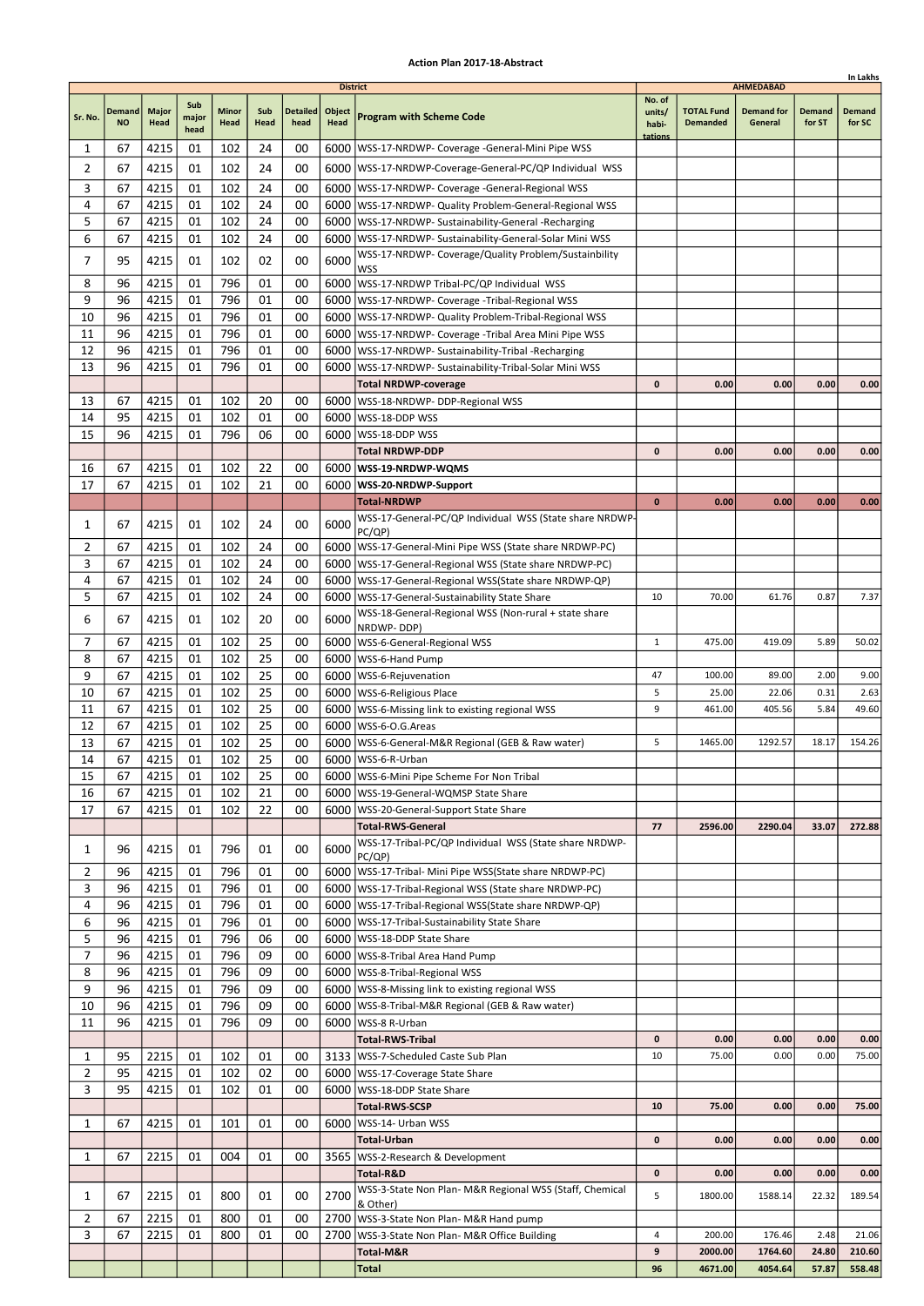|                |                            |                      |                      |                      |             |                         |                                   |                                                                                                                      |                                      |                                      |                                                  |                         | In Lakhs                |
|----------------|----------------------------|----------------------|----------------------|----------------------|-------------|-------------------------|-----------------------------------|----------------------------------------------------------------------------------------------------------------------|--------------------------------------|--------------------------------------|--------------------------------------------------|-------------------------|-------------------------|
| Sr. No.        | <b>Demand</b><br><b>NO</b> | <b>Major</b><br>Head | Sub<br>major<br>head | <b>Minor</b><br>Head | Sub<br>Head | <b>Detailed</b><br>head | <b>District</b><br>Object<br>Head | <b>Program with Scheme Code</b>                                                                                      | No. of<br>units/<br>habi-<br>tations | <b>TOTAL Fund</b><br><b>Demanded</b> | <b>AHMEDABAD</b><br><b>Demand for</b><br>General | <b>Demand</b><br>for ST | <b>Demand</b><br>for SC |
| 1              | 67                         | 4215                 | 01                   | 102                  | 24          | 00                      |                                   | 6000   WSS-17-NRDWP- Coverage - General-Mini Pipe WSS                                                                |                                      |                                      |                                                  |                         |                         |
| $\overline{2}$ | 67                         | 4215                 | 01                   | 102                  | 24          | 00                      |                                   | 6000   WSS-17-NRDWP-Coverage-General-PC/QP Individual WSS                                                            |                                      |                                      |                                                  |                         |                         |
| 3              | 67                         | 4215                 | 01                   | 102                  | 24          | 00                      |                                   | 6000   WSS-17-NRDWP- Coverage - General-Regional WSS                                                                 |                                      |                                      |                                                  |                         |                         |
| 4              | 67                         | 4215                 | 01                   | 102                  | 24          | 00                      |                                   | 6000   WSS-17-NRDWP- Quality Problem-General-Regional WSS                                                            |                                      |                                      |                                                  |                         |                         |
| 5              | 67                         | 4215                 | 01                   | 102                  | 24          | 00                      |                                   | 6000   WSS-17-NRDWP- Sustainability-General -Recharging                                                              |                                      |                                      |                                                  |                         |                         |
| 6              | 67                         | 4215                 | 01                   | 102                  | 24          | 00                      |                                   | 6000 WSS-17-NRDWP- Sustainability-General-Solar Mini WSS                                                             |                                      |                                      |                                                  |                         |                         |
| 7              | 95                         | 4215                 | 01                   | 102                  | 02          | 00                      | 6000                              | WSS-17-NRDWP- Coverage/Quality Problem/Sustainbility                                                                 |                                      |                                      |                                                  |                         |                         |
|                |                            |                      |                      |                      |             |                         |                                   | <b>WSS</b>                                                                                                           |                                      |                                      |                                                  |                         |                         |
| 8              | 96                         | 4215                 | 01                   | 796                  | 01          | 00                      |                                   | 6000 WSS-17-NRDWP Tribal-PC/QP Individual WSS                                                                        |                                      |                                      |                                                  |                         |                         |
| 9              | 96<br>96                   | 4215                 | 01<br>01             | 796<br>796           | 01<br>01    | 00                      |                                   | 6000   WSS-17-NRDWP- Coverage - Tribal-Regional WSS                                                                  |                                      |                                      |                                                  |                         |                         |
| 10             | 96                         | 4215<br>4215         | 01                   | 796                  | 01          | 00<br>00                |                                   | 6000   WSS-17-NRDWP- Quality Problem-Tribal-Regional WSS                                                             |                                      |                                      |                                                  |                         |                         |
| 11<br>12       | 96                         | 4215                 | 01                   | 796                  | 01          | 00                      |                                   | 6000   WSS-17-NRDWP- Coverage - Tribal Area Mini Pipe WSS<br>6000   WSS-17-NRDWP- Sustainability-Tribal -Recharging  |                                      |                                      |                                                  |                         |                         |
| 13             | 96                         | 4215                 | 01                   | 796                  | 01          | 00                      | 6000                              | WSS-17-NRDWP- Sustainability-Tribal-Solar Mini WSS                                                                   |                                      |                                      |                                                  |                         |                         |
|                |                            |                      |                      |                      |             |                         |                                   | <b>Total NRDWP-coverage</b>                                                                                          | $\mathbf 0$                          | 0.00                                 | 0.00                                             | 0.00                    | 0.00                    |
| 13             | 67                         | 4215                 | 01                   | 102                  | 20          | 00                      |                                   | 6000   WSS-18-NRDWP- DDP-Regional WSS                                                                                |                                      |                                      |                                                  |                         |                         |
| 14             | 95                         | 4215                 | 01                   | 102                  | 01          | 00                      |                                   | 6000 WSS-18-DDP WSS                                                                                                  |                                      |                                      |                                                  |                         |                         |
| 15             | 96                         | 4215                 | 01                   | 796                  | 06          | 00                      | 6000                              | WSS-18-DDP WSS                                                                                                       |                                      |                                      |                                                  |                         |                         |
|                |                            |                      |                      |                      |             |                         |                                   | <b>Total NRDWP-DDP</b>                                                                                               | 0                                    | 0.00                                 | 0.00                                             | 0.00                    | 0.00                    |
| 16             | 67                         | 4215                 | 01                   | 102                  | 22          | 00                      |                                   | 6000   WSS-19-NRDWP-WQMS                                                                                             |                                      |                                      |                                                  |                         |                         |
| 17             | 67                         | 4215                 | 01                   | 102                  | 21          | 00                      |                                   | 6000   WSS-20-NRDWP-Support                                                                                          |                                      |                                      |                                                  |                         |                         |
|                |                            |                      |                      |                      |             |                         |                                   | <b>Total-NRDWP</b>                                                                                                   | $\mathbf{0}$                         | 0.00                                 | 0.00                                             | 0.00                    | 0.00                    |
| 1              | 67                         | 4215                 | 01                   | 102                  | 24          | 00                      | 6000                              | WSS-17-General-PC/QP Individual WSS (State share NRDWP-                                                              |                                      |                                      |                                                  |                         |                         |
| 2              | 67                         | 4215                 | 01                   | 102                  | 24          | 00                      |                                   | PC/QP)<br>6000   WSS-17-General-Mini Pipe WSS (State share NRDWP-PC)                                                 |                                      |                                      |                                                  |                         |                         |
| 3              | 67                         | 4215                 | 01                   | 102                  | 24          | 00                      |                                   | 6000   WSS-17-General-Regional WSS (State share NRDWP-PC)                                                            |                                      |                                      |                                                  |                         |                         |
| 4              | 67                         | 4215                 | 01                   | 102                  | 24          | 00                      |                                   | 6000   WSS-17-General-Regional WSS (State share NRDWP-QP)                                                            |                                      |                                      |                                                  |                         |                         |
| 5              | 67                         | 4215                 | 01                   | 102                  | 24          | 00                      |                                   | 6000   WSS-17-General-Sustainability State Share                                                                     | 10                                   | 70.00                                | 61.76                                            | 0.87                    | 7.37                    |
|                |                            |                      |                      |                      |             |                         |                                   | WSS-18-General-Regional WSS (Non-rural + state share                                                                 |                                      |                                      |                                                  |                         |                         |
| 6              | 67                         | 4215                 | 01                   | 102                  | 20          | 00                      | 6000                              | NRDWP-DDP)                                                                                                           |                                      |                                      |                                                  |                         |                         |
| 7              | 67                         | 4215                 | 01                   | 102                  | 25          | 00                      |                                   | 6000   WSS-6-General-Regional WSS                                                                                    | $\mathbf{1}$                         | 475.00                               | 419.09                                           | 5.89                    | 50.02                   |
| 8              | 67                         | 4215                 | 01                   | 102                  | 25          | 00                      | 6000                              | WSS-6-Hand Pump                                                                                                      |                                      |                                      |                                                  |                         |                         |
| 9              | 67                         | 4215                 | 01                   | 102                  | 25          | 00                      |                                   | 6000   WSS-6-Rejuvenation                                                                                            | 47                                   | 100.00                               | 89.00                                            | 2.00                    | 9.00                    |
| 10             | 67                         | 4215                 | 01                   | 102                  | 25          | 00                      |                                   | 6000   WSS-6-Religious Place                                                                                         | 5                                    | 25.00                                | 22.06                                            | 0.31                    | 2.63                    |
| 11             | 67                         | 4215                 | 01                   | 102                  | 25          | 00                      |                                   | 6000   WSS-6-Missing link to existing regional WSS                                                                   | 9                                    | 461.00                               | 405.56                                           | 5.84                    | 49.60                   |
| 12<br>13       | 67<br>67                   | 4215<br>4215         | 01<br>01             | 102<br>102           | 25<br>25    | 00<br>00                |                                   | 6000   WSS-6-O.G. Areas                                                                                              | 5                                    | 1465.00                              | 1292.57                                          | 18.17                   | 154.26                  |
| 14             | 67                         | 4215                 | 01                   | 102                  | 25          | 00                      |                                   | 6000   WSS-6-General-M&R Regional (GEB & Raw water)<br>6000   WSS-6-R-Urban                                          |                                      |                                      |                                                  |                         |                         |
| 15             | 67                         | 4215                 | 01                   | 102                  | 25          | 00                      |                                   | 6000   WSS-6-Mini Pipe Scheme For Non Tribal                                                                         |                                      |                                      |                                                  |                         |                         |
| 16             | 67                         | 4215                 | 01                   | 102                  | 21          | 00                      |                                   | 6000   WSS-19-General-WQMSP State Share                                                                              |                                      |                                      |                                                  |                         |                         |
| 17             | 67                         | 4215                 | 01                   | 102                  | 22          | 00                      |                                   | 6000   WSS-20-General-Support State Share                                                                            |                                      |                                      |                                                  |                         |                         |
|                |                            |                      |                      |                      |             |                         |                                   | <b>Total-RWS-General</b>                                                                                             | 77                                   | 2596.00                              | 2290.04                                          | 33.07                   | 272.88                  |
| 1              | 96                         | 4215                 | 01                   | 796                  | 01          | 00                      | 6000                              | WSS-17-Tribal-PC/QP Individual WSS (State share NRDWP-                                                               |                                      |                                      |                                                  |                         |                         |
|                |                            |                      |                      |                      |             |                         |                                   | PC(QP)                                                                                                               |                                      |                                      |                                                  |                         |                         |
| 2              | 96                         | 4215                 | 01                   | 796                  | 01          | 00                      |                                   | 6000   WSS-17-Tribal- Mini Pipe WSS (State share NRDWP-PC)                                                           |                                      |                                      |                                                  |                         |                         |
| 3<br>4         | 96<br>96                   | 4215<br>4215         | 01<br>01             | 796<br>796           | 01<br>01    | 00<br>00                |                                   | 6000   WSS-17-Tribal-Regional WSS (State share NRDWP-PC)<br>6000   WSS-17-Tribal-Regional WSS (State share NRDWP-QP) |                                      |                                      |                                                  |                         |                         |
| 6              | 96                         | 4215                 | 01                   | 796                  | 01          | 00                      |                                   | 6000   WSS-17-Tribal-Sustainability State Share                                                                      |                                      |                                      |                                                  |                         |                         |
| 5              | 96                         | 4215                 | 01                   | 796                  | 06          | 00                      |                                   | 6000   WSS-18-DDP State Share                                                                                        |                                      |                                      |                                                  |                         |                         |
| 7              | 96                         | 4215                 | 01                   | 796                  | 09          | 00                      |                                   | 6000   WSS-8-Tribal Area Hand Pump                                                                                   |                                      |                                      |                                                  |                         |                         |
| 8              | 96                         | 4215                 | 01                   | 796                  | 09          | 00                      |                                   | 6000   WSS-8-Tribal-Regional WSS                                                                                     |                                      |                                      |                                                  |                         |                         |
| 9              | 96                         | 4215                 | 01                   | 796                  | 09          | 00                      |                                   | 6000   WSS-8-Missing link to existing regional WSS                                                                   |                                      |                                      |                                                  |                         |                         |
| 10             | 96                         | 4215                 | 01                   | 796                  | 09          | 00                      |                                   | 6000   WSS-8-Tribal-M&R Regional (GEB & Raw water)                                                                   |                                      |                                      |                                                  |                         |                         |
| 11             | 96                         | 4215                 | 01                   | 796                  | 09          | 00                      |                                   | 6000   WSS-8 R-Urban                                                                                                 |                                      |                                      |                                                  |                         |                         |
|                |                            |                      |                      |                      |             |                         |                                   | <b>Total-RWS-Tribal</b>                                                                                              | $\mathbf 0$                          | 0.00                                 | 0.00                                             | 0.00                    | 0.00                    |
| 1              | 95                         | 2215                 | 01                   | 102                  | 01          | 00                      |                                   | 3133   WSS-7-Scheduled Caste Sub Plan                                                                                | 10                                   | 75.00                                | 0.00                                             | 0.00                    | 75.00                   |
| $\overline{2}$ | 95                         | 4215                 | 01                   | 102                  | 02          | 00                      |                                   | 6000   WSS-17-Coverage State Share                                                                                   |                                      |                                      |                                                  |                         |                         |
| 3              | 95                         | 4215                 | 01                   | 102                  | 01          | 00                      |                                   | 6000   WSS-18-DDP State Share                                                                                        |                                      |                                      |                                                  |                         |                         |
|                |                            |                      |                      |                      |             |                         |                                   | <b>Total-RWS-SCSP</b>                                                                                                | 10                                   | 75.00                                | 0.00                                             | 0.00                    | 75.00                   |
| 1              | 67                         | 4215                 | 01                   | 101                  | 01          | 00                      | 6000                              | WSS-14- Urban WSS                                                                                                    |                                      |                                      |                                                  |                         |                         |
|                |                            |                      |                      |                      |             |                         |                                   | <b>Total-Urban</b>                                                                                                   | 0                                    | 0.00                                 | 0.00                                             | 0.00                    | 0.00                    |
| 1              | 67                         | 2215                 | 01                   | 004                  | 01          | 00                      |                                   | 3565   WSS-2-Research & Development                                                                                  |                                      |                                      |                                                  |                         |                         |
|                |                            |                      |                      |                      |             |                         |                                   | Total-R&D<br>WSS-3-State Non Plan- M&R Regional WSS (Staff, Chemical                                                 | 0                                    | 0.00                                 | 0.00                                             | 0.00                    | 0.00                    |
| 1              | 67                         | 2215                 | 01                   | 800                  | 01          | 00                      | 2700                              | & Other)                                                                                                             | 5                                    | 1800.00                              | 1588.14                                          | 22.32                   | 189.54                  |
| 2              | 67                         | 2215                 | 01                   | 800                  | 01          | 00                      |                                   | 2700   WSS-3-State Non Plan- M&R Hand pump                                                                           |                                      |                                      |                                                  |                         |                         |
| 3              | 67                         | 2215                 | 01                   | 800                  | 01          | 00                      | 2700                              | WSS-3-State Non Plan- M&R Office Building                                                                            | $\overline{4}$                       | 200.00                               | 176.46                                           | 2.48                    | 21.06                   |
|                |                            |                      |                      |                      |             |                         |                                   | Total-M&R                                                                                                            | 9                                    | 2000.00                              | 1764.60                                          | 24.80                   | 210.60                  |
|                |                            |                      |                      |                      |             |                         |                                   | <b>Total</b>                                                                                                         | 96                                   | 4671.00                              | 4054.64                                          | 57.87                   | 558.48                  |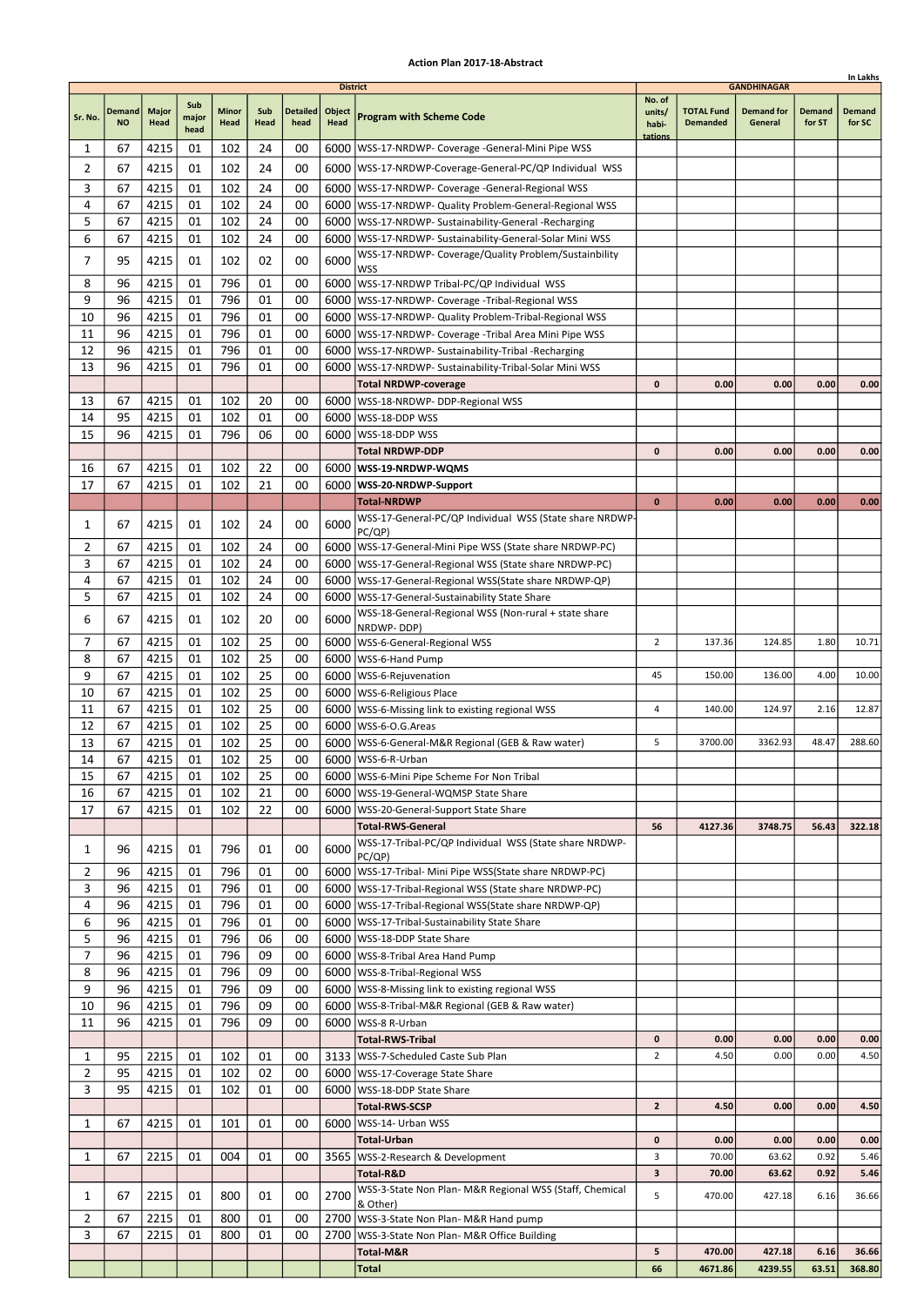|                     |                            |                      |               |               |             |                         |                       |                                                                                                                    |                 |                                      |                              |                  | In Lakhs         |
|---------------------|----------------------------|----------------------|---------------|---------------|-------------|-------------------------|-----------------------|--------------------------------------------------------------------------------------------------------------------|-----------------|--------------------------------------|------------------------------|------------------|------------------|
|                     |                            |                      | Sub           |               |             |                         | <b>District</b>       |                                                                                                                    | No. of          |                                      | <b>GANDHINAGAR</b>           |                  |                  |
| Sr. No.             | <b>Demand</b><br><b>NO</b> | <b>Major</b><br>Head | major<br>head | Minor<br>Head | Sub<br>Head | <b>Detailed</b><br>head | Object<br><b>Head</b> | <b>Program with Scheme Code</b>                                                                                    | units/<br>habi- | <b>TOTAL Fund</b><br><b>Demanded</b> | <b>Demand for</b><br>General | Demand<br>for ST | Demand<br>for SC |
| 1                   | 67                         | 4215                 | 01            | 102           | 24          | 00                      |                       | 6000   WSS-17-NRDWP- Coverage - General-Mini Pipe WSS                                                              | tations         |                                      |                              |                  |                  |
| 2                   | 67                         | 4215                 | 01            | 102           | 24          | 00                      |                       | 6000 WSS-17-NRDWP-Coverage-General-PC/QP Individual WSS                                                            |                 |                                      |                              |                  |                  |
| 3                   | 67                         | 4215                 | 01            | 102           | 24          | 00                      |                       | 6000   WSS-17-NRDWP- Coverage -General-Regional WSS                                                                |                 |                                      |                              |                  |                  |
| 4                   | 67                         | 4215                 | 01            | 102           | 24          | 00                      |                       | 6000   WSS-17-NRDWP- Quality Problem-General-Regional WSS                                                          |                 |                                      |                              |                  |                  |
| 5                   | 67                         | 4215                 | 01            | 102           | 24          | 00                      |                       | 6000   WSS-17-NRDWP- Sustainability-General -Recharging                                                            |                 |                                      |                              |                  |                  |
| 6                   | 67                         | 4215                 | 01            | 102           | 24          | 00                      |                       | 6000   WSS-17-NRDWP- Sustainability-General-Solar Mini WSS<br>WSS-17-NRDWP- Coverage/Quality Problem/Sustainbility |                 |                                      |                              |                  |                  |
| 7                   | 95                         | 4215                 | 01            | 102           | 02          | 00                      | 6000                  | WSS                                                                                                                |                 |                                      |                              |                  |                  |
| 8                   | 96                         | 4215                 | 01            | 796           | 01          | 00                      |                       | 6000   WSS-17-NRDWP Tribal-PC/QP Individual WSS                                                                    |                 |                                      |                              |                  |                  |
| 9                   | 96                         | 4215                 | 01            | 796           | 01          | 00                      |                       | 6000   WSS-17-NRDWP- Coverage - Tribal-Regional WSS                                                                |                 |                                      |                              |                  |                  |
| 10<br>11            | 96<br>96                   | 4215<br>4215         | 01<br>01      | 796<br>796    | 01<br>01    | 00<br>00                | 6000                  | 6000   WSS-17-NRDWP- Quality Problem-Tribal-Regional WSS<br>WSS-17-NRDWP- Coverage -Tribal Area Mini Pipe WSS      |                 |                                      |                              |                  |                  |
| 12                  | 96                         | 4215                 | 01            | 796           | 01          | 00                      |                       | 6000   WSS-17-NRDWP- Sustainability-Tribal - Recharging                                                            |                 |                                      |                              |                  |                  |
| 13                  | 96                         | 4215                 | 01            | 796           | 01          | 00                      | 6000                  | WSS-17-NRDWP- Sustainability-Tribal-Solar Mini WSS                                                                 |                 |                                      |                              |                  |                  |
|                     |                            |                      |               |               |             |                         |                       | <b>Total NRDWP-coverage</b>                                                                                        | 0               | 0.00                                 | 0.00                         | 0.00             | 0.00             |
| 13                  | 67                         | 4215                 | 01            | 102           | 20          | 00                      |                       | 6000   WSS-18-NRDWP- DDP-Regional WSS                                                                              |                 |                                      |                              |                  |                  |
| 14                  | 95                         | 4215                 | 01            | 102           | 01          | 00                      | 6000                  | WSS-18-DDP WSS                                                                                                     |                 |                                      |                              |                  |                  |
| 15                  | 96                         | 4215                 | 01            | 796           | 06          | 00                      |                       | 6000   WSS-18-DDP WSS<br>Total NRDWP-DDP                                                                           | $\mathbf{0}$    | 0.00                                 | 0.00                         | 0.00             | 0.00             |
| 16                  | 67                         | 4215                 | 01            | 102           | 22          | 00                      |                       | 6000   WSS-19-NRDWP-WQMS                                                                                           |                 |                                      |                              |                  |                  |
| 17                  | 67                         | 4215                 | 01            | 102           | 21          | 00                      |                       | 6000 WSS-20-NRDWP-Support                                                                                          |                 |                                      |                              |                  |                  |
|                     |                            |                      |               |               |             |                         |                       | <b>Total-NRDWP</b>                                                                                                 | $\bf{0}$        | 0.00                                 | 0.00                         | 0.00             | 0.00             |
| 1                   | 67                         | 4215                 | 01            | 102           | 24          | 00                      | 6000                  | WSS-17-General-PC/QP Individual WSS (State share NRDWP-<br>PC(QP)                                                  |                 |                                      |                              |                  |                  |
| 2                   | 67                         | 4215                 | 01            | 102           | 24          | 00                      |                       | 6000   WSS-17-General-Mini Pipe WSS (State share NRDWP-PC)                                                         |                 |                                      |                              |                  |                  |
| 3                   | 67                         | 4215                 | 01            | 102           | 24          | 00                      | 6000                  | WSS-17-General-Regional WSS (State share NRDWP-PC)                                                                 |                 |                                      |                              |                  |                  |
| 4                   | 67                         | 4215                 | 01            | 102           | 24          | 00                      |                       | 6000   WSS-17-General-Regional WSS (State share NRDWP-QP)                                                          |                 |                                      |                              |                  |                  |
| 5                   | 67                         | 4215                 | 01            | 102           | 24          | 00                      |                       | 6000   WSS-17-General-Sustainability State Share                                                                   |                 |                                      |                              |                  |                  |
| 6                   | 67                         | 4215                 | 01            | 102           | 20          | 00                      | 6000                  | WSS-18-General-Regional WSS (Non-rural + state share<br>NRDWP-DDP)                                                 |                 |                                      |                              |                  |                  |
| 7                   | 67                         | 4215                 | 01            | 102           | 25          | 00                      |                       | 6000   WSS-6-General-Regional WSS                                                                                  | $\overline{2}$  | 137.36                               | 124.85                       | 1.80             | 10.71            |
| 8                   | 67                         | 4215                 | 01            | 102           | 25          | 00                      | 6000                  | WSS-6-Hand Pump                                                                                                    |                 |                                      |                              |                  |                  |
| 9                   | 67                         | 4215                 | 01            | 102           | 25          | 00                      |                       | 6000   WSS-6-Rejuvenation                                                                                          | 45              | 150.00                               | 136.00                       | 4.00             | 10.00            |
| 10<br>11            | 67<br>67                   | 4215<br>4215         | 01<br>01      | 102<br>102    | 25<br>25    | 00<br>00                |                       | 6000   WSS-6-Religious Place<br>6000   WSS-6-Missing link to existing regional WSS                                 | 4               | 140.00                               | 124.97                       | 2.16             | 12.87            |
| 12                  | 67                         | 4215                 | 01            | 102           | 25          | 00                      |                       | 6000   WSS-6-O.G. Areas                                                                                            |                 |                                      |                              |                  |                  |
| 13                  | 67                         | 4215                 | 01            | 102           | 25          | 00                      |                       | 6000   WSS-6-General-M&R Regional (GEB & Raw water)                                                                | 5               | 3700.00                              | 3362.93                      | 48.47            | 288.60           |
| 14                  | 67                         | 4215                 | 01            | 102           | 25          | 00                      |                       | 6000 WSS-6-R-Urban                                                                                                 |                 |                                      |                              |                  |                  |
| 15                  | 67                         | 4215                 | 01            | 102           | 25          | 00                      |                       | 6000   WSS-6-Mini Pipe Scheme For Non Tribal                                                                       |                 |                                      |                              |                  |                  |
| 16<br>17            | 67<br>67                   | 4215<br>4215         | 01<br>01      | 102<br>102    | 21<br>22    | 00<br>00                |                       | 6000   WSS-19-General-WQMSP State Share<br>6000   WSS-20-General-Support State Share                               |                 |                                      |                              |                  |                  |
|                     |                            |                      |               |               |             |                         |                       | <b>Total-RWS-General</b>                                                                                           | 56              | 4127.36                              | 3748.75                      | 56.43            | 322.18           |
| 1                   | 96                         | 4215                 | 01            | 796           | 01          | 00                      | 6000                  | WSS-17-Tribal-PC/QP Individual WSS (State share NRDWP-                                                             |                 |                                      |                              |                  |                  |
| 2                   | 96                         | 4215                 | 01            | 796           | 01          | 00                      |                       | PC(QP)<br>6000   WSS-17-Tribal- Mini Pipe WSS(State share NRDWP-PC)                                                |                 |                                      |                              |                  |                  |
| 3                   | 96                         | 4215                 | 01            | 796           | 01          | 00                      |                       | 6000   WSS-17-Tribal-Regional WSS (State share NRDWP-PC)                                                           |                 |                                      |                              |                  |                  |
| 4                   | 96                         | 4215                 | 01            | 796           | 01          | 00                      |                       | 6000   WSS-17-Tribal-Regional WSS (State share NRDWP-QP)                                                           |                 |                                      |                              |                  |                  |
| 6                   | 96                         | 4215                 | 01            | 796           | 01          | 00                      |                       | 6000   WSS-17-Tribal-Sustainability State Share                                                                    |                 |                                      |                              |                  |                  |
| 5                   | 96                         | 4215                 | 01            | 796           | 06          | 00                      |                       | 6000   WSS-18-DDP State Share                                                                                      |                 |                                      |                              |                  |                  |
| 7<br>8              | 96<br>96                   | 4215<br>4215         | 01<br>01      | 796<br>796    | 09<br>09    | 00<br>00                |                       | 6000   WSS-8-Tribal Area Hand Pump<br>6000   WSS-8-Tribal-Regional WSS                                             |                 |                                      |                              |                  |                  |
| 9                   | 96                         | 4215                 | 01            | 796           | 09          | 00                      |                       | 6000   WSS-8-Missing link to existing regional WSS                                                                 |                 |                                      |                              |                  |                  |
| 10                  | 96                         | 4215                 | 01            | 796           | 09          | 00                      |                       | 6000   WSS-8-Tribal-M&R Regional (GEB & Raw water)                                                                 |                 |                                      |                              |                  |                  |
| 11                  | 96                         | 4215                 | 01            | 796           | 09          | 00                      |                       | 6000   WSS-8 R-Urban                                                                                               |                 |                                      |                              |                  |                  |
|                     |                            |                      |               |               |             |                         |                       | <b>Total-RWS-Tribal</b>                                                                                            | 0               | 0.00                                 | 0.00                         | 0.00             | 0.00             |
| 1<br>$\overline{2}$ | 95<br>95                   | 2215                 | 01<br>01      | 102<br>102    | 01<br>02    | 00<br>00                |                       | 3133   WSS-7-Scheduled Caste Sub Plan                                                                              | $\overline{2}$  | 4.50                                 | 0.00                         | 0.00             | 4.50             |
| 3                   | 95                         | 4215<br>4215         | 01            | 102           | 01          | 00                      |                       | 6000   WSS-17-Coverage State Share<br>6000   WSS-18-DDP State Share                                                |                 |                                      |                              |                  |                  |
|                     |                            |                      |               |               |             |                         |                       | <b>Total-RWS-SCSP</b>                                                                                              | $\mathbf{2}$    | 4.50                                 | 0.00                         | 0.00             | 4.50             |
| 1                   | 67                         | 4215                 | 01            | 101           | 01          | 00                      |                       | 6000   WSS-14- Urban WSS                                                                                           |                 |                                      |                              |                  |                  |
|                     |                            |                      |               |               |             |                         |                       | Total-Urban                                                                                                        | 0               | 0.00                                 | 0.00                         | 0.00             | 0.00             |
| 1                   | 67                         | 2215                 | 01            | 004           | 01          | 00                      |                       | 3565   WSS-2-Research & Development<br>Total-R&D                                                                   | 3<br>3          | 70.00<br>70.00                       | 63.62<br>63.62               | 0.92<br>0.92     | 5.46<br>5.46     |
|                     |                            |                      |               |               |             |                         |                       | WSS-3-State Non Plan- M&R Regional WSS (Staff, Chemical                                                            | 5               | 470.00                               |                              |                  | 36.66            |
| 1                   | 67                         | 2215                 | 01            | 800           | 01          | 00                      | 2700                  | & Other)                                                                                                           |                 |                                      | 427.18                       | 6.16             |                  |
| $\overline{2}$<br>3 | 67<br>67                   | 2215<br>2215         | 01<br>01      | 800<br>800    | 01<br>01    | 00<br>00                |                       | 2700   WSS-3-State Non Plan- M&R Hand pump<br>2700   WSS-3-State Non Plan- M&R Office Building                     |                 |                                      |                              |                  |                  |
|                     |                            |                      |               |               |             |                         |                       | Total-M&R                                                                                                          | 5               | 470.00                               | 427.18                       | 6.16             | 36.66            |
|                     |                            |                      |               |               |             |                         |                       | Total                                                                                                              | 66              | 4671.86                              | 4239.55                      | 63.51            | 368.80           |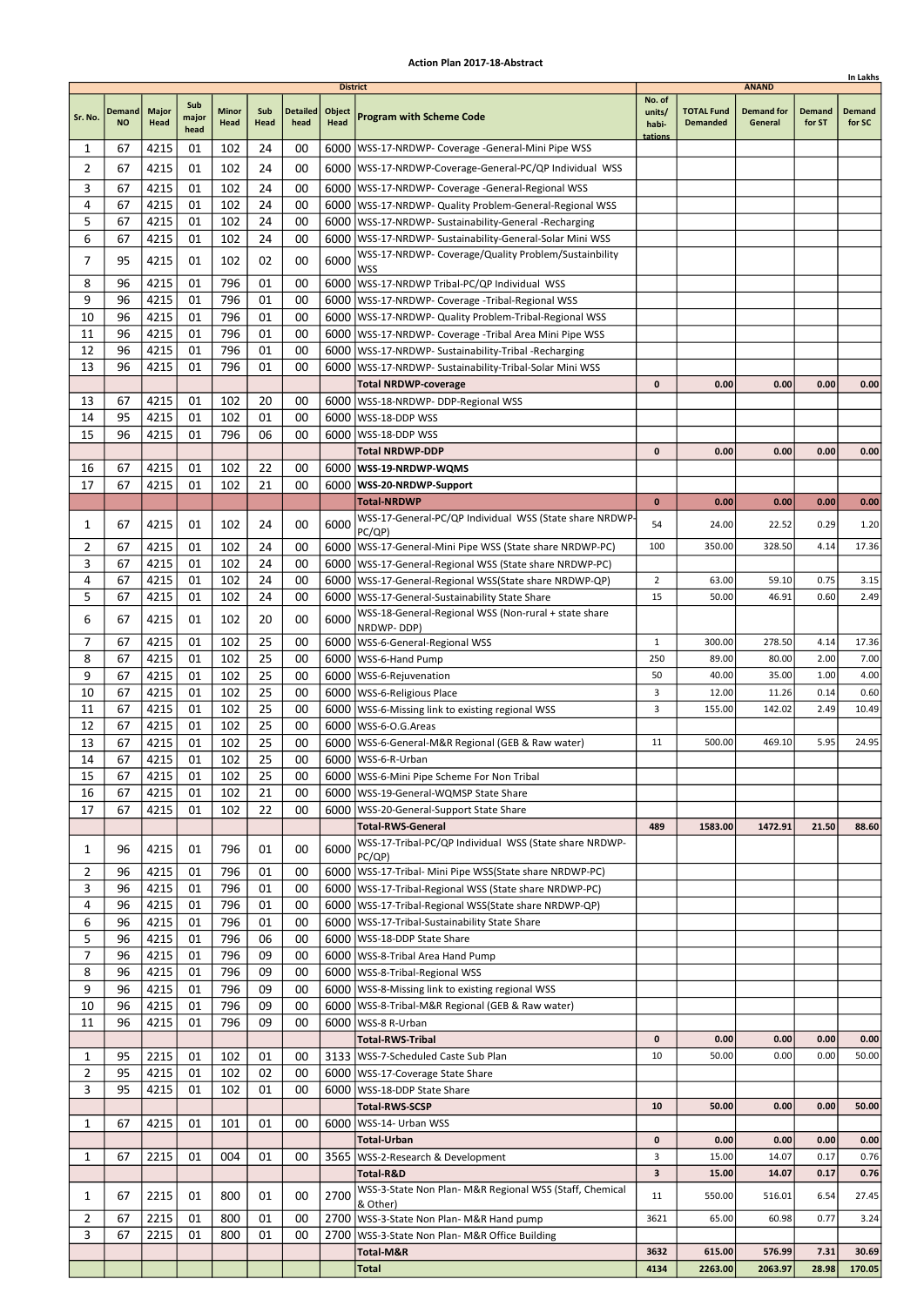|                |                     |                      |                      |               |             |                         |                                   |                                                                                |                           |                                      |                                              |                         | In Lakhs                |
|----------------|---------------------|----------------------|----------------------|---------------|-------------|-------------------------|-----------------------------------|--------------------------------------------------------------------------------|---------------------------|--------------------------------------|----------------------------------------------|-------------------------|-------------------------|
| Sr. No.        | Demand<br><b>NO</b> | <b>Major</b><br>Head | Sub<br>major<br>head | Minor<br>Head | Sub<br>Head | <b>Detailed</b><br>head | <b>District</b><br>Object<br>Head | <b>Program with Scheme Code</b>                                                | No. of<br>units/<br>habi- | <b>TOTAL Fund</b><br><b>Demanded</b> | <b>ANAND</b><br><b>Demand for</b><br>General | <b>Demand</b><br>for ST | <b>Demand</b><br>for SC |
| 1              | 67                  | 4215                 | 01                   | 102           | 24          | 00                      |                                   | 6000   WSS-17-NRDWP- Coverage - General-Mini Pipe WSS                          | tations                   |                                      |                                              |                         |                         |
| 2              | 67                  | 4215                 | 01                   | 102           | 24          | 00                      |                                   | 6000   WSS-17-NRDWP-Coverage-General-PC/QP Individual WSS                      |                           |                                      |                                              |                         |                         |
| 3              | 67                  | 4215                 | 01                   | 102           | 24          | 00                      |                                   | 6000   WSS-17-NRDWP- Coverage -General-Regional WSS                            |                           |                                      |                                              |                         |                         |
| 4              | 67                  | 4215                 | 01                   | 102           | 24          | 00                      |                                   | 6000   WSS-17-NRDWP- Quality Problem-General-Regional WSS                      |                           |                                      |                                              |                         |                         |
| 5              | 67                  | 4215                 | 01                   | 102           | 24          | 00                      |                                   | 6000   WSS-17-NRDWP- Sustainability-General -Recharging                        |                           |                                      |                                              |                         |                         |
| 6              | 67                  | 4215                 | 01                   | 102           | 24          | 00                      |                                   | 6000   WSS-17-NRDWP- Sustainability-General-Solar Mini WSS                     |                           |                                      |                                              |                         |                         |
| 7              | 95                  | 4215                 | 01                   | 102           | 02          | 00                      | 6000                              | WSS-17-NRDWP- Coverage/Quality Problem/Sustainbility                           |                           |                                      |                                              |                         |                         |
| 8              | 96                  | 4215                 | 01                   | 796           | 01          | 00                      | 6000                              | <b>WSS</b><br>WSS-17-NRDWP Tribal-PC/QP Individual WSS                         |                           |                                      |                                              |                         |                         |
| 9              | 96                  | 4215                 | 01                   | 796           | 01          | 00                      |                                   | 6000   WSS-17-NRDWP- Coverage - Tribal-Regional WSS                            |                           |                                      |                                              |                         |                         |
| 10             | 96                  | 4215                 | 01                   | 796           | 01          | 00                      |                                   | 6000   WSS-17-NRDWP- Quality Problem-Tribal-Regional WSS                       |                           |                                      |                                              |                         |                         |
| 11             | 96                  | 4215                 | 01                   | 796           | 01          | 00                      |                                   | 6000   WSS-17-NRDWP- Coverage - Tribal Area Mini Pipe WSS                      |                           |                                      |                                              |                         |                         |
| 12             | 96                  | 4215                 | 01                   | 796           | 01          | 00                      |                                   | 6000   WSS-17-NRDWP- Sustainability-Tribal -Recharging                         |                           |                                      |                                              |                         |                         |
| 13             | 96                  | 4215                 | 01                   | 796           | 01          | 00                      | 6000                              | WSS-17-NRDWP- Sustainability-Tribal-Solar Mini WSS                             |                           |                                      |                                              |                         |                         |
| 13             | 67                  | 4215                 | 01                   | 102           | 20          | 00                      |                                   | <b>Total NRDWP-coverage</b><br>6000   WSS-18-NRDWP- DDP-Regional WSS           | 0                         | 0.00                                 | 0.00                                         | 0.00                    | 0.00                    |
| 14             | 95                  | 4215                 | 01                   | 102           | 01          | 00                      |                                   | 6000   WSS-18-DDP WSS                                                          |                           |                                      |                                              |                         |                         |
| 15             | 96                  | 4215                 | 01                   | 796           | 06          | 00                      | 6000                              | WSS-18-DDP WSS                                                                 |                           |                                      |                                              |                         |                         |
|                |                     |                      |                      |               |             |                         |                                   | <b>Total NRDWP-DDP</b>                                                         | 0                         | 0.00                                 | 0.00                                         | 0.00                    | 0.00                    |
| 16             | 67                  | 4215                 | 01                   | 102           | 22          | 00                      |                                   | 6000   WSS-19-NRDWP-WQMS                                                       |                           |                                      |                                              |                         |                         |
| 17             | 67                  | 4215                 | 01                   | 102           | 21          | 00                      |                                   | 6000   WSS-20-NRDWP-Support                                                    |                           |                                      |                                              |                         |                         |
|                |                     |                      |                      |               |             |                         |                                   | <b>Total-NRDWP</b>                                                             | $\bf{0}$                  | 0.00                                 | 0.00                                         | 0.00                    | 0.00                    |
| 1              | 67                  | 4215                 | 01                   | 102           | 24          | 00                      | 6000                              | WSS-17-General-PC/QP Individual WSS (State share NRDWP<br>PC/QP)               | 54                        | 24.00                                | 22.52                                        | 0.29                    | 1.20                    |
| 2              | 67                  | 4215                 | 01                   | 102           | 24          | 00                      |                                   | 6000   WSS-17-General-Mini Pipe WSS (State share NRDWP-PC)                     | 100                       | 350.00                               | 328.50                                       | 4.14                    | 17.36                   |
| 3              | 67                  | 4215                 | 01                   | 102           | 24          | 00                      |                                   | 6000   WSS-17-General-Regional WSS (State share NRDWP-PC)                      |                           |                                      |                                              |                         |                         |
| 4              | 67                  | 4215                 | 01                   | 102           | 24          | 00                      | 6000                              | WSS-17-General-Regional WSS(State share NRDWP-QP)                              | $\overline{2}$            | 63.00                                | 59.10                                        | 0.75                    | 3.15                    |
| 5              | 67                  | 4215                 | 01                   | 102           | 24          | 00                      |                                   | 6000   WSS-17-General-Sustainability State Share                               | 15                        | 50.00                                | 46.91                                        | 0.60                    | 2.49                    |
| 6              | 67                  | 4215                 | 01                   | 102           | 20          | 00                      | 6000                              | WSS-18-General-Regional WSS (Non-rural + state share<br>NRDWP-DDP)             |                           |                                      |                                              |                         |                         |
| 7              | 67                  | 4215                 | 01                   | 102           | 25          | 00                      |                                   | 6000   WSS-6-General-Regional WSS                                              | 1                         | 300.00                               | 278.50                                       | 4.14                    | 17.36                   |
| 8              | 67                  | 4215                 | 01                   | 102           | 25          | 00                      | 6000                              | WSS-6-Hand Pump                                                                | 250                       | 89.00                                | 80.00                                        | 2.00                    | 7.00                    |
| 9              | 67                  | 4215                 | 01                   | 102           | 25          | 00                      |                                   | 6000   WSS-6-Rejuvenation                                                      | 50                        | 40.00                                | 35.00                                        | 1.00                    | 4.00                    |
| 10             | 67                  | 4215                 | 01                   | 102           | 25          | 00                      |                                   | 6000   WSS-6-Religious Place                                                   | 3                         | 12.00                                | 11.26                                        | 0.14                    | 0.60                    |
| 11             | 67                  | 4215                 | 01                   | 102           | 25          | 00                      |                                   | 6000   WSS-6-Missing link to existing regional WSS                             | 3                         | 155.00                               | 142.02                                       | 2.49                    | 10.49                   |
| 12<br>13       | 67<br>67            | 4215<br>4215         | 01<br>01             | 102<br>102    | 25<br>25    | 00<br>00                |                                   | 6000   WSS-6-O.G. Areas<br>6000   WSS-6-General-M&R Regional (GEB & Raw water) | 11                        | 500.00                               | 469.10                                       | 5.95                    | 24.95                   |
| 14             | 67                  | 4215                 | 01                   | 102           | 25          | 00                      |                                   | 6000   WSS-6-R-Urban                                                           |                           |                                      |                                              |                         |                         |
| 15             | 67                  | 4215                 | 01                   | 102           | 25          | 00                      |                                   | 6000 WSS-6-Mini Pipe Scheme For Non Tribal                                     |                           |                                      |                                              |                         |                         |
| 16             | 67                  | 4215                 | 01                   | 102           | 21          | 00                      |                                   | 6000   WSS-19-General-WQMSP State Share                                        |                           |                                      |                                              |                         |                         |
| 17             | 67                  | 4215                 | 01                   | 102           | 22          | 00                      |                                   | 6000   WSS-20-General-Support State Share                                      |                           |                                      |                                              |                         |                         |
|                |                     |                      |                      |               |             |                         |                                   | <b>Total-RWS-General</b>                                                       | 489                       | 1583.00                              | 1472.91                                      | 21.50                   | 88.60                   |
| 1              | 96                  | 4215                 | 01                   | 796           | 01          | 00                      | 6000                              | WSS-17-Tribal-PC/QP Individual WSS (State share NRDWP-<br>PC/QP)               |                           |                                      |                                              |                         |                         |
| 2              | 96                  | 4215                 | 01                   | 796           | 01          | 00                      |                                   | 6000   WSS-17-Tribal- Mini Pipe WSS (State share NRDWP-PC)                     |                           |                                      |                                              |                         |                         |
| 3              | 96                  | 4215                 | 01                   | 796           | 01          | 00                      |                                   | 6000   WSS-17-Tribal-Regional WSS (State share NRDWP-PC)                       |                           |                                      |                                              |                         |                         |
| 4              | 96                  | 4215                 | 01                   | 796           | 01          | 00                      |                                   | 6000   WSS-17-Tribal-Regional WSS(State share NRDWP-QP)                        |                           |                                      |                                              |                         |                         |
| 6<br>5         | 96<br>96            | 4215                 | 01                   | 796<br>796    | 01          | 00<br>00                |                                   | 6000 WSS-17-Tribal-Sustainability State Share<br>6000   WSS-18-DDP State Share |                           |                                      |                                              |                         |                         |
| 7              | 96                  | 4215<br>4215         | 01<br>01             | 796           | 06<br>09    | 00                      |                                   | 6000 WSS-8-Tribal Area Hand Pump                                               |                           |                                      |                                              |                         |                         |
| 8              | 96                  | 4215                 | 01                   | 796           | 09          | 00                      |                                   | 6000   WSS-8-Tribal-Regional WSS                                               |                           |                                      |                                              |                         |                         |
| 9              | 96                  | 4215                 | 01                   | 796           | 09          | 00                      |                                   | 6000   WSS-8-Missing link to existing regional WSS                             |                           |                                      |                                              |                         |                         |
| 10             | 96                  | 4215                 | 01                   | 796           | 09          | 00                      |                                   | 6000   WSS-8-Tribal-M&R Regional (GEB & Raw water)                             |                           |                                      |                                              |                         |                         |
| 11             | 96                  | 4215                 | 01                   | 796           | 09          | 00                      |                                   | 6000   WSS-8 R-Urban                                                           |                           |                                      |                                              |                         |                         |
|                |                     |                      |                      |               |             |                         |                                   | <b>Total-RWS-Tribal</b>                                                        | $\mathbf 0$               | 0.00                                 | 0.00                                         | 0.00                    | 0.00                    |
| 1              | 95                  | 2215                 | 01                   | 102           | 01          | 00                      |                                   | 3133   WSS-7-Scheduled Caste Sub Plan                                          | 10                        | 50.00                                | 0.00                                         | 0.00                    | 50.00                   |
| 2<br>3         | 95<br>95            | 4215<br>4215         | 01<br>01             | 102<br>102    | 02<br>01    | 00<br>00                |                                   | 6000   WSS-17-Coverage State Share<br>6000   WSS-18-DDP State Share            |                           |                                      |                                              |                         |                         |
|                |                     |                      |                      |               |             |                         |                                   | <b>Total-RWS-SCSP</b>                                                          | 10                        | 50.00                                | 0.00                                         | 0.00                    | 50.00                   |
| 1              | 67                  | 4215                 | 01                   | 101           | 01          | 00                      |                                   | 6000   WSS-14- Urban WSS                                                       |                           |                                      |                                              |                         |                         |
|                |                     |                      |                      |               |             |                         |                                   | <b>Total-Urban</b>                                                             | 0                         | 0.00                                 | 0.00                                         | 0.00                    | 0.00                    |
| 1              | 67                  | 2215                 | 01                   | 004           | 01          | 00                      |                                   | 3565   WSS-2-Research & Development                                            | 3                         | 15.00                                | 14.07                                        | 0.17                    | 0.76                    |
|                |                     |                      |                      |               |             |                         |                                   | Total-R&D                                                                      | 3                         | 15.00                                | 14.07                                        | 0.17                    | 0.76                    |
| 1              | 67                  | 2215                 | 01                   | 800           | 01          | 00                      | 2700                              | WSS-3-State Non Plan- M&R Regional WSS (Staff, Chemical<br>& Other)            | 11                        | 550.00                               | 516.01                                       | 6.54                    | 27.45                   |
| $\overline{2}$ | 67                  | 2215                 | 01                   | 800           | 01          | 00                      |                                   | 2700   WSS-3-State Non Plan- M&R Hand pump                                     | 3621                      | 65.00                                | 60.98                                        | 0.77                    | 3.24                    |
| 3              | 67                  | 2215                 | 01                   | 800           | 01          | 00                      | 2700                              | WSS-3-State Non Plan- M&R Office Building                                      |                           |                                      |                                              |                         |                         |
|                |                     |                      |                      |               |             |                         |                                   | Total-M&R                                                                      | 3632                      | 615.00                               | 576.99                                       | 7.31                    | 30.69                   |
|                |                     |                      |                      |               |             |                         |                                   | <b>Total</b>                                                                   | 4134                      | 2263.00                              | 2063.97                                      | 28.98                   | 170.05                  |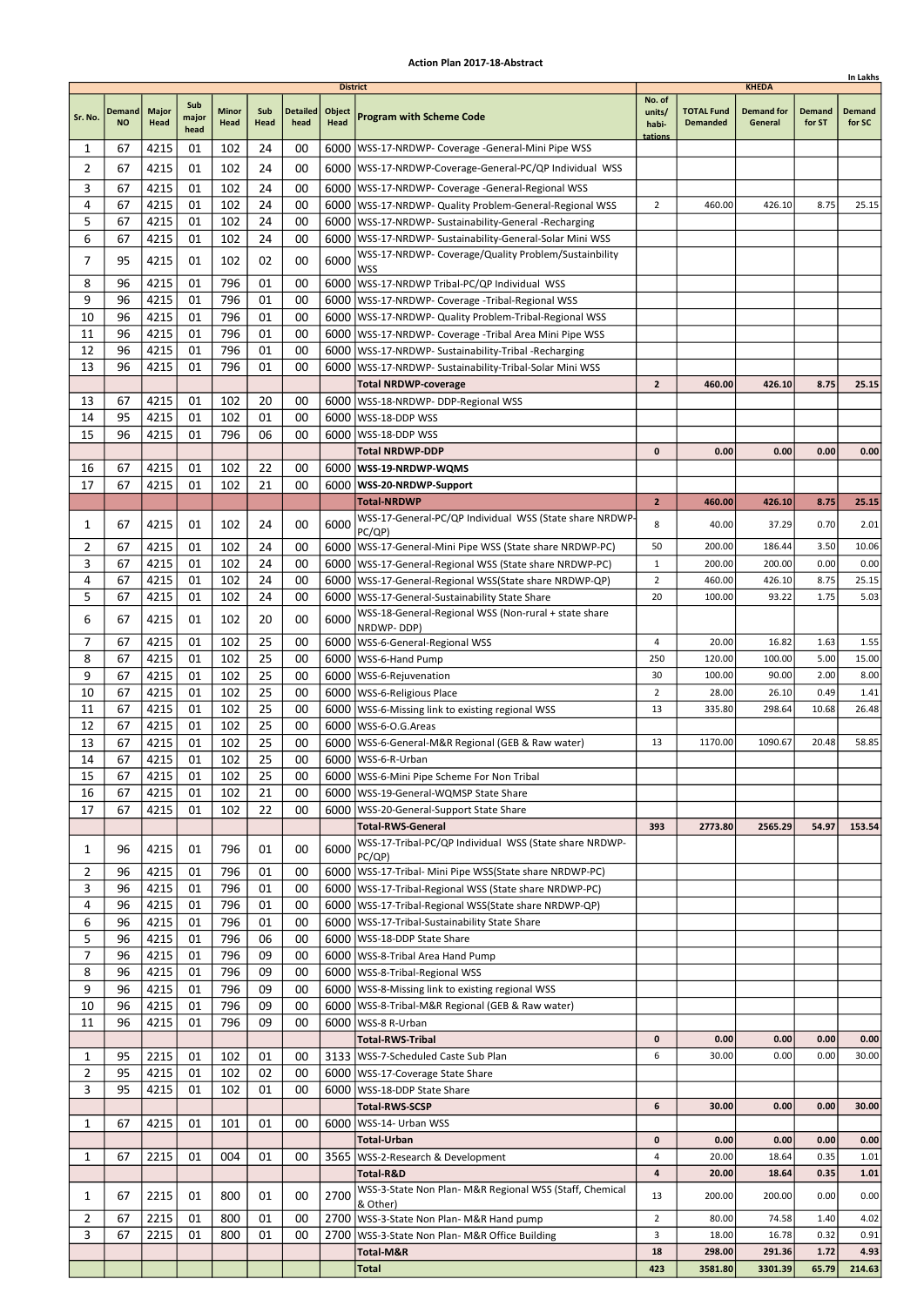|                |                     |                      |                      |               |             |                         |                                   |                                                                                   |                                      |                                      |                                              |                         | In Lakhs                |
|----------------|---------------------|----------------------|----------------------|---------------|-------------|-------------------------|-----------------------------------|-----------------------------------------------------------------------------------|--------------------------------------|--------------------------------------|----------------------------------------------|-------------------------|-------------------------|
| Sr. No.        | Demand<br><b>NO</b> | <b>Major</b><br>Head | Sub<br>major<br>head | Minor<br>Head | Sub<br>Head | <b>Detailed</b><br>head | <b>District</b><br>Object<br>Head | <b>Program with Scheme Code</b>                                                   | No. of<br>units/<br>habi-<br>tations | <b>TOTAL Fund</b><br><b>Demanded</b> | <b>KHEDA</b><br><b>Demand for</b><br>General | <b>Demand</b><br>for ST | <b>Demand</b><br>for SC |
| 1              | 67                  | 4215                 | 01                   | 102           | 24          | 00                      |                                   | 6000   WSS-17-NRDWP- Coverage - General-Mini Pipe WSS                             |                                      |                                      |                                              |                         |                         |
| 2              | 67                  | 4215                 | 01                   | 102           | 24          | 00                      |                                   | 6000   WSS-17-NRDWP-Coverage-General-PC/QP Individual WSS                         |                                      |                                      |                                              |                         |                         |
| 3              | 67                  | 4215                 | 01                   | 102           | 24          | 00                      |                                   | 6000   WSS-17-NRDWP- Coverage -General-Regional WSS                               |                                      |                                      |                                              |                         |                         |
| 4              | 67                  | 4215                 | 01                   | 102           | 24          | 00                      |                                   | 6000   WSS-17-NRDWP- Quality Problem-General-Regional WSS                         | $\overline{2}$                       | 460.00                               | 426.10                                       | 8.75                    | 25.15                   |
| 5              | 67                  | 4215                 | 01                   | 102           | 24          | 00                      |                                   | 6000   WSS-17-NRDWP- Sustainability-General -Recharging                           |                                      |                                      |                                              |                         |                         |
| 6              | 67                  | 4215                 | 01                   | 102           | 24          | 00                      |                                   | 6000   WSS-17-NRDWP- Sustainability-General-Solar Mini WSS                        |                                      |                                      |                                              |                         |                         |
| 7              | 95                  | 4215                 | 01                   | 102           | 02          | 00                      | 6000                              | WSS-17-NRDWP- Coverage/Quality Problem/Sustainbility<br><b>WSS</b>                |                                      |                                      |                                              |                         |                         |
| 8              | 96                  | 4215                 | 01                   | 796           | 01          | 00                      | 6000                              | WSS-17-NRDWP Tribal-PC/QP Individual WSS                                          |                                      |                                      |                                              |                         |                         |
| 9              | 96                  | 4215                 | 01                   | 796           | 01          | 00                      |                                   | 6000   WSS-17-NRDWP- Coverage - Tribal-Regional WSS                               |                                      |                                      |                                              |                         |                         |
| 10             | 96                  | 4215                 | 01                   | 796           | 01          | 00                      |                                   | 6000   WSS-17-NRDWP- Quality Problem-Tribal-Regional WSS                          |                                      |                                      |                                              |                         |                         |
| 11             | 96                  | 4215                 | 01                   | 796           | 01          | 00                      |                                   | 6000   WSS-17-NRDWP- Coverage - Tribal Area Mini Pipe WSS                         |                                      |                                      |                                              |                         |                         |
| 12<br>13       | 96<br>96            | 4215                 | 01<br>01             | 796           | 01          | 00<br>00                |                                   | 6000   WSS-17-NRDWP- Sustainability-Tribal -Recharging                            |                                      |                                      |                                              |                         |                         |
|                |                     | 4215                 |                      | 796           | 01          |                         | 6000                              | WSS-17-NRDWP- Sustainability-Tribal-Solar Mini WSS<br><b>Total NRDWP-coverage</b> | $\overline{2}$                       | 460.00                               | 426.10                                       | 8.75                    | 25.15                   |
| 13             | 67                  | 4215                 | 01                   | 102           | 20          | 00                      |                                   | 6000   WSS-18-NRDWP- DDP-Regional WSS                                             |                                      |                                      |                                              |                         |                         |
| 14             | 95                  | 4215                 | 01                   | 102           | 01          | 00                      |                                   | 6000   WSS-18-DDP WSS                                                             |                                      |                                      |                                              |                         |                         |
| 15             | 96                  | 4215                 | 01                   | 796           | 06          | 00                      | 6000                              | WSS-18-DDP WSS                                                                    |                                      |                                      |                                              |                         |                         |
|                |                     |                      |                      |               |             |                         |                                   | <b>Total NRDWP-DDP</b>                                                            | 0                                    | 0.00                                 | 0.00                                         | 0.00                    | 0.00                    |
| 16             | 67                  | 4215                 | 01                   | 102           | 22          | 00                      |                                   | 6000   WSS-19-NRDWP-WQMS                                                          |                                      |                                      |                                              |                         |                         |
| 17             | 67                  | 4215                 | 01                   | 102           | 21          | 00                      |                                   | 6000   WSS-20-NRDWP-Support                                                       |                                      |                                      |                                              |                         |                         |
|                |                     |                      |                      |               |             |                         |                                   | <b>Total-NRDWP</b>                                                                | $\overline{2}$                       | 460.00                               | 426.10                                       | 8.75                    | 25.15                   |
| 1              | 67                  | 4215                 | 01                   | 102           | 24          | 00                      | 6000                              | WSS-17-General-PC/QP Individual WSS (State share NRDWP-<br>PC/QP)                 | 8                                    | 40.00                                | 37.29                                        | 0.70                    | 2.01                    |
| 2              | 67                  | 4215                 | 01                   | 102           | 24          | 00                      |                                   | 6000   WSS-17-General-Mini Pipe WSS (State share NRDWP-PC)                        | 50                                   | 200.00                               | 186.44                                       | 3.50                    | 10.06                   |
| 3              | 67                  | 4215                 | 01                   | 102           | 24          | 00                      |                                   | 6000   WSS-17-General-Regional WSS (State share NRDWP-PC)                         | $\mathbf{1}$                         | 200.00                               | 200.00                                       | 0.00                    | 0.00                    |
| 4              | 67                  | 4215                 | 01                   | 102           | 24          | 00                      | 6000                              | WSS-17-General-Regional WSS(State share NRDWP-QP)                                 | $\overline{2}$                       | 460.00                               | 426.10                                       | 8.75                    | 25.15                   |
| 5              | 67                  | 4215                 | 01                   | 102           | 24          | 00                      |                                   | 6000   WSS-17-General-Sustainability State Share                                  | 20                                   | 100.00                               | 93.22                                        | 1.75                    | 5.03                    |
| 6              | 67                  | 4215                 | 01                   | 102           | 20          | 00                      | 6000                              | WSS-18-General-Regional WSS (Non-rural + state share<br>NRDWP-DDP)                |                                      |                                      |                                              |                         |                         |
| 7              | 67                  | 4215                 | 01                   | 102           | 25          | 00                      |                                   | 6000   WSS-6-General-Regional WSS                                                 | 4                                    | 20.00                                | 16.82                                        | 1.63                    | 1.55                    |
| 8              | 67                  | 4215                 | 01                   | 102           | 25          | 00                      | 6000                              | WSS-6-Hand Pump                                                                   | 250                                  | 120.00                               | 100.00                                       | 5.00                    | 15.00                   |
| 9              | 67                  | 4215                 | 01                   | 102           | 25          | 00                      |                                   | 6000   WSS-6-Rejuvenation                                                         | 30                                   | 100.00                               | 90.00                                        | 2.00                    | 8.00                    |
| 10             | 67                  | 4215                 | 01                   | 102           | 25          | 00                      | 6000                              | WSS-6-Religious Place                                                             | $\overline{2}$                       | 28.00                                | 26.10                                        | 0.49                    | 1.41                    |
| 11             | 67                  | 4215                 | 01                   | 102           | 25          | 00                      |                                   | 6000   WSS-6-Missing link to existing regional WSS                                | 13                                   | 335.80                               | 298.64                                       | 10.68                   | 26.48                   |
| 12<br>13       | 67<br>67            | 4215<br>4215         | 01<br>01             | 102<br>102    | 25<br>25    | 00<br>00                |                                   | 6000   WSS-6-O.G. Areas<br>6000   WSS-6-General-M&R Regional (GEB & Raw water)    | 13                                   | 1170.00                              | 1090.67                                      | 20.48                   | 58.85                   |
| 14             | 67                  | 4215                 | 01                   | 102           | 25          | 00                      |                                   | 6000   WSS-6-R-Urban                                                              |                                      |                                      |                                              |                         |                         |
| 15             | 67                  | 4215                 | 01                   | 102           | 25          | 00                      |                                   | 6000 WSS-6-Mini Pipe Scheme For Non Tribal                                        |                                      |                                      |                                              |                         |                         |
| 16             | 67                  | 4215                 | 01                   | 102           | 21          | 00                      |                                   | 6000   WSS-19-General-WQMSP State Share                                           |                                      |                                      |                                              |                         |                         |
| 17             | 67                  | 4215                 | 01                   | 102           | 22          | 00                      |                                   | 6000   WSS-20-General-Support State Share                                         |                                      |                                      |                                              |                         |                         |
|                |                     |                      |                      |               |             |                         |                                   | <b>Total-RWS-General</b>                                                          | 393                                  | 2773.80                              | 2565.29                                      | 54.97                   | 153.54                  |
| 1              | 96                  | 4215                 | 01                   | 796           | 01          | 00                      | 6000                              | WSS-17-Tribal-PC/QP Individual WSS (State share NRDWP-<br>PC/QP)                  |                                      |                                      |                                              |                         |                         |
| 2              | 96                  | 4215                 | 01                   | 796           | 01          | 00                      |                                   | 6000   WSS-17-Tribal- Mini Pipe WSS (State share NRDWP-PC)                        |                                      |                                      |                                              |                         |                         |
| 3              | 96                  | 4215                 | 01                   | 796           | 01          | 00                      |                                   | 6000   WSS-17-Tribal-Regional WSS (State share NRDWP-PC)                          |                                      |                                      |                                              |                         |                         |
| 4              | 96                  | 4215                 | 01                   | 796           | 01          | 00                      |                                   | 6000   WSS-17-Tribal-Regional WSS(State share NRDWP-QP)                           |                                      |                                      |                                              |                         |                         |
| 6<br>5         | 96<br>96            | 4215<br>4215         | 01<br>01             | 796<br>796    | 01<br>06    | 00<br>00                |                                   | 6000   WSS-17-Tribal-Sustainability State Share<br>6000   WSS-18-DDP State Share  |                                      |                                      |                                              |                         |                         |
| 7              | 96                  | 4215                 | 01                   | 796           | 09          | 00                      |                                   | 6000 WSS-8-Tribal Area Hand Pump                                                  |                                      |                                      |                                              |                         |                         |
| 8              | 96                  | 4215                 | 01                   | 796           | 09          | 00                      |                                   | 6000   WSS-8-Tribal-Regional WSS                                                  |                                      |                                      |                                              |                         |                         |
| 9              | 96                  | 4215                 | 01                   | 796           | 09          | 00                      |                                   | 6000   WSS-8-Missing link to existing regional WSS                                |                                      |                                      |                                              |                         |                         |
| 10             | 96                  | 4215                 | 01                   | 796           | 09          | 00                      |                                   | 6000   WSS-8-Tribal-M&R Regional (GEB & Raw water)                                |                                      |                                      |                                              |                         |                         |
| 11             | 96                  | 4215                 | 01                   | 796           | 09          | 00                      |                                   | 6000   WSS-8 R-Urban                                                              |                                      |                                      |                                              |                         |                         |
|                |                     |                      |                      |               |             |                         |                                   | <b>Total-RWS-Tribal</b>                                                           | $\mathbf 0$                          | 0.00                                 | 0.00                                         | 0.00                    | 0.00                    |
| 1              | 95                  | 2215                 | 01                   | 102           | 01          | 00                      |                                   | 3133   WSS-7-Scheduled Caste Sub Plan                                             | 6                                    | 30.00                                | 0.00                                         | 0.00                    | 30.00                   |
| 2<br>3         | 95<br>95            | 4215<br>4215         | 01<br>01             | 102<br>102    | 02<br>01    | 00<br>00                |                                   | 6000   WSS-17-Coverage State Share<br>6000   WSS-18-DDP State Share               |                                      |                                      |                                              |                         |                         |
|                |                     |                      |                      |               |             |                         |                                   | <b>Total-RWS-SCSP</b>                                                             | 6                                    | 30.00                                | 0.00                                         | 0.00                    | 30.00                   |
| 1              | 67                  | 4215                 | 01                   | 101           | 01          | 00                      |                                   | 6000   WSS-14- Urban WSS                                                          |                                      |                                      |                                              |                         |                         |
|                |                     |                      |                      |               |             |                         |                                   | <b>Total-Urban</b>                                                                | 0                                    | 0.00                                 | 0.00                                         | 0.00                    | 0.00                    |
| 1              | 67                  | 2215                 | 01                   | 004           | 01          | 00                      |                                   | 3565   WSS-2-Research & Development                                               | 4                                    | 20.00                                | 18.64                                        | 0.35                    | 1.01                    |
|                |                     |                      |                      |               |             |                         |                                   | Total-R&D                                                                         | 4                                    | 20.00                                | 18.64                                        | 0.35                    | 1.01                    |
| 1              | 67                  | 2215                 | 01                   | 800           | 01          | 00                      | 2700                              | WSS-3-State Non Plan- M&R Regional WSS (Staff, Chemical<br>& Other)               | 13                                   | 200.00                               | 200.00                                       | 0.00                    | 0.00                    |
| $\overline{2}$ | 67                  | 2215                 | 01                   | 800           | 01          | 00                      |                                   | 2700   WSS-3-State Non Plan- M&R Hand pump                                        | $\overline{2}$                       | 80.00                                | 74.58                                        | 1.40                    | 4.02                    |
| 3              | 67                  | 2215                 | 01                   | 800           | 01          | 00                      | 2700                              | WSS-3-State Non Plan- M&R Office Building                                         | 3                                    | 18.00                                | 16.78                                        | 0.32                    | 0.91                    |
|                |                     |                      |                      |               |             |                         |                                   | Total-M&R                                                                         | 18                                   | 298.00                               | 291.36                                       | 1.72                    | 4.93                    |
|                |                     |                      |                      |               |             |                         |                                   | <b>Total</b>                                                                      | 423                                  | 3581.80                              | 3301.39                                      | 65.79                   | 214.63                  |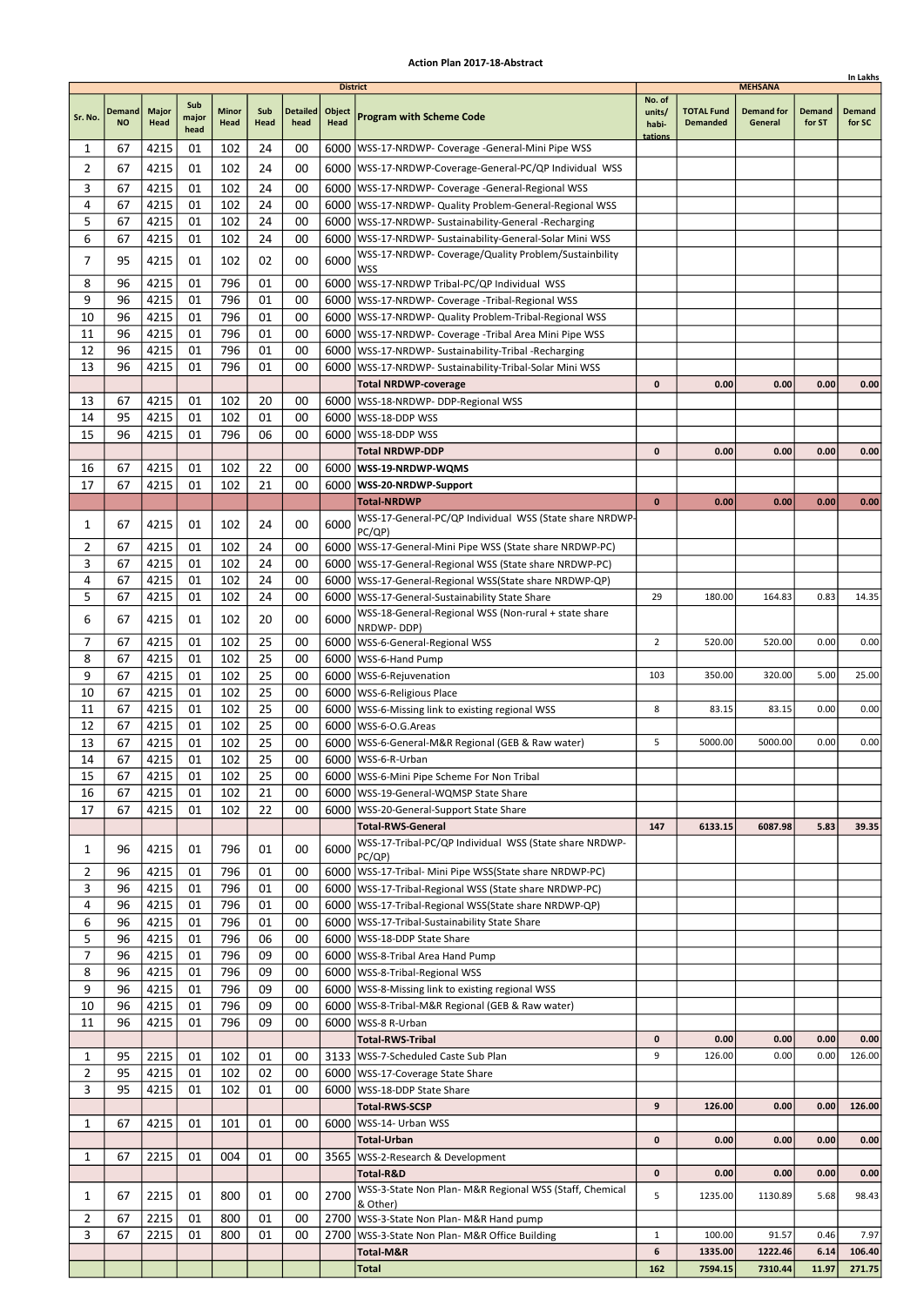|                |                            |                      |                      |                      |             |                         |                                          |                                                                                                                        |                                      |                                      |                                                |                  | In Lakhs                |
|----------------|----------------------------|----------------------|----------------------|----------------------|-------------|-------------------------|------------------------------------------|------------------------------------------------------------------------------------------------------------------------|--------------------------------------|--------------------------------------|------------------------------------------------|------------------|-------------------------|
| Sr. No.        | <b>Demand</b><br><b>NO</b> | <b>Major</b><br>Head | Sub<br>major<br>head | <b>Minor</b><br>Head | Sub<br>Head | <b>Detailed</b><br>head | <b>District</b><br>Object<br><b>Head</b> | <b>Program with Scheme Code</b>                                                                                        | No. of<br>units/<br>habi-<br>tations | <b>TOTAL Fund</b><br><b>Demanded</b> | <b>MEHSANA</b><br><b>Demand for</b><br>General | Demand<br>for ST | <b>Demand</b><br>for SC |
| 1              | 67                         | 4215                 | 01                   | 102                  | 24          | 00                      |                                          | 6000   WSS-17-NRDWP- Coverage - General-Mini Pipe WSS                                                                  |                                      |                                      |                                                |                  |                         |
| 2              | 67                         | 4215                 | 01                   | 102                  | 24          | 00                      |                                          | 6000   WSS-17-NRDWP-Coverage-General-PC/QP Individual WSS                                                              |                                      |                                      |                                                |                  |                         |
| 3              | 67                         | 4215                 | 01                   | 102                  | 24          | 00                      |                                          | 6000   WSS-17-NRDWP- Coverage - General-Regional WSS                                                                   |                                      |                                      |                                                |                  |                         |
| 4              | 67                         | 4215                 | 01                   | 102                  | 24          | 00                      |                                          | 6000   WSS-17-NRDWP- Quality Problem-General-Regional WSS                                                              |                                      |                                      |                                                |                  |                         |
| 5<br>6         | 67<br>67                   | 4215<br>4215         | 01<br>01             | 102<br>102           | 24<br>24    | 00<br>00                | 6000                                     | 6000   WSS-17-NRDWP- Sustainability-General -Recharging<br>WSS-17-NRDWP- Sustainability-General-Solar Mini WSS         |                                      |                                      |                                                |                  |                         |
| 7              | 95                         | 4215                 | 01                   | 102                  | 02          | 00                      | 6000                                     | WSS-17-NRDWP- Coverage/Quality Problem/Sustainbility                                                                   |                                      |                                      |                                                |                  |                         |
|                |                            |                      |                      |                      |             |                         |                                          | <b>WSS</b>                                                                                                             |                                      |                                      |                                                |                  |                         |
| 8<br>9         | 96<br>96                   | 4215<br>4215         | 01<br>01             | 796<br>796           | 01<br>01    | 00<br>00                |                                          | 6000   WSS-17-NRDWP Tribal-PC/QP Individual WSS<br>6000   WSS-17-NRDWP- Coverage - Tribal-Regional WSS                 |                                      |                                      |                                                |                  |                         |
| 10             | 96                         | 4215                 | 01                   | 796                  | 01          | 00                      |                                          | 6000   WSS-17-NRDWP- Quality Problem-Tribal-Regional WSS                                                               |                                      |                                      |                                                |                  |                         |
| 11             | 96                         | 4215                 | 01                   | 796                  | 01          | 00                      | 6000                                     | WSS-17-NRDWP- Coverage -Tribal Area Mini Pipe WSS                                                                      |                                      |                                      |                                                |                  |                         |
| 12             | 96                         | 4215                 | 01                   | 796                  | 01          | 00                      | 6000                                     | WSS-17-NRDWP- Sustainability-Tribal -Recharging                                                                        |                                      |                                      |                                                |                  |                         |
| 13             | 96                         | 4215                 | 01                   | 796                  | 01          | 00                      | 6000                                     | WSS-17-NRDWP- Sustainability-Tribal-Solar Mini WSS                                                                     |                                      |                                      |                                                |                  |                         |
| 13             | 67                         | 4215                 | 01                   | 102                  | 20          | 00                      |                                          | <b>Total NRDWP-coverage</b><br>6000   WSS-18-NRDWP- DDP-Regional WSS                                                   | $\mathbf{0}$                         | 0.00                                 | 0.00                                           | 0.00             | 0.00                    |
| 14             | 95                         | 4215                 | 01                   | 102                  | 01          | 00                      | 6000                                     | WSS-18-DDP WSS                                                                                                         |                                      |                                      |                                                |                  |                         |
| 15             | 96                         | 4215                 | 01                   | 796                  | 06          | 00                      | 6000                                     | lWSS-18-DDP WSS                                                                                                        |                                      |                                      |                                                |                  |                         |
|                |                            |                      |                      |                      |             |                         |                                          | Total NRDWP-DDP                                                                                                        | $\mathbf{0}$                         | 0.00                                 | 0.00                                           | 0.00             | 0.00                    |
| 16             | 67                         | 4215                 | 01                   | 102                  | 22          | 00                      |                                          | 6000   WSS-19-NRDWP-WQMS                                                                                               |                                      |                                      |                                                |                  |                         |
| 17             | 67                         | 4215                 | 01                   | 102                  | 21          | 00                      |                                          | 6000   WSS-20-NRDWP-Support<br><b>Total-NRDWP</b>                                                                      | $\mathbf 0$                          | 0.00                                 | 0.00                                           | 0.00             | 0.00                    |
|                |                            |                      |                      |                      |             |                         |                                          | WSS-17-General-PC/QP Individual WSS (State share NRDWP-                                                                |                                      |                                      |                                                |                  |                         |
| 1              | 67                         | 4215                 | 01                   | 102                  | 24          | 00                      | 6000                                     | PC(QP)                                                                                                                 |                                      |                                      |                                                |                  |                         |
| 2              | 67                         | 4215                 | 01                   | 102                  | 24          | 00                      |                                          | 6000   WSS-17-General-Mini Pipe WSS (State share NRDWP-PC)                                                             |                                      |                                      |                                                |                  |                         |
| 3<br>4         | 67<br>67                   | 4215<br>4215         | 01<br>01             | 102<br>102           | 24<br>24    | 00<br>00                |                                          | 6000   WSS-17-General-Regional WSS (State share NRDWP-PC)<br>6000   WSS-17-General-Regional WSS (State share NRDWP-QP) |                                      |                                      |                                                |                  |                         |
| 5              | 67                         | 4215                 | 01                   | 102                  | 24          | 00                      |                                          | 6000   WSS-17-General-Sustainability State Share                                                                       | 29                                   | 180.00                               | 164.83                                         | 0.83             | 14.35                   |
| 6              | 67                         | 4215                 | 01                   | 102                  | 20          | 00                      | 6000                                     | WSS-18-General-Regional WSS (Non-rural + state share                                                                   |                                      |                                      |                                                |                  |                         |
|                |                            |                      |                      |                      |             |                         |                                          | NRDWP-DDP)                                                                                                             |                                      |                                      |                                                |                  |                         |
| 7<br>8         | 67<br>67                   | 4215<br>4215         | 01<br>01             | 102<br>102           | 25<br>25    | 00<br>00                | 6000                                     | 6000   WSS-6-General-Regional WSS<br>WSS-6-Hand Pump                                                                   | $\overline{2}$                       | 520.00                               | 520.00                                         | 0.00             | 0.00                    |
| 9              | 67                         | 4215                 | 01                   | 102                  | 25          | 00                      | 6000                                     | WSS-6-Rejuvenation                                                                                                     | 103                                  | 350.00                               | 320.00                                         | 5.00             | 25.00                   |
| 10             | 67                         | 4215                 | 01                   | 102                  | 25          | 00                      |                                          | 6000   WSS-6-Religious Place                                                                                           |                                      |                                      |                                                |                  |                         |
| 11             | 67                         | 4215                 | 01                   | 102                  | 25          | 00                      |                                          | 6000   WSS-6-Missing link to existing regional WSS                                                                     | 8                                    | 83.15                                | 83.15                                          | 0.00             | 0.00                    |
| 12             | 67                         | 4215                 | 01                   | 102                  | 25          | 00                      |                                          | 6000   WSS-6-O.G. Areas                                                                                                |                                      |                                      |                                                |                  |                         |
| 13<br>14       | 67<br>67                   | 4215                 | 01<br>01             | 102<br>102           | 25<br>25    | 00<br>00                |                                          | 6000   WSS-6-General-M&R Regional (GEB & Raw water)<br>6000   WSS-6-R-Urban                                            | 5                                    | 5000.00                              | 5000.00                                        | 0.00             | 0.00                    |
| 15             | 67                         | 4215<br>4215         | 01                   | 102                  | 25          | 00                      |                                          | 6000   WSS-6-Mini Pipe Scheme For Non Tribal                                                                           |                                      |                                      |                                                |                  |                         |
| 16             | 67                         | 4215                 | 01                   | 102                  | 21          | 00                      |                                          | 6000   WSS-19-General-WQMSP State Share                                                                                |                                      |                                      |                                                |                  |                         |
| 17             | 67                         | 4215                 | 01                   | 102                  | 22          | 00                      |                                          | 6000   WSS-20-General-Support State Share                                                                              |                                      |                                      |                                                |                  |                         |
|                |                            |                      |                      |                      |             |                         |                                          | <b>Total-RWS-General</b>                                                                                               | 147                                  | 6133.15                              | 6087.98                                        | 5.83             | 39.35                   |
| 1              | 96                         | 4215                 | 01                   | 796                  | 01          | 00                      | 6000                                     | WSS-17-Tribal-PC/QP Individual WSS (State share NRDWP-<br>PC(QP)                                                       |                                      |                                      |                                                |                  |                         |
| 2              | 96                         | 4215                 | 01                   | 796                  | 01          | 00                      |                                          | 6000   WSS-17-Tribal- Mini Pipe WSS(State share NRDWP-PC)                                                              |                                      |                                      |                                                |                  |                         |
| 3              | 96                         | 4215                 | 01                   | 796                  | 01          | 00                      |                                          | 6000   WSS-17-Tribal-Regional WSS (State share NRDWP-PC)                                                               |                                      |                                      |                                                |                  |                         |
| 4              | 96                         | 4215                 | 01                   | 796                  | 01          | 00                      |                                          | 6000   WSS-17-Tribal-Regional WSS (State share NRDWP-QP)                                                               |                                      |                                      |                                                |                  |                         |
| 6<br>5         | 96<br>96                   | 4215<br>4215         | 01<br>01             | 796<br>796           | 01<br>06    | 00<br>00                |                                          | 6000   WSS-17-Tribal-Sustainability State Share<br>6000   WSS-18-DDP State Share                                       |                                      |                                      |                                                |                  |                         |
| 7              | 96                         | 4215                 | 01                   | 796                  | 09          | 00                      |                                          | 6000 WSS-8-Tribal Area Hand Pump                                                                                       |                                      |                                      |                                                |                  |                         |
| 8              | 96                         | 4215                 | 01                   | 796                  | 09          | 00                      |                                          | 6000   WSS-8-Tribal-Regional WSS                                                                                       |                                      |                                      |                                                |                  |                         |
| 9              | 96                         | 4215                 | 01                   | 796                  | 09          | 00                      |                                          | 6000   WSS-8-Missing link to existing regional WSS                                                                     |                                      |                                      |                                                |                  |                         |
| 10             | 96                         | 4215                 | 01                   | 796                  | 09          | 00                      |                                          | 6000   WSS-8-Tribal-M&R Regional (GEB & Raw water)                                                                     |                                      |                                      |                                                |                  |                         |
| 11             | 96                         | 4215                 | 01                   | 796                  | 09          | 00                      |                                          | 6000   WSS-8 R-Urban<br><b>Total-RWS-Tribal</b>                                                                        | 0                                    | 0.00                                 | 0.00                                           | 0.00             | 0.00                    |
| 1              | 95                         | 2215                 | 01                   | 102                  | 01          | 00                      |                                          | 3133   WSS-7-Scheduled Caste Sub Plan                                                                                  | 9                                    | 126.00                               | 0.00                                           | 0.00             | 126.00                  |
| $\overline{2}$ | 95                         | 4215                 | 01                   | 102                  | 02          | 00                      |                                          | 6000   WSS-17-Coverage State Share                                                                                     |                                      |                                      |                                                |                  |                         |
| 3              | 95                         | 4215                 | 01                   | 102                  | 01          | 00                      |                                          | 6000   WSS-18-DDP State Share                                                                                          |                                      |                                      |                                                |                  |                         |
|                |                            |                      |                      |                      |             |                         |                                          | Total-RWS-SCSP                                                                                                         | 9                                    | 126.00                               | 0.00                                           | 0.00             | 126.00                  |
| 1              | 67                         | 4215                 | 01                   | 101                  | 01          | 00                      |                                          | 6000   WSS-14- Urban WSS                                                                                               |                                      |                                      |                                                |                  |                         |
| 1              | 67                         | 2215                 | 01                   | 004                  | 01          | 00                      |                                          | Total-Urban<br>3565   WSS-2-Research & Development                                                                     | $\mathbf 0$                          | 0.00                                 | 0.00                                           | 0.00             | 0.00                    |
|                |                            |                      |                      |                      |             |                         |                                          | Total-R&D                                                                                                              | 0                                    | 0.00                                 | 0.00                                           | 0.00             | 0.00                    |
| 1              | 67                         | 2215                 | 01                   | 800                  | 01          | 00                      | 2700                                     | WSS-3-State Non Plan- M&R Regional WSS (Staff, Chemical                                                                | 5                                    | 1235.00                              | 1130.89                                        | 5.68             | 98.43                   |
| $\overline{2}$ | 67                         | 2215                 | 01                   | 800                  | 01          | 00                      |                                          | & Other)<br>2700   WSS-3-State Non Plan- M&R Hand pump                                                                 |                                      |                                      |                                                |                  |                         |
| 3              | 67                         | 2215                 | 01                   | 800                  | 01          | 00                      | 2700                                     | WSS-3-State Non Plan- M&R Office Building                                                                              | $\mathbf{1}$                         | 100.00                               | 91.57                                          | 0.46             | 7.97                    |
|                |                            |                      |                      |                      |             |                         |                                          | Total-M&R                                                                                                              | 6                                    | 1335.00                              | 1222.46                                        | 6.14             | 106.40                  |
|                |                            |                      |                      |                      |             |                         |                                          | Total                                                                                                                  | 162                                  | 7594.15                              | 7310.44                                        | 11.97            | 271.75                  |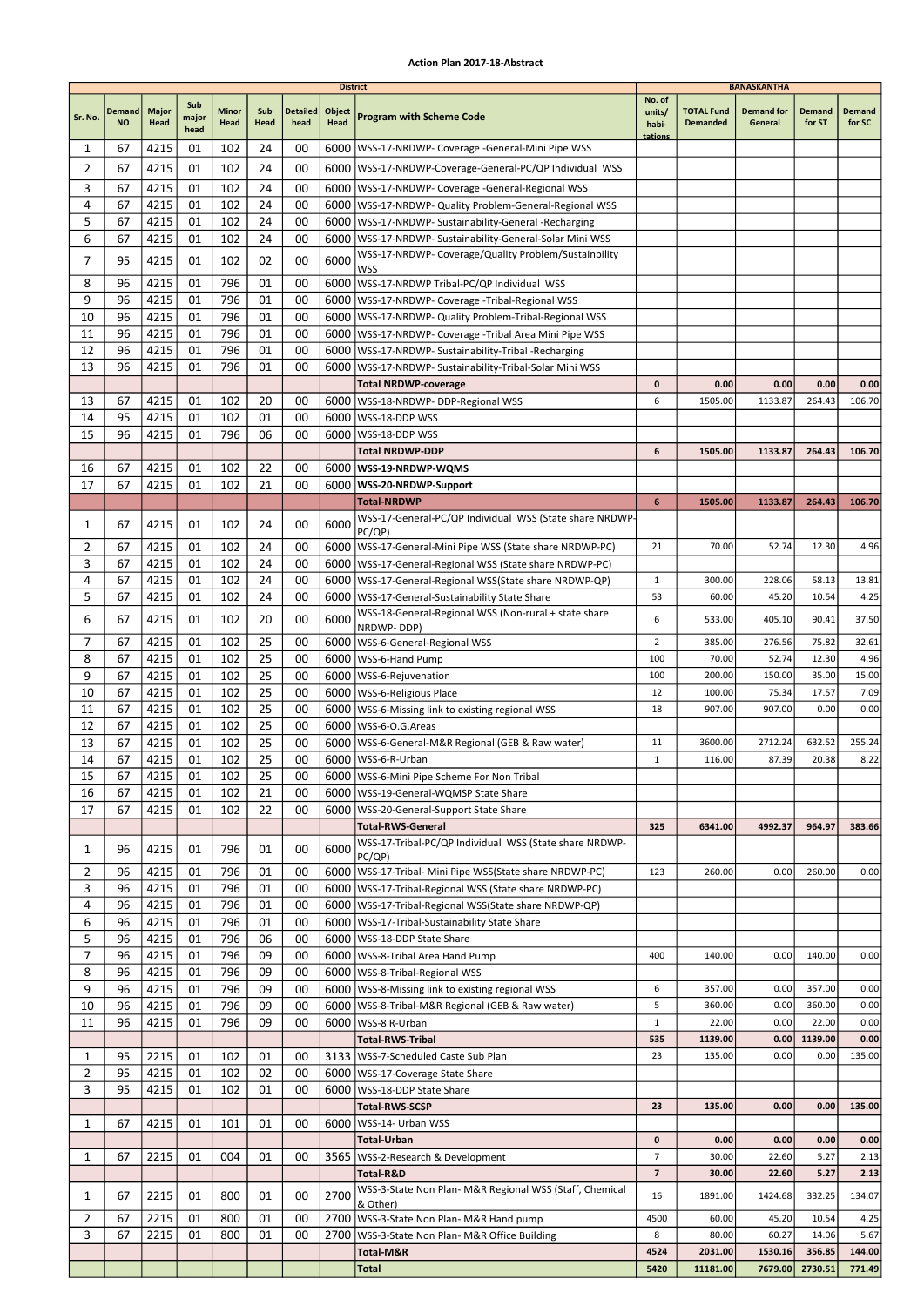|              |                            |               |                      |               |                 |                         | <b>District</b> |                                                                                                                     |                                      |                                      | <b>BANASKANTHA</b>           |                         |                         |
|--------------|----------------------------|---------------|----------------------|---------------|-----------------|-------------------------|-----------------|---------------------------------------------------------------------------------------------------------------------|--------------------------------------|--------------------------------------|------------------------------|-------------------------|-------------------------|
| Sr. No.      | <b>Demand</b><br><b>NO</b> | Major<br>Head | Sub<br>major<br>head | Minor<br>Head | Sub<br>Head     | <b>Detailed</b><br>head | Object<br>Head  | <b>Program with Scheme Code</b>                                                                                     | No. of<br>units/<br>habi-<br>tations | <b>TOTAL Fund</b><br><b>Demanded</b> | <b>Demand for</b><br>General | <b>Demand</b><br>for ST | <b>Demand</b><br>for SC |
| 1            | 67                         | 4215          | 01                   | 102           | 24              | 00                      |                 | 6000   WSS-17-NRDWP- Coverage - General-Mini Pipe WSS                                                               |                                      |                                      |                              |                         |                         |
| 2            | 67                         | 4215          | 01                   | 102           | 24              | 00                      |                 | 6000   WSS-17-NRDWP-Coverage-General-PC/QP Individual WSS                                                           |                                      |                                      |                              |                         |                         |
| 3            | 67                         | 4215          | 01                   | 102           | 24              | 00                      |                 | 6000   WSS-17-NRDWP- Coverage - General-Regional WSS                                                                |                                      |                                      |                              |                         |                         |
| 4            | 67                         | 4215          | 01                   | 102           | 24              | 00                      | 6000            | WSS-17-NRDWP- Quality Problem-General-Regional WSS                                                                  |                                      |                                      |                              |                         |                         |
| 5            | 67                         | 4215          | 01                   | 102           | 24              | 00                      |                 | 6000   WSS-17-NRDWP- Sustainability-General -Recharging                                                             |                                      |                                      |                              |                         |                         |
| 6            | 67                         | 4215          | 01                   | 102           | 24              | 00                      |                 | 6000   WSS-17-NRDWP- Sustainability-General-Solar Mini WSS                                                          |                                      |                                      |                              |                         |                         |
| 7            | 95                         | 4215          | 01                   | 102           | 02              | 00                      | 6000            | WSS-17-NRDWP- Coverage/Quality Problem/Sustainbility<br>WSS                                                         |                                      |                                      |                              |                         |                         |
| 8            | 96                         | 4215          | 01                   | 796           | 01              | 00                      |                 | 6000 WSS-17-NRDWP Tribal-PC/QP Individual WSS                                                                       |                                      |                                      |                              |                         |                         |
| 9            | 96                         | 4215          | 01                   | 796           | 01              | 00                      | 6000            | WSS-17-NRDWP- Coverage -Tribal-Regional WSS                                                                         |                                      |                                      |                              |                         |                         |
| 10           | 96                         | 4215          | 01                   | 796           | 01              | 00                      |                 | 6000   WSS-17-NRDWP- Quality Problem-Tribal-Regional WSS                                                            |                                      |                                      |                              |                         |                         |
| 11           | 96                         | 4215          | 01                   | 796           | 01              | 00                      |                 | 6000   WSS-17-NRDWP- Coverage - Tribal Area Mini Pipe WSS                                                           |                                      |                                      |                              |                         |                         |
| 12<br>13     | 96<br>96                   | 4215<br>4215  | 01<br>01             | 796<br>796    | 01<br>01        | 00<br>00                |                 | 6000   WSS-17-NRDWP- Sustainability-Tribal -Recharging<br>6000   WSS-17-NRDWP- Sustainability-Tribal-Solar Mini WSS |                                      |                                      |                              |                         |                         |
|              |                            |               |                      |               |                 |                         |                 | <b>Total NRDWP-coverage</b>                                                                                         | 0                                    | 0.00                                 | 0.00                         | 0.00                    | 0.00                    |
| 13           | 67                         | 4215          | 01                   | 102           | 20              | 00                      |                 | 6000 WSS-18-NRDWP- DDP-Regional WSS                                                                                 | 6                                    | 1505.00                              | 1133.87                      | 264.43                  | 106.70                  |
| 14           | 95                         | 4215          | 01                   | 102           | 01              | 00                      |                 | 6000 WSS-18-DDP WSS                                                                                                 |                                      |                                      |                              |                         |                         |
| 15           | 96                         | 4215          | 01                   | 796           | 06              | 00                      |                 | 6000 WSS-18-DDP WSS                                                                                                 |                                      |                                      |                              |                         |                         |
|              |                            |               |                      |               |                 |                         |                 | <b>Total NRDWP-DDP</b>                                                                                              | 6                                    | 1505.00                              | 1133.87                      | 264.43                  | 106.70                  |
| 16           | 67                         | 4215          | 01                   | 102           | 22              | 00                      |                 | 6000   WSS-19-NRDWP-WQMS                                                                                            |                                      |                                      |                              |                         |                         |
| 17           | 67                         | 4215          | 01                   | 102           | 21              | 00                      | 6000            | WSS-20-NRDWP-Support                                                                                                |                                      |                                      |                              |                         |                         |
|              |                            |               |                      |               |                 |                         |                 | <b>Total-NRDWP</b><br>WSS-17-General-PC/QP Individual WSS (State share NRDWP-                                       | 6                                    | 1505.00                              | 1133.87                      | 264.43                  | 106.70                  |
| 1            | 67                         | 4215          | 01                   | 102           | 24              | 00                      | 6000            | PC/QP)                                                                                                              |                                      |                                      |                              |                         |                         |
| 2            | 67                         | 4215          | 01                   | 102           | 24              | 00                      |                 | 6000   WSS-17-General-Mini Pipe WSS (State share NRDWP-PC)                                                          | 21                                   | 70.00                                | 52.74                        | 12.30                   | 4.96                    |
| 3            | 67                         | 4215          | 01                   | 102           | 24              | 00                      |                 | 6000   WSS-17-General-Regional WSS (State share NRDWP-PC)                                                           |                                      |                                      |                              |                         |                         |
| 4            | 67                         | 4215          | 01                   | 102           | 24              | 00                      |                 | 6000   WSS-17-General-Regional WSS (State share NRDWP-QP)                                                           | $\mathbf{1}$                         | 300.00                               | 228.06                       | 58.13                   | 13.81                   |
| 5            | 67                         | 4215          | 01                   | 102           | 24              | 00                      | 6000            | WSS-17-General-Sustainability State Share                                                                           | 53                                   | 60.00                                | 45.20                        | 10.54                   | 4.25                    |
| 6            | 67                         | 4215          | 01                   | 102           | 20              | 00                      | 6000            | WSS-18-General-Regional WSS (Non-rural + state share<br>NRDWP-DDP)                                                  | 6                                    | 533.00                               | 405.10                       | 90.41                   | 37.50                   |
| 7            | 67                         | 4215          | 01                   | 102           | 25              | 00                      | 6000            | WSS-6-General-Regional WSS                                                                                          | $\overline{2}$                       | 385.00                               | 276.56                       | 75.82                   | 32.61                   |
| 8            | 67                         | 4215          | 01                   | 102           | 25              | 00                      |                 | 6000   WSS-6-Hand Pump                                                                                              | 100                                  | 70.00                                | 52.74                        | 12.30                   | 4.96                    |
| 9            | 67                         | 4215          | 01                   | 102           | 25              | 00                      |                 | 6000   WSS-6-Rejuvenation                                                                                           | 100                                  | 200.00                               | 150.00                       | 35.00                   | 15.00                   |
| 10           | 67                         | 4215          | 01                   | 102           | 25              | 00                      |                 | 6000   WSS-6-Religious Place                                                                                        | 12                                   | 100.00                               | 75.34                        | 17.57                   | 7.09                    |
| 11<br>12     | 67<br>67                   | 4215          | 01<br>01             | 102<br>102    | 25<br>25        | 00<br>00                | 6000            | WSS-6-Missing link to existing regional WSS<br>lWSS-6-O.G.Areas                                                     | 18                                   | 907.00                               | 907.00                       | 0.00                    | 0.00                    |
| 13           | 67                         | 4215<br>4215  | 01                   | 102           | 25              | 00                      | 6000            | 6000   WSS-6-General-M&R Regional (GEB & Raw water)                                                                 | 11                                   | 3600.00                              | 2712.24                      | 632.52                  | 255.24                  |
| 14           | 67                         | 4215          | 01                   | 102           | 25              | 00                      |                 | 6000   WSS-6-R-Urban                                                                                                | 1                                    | 116.00                               | 87.39                        | 20.38                   | 8.22                    |
| 15           | 67                         | 4215          | 01                   | 102           | $\overline{25}$ | 00                      |                 | 6000 WSS-6-Mini Pipe Scheme For Non Tribal                                                                          |                                      |                                      |                              |                         |                         |
| 16           | 67                         | 4215          | 01                   | 102           | 21              | 00                      |                 | 6000   WSS-19-General-WQMSP State Share                                                                             |                                      |                                      |                              |                         |                         |
| 17           | 67                         | 4215          | 01                   | 102           | 22              | 00                      |                 | 6000   WSS-20-General-Support State Share                                                                           |                                      |                                      |                              |                         |                         |
|              |                            |               |                      |               |                 |                         |                 | <b>Total-RWS-General</b>                                                                                            | 325                                  | 6341.00                              | 4992.37                      | 964.97                  | 383.66                  |
| 1            | 96                         | 4215          | 01                   | 796           | 01              | 00                      | 6000            | WSS-17-Tribal-PC/QP Individual WSS (State share NRDWP-<br>PC/QP)                                                    |                                      |                                      |                              |                         |                         |
| 2            | 96                         | 4215          | 01                   | 796           | 01              | 00                      |                 | 6000   WSS-17-Tribal- Mini Pipe WSS (State share NRDWP-PC)                                                          | 123                                  | 260.00                               | 0.00                         | 260.00                  | 0.00                    |
| 3            | 96                         | 4215          | 01                   | 796           | 01              | 00                      |                 | 6000   WSS-17-Tribal-Regional WSS (State share NRDWP-PC)                                                            |                                      |                                      |                              |                         |                         |
| 4            | 96                         | 4215          | 01                   | 796           | 01              | 00                      |                 | 6000   WSS-17-Tribal-Regional WSS (State share NRDWP-QP)                                                            |                                      |                                      |                              |                         |                         |
| 6            | 96                         | 4215          | 01                   | 796           | 01              | 00                      |                 | 6000   WSS-17-Tribal-Sustainability State Share                                                                     |                                      |                                      |                              |                         |                         |
| 5            | 96                         | 4215          | 01                   | 796           | 06              | 00                      |                 | 6000   WSS-18-DDP State Share                                                                                       |                                      |                                      |                              |                         |                         |
| 7<br>8       | 96<br>96                   | 4215<br>4215  | 01<br>01             | 796<br>796    | 09<br>09        | 00<br>00                |                 | 6000   WSS-8-Tribal Area Hand Pump<br>6000   WSS-8-Tribal-Regional WSS                                              | 400                                  | 140.00                               | 0.00                         | 140.00                  | 0.00                    |
| 9            | 96                         | 4215          | 01                   | 796           | 09              | 00                      |                 | 6000   WSS-8-Missing link to existing regional WSS                                                                  | 6                                    | 357.00                               | 0.00                         | 357.00                  | 0.00                    |
| 10           | 96                         | 4215          | 01                   | 796           | 09              | 00                      |                 | 6000   WSS-8-Tribal-M&R Regional (GEB & Raw water)                                                                  | 5                                    | 360.00                               | 0.00                         | 360.00                  | 0.00                    |
| 11           | 96                         | 4215          | 01                   | 796           | 09              | 00                      |                 | 6000   WSS-8 R-Urban                                                                                                | $\mathbf{1}$                         | 22.00                                | 0.00                         | 22.00                   | 0.00                    |
|              |                            |               |                      |               |                 |                         |                 | <b>Total-RWS-Tribal</b>                                                                                             | 535                                  | 1139.00                              | 0.00                         | 1139.00                 | 0.00                    |
| 1            | 95                         | 2215          | 01                   | 102           | 01              | 00                      |                 | 3133   WSS-7-Scheduled Caste Sub Plan                                                                               | 23                                   | 135.00                               | 0.00                         | 0.00                    | 135.00                  |
| 2            | 95                         | 4215          | 01                   | 102           | 02              | 00                      |                 | 6000   WSS-17-Coverage State Share                                                                                  |                                      |                                      |                              |                         |                         |
| 3            | 95                         | 4215          | 01                   | 102           | 01              | 00                      |                 | 6000   WSS-18-DDP State Share                                                                                       | 23                                   | 135.00                               | 0.00                         | 0.00                    | 135.00                  |
| 1            | 67                         | 4215          | 01                   | 101           | 01              | 00                      |                 | Total-RWS-SCSP<br>6000   WSS-14- Urban WSS                                                                          |                                      |                                      |                              |                         |                         |
|              |                            |               |                      |               |                 |                         |                 | <b>Total-Urban</b>                                                                                                  | 0                                    | 0.00                                 | 0.00                         | 0.00                    | 0.00                    |
| $\mathbf{1}$ | 67                         | 2215          | 01                   | 004           | 01              | 00                      |                 | 3565   WSS-2-Research & Development                                                                                 | $\overline{7}$                       | 30.00                                | 22.60                        | 5.27                    | 2.13                    |
|              |                            |               |                      |               |                 |                         |                 | Total-R&D                                                                                                           | $\overline{\textbf{z}}$              | 30.00                                | 22.60                        | 5.27                    | 2.13                    |
| 1            | 67                         | 2215          | 01                   | 800           | 01              | 00                      | 2700            | WSS-3-State Non Plan- M&R Regional WSS (Staff, Chemical                                                             | 16                                   | 1891.00                              | 1424.68                      | 332.25                  | 134.07                  |
| 2            | 67                         | 2215          | 01                   | 800           | 01              | 00                      |                 | & Other)<br>2700   WSS-3-State Non Plan- M&R Hand pump                                                              | 4500                                 | 60.00                                | 45.20                        | 10.54                   | 4.25                    |
| 3            | 67                         | 2215          | 01                   | 800           | 01              | 00                      |                 | 2700   WSS-3-State Non Plan- M&R Office Building                                                                    | 8                                    | 80.00                                | 60.27                        | 14.06                   | 5.67                    |
|              |                            |               |                      |               |                 |                         |                 | Total-M&R                                                                                                           | 4524                                 | 2031.00                              | 1530.16                      | 356.85                  | 144.00                  |
|              |                            |               |                      |               |                 |                         |                 | Total                                                                                                               | 5420                                 | 11181.00                             | 7679.00                      | 2730.51                 | 771.49                  |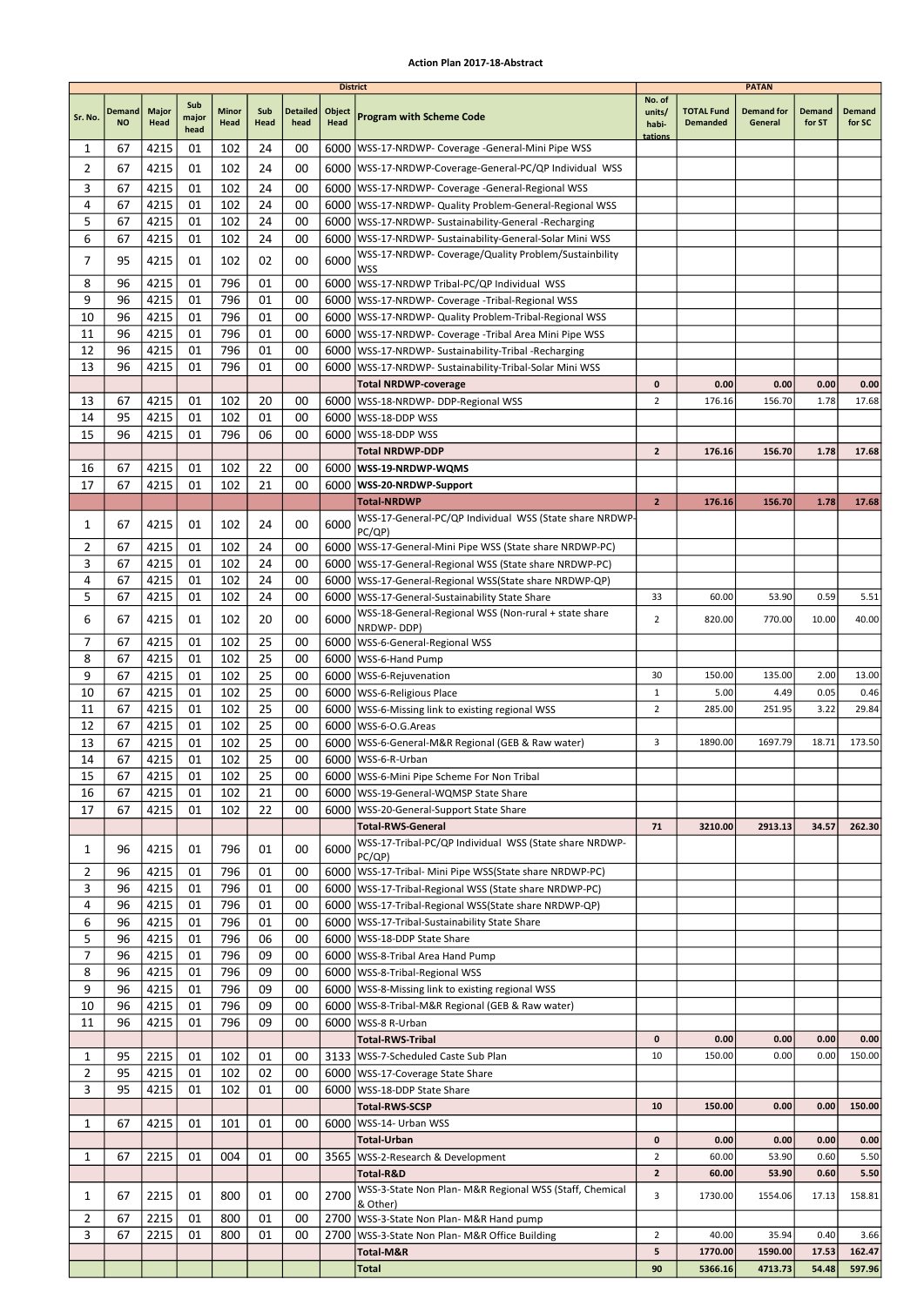|                |                     |               |                      |                      |                 |                         | <b>District</b> |                                                                                                                 |                           |                                      | <b>PATAN</b>                 |                  |                  |
|----------------|---------------------|---------------|----------------------|----------------------|-----------------|-------------------------|-----------------|-----------------------------------------------------------------------------------------------------------------|---------------------------|--------------------------------------|------------------------------|------------------|------------------|
| Sr. No.        | Demand<br><b>NO</b> | Major<br>Head | Sub<br>major<br>head | <b>Minor</b><br>Head | Sub<br>Head     | <b>Detailed</b><br>head | Object<br>Head  | <b>Program with Scheme Code</b>                                                                                 | No. of<br>units/<br>habi- | <b>TOTAL Fund</b><br><b>Demanded</b> | <b>Demand for</b><br>General | Demand<br>for ST | Demand<br>for SC |
| 1              | 67                  | 4215          | 01                   | 102                  | 24              | 00                      |                 | 6000   WSS-17-NRDWP- Coverage - General-Mini Pipe WSS                                                           | tations                   |                                      |                              |                  |                  |
| $\overline{2}$ | 67                  | 4215          | 01                   | 102                  | 24              | 00                      |                 | 6000   WSS-17-NRDWP-Coverage-General-PC/QP Individual WSS                                                       |                           |                                      |                              |                  |                  |
| 3              | 67                  | 4215          | 01                   | 102                  | 24              | 00                      |                 | 6000   WSS-17-NRDWP- Coverage - General-Regional WSS                                                            |                           |                                      |                              |                  |                  |
| 4              | 67                  | 4215          | 01                   | 102                  | 24              | 00                      |                 | 6000   WSS-17-NRDWP- Quality Problem-General-Regional WSS                                                       |                           |                                      |                              |                  |                  |
| 5              | 67                  | 4215          | 01                   | 102                  | 24              | 00                      |                 | 6000   WSS-17-NRDWP- Sustainability-General -Recharging                                                         |                           |                                      |                              |                  |                  |
| 6              | 67                  | 4215          | 01                   | 102                  | 24              | 00                      |                 | 6000   WSS-17-NRDWP- Sustainability-General-Solar Mini WSS                                                      |                           |                                      |                              |                  |                  |
| 7              | 95                  | 4215          | 01                   | 102                  | 02              | 00                      | 6000            | WSS-17-NRDWP- Coverage/Quality Problem/Sustainbility                                                            |                           |                                      |                              |                  |                  |
|                |                     |               |                      |                      |                 |                         |                 | <b>WSS</b>                                                                                                      |                           |                                      |                              |                  |                  |
| 8<br>9         | 96<br>96            | 4215<br>4215  | 01<br>01             | 796<br>796           | 01<br>01        | 00<br>00                |                 | 6000 WSS-17-NRDWP Tribal-PC/QP Individual WSS                                                                   |                           |                                      |                              |                  |                  |
| 10             | 96                  | 4215          | 01                   | 796                  | 01              | 00                      |                 | 6000   WSS-17-NRDWP- Coverage - Tribal-Regional WSS<br>6000   WSS-17-NRDWP- Quality Problem-Tribal-Regional WSS |                           |                                      |                              |                  |                  |
| 11             | 96                  | 4215          | 01                   | 796                  | 01              | 00                      | 6000            | WSS-17-NRDWP- Coverage -Tribal Area Mini Pipe WSS                                                               |                           |                                      |                              |                  |                  |
| 12             | 96                  | 4215          | 01                   | 796                  | 01              | 00                      |                 | 6000   WSS-17-NRDWP- Sustainability-Tribal -Recharging                                                          |                           |                                      |                              |                  |                  |
| 13             | 96                  | 4215          | 01                   | 796                  | 01              | 00                      |                 | 6000   WSS-17-NRDWP- Sustainability-Tribal-Solar Mini WSS                                                       |                           |                                      |                              |                  |                  |
|                |                     |               |                      |                      |                 |                         |                 | <b>Total NRDWP-coverage</b>                                                                                     | 0                         | 0.00                                 | 0.00                         | 0.00             | 0.00             |
| 13             | 67                  | 4215          | 01                   | 102                  | 20              | 00                      |                 | 6000 WSS-18-NRDWP- DDP-Regional WSS                                                                             | $\overline{2}$            | 176.16                               | 156.70                       | 1.78             | 17.68            |
| 14             | 95                  | 4215          | 01                   | 102                  | 01              | 00                      | 6000            | WSS-18-DDP WSS                                                                                                  |                           |                                      |                              |                  |                  |
| 15             | 96                  | 4215          | 01                   | 796                  | 06              | 00                      |                 | 6000 WSS-18-DDP WSS                                                                                             |                           |                                      |                              |                  |                  |
|                |                     |               |                      |                      |                 |                         |                 | <b>Total NRDWP-DDP</b>                                                                                          | $\overline{2}$            | 176.16                               | 156.70                       | 1.78             | 17.68            |
| 16             | 67                  | 4215          | 01                   | 102                  | 22              | 00                      |                 | 6000   WSS-19-NRDWP-WQMS                                                                                        |                           |                                      |                              |                  |                  |
| 17             | 67                  | 4215          | 01                   | 102                  | 21              | 00                      | 6000            | WSS-20-NRDWP-Support                                                                                            |                           |                                      |                              |                  |                  |
|                |                     |               |                      |                      |                 |                         |                 | <b>Total-NRDWP</b>                                                                                              | $\overline{2}$            | 176.16                               | 156.70                       | 1.78             | 17.68            |
| 1              | 67                  | 4215          | 01                   | 102                  | 24              | 00                      | 6000            | WSS-17-General-PC/QP Individual WSS (State share NRDWP-<br>PC/QP)                                               |                           |                                      |                              |                  |                  |
| 2              | 67                  | 4215          | 01                   | 102                  | 24              | 00                      | 6000            | WSS-17-General-Mini Pipe WSS (State share NRDWP-PC)                                                             |                           |                                      |                              |                  |                  |
| 3              | 67                  | 4215          | 01                   | 102                  | 24              | 00                      |                 | 6000   WSS-17-General-Regional WSS (State share NRDWP-PC)                                                       |                           |                                      |                              |                  |                  |
| 4              | 67                  | 4215          | 01                   | 102                  | 24              | 00                      |                 | 6000   WSS-17-General-Regional WSS (State share NRDWP-QP)                                                       |                           |                                      |                              |                  |                  |
| 5              | 67                  | 4215          | 01                   | 102                  | 24              | 00                      | 6000            | WSS-17-General-Sustainability State Share                                                                       | 33                        | 60.00                                | 53.90                        | 0.59             | 5.51             |
| 6              | 67                  | 4215          | 01                   | 102                  | 20              | 00                      | 6000            | WSS-18-General-Regional WSS (Non-rural + state share                                                            | $\overline{2}$            | 820.00                               | 770.00                       | 10.00            | 40.00            |
|                |                     |               |                      |                      |                 |                         |                 | NRDWP-DDP)                                                                                                      |                           |                                      |                              |                  |                  |
| 7              | 67                  | 4215          | 01                   | 102                  | 25              | 00                      |                 | 6000   WSS-6-General-Regional WSS                                                                               |                           |                                      |                              |                  |                  |
| 8              | 67                  | 4215          | 01                   | 102                  | 25              | 00                      |                 | 6000   WSS-6-Hand Pump                                                                                          |                           |                                      |                              |                  |                  |
| 9<br>10        | 67<br>67            | 4215<br>4215  | 01<br>01             | 102<br>102           | 25<br>25        | 00<br>00                |                 | 6000   WSS-6-Rejuvenation<br>6000   WSS-6-Religious Place                                                       | 30<br>1                   | 150.00<br>5.00                       | 135.00<br>4.49               | 2.00<br>0.05     | 13.00<br>0.46    |
| 11             | 67                  | 4215          | 01                   | 102                  | 25              | 00                      |                 | 6000   WSS-6-Missing link to existing regional WSS                                                              | $\overline{2}$            | 285.00                               | 251.95                       | 3.22             | 29.84            |
| 12             | 67                  | 4215          | 01                   | 102                  | 25              | 00                      |                 | 6000   WSS-6-O.G. Areas                                                                                         |                           |                                      |                              |                  |                  |
| 13             | 67                  | 4215          | 01                   | 102                  | 25              | 00                      |                 | 6000   WSS-6-General-M&R Regional (GEB & Raw water)                                                             | 3                         | 1890.00                              | 1697.79                      | 18.71            | 173.50           |
| 14             | 67                  | 4215          | 01                   | 102                  | 25              | 00                      |                 | 6000   WSS-6-R-Urban                                                                                            |                           |                                      |                              |                  |                  |
| 15             | 67                  | 4215          | 01                   | 102                  | $\overline{25}$ | $00\,$                  |                 | 6000 WSS-6-Mini Pipe Scheme For Non Tribal                                                                      |                           |                                      |                              |                  |                  |
| 16             | 67                  | 4215          | 01                   | 102                  | 21              | 00                      |                 | 6000   WSS-19-General-WQMSP State Share                                                                         |                           |                                      |                              |                  |                  |
| 17             | 67                  | 4215          | 01                   | 102                  | 22              | 00                      |                 | 6000   WSS-20-General-Support State Share                                                                       |                           |                                      |                              |                  |                  |
|                |                     |               |                      |                      |                 |                         |                 | <b>Total-RWS-General</b>                                                                                        | 71                        | 3210.00                              | 2913.13                      | 34.57            | 262.30           |
| 1              | 96                  | 4215          | 01                   | 796                  | 01              | 00                      | 6000            | WSS-17-Tribal-PC/QP Individual WSS (State share NRDWP-                                                          |                           |                                      |                              |                  |                  |
| 2              | 96                  | 4215          | 01                   | 796                  | 01              | 00                      |                 | PC/QP)<br>6000   WSS-17-Tribal- Mini Pipe WSS (State share NRDWP-PC)                                            |                           |                                      |                              |                  |                  |
| 3              | 96                  | 4215          | 01                   | 796                  | 01              | 00                      |                 | 6000   WSS-17-Tribal-Regional WSS (State share NRDWP-PC)                                                        |                           |                                      |                              |                  |                  |
| 4              | 96                  | 4215          | 01                   | 796                  | 01              | 00                      |                 | 6000   WSS-17-Tribal-Regional WSS (State share NRDWP-QP)                                                        |                           |                                      |                              |                  |                  |
| 6              | 96                  | 4215          | 01                   | 796                  | 01              | 00                      |                 | 6000   WSS-17-Tribal-Sustainability State Share                                                                 |                           |                                      |                              |                  |                  |
| 5              | 96                  | 4215          | 01                   | 796                  | 06              | 00                      |                 | 6000   WSS-18-DDP State Share                                                                                   |                           |                                      |                              |                  |                  |
| 7              | 96                  | 4215          | 01                   | 796                  | 09              | 00                      |                 | 6000   WSS-8-Tribal Area Hand Pump                                                                              |                           |                                      |                              |                  |                  |
| 8              | 96                  | 4215          | 01                   | 796                  | 09              | 00                      |                 | 6000   WSS-8-Tribal-Regional WSS                                                                                |                           |                                      |                              |                  |                  |
| 9              | 96                  | 4215          | 01                   | 796                  | 09              | 00                      |                 | 6000   WSS-8-Missing link to existing regional WSS                                                              |                           |                                      |                              |                  |                  |
| 10             | 96                  | 4215          | 01                   | 796                  | 09              | 00                      |                 | 6000   WSS-8-Tribal-M&R Regional (GEB & Raw water)                                                              |                           |                                      |                              |                  |                  |
| 11             | 96                  | 4215          | 01                   | 796                  | 09              | 00                      |                 | 6000   WSS-8 R-Urban                                                                                            |                           |                                      |                              |                  |                  |
|                |                     |               |                      |                      |                 |                         |                 | <b>Total-RWS-Tribal</b>                                                                                         | 0                         | 0.00                                 | 0.00<br>0.00                 | 0.00             | 0.00<br>150.00   |
| 1<br>2         | 95<br>95            | 2215<br>4215  | 01<br>01             | 102<br>102           | 01<br>02        | 00<br>00                |                 | 3133   WSS-7-Scheduled Caste Sub Plan<br>6000   WSS-17-Coverage State Share                                     | 10                        | 150.00                               |                              | 0.00             |                  |
| 3              | 95                  | 4215          | 01                   | 102                  | 01              | 00                      | 6000            | WSS-18-DDP State Share                                                                                          |                           |                                      |                              |                  |                  |
|                |                     |               |                      |                      |                 |                         |                 | Total-RWS-SCSP                                                                                                  | 10                        | 150.00                               | 0.00                         | 0.00             | 150.00           |
| 1              | 67                  | 4215          | 01                   | 101                  | 01              | 00                      |                 | 6000   WSS-14- Urban WSS                                                                                        |                           |                                      |                              |                  |                  |
|                |                     |               |                      |                      |                 |                         |                 | Total-Urban                                                                                                     | 0                         | 0.00                                 | 0.00                         | 0.00             | 0.00             |
| 1              | 67                  | 2215          | 01                   | 004                  | 01              | 00                      |                 | 3565   WSS-2-Research & Development                                                                             | $\overline{2}$            | 60.00                                | 53.90                        | 0.60             | 5.50             |
|                |                     |               |                      |                      |                 |                         |                 | Total-R&D                                                                                                       | $\overline{2}$            | 60.00                                | 53.90                        | 0.60             | 5.50             |
| 1              | 67                  | 2215          | 01                   | 800                  | 01              | 00                      | 2700            | WSS-3-State Non Plan- M&R Regional WSS (Staff, Chemical                                                         | 3                         | 1730.00                              | 1554.06                      | 17.13            | 158.81           |
| 2              | 67                  | 2215          | 01                   | 800                  | 01              | 00                      |                 | & Other)<br>2700 WSS-3-State Non Plan- M&R Hand pump                                                            |                           |                                      |                              |                  |                  |
| 3              | 67                  | 2215          | 01                   | 800                  | 01              | 00                      |                 | 2700   WSS-3-State Non Plan- M&R Office Building                                                                | $\overline{2}$            | 40.00                                | 35.94                        | 0.40             | 3.66             |
|                |                     |               |                      |                      |                 |                         |                 | Total-M&R                                                                                                       | 5                         | 1770.00                              | 1590.00                      | 17.53            | 162.47           |
|                |                     |               |                      |                      |                 |                         |                 | Total                                                                                                           | 90                        | 5366.16                              | 4713.73                      | 54.48            | 597.96           |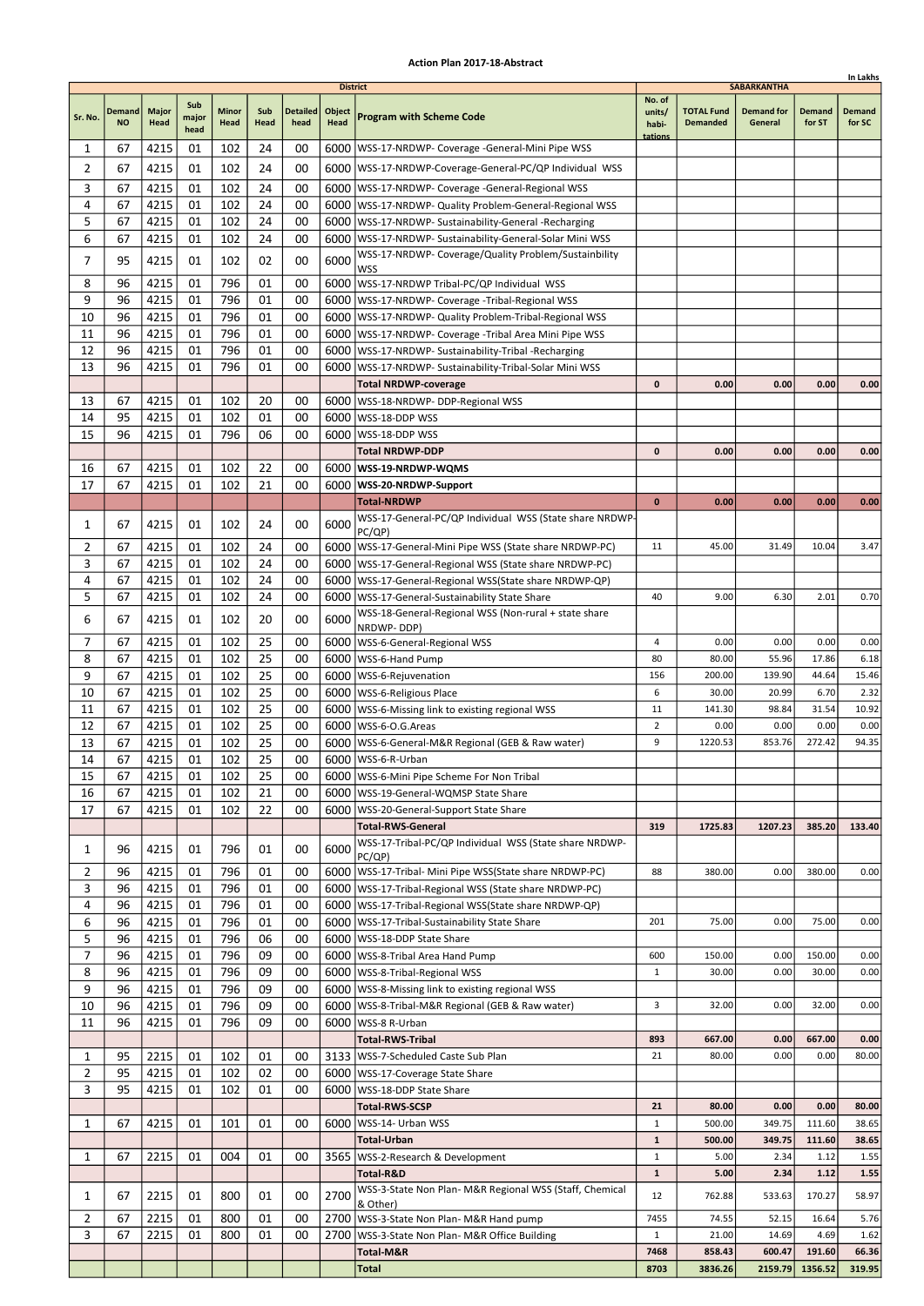|                |                            |                      |                      |                      |             |                         |                                          |                                                                                                                     |                                      |                                      |                                                    |                         | In Lakhs                |
|----------------|----------------------------|----------------------|----------------------|----------------------|-------------|-------------------------|------------------------------------------|---------------------------------------------------------------------------------------------------------------------|--------------------------------------|--------------------------------------|----------------------------------------------------|-------------------------|-------------------------|
| Sr. No.        | <b>Demand</b><br><b>NO</b> | <b>Major</b><br>Head | Sub<br>major<br>head | <b>Minor</b><br>Head | Sub<br>Head | <b>Detailed</b><br>head | <b>District</b><br>Object<br><b>Head</b> | <b>Program with Scheme Code</b>                                                                                     | No. of<br>units/<br>habi-<br>tations | <b>TOTAL Fund</b><br><b>Demanded</b> | <b>SABARKANTHA</b><br><b>Demand for</b><br>General | <b>Demand</b><br>for ST | <b>Demand</b><br>for SC |
| 1              | 67                         | 4215                 | 01                   | 102                  | 24          | 00                      |                                          | 6000   WSS-17-NRDWP- Coverage - General-Mini Pipe WSS                                                               |                                      |                                      |                                                    |                         |                         |
| $\overline{2}$ | 67                         | 4215                 | 01                   | 102                  | 24          | 00                      |                                          | 6000   WSS-17-NRDWP-Coverage-General-PC/QP Individual WSS                                                           |                                      |                                      |                                                    |                         |                         |
| 3              | 67                         | 4215                 | 01                   | 102                  | 24          | 00                      |                                          | 6000   WSS-17-NRDWP- Coverage - General-Regional WSS                                                                |                                      |                                      |                                                    |                         |                         |
| 4              | 67                         | 4215                 | 01                   | 102                  | 24          | 00                      |                                          | 6000   WSS-17-NRDWP- Quality Problem-General-Regional WSS                                                           |                                      |                                      |                                                    |                         |                         |
| 5              | 67                         | 4215                 | 01                   | 102                  | 24          | 00                      |                                          | 6000   WSS-17-NRDWP- Sustainability-General -Recharging                                                             |                                      |                                      |                                                    |                         |                         |
| 6              | 67                         | 4215                 | 01                   | 102                  | 24          | 00                      |                                          | 6000   WSS-17-NRDWP- Sustainability-General-Solar Mini WSS                                                          |                                      |                                      |                                                    |                         |                         |
| 7              | 95                         | 4215                 | 01                   | 102                  | 02          | 00                      | 6000                                     | WSS-17-NRDWP- Coverage/Quality Problem/Sustainbility                                                                |                                      |                                      |                                                    |                         |                         |
|                |                            |                      |                      |                      |             |                         |                                          | <b>WSS</b>                                                                                                          |                                      |                                      |                                                    |                         |                         |
| 8              | 96                         | 4215                 | 01                   | 796                  | 01          | 00                      |                                          | 6000 WSS-17-NRDWP Tribal-PC/QP Individual WSS                                                                       |                                      |                                      |                                                    |                         |                         |
| 9              | 96<br>96                   | 4215                 | 01<br>01             | 796<br>796           | 01<br>01    | 00                      |                                          | 6000   WSS-17-NRDWP- Coverage - Tribal-Regional WSS                                                                 |                                      |                                      |                                                    |                         |                         |
| 10             | 96                         | 4215<br>4215         | 01                   | 796                  | 01          | 00<br>00                |                                          | 6000   WSS-17-NRDWP- Quality Problem-Tribal-Regional WSS                                                            |                                      |                                      |                                                    |                         |                         |
| 11<br>12       | 96                         | 4215                 | 01                   | 796                  | 01          | 00                      |                                          | 6000   WSS-17-NRDWP- Coverage - Tribal Area Mini Pipe WSS<br>6000   WSS-17-NRDWP- Sustainability-Tribal -Recharging |                                      |                                      |                                                    |                         |                         |
| 13             | 96                         | 4215                 | 01                   | 796                  | 01          | 00                      | 6000                                     | WSS-17-NRDWP- Sustainability-Tribal-Solar Mini WSS                                                                  |                                      |                                      |                                                    |                         |                         |
|                |                            |                      |                      |                      |             |                         |                                          | <b>Total NRDWP-coverage</b>                                                                                         | $\mathbf 0$                          | 0.00                                 | 0.00                                               | 0.00                    | 0.00                    |
| 13             | 67                         | 4215                 | 01                   | 102                  | 20          | 00                      |                                          | 6000   WSS-18-NRDWP- DDP-Regional WSS                                                                               |                                      |                                      |                                                    |                         |                         |
| 14             | 95                         | 4215                 | 01                   | 102                  | 01          | 00                      |                                          | 6000   WSS-18-DDP WSS                                                                                               |                                      |                                      |                                                    |                         |                         |
| 15             | 96                         | 4215                 | 01                   | 796                  | 06          | 00                      | 6000                                     | WSS-18-DDP WSS                                                                                                      |                                      |                                      |                                                    |                         |                         |
|                |                            |                      |                      |                      |             |                         |                                          | <b>Total NRDWP-DDP</b>                                                                                              | 0                                    | 0.00                                 | 0.00                                               | 0.00                    | 0.00                    |
| 16             | 67                         | 4215                 | 01                   | 102                  | 22          | 00                      |                                          | 6000   WSS-19-NRDWP-WQMS                                                                                            |                                      |                                      |                                                    |                         |                         |
| 17             | 67                         | 4215                 | 01                   | 102                  | 21          | 00                      |                                          | 6000   WSS-20-NRDWP-Support                                                                                         |                                      |                                      |                                                    |                         |                         |
|                |                            |                      |                      |                      |             |                         |                                          | <b>Total-NRDWP</b>                                                                                                  | $\mathbf{0}$                         | 0.00                                 | 0.00                                               | 0.00                    | 0.00                    |
| 1              | 67                         | 4215                 | 01                   | 102                  | 24          | 00                      | 6000                                     | WSS-17-General-PC/QP Individual WSS (State share NRDWP-                                                             |                                      |                                      |                                                    |                         |                         |
| 2              | 67                         | 4215                 | 01                   | 102                  | 24          | 00                      |                                          | PC/QP)<br>6000   WSS-17-General-Mini Pipe WSS (State share NRDWP-PC)                                                | 11                                   | 45.00                                | 31.49                                              | 10.04                   | 3.47                    |
| 3              | 67                         | 4215                 | 01                   | 102                  | 24          | 00                      |                                          | 6000   WSS-17-General-Regional WSS (State share NRDWP-PC)                                                           |                                      |                                      |                                                    |                         |                         |
| 4              | 67                         | 4215                 | 01                   | 102                  | 24          | 00                      |                                          | 6000   WSS-17-General-Regional WSS (State share NRDWP-QP)                                                           |                                      |                                      |                                                    |                         |                         |
| 5              | 67                         | 4215                 | 01                   | 102                  | 24          | 00                      |                                          | 6000   WSS-17-General-Sustainability State Share                                                                    | 40                                   | 9.00                                 | 6.30                                               | 2.01                    | 0.70                    |
|                |                            |                      |                      |                      |             |                         |                                          | WSS-18-General-Regional WSS (Non-rural + state share                                                                |                                      |                                      |                                                    |                         |                         |
| 6              | 67                         | 4215                 | 01                   | 102                  | 20          | 00                      | 6000                                     | NRDWP-DDP)                                                                                                          |                                      |                                      |                                                    |                         |                         |
| 7              | 67                         | 4215                 | 01                   | 102                  | 25          | 00                      |                                          | 6000   WSS-6-General-Regional WSS                                                                                   | 4                                    | 0.00                                 | 0.00                                               | 0.00                    | 0.00                    |
| 8              | 67                         | 4215                 | 01                   | 102                  | 25          | 00                      | 6000                                     | WSS-6-Hand Pump                                                                                                     | 80                                   | 80.00                                | 55.96                                              | 17.86                   | 6.18                    |
| 9              | 67                         | 4215                 | 01                   | 102                  | 25          | 00                      |                                          | 6000   WSS-6-Rejuvenation                                                                                           | 156                                  | 200.00                               | 139.90                                             | 44.64                   | 15.46                   |
| 10             | 67                         | 4215                 | 01                   | 102                  | 25          | 00                      |                                          | 6000 WSS-6-Religious Place                                                                                          | 6                                    | 30.00                                | 20.99                                              | 6.70                    | 2.32                    |
| 11             | 67                         | 4215                 | 01                   | 102                  | 25          | 00                      |                                          | 6000   WSS-6-Missing link to existing regional WSS                                                                  | 11                                   | 141.30                               | 98.84                                              | 31.54                   | 10.92                   |
| 12<br>13       | 67<br>67                   | 4215<br>4215         | 01<br>01             | 102<br>102           | 25<br>25    | 00<br>00                |                                          | 6000   WSS-6-O.G. Areas                                                                                             | $\overline{2}$<br>9                  | 0.00<br>1220.53                      | 0.00<br>853.76                                     | 0.00<br>272.42          | 0.00<br>94.35           |
| 14             | 67                         | 4215                 | 01                   | 102                  | 25          | 00                      |                                          | 6000   WSS-6-General-M&R Regional (GEB & Raw water)<br>6000   WSS-6-R-Urban                                         |                                      |                                      |                                                    |                         |                         |
| 15             | 67                         | 4215                 | 01                   | 102                  | 25          | 00                      |                                          | 6000   WSS-6-Mini Pipe Scheme For Non Tribal                                                                        |                                      |                                      |                                                    |                         |                         |
| 16             | 67                         | 4215                 | 01                   | 102                  | 21          | 00                      |                                          | 6000   WSS-19-General-WQMSP State Share                                                                             |                                      |                                      |                                                    |                         |                         |
| 17             | 67                         | 4215                 | 01                   | 102                  | 22          | 00                      |                                          | 6000   WSS-20-General-Support State Share                                                                           |                                      |                                      |                                                    |                         |                         |
|                |                            |                      |                      |                      |             |                         |                                          | <b>Total-RWS-General</b>                                                                                            | 319                                  | 1725.83                              | 1207.23                                            | 385.20                  | 133.40                  |
| 1              | 96                         | 4215                 | 01                   | 796                  | 01          | 00                      | 6000                                     | WSS-17-Tribal-PC/QP Individual WSS (State share NRDWP-                                                              |                                      |                                      |                                                    |                         |                         |
| 2              | 96                         | 4215                 | 01                   | 796                  | 01          | 00                      |                                          | PC(QP)<br>6000   WSS-17-Tribal- Mini Pipe WSS (State share NRDWP-PC)                                                | 88                                   | 380.00                               | 0.00                                               | 380.00                  | 0.00                    |
| 3              | 96                         | 4215                 | 01                   | 796                  | 01          | 00                      |                                          | 6000   WSS-17-Tribal-Regional WSS (State share NRDWP-PC)                                                            |                                      |                                      |                                                    |                         |                         |
| 4              | 96                         | 4215                 | 01                   | 796                  | 01          | 00                      |                                          | 6000   WSS-17-Tribal-Regional WSS (State share NRDWP-QP)                                                            |                                      |                                      |                                                    |                         |                         |
| 6              | 96                         | 4215                 | 01                   | 796                  | 01          | 00                      |                                          | 6000   WSS-17-Tribal-Sustainability State Share                                                                     | 201                                  | 75.00                                | 0.00                                               | 75.00                   | 0.00                    |
| 5              | 96                         | 4215                 | 01                   | 796                  | 06          | 00                      |                                          | 6000   WSS-18-DDP State Share                                                                                       |                                      |                                      |                                                    |                         |                         |
| $\overline{7}$ | 96                         | 4215                 | 01                   | 796                  | 09          | 00                      |                                          | 6000   WSS-8-Tribal Area Hand Pump                                                                                  | 600                                  | 150.00                               | 0.00                                               | 150.00                  | 0.00                    |
| 8              | 96                         | 4215                 | 01                   | 796                  | 09          | 00                      |                                          | 6000   WSS-8-Tribal-Regional WSS                                                                                    | $\mathbf{1}$                         | 30.00                                | 0.00                                               | 30.00                   | 0.00                    |
| 9              | 96                         | 4215                 | 01                   | 796                  | 09          | 00                      |                                          | 6000   WSS-8-Missing link to existing regional WSS                                                                  |                                      |                                      |                                                    |                         |                         |
| 10             | 96                         | 4215                 | 01                   | 796                  | 09          | 00                      |                                          | 6000   WSS-8-Tribal-M&R Regional (GEB & Raw water)                                                                  | 3                                    | 32.00                                | 0.00                                               | 32.00                   | 0.00                    |
| 11             | 96                         | 4215                 | 01                   | 796                  | 09          | 00                      |                                          | 6000   WSS-8 R-Urban                                                                                                |                                      |                                      |                                                    |                         |                         |
|                |                            |                      |                      |                      |             |                         |                                          | <b>Total-RWS-Tribal</b>                                                                                             | 893                                  | 667.00                               | 0.00                                               | 667.00                  | 0.00                    |
| 1              | 95                         | 2215                 | 01                   | 102                  | 01          | 00                      |                                          | 3133   WSS-7-Scheduled Caste Sub Plan                                                                               | 21                                   | 80.00                                | 0.00                                               | 0.00                    | 80.00                   |
| $\overline{2}$ | 95                         | 4215                 | 01                   | 102                  | 02          | 00                      |                                          | 6000   WSS-17-Coverage State Share                                                                                  |                                      |                                      |                                                    |                         |                         |
| 3              | 95                         | 4215                 | 01                   | 102                  | 01          | 00                      |                                          | 6000   WSS-18-DDP State Share                                                                                       |                                      |                                      |                                                    |                         |                         |
|                |                            |                      |                      |                      |             |                         |                                          | <b>Total-RWS-SCSP</b>                                                                                               | 21                                   | 80.00                                | 0.00                                               | 0.00                    | 80.00                   |
| 1              | 67                         | 4215                 | 01                   | 101                  | 01          | 00                      | 6000                                     | WSS-14- Urban WSS<br><b>Total-Urban</b>                                                                             | $\mathbf{1}$<br>$\mathbf{1}$         | 500.00<br>500.00                     | 349.75<br>349.75                                   | 111.60<br>111.60        | 38.65<br>38.65          |
| 1              | 67                         | 2215                 | 01                   | 004                  | 01          | 00                      |                                          | 3565   WSS-2-Research & Development                                                                                 | $\mathbf{1}$                         | 5.00                                 | 2.34                                               | 1.12                    | 1.55                    |
|                |                            |                      |                      |                      |             |                         |                                          | Total-R&D                                                                                                           | ${\bf 1}$                            | 5.00                                 | 2.34                                               | 1.12                    | 1.55                    |
|                |                            |                      |                      |                      |             |                         |                                          | WSS-3-State Non Plan- M&R Regional WSS (Staff, Chemical                                                             |                                      |                                      |                                                    |                         |                         |
| 1              | 67                         | 2215                 | 01                   | 800                  | 01          | 00                      | 2700                                     | & Other)                                                                                                            | 12                                   | 762.88                               | 533.63                                             | 170.27                  | 58.97                   |
| 2              | 67                         | 2215                 | 01                   | 800                  | 01          | 00                      |                                          | 2700   WSS-3-State Non Plan- M&R Hand pump                                                                          | 7455                                 | 74.55                                | 52.15                                              | 16.64                   | 5.76                    |
| 3              | 67                         | 2215                 | 01                   | 800                  | 01          | 00                      | 2700                                     | WSS-3-State Non Plan- M&R Office Building                                                                           | $\mathbf{1}$                         | 21.00                                | 14.69                                              | 4.69                    | 1.62                    |
|                |                            |                      |                      |                      |             |                         |                                          | Total-M&R                                                                                                           | 7468                                 | 858.43                               | 600.47                                             | 191.60                  | 66.36                   |
|                |                            |                      |                      |                      |             |                         |                                          | <b>Total</b>                                                                                                        | 8703                                 | 3836.26                              | 2159.79                                            | 1356.52                 | 319.95                  |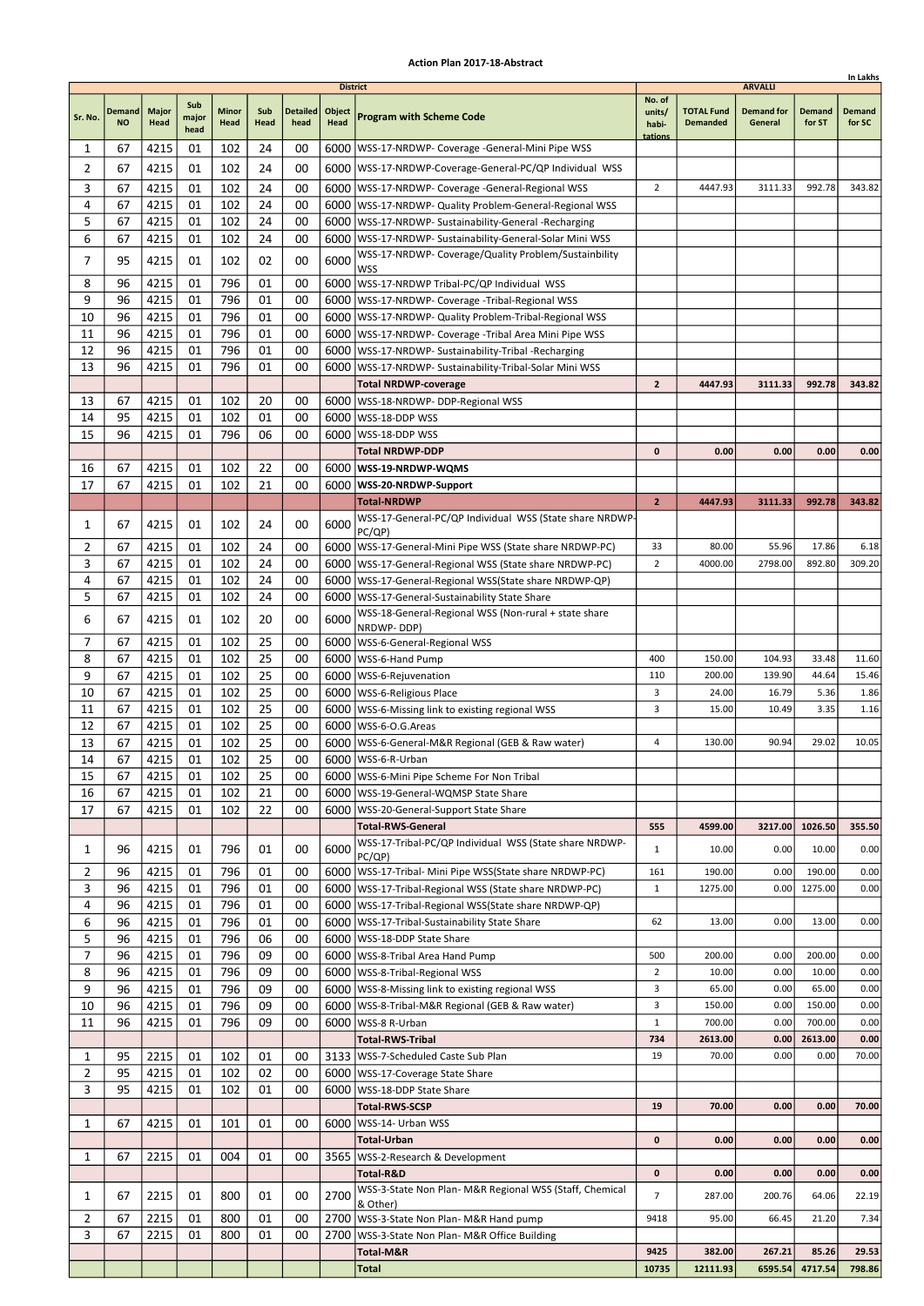|                |                            |                      |                      |                      |             |                         |                                   |                                                                                                                       |                                      |                                      |                                                |                         | In Lakhs                |
|----------------|----------------------------|----------------------|----------------------|----------------------|-------------|-------------------------|-----------------------------------|-----------------------------------------------------------------------------------------------------------------------|--------------------------------------|--------------------------------------|------------------------------------------------|-------------------------|-------------------------|
| Sr. No.        | <b>Demand</b><br><b>NO</b> | <b>Major</b><br>Head | Sub<br>major<br>head | <b>Minor</b><br>Head | Sub<br>Head | <b>Detailed</b><br>head | <b>District</b><br>Object<br>Head | <b>Program with Scheme Code</b>                                                                                       | No. of<br>units/<br>habi-<br>tations | <b>TOTAL Fund</b><br><b>Demanded</b> | <b>ARVALLI</b><br><b>Demand for</b><br>General | <b>Demand</b><br>for ST | <b>Demand</b><br>for SC |
| 1              | 67                         | 4215                 | 01                   | 102                  | 24          | 00                      |                                   | 6000   WSS-17-NRDWP- Coverage - General-Mini Pipe WSS                                                                 |                                      |                                      |                                                |                         |                         |
| $\overline{2}$ | 67                         | 4215                 | 01                   | 102                  | 24          | 00                      |                                   | 6000   WSS-17-NRDWP-Coverage-General-PC/QP Individual WSS                                                             |                                      |                                      |                                                |                         |                         |
| 3              | 67                         | 4215                 | 01                   | 102                  | 24          | 00                      |                                   | 6000   WSS-17-NRDWP- Coverage - General-Regional WSS                                                                  | $\overline{2}$                       | 4447.93                              | 3111.33                                        | 992.78                  | 343.82                  |
| 4              | 67                         | 4215                 | 01                   | 102                  | 24          | 00                      |                                   | 6000   WSS-17-NRDWP- Quality Problem-General-Regional WSS                                                             |                                      |                                      |                                                |                         |                         |
| 5              | 67                         | 4215                 | 01                   | 102                  | 24          | 00                      |                                   | 6000   WSS-17-NRDWP- Sustainability-General -Recharging                                                               |                                      |                                      |                                                |                         |                         |
| 6              | 67                         | 4215                 | 01                   | 102                  | 24          | 00                      |                                   | 6000   WSS-17-NRDWP- Sustainability-General-Solar Mini WSS                                                            |                                      |                                      |                                                |                         |                         |
| 7              | 95                         | 4215                 | 01                   | 102                  | 02          | 00                      | 6000                              | WSS-17-NRDWP- Coverage/Quality Problem/Sustainbility                                                                  |                                      |                                      |                                                |                         |                         |
|                |                            |                      |                      |                      |             |                         |                                   | <b>WSS</b>                                                                                                            |                                      |                                      |                                                |                         |                         |
| 8              | 96                         | 4215                 | 01                   | 796                  | 01          | 00                      |                                   | 6000 WSS-17-NRDWP Tribal-PC/QP Individual WSS                                                                         |                                      |                                      |                                                |                         |                         |
| 9              | 96<br>96                   | 4215                 | 01<br>01             | 796<br>796           | 01<br>01    | 00                      |                                   | 6000   WSS-17-NRDWP- Coverage - Tribal-Regional WSS                                                                   |                                      |                                      |                                                |                         |                         |
| 10<br>11       | 96                         | 4215<br>4215         | 01                   | 796                  | 01          | 00<br>00                |                                   | 6000   WSS-17-NRDWP- Quality Problem-Tribal-Regional WSS<br>6000   WSS-17-NRDWP- Coverage - Tribal Area Mini Pipe WSS |                                      |                                      |                                                |                         |                         |
| 12             | 96                         | 4215                 | 01                   | 796                  | 01          | 00                      |                                   | 6000   WSS-17-NRDWP- Sustainability-Tribal -Recharging                                                                |                                      |                                      |                                                |                         |                         |
| 13             | 96                         | 4215                 | 01                   | 796                  | 01          | 00                      | 6000                              | WSS-17-NRDWP- Sustainability-Tribal-Solar Mini WSS                                                                    |                                      |                                      |                                                |                         |                         |
|                |                            |                      |                      |                      |             |                         |                                   | <b>Total NRDWP-coverage</b>                                                                                           | $\overline{2}$                       | 4447.93                              | 3111.33                                        | 992.78                  | 343.82                  |
| 13             | 67                         | 4215                 | 01                   | 102                  | 20          | 00                      |                                   | 6000   WSS-18-NRDWP- DDP-Regional WSS                                                                                 |                                      |                                      |                                                |                         |                         |
| 14             | 95                         | 4215                 | 01                   | 102                  | 01          | 00                      |                                   | 6000 WSS-18-DDP WSS                                                                                                   |                                      |                                      |                                                |                         |                         |
| 15             | 96                         | 4215                 | 01                   | 796                  | 06          | 00                      | 6000                              | WSS-18-DDP WSS                                                                                                        |                                      |                                      |                                                |                         |                         |
|                |                            |                      |                      |                      |             |                         |                                   | <b>Total NRDWP-DDP</b>                                                                                                | 0                                    | 0.00                                 | 0.00                                           | 0.00                    | 0.00                    |
| 16             | 67                         | 4215                 | 01                   | 102                  | 22          | 00                      |                                   | 6000   WSS-19-NRDWP-WQMS                                                                                              |                                      |                                      |                                                |                         |                         |
| 17             | 67                         | 4215                 | 01                   | 102                  | 21          | 00                      |                                   | 6000   WSS-20-NRDWP-Support                                                                                           |                                      |                                      |                                                |                         |                         |
|                |                            |                      |                      |                      |             |                         |                                   | <b>Total-NRDWP</b>                                                                                                    | $\overline{2}$                       | 4447.93                              | 3111.33                                        | 992.78                  | 343.82                  |
| 1              | 67                         | 4215                 | 01                   | 102                  | 24          | 00                      | 6000                              | WSS-17-General-PC/QP Individual WSS (State share NRDWP-                                                               |                                      |                                      |                                                |                         |                         |
| 2              | 67                         | 4215                 | 01                   | 102                  | 24          | 00                      |                                   | PC/QP)<br>6000   WSS-17-General-Mini Pipe WSS (State share NRDWP-PC)                                                  | 33                                   | 80.00                                | 55.96                                          | 17.86                   | 6.18                    |
| 3              | 67                         | 4215                 | 01                   | 102                  | 24          | 00                      |                                   | 6000   WSS-17-General-Regional WSS (State share NRDWP-PC)                                                             | $\overline{2}$                       | 4000.00                              | 2798.00                                        | 892.80                  | 309.20                  |
| 4              | 67                         | 4215                 | 01                   | 102                  | 24          | 00                      |                                   | 6000   WSS-17-General-Regional WSS (State share NRDWP-QP)                                                             |                                      |                                      |                                                |                         |                         |
| 5              | 67                         | 4215                 | 01                   | 102                  | 24          | 00                      |                                   | 6000   WSS-17-General-Sustainability State Share                                                                      |                                      |                                      |                                                |                         |                         |
| 6              | 67                         | 4215                 | 01                   | 102                  | 20          | 00                      | 6000                              | WSS-18-General-Regional WSS (Non-rural + state share                                                                  |                                      |                                      |                                                |                         |                         |
|                |                            |                      |                      |                      |             |                         |                                   | NRDWP-DDP)                                                                                                            |                                      |                                      |                                                |                         |                         |
| 7              | 67                         | 4215                 | 01                   | 102                  | 25          | 00                      |                                   | 6000   WSS-6-General-Regional WSS                                                                                     |                                      |                                      |                                                |                         |                         |
| 8              | 67                         | 4215                 | 01                   | 102                  | 25          | 00                      | 6000                              | WSS-6-Hand Pump                                                                                                       | 400                                  | 150.00                               | 104.93                                         | 33.48                   | 11.60                   |
| 9              | 67                         | 4215                 | 01                   | 102                  | 25          | 00                      |                                   | 6000   WSS-6-Rejuvenation                                                                                             | 110                                  | 200.00                               | 139.90                                         | 44.64                   | 15.46                   |
| 10<br>11       | 67<br>67                   | 4215<br>4215         | 01<br>01             | 102<br>102           | 25<br>25    | 00<br>00                |                                   | 6000   WSS-6-Religious Place                                                                                          | 3<br>3                               | 24.00<br>15.00                       | 16.79<br>10.49                                 | 5.36<br>3.35            | 1.86<br>1.16            |
| 12             | 67                         | 4215                 | 01                   | 102                  | 25          | 00                      |                                   | 6000   WSS-6-Missing link to existing regional WSS<br>6000   WSS-6-O.G. Areas                                         |                                      |                                      |                                                |                         |                         |
| 13             | 67                         | 4215                 | 01                   | 102                  | 25          | 00                      |                                   | 6000   WSS-6-General-M&R Regional (GEB & Raw water)                                                                   | 4                                    | 130.00                               | 90.94                                          | 29.02                   | 10.05                   |
| 14             | 67                         | 4215                 | 01                   | 102                  | 25          | 00                      |                                   | 6000   WSS-6-R-Urban                                                                                                  |                                      |                                      |                                                |                         |                         |
| 15             | 67                         | 4215                 | 01                   | 102                  | 25          | 00                      |                                   | 6000   WSS-6-Mini Pipe Scheme For Non Tribal                                                                          |                                      |                                      |                                                |                         |                         |
| 16             | 67                         | 4215                 | 01                   | 102                  | 21          | 00                      |                                   | 6000   WSS-19-General-WQMSP State Share                                                                               |                                      |                                      |                                                |                         |                         |
| 17             | 67                         | 4215                 | 01                   | 102                  | 22          | 00                      |                                   | 6000   WSS-20-General-Support State Share                                                                             |                                      |                                      |                                                |                         |                         |
|                |                            |                      |                      |                      |             |                         |                                   | <b>Total-RWS-General</b>                                                                                              | 555                                  | 4599.00                              | 3217.00                                        | 1026.50                 | 355.50                  |
| 1              | 96                         | 4215                 | 01                   | 796                  | 01          | 00                      | 6000                              | WSS-17-Tribal-PC/QP Individual WSS (State share NRDWP-<br>PC(QP)                                                      | $\mathbf{1}$                         | 10.00                                | 0.00                                           | 10.00                   | 0.00                    |
| $\overline{2}$ | 96                         | 4215                 | 01                   | 796                  | 01          | 00                      |                                   | 6000   WSS-17-Tribal- Mini Pipe WSS (State share NRDWP-PC)                                                            | 161                                  | 190.00                               | 0.00                                           | 190.00                  | 0.00                    |
| 3              | 96                         | 4215                 | 01                   | 796                  | 01          | 00                      |                                   | 6000   WSS-17-Tribal-Regional WSS (State share NRDWP-PC)                                                              | $\mathbf{1}$                         | 1275.00                              | 0.00                                           | 1275.00                 | 0.00                    |
| 4<br>6         | 96<br>96                   | 4215<br>4215         | 01<br>01             | 796<br>796           | 01<br>01    | 00<br>00                |                                   | 6000   WSS-17-Tribal-Regional WSS (State share NRDWP-QP)<br>6000   WSS-17-Tribal-Sustainability State Share           | 62                                   | 13.00                                | 0.00                                           | 13.00                   | 0.00                    |
| 5              | 96                         | 4215                 | 01                   | 796                  | 06          | 00                      |                                   | 6000   WSS-18-DDP State Share                                                                                         |                                      |                                      |                                                |                         |                         |
| $\overline{7}$ | 96                         | 4215                 | 01                   | 796                  | 09          | 00                      |                                   | 6000   WSS-8-Tribal Area Hand Pump                                                                                    | 500                                  | 200.00                               | 0.00                                           | 200.00                  | 0.00                    |
| 8              | 96                         | 4215                 | 01                   | 796                  | 09          | 00                      |                                   | 6000   WSS-8-Tribal-Regional WSS                                                                                      | $\overline{2}$                       | 10.00                                | 0.00                                           | 10.00                   | 0.00                    |
| 9              | 96                         | 4215                 | 01                   | 796                  | 09          | 00                      |                                   | 6000   WSS-8-Missing link to existing regional WSS                                                                    | 3                                    | 65.00                                | 0.00                                           | 65.00                   | 0.00                    |
| 10             | 96                         | 4215                 | 01                   | 796                  | 09          | 00                      |                                   | 6000   WSS-8-Tribal-M&R Regional (GEB & Raw water)                                                                    | 3                                    | 150.00                               | 0.00                                           | 150.00                  | 0.00                    |
| 11             | 96                         | 4215                 | 01                   | 796                  | 09          | 00                      |                                   | 6000   WSS-8 R-Urban                                                                                                  | $\mathbf{1}$                         | 700.00                               | 0.00                                           | 700.00                  | 0.00                    |
|                |                            |                      |                      |                      |             |                         |                                   | <b>Total-RWS-Tribal</b>                                                                                               | 734                                  | 2613.00                              | 0.00                                           | 2613.00                 | 0.00                    |
| 1              | 95                         | 2215                 | 01                   | 102                  | 01          | 00                      |                                   | 3133   WSS-7-Scheduled Caste Sub Plan                                                                                 | 19                                   | 70.00                                | 0.00                                           | 0.00                    | 70.00                   |
| $\overline{2}$ | 95                         | 4215                 | 01                   | 102                  | 02          | 00                      |                                   | 6000   WSS-17-Coverage State Share                                                                                    |                                      |                                      |                                                |                         |                         |
| 3              | 95                         | 4215                 | 01                   | 102                  | 01          | 00                      |                                   | 6000   WSS-18-DDP State Share                                                                                         |                                      |                                      |                                                |                         |                         |
|                |                            |                      |                      |                      |             |                         |                                   | <b>Total-RWS-SCSP</b>                                                                                                 | 19                                   | 70.00                                | 0.00                                           | 0.00                    | 70.00                   |
| 1              | 67                         | 4215                 | 01                   | 101                  | 01          | 00                      | 6000                              | WSS-14- Urban WSS                                                                                                     |                                      |                                      |                                                |                         |                         |
|                |                            |                      |                      |                      |             |                         |                                   | <b>Total-Urban</b>                                                                                                    | 0                                    | 0.00                                 | 0.00                                           | 0.00                    | 0.00                    |
| 1              | 67                         | 2215                 | 01                   | 004                  | 01          | 00                      |                                   | 3565   WSS-2-Research & Development                                                                                   |                                      |                                      |                                                |                         |                         |
|                |                            |                      |                      |                      |             |                         |                                   | Total-R&D<br>WSS-3-State Non Plan- M&R Regional WSS (Staff, Chemical                                                  | 0                                    | 0.00                                 | 0.00                                           | 0.00                    | 0.00                    |
| 1              | 67                         | 2215                 | 01                   | 800                  | 01          | 00                      | 2700                              | & Other)                                                                                                              | 7                                    | 287.00                               | 200.76                                         | 64.06                   | 22.19                   |
| 2              | 67                         | 2215                 | 01                   | 800                  | 01          | 00                      |                                   | 2700   WSS-3-State Non Plan- M&R Hand pump                                                                            | 9418                                 | 95.00                                | 66.45                                          | 21.20                   | 7.34                    |
| 3              | 67                         | 2215                 | 01                   | 800                  | 01          | 00                      | 2700                              | WSS-3-State Non Plan- M&R Office Building                                                                             |                                      |                                      |                                                |                         |                         |
|                |                            |                      |                      |                      |             |                         |                                   | Total-M&R                                                                                                             | 9425                                 | 382.00                               | 267.21                                         | 85.26                   | 29.53                   |
|                |                            |                      |                      |                      |             |                         |                                   | <b>Total</b>                                                                                                          | 10735                                | 12111.93                             | 6595.54                                        | 4717.54                 | 798.86                  |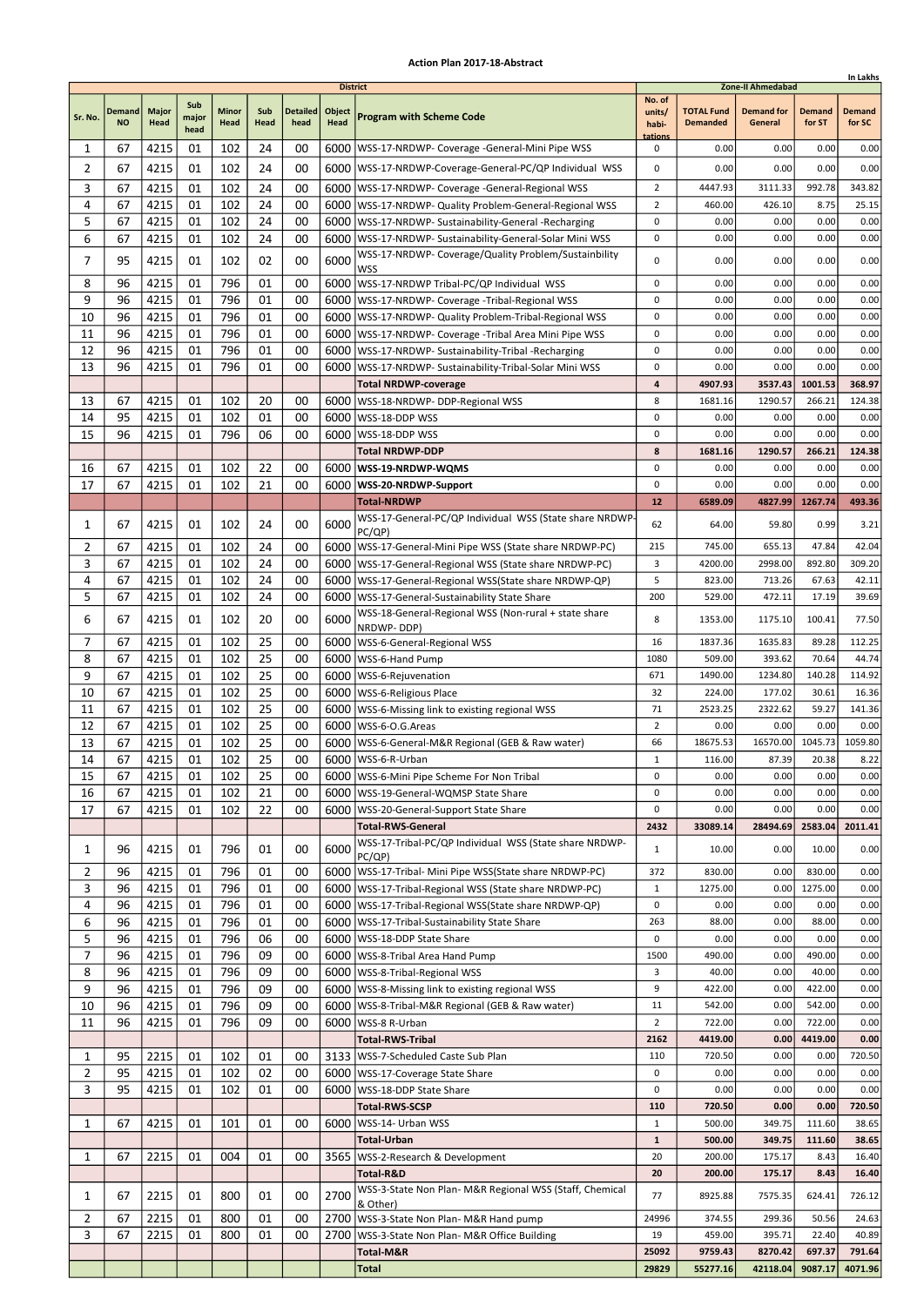|                |                            |               |                      |               |             |                         |                                          |                                                                                                                     |                                             |                                      |                                                   |                         | In Lakhs                |
|----------------|----------------------------|---------------|----------------------|---------------|-------------|-------------------------|------------------------------------------|---------------------------------------------------------------------------------------------------------------------|---------------------------------------------|--------------------------------------|---------------------------------------------------|-------------------------|-------------------------|
| Sr. No.        | <b>Demand</b><br><b>NO</b> | Major<br>Head | Sub<br>major<br>head | Minor<br>Head | Sub<br>Head | <b>Detailed</b><br>head | <b>District</b><br>Object<br><b>Head</b> | <b>Program with Scheme Code</b>                                                                                     | No. of<br>units/<br>habi-<br><u>tations</u> | <b>TOTAL Fund</b><br><b>Demanded</b> | Zone-II Ahmedabad<br><b>Demand for</b><br>General | <b>Demand</b><br>for ST | <b>Demand</b><br>for SC |
| 1              | 67                         | 4215          | 01                   | 102           | 24          | 00                      |                                          | 6000   WSS-17-NRDWP- Coverage - General-Mini Pipe WSS                                                               | 0                                           | 0.00                                 | 0.00                                              | 0.00                    | 0.00                    |
| $\overline{2}$ | 67                         | 4215          | 01                   | 102           | 24          | 00                      |                                          | 6000   WSS-17-NRDWP-Coverage-General-PC/QP Individual WSS                                                           | 0                                           | 0.00                                 | 0.00                                              | 0.00                    | 0.00                    |
| 3              | 67                         | 4215          | 01                   | 102           | 24          | 00                      |                                          | 6000   WSS-17-NRDWP- Coverage - General-Regional WSS                                                                | $\overline{2}$                              | 4447.93                              | 3111.33                                           | 992.78                  | 343.82                  |
| 4              | 67                         | 4215          | 01                   | 102           | 24          | 00                      |                                          | 6000   WSS-17-NRDWP- Quality Problem-General-Regional WSS                                                           | 2                                           | 460.00                               | 426.10                                            | 8.75                    | 25.15                   |
| 5              | 67                         | 4215          | 01                   | 102           | 24          | 00                      |                                          | 6000   WSS-17-NRDWP- Sustainability-General -Recharging                                                             | 0                                           | 0.00                                 | 0.00                                              | 0.00                    | 0.00                    |
| 6              | 67                         | 4215          | 01                   | 102           | 24          | 00                      |                                          | 6000 WSS-17-NRDWP- Sustainability-General-Solar Mini WSS<br>WSS-17-NRDWP- Coverage/Quality Problem/Sustainbility    | 0                                           | 0.00                                 | 0.00                                              | 0.00                    | 0.00                    |
| 7              | 95                         | 4215          | 01                   | 102           | 02          | 00                      | 6000                                     | WSS                                                                                                                 | 0                                           | 0.00                                 | 0.00                                              | 0.00                    | 0.00                    |
| 8              | 96                         | 4215          | 01                   | 796           | 01          | 00                      |                                          | 6000   WSS-17-NRDWP Tribal-PC/QP Individual WSS                                                                     | 0                                           | 0.00                                 | 0.00                                              | 0.00                    | 0.00                    |
| 9              | 96                         | 4215          | 01                   | 796           | 01          | 00                      |                                          | 6000   WSS-17-NRDWP- Coverage - Tribal-Regional WSS                                                                 | 0                                           | 0.00                                 | 0.00                                              | 0.00                    | 0.00                    |
| 10             | 96                         | 4215          | 01                   | 796           | 01          | 00                      |                                          | 6000   WSS-17-NRDWP- Quality Problem-Tribal-Regional WSS                                                            | 0                                           | 0.00                                 | 0.00                                              | 0.00                    | 0.00                    |
| 11<br>12       | 96<br>96                   | 4215<br>4215  | 01<br>01             | 796<br>796    | 01<br>01    | 00<br>00                |                                          | 6000   WSS-17-NRDWP- Coverage - Tribal Area Mini Pipe WSS<br>6000   WSS-17-NRDWP- Sustainability-Tribal -Recharging | 0<br>0                                      | 0.00<br>0.00                         | 0.00<br>0.00                                      | 0.00<br>0.00            | 0.00<br>0.00            |
| 13             | 96                         | 4215          | 01                   | 796           | 01          | 00                      | 6000                                     | WSS-17-NRDWP- Sustainability-Tribal-Solar Mini WSS                                                                  | 0                                           | 0.00                                 | 0.00                                              | 0.00                    | 0.00                    |
|                |                            |               |                      |               |             |                         |                                          | <b>Total NRDWP-coverage</b>                                                                                         | 4                                           | 4907.93                              | 3537.43                                           | 1001.53                 | 368.97                  |
| 13             | 67                         | 4215          | 01                   | 102           | 20          | 00                      |                                          | 6000   WSS-18-NRDWP- DDP-Regional WSS                                                                               | 8                                           | 1681.16                              | 1290.57                                           | 266.21                  | 124.38                  |
| 14             | 95                         | 4215          | 01                   | 102           | 01          | 00                      |                                          | 6000   WSS-18-DDP WSS                                                                                               | 0                                           | 0.00                                 | 0.00                                              | 0.00                    | 0.00                    |
| 15             | 96                         | 4215          | 01                   | 796           | 06          | 00                      | 6000                                     | WSS-18-DDP WSS                                                                                                      | 0                                           | 0.00                                 | 0.00                                              | 0.00                    | 0.00                    |
|                |                            |               |                      |               |             |                         |                                          | <b>Total NRDWP-DDP</b>                                                                                              | 8                                           | 1681.16                              | 1290.57                                           | 266.21                  | 124.38                  |
| 16<br>17       | 67<br>67                   | 4215<br>4215  | 01<br>01             | 102<br>102    | 22<br>21    | 00<br>00                |                                          | 6000   WSS-19-NRDWP-WQMS<br>6000   WSS-20-NRDWP-Support                                                             | 0<br>0                                      | 0.00<br>0.00                         | 0.00<br>0.00                                      | 0.00<br>0.00            | 0.00<br>0.00            |
|                |                            |               |                      |               |             |                         |                                          | <b>Total-NRDWP</b>                                                                                                  | 12                                          | 6589.09                              | 4827.99                                           | 1267.74                 | 493.36                  |
|                |                            |               |                      |               |             |                         |                                          | WSS-17-General-PC/QP Individual WSS (State share NRDWP                                                              |                                             |                                      |                                                   |                         |                         |
| 1              | 67                         | 4215          | 01                   | 102           | 24          | 00                      | 6000                                     | PC(QP)                                                                                                              | 62                                          | 64.00                                | 59.80                                             | 0.99                    | 3.21                    |
| 2              | 67                         | 4215          | 01                   | 102           | 24          | 00                      |                                          | 6000   WSS-17-General-Mini Pipe WSS (State share NRDWP-PC)                                                          | 215                                         | 745.00                               | 655.13                                            | 47.84                   | 42.04                   |
| 3<br>4         | 67                         | 4215          | 01                   | 102           | 24          | 00                      |                                          | 6000   WSS-17-General-Regional WSS (State share NRDWP-PC)                                                           | 3<br>5                                      | 4200.00<br>823.00                    | 2998.00<br>713.26                                 | 892.80<br>67.63         | 309.20<br>42.11         |
| 5              | 67<br>67                   | 4215<br>4215  | 01<br>01             | 102<br>102    | 24<br>24    | 00<br>00                | 6000                                     | WSS-17-General-Regional WSS(State share NRDWP-QP)<br>6000   WSS-17-General-Sustainability State Share               | 200                                         | 529.00                               | 472.11                                            | 17.19                   | 39.69                   |
|                |                            |               |                      |               |             |                         |                                          | WSS-18-General-Regional WSS (Non-rural + state share                                                                |                                             |                                      |                                                   |                         |                         |
| 6              | 67                         | 4215          | 01                   | 102           | 20          | 00                      | 6000                                     | NRDWP- DDP)                                                                                                         | 8                                           | 1353.00                              | 1175.10                                           | 100.41                  | 77.50                   |
| 7              | 67                         | 4215          | 01                   | 102           | 25          | 00                      |                                          | 6000   WSS-6-General-Regional WSS                                                                                   | 16                                          | 1837.36                              | 1635.83                                           | 89.28                   | 112.25                  |
| 8              | 67                         | 4215          | 01                   | 102           | 25          | 00                      | 6000                                     | WSS-6-Hand Pump                                                                                                     | 1080                                        | 509.00                               | 393.62                                            | 70.64                   | 44.74                   |
| 9<br>10        | 67<br>67                   | 4215<br>4215  | 01<br>01             | 102<br>102    | 25<br>25    | 00<br>00                | 6000                                     | 6000   WSS-6-Rejuvenation<br>WSS-6-Religious Place                                                                  | 671<br>32                                   | 1490.00<br>224.00                    | 1234.80<br>177.02                                 | 140.28<br>30.61         | 114.92<br>16.36         |
| 11             | 67                         | 4215          | 01                   | 102           | 25          | 00                      |                                          | 6000   WSS-6-Missing link to existing regional WSS                                                                  | 71                                          | 2523.25                              | 2322.62                                           | 59.27                   | 141.36                  |
| 12             | 67                         | 4215          | 01                   | 102           | 25          | 00                      |                                          | 6000   WSS-6-O.G. Areas                                                                                             | $\overline{2}$                              | 0.00                                 | 0.00                                              | 0.00                    | 0.00                    |
| 13             | 67                         | 4215          | 01                   | 102           | 25          | 00                      |                                          | 6000   WSS-6-General-M&R Regional (GEB & Raw water)                                                                 | 66                                          | 18675.53                             | 16570.00                                          | 1045.73                 | 1059.80                 |
| 14             | 67                         | 4215          | 01                   | 102           | 25          | 00                      |                                          | 6000   WSS-6-R-Urban                                                                                                | 1                                           | 116.00                               | 87.39                                             | 20.38                   | 8.22                    |
| 15             | 67                         | 4215          | 01                   | 102           | 25          | 00                      |                                          | 6000   WSS-6-Mini Pipe Scheme For Non Tribal                                                                        | 0                                           | 0.00                                 | 0.00                                              | 0.00                    | 0.00                    |
| 16             | 67                         | 4215          | 01                   | 102           | 21          | 00                      |                                          | 6000   WSS-19-General-WQMSP State Share                                                                             | 0                                           | 0.00                                 | 0.00                                              | 0.00<br>0.00            | 0.00                    |
| 17             | 67                         | 4215          | 01                   | 102           | 22          | 00                      |                                          | 6000   WSS-20-General-Support State Share<br><b>Total-RWS-General</b>                                               | 0<br>2432                                   | 0.00<br>33089.14                     | 0.00<br>28494.69                                  | 2583.04                 | 0.00<br>2011.41         |
| 1              | 96                         | 4215          | 01                   | 796           | 01          | 00                      | 6000                                     | WSS-17-Tribal-PC/QP Individual WSS (State share NRDWP-                                                              | 1                                           | 10.00                                | 0.00                                              | 10.00                   | 0.00                    |
| $\overline{2}$ | 96                         | 4215          | 01                   | 796           | 01          | 00                      |                                          | PC/QP)<br>6000   WSS-17-Tribal- Mini Pipe WSS (State share NRDWP-PC)                                                | 372                                         | 830.00                               | 0.00                                              | 830.00                  | 0.00                    |
| 3              | 96                         | 4215          | 01                   | 796           | 01          | 00                      |                                          | 6000   WSS-17-Tribal-Regional WSS (State share NRDWP-PC)                                                            | $\mathbf{1}$                                | 1275.00                              | 0.00                                              | 1275.00                 | 0.00                    |
| 4              | 96                         | 4215          | 01                   | 796           | 01          | 00                      |                                          | 6000   WSS-17-Tribal-Regional WSS(State share NRDWP-QP)                                                             | 0                                           | 0.00                                 | 0.00                                              | 0.00                    | 0.00                    |
| 6              | 96                         | 4215          | 01                   | 796           | 01          | 00                      |                                          | 6000   WSS-17-Tribal-Sustainability State Share                                                                     | 263                                         | 88.00                                | 0.00                                              | 88.00                   | 0.00                    |
| 5              | 96                         | 4215          | 01                   | 796           | 06          | 00                      |                                          | 6000   WSS-18-DDP State Share                                                                                       | 0                                           | 0.00                                 | 0.00                                              | 0.00                    | 0.00                    |
| $\overline{7}$ | 96                         | 4215          | 01                   | 796           | 09          | 00                      |                                          | 6000 WSS-8-Tribal Area Hand Pump                                                                                    | 1500                                        | 490.00                               | 0.00                                              | 490.00                  | 0.00                    |
| 8<br>9         | 96<br>96                   | 4215<br>4215  | 01<br>01             | 796<br>796    | 09<br>09    | 00<br>00                |                                          | 6000   WSS-8-Tribal-Regional WSS<br>6000   WSS-8-Missing link to existing regional WSS                              | 3<br>9                                      | 40.00<br>422.00                      | 0.00<br>0.00                                      | 40.00<br>422.00         | 0.00<br>0.00            |
| 10             | 96                         | 4215          | 01                   | 796           | 09          | 00                      |                                          | 6000   WSS-8-Tribal-M&R Regional (GEB & Raw water)                                                                  | 11                                          | 542.00                               | 0.00                                              | 542.00                  | 0.00                    |
| 11             | 96                         | 4215          | 01                   | 796           | 09          | 00                      |                                          | 6000   WSS-8 R-Urban                                                                                                | $\overline{2}$                              | 722.00                               | 0.00                                              | 722.00                  | 0.00                    |
|                |                            |               |                      |               |             |                         |                                          | <b>Total-RWS-Tribal</b>                                                                                             | 2162                                        | 4419.00                              | 0.00                                              | 4419.00                 | 0.00                    |
| 1              | 95                         | 2215          | 01                   | 102           | 01          | 00                      |                                          | 3133   WSS-7-Scheduled Caste Sub Plan                                                                               | 110                                         | 720.50                               | 0.00                                              | 0.00                    | 720.50                  |
| $\overline{2}$ | 95                         | 4215          | 01                   | 102           | 02          | 00                      |                                          | 6000   WSS-17-Coverage State Share                                                                                  | 0                                           | 0.00                                 | 0.00                                              | 0.00                    | 0.00                    |
| 3              | 95                         | 4215          | 01                   | 102           | 01          | 00                      |                                          | 6000   WSS-18-DDP State Share                                                                                       | 0                                           | 0.00                                 | 0.00                                              | 0.00                    | 0.00                    |
|                | 67                         | 4215          |                      | 101           | 01          | 00                      | 6000                                     | <b>Total-RWS-SCSP</b>                                                                                               | 110                                         | 720.50                               | 0.00                                              | 0.00                    | 720.50                  |
| 1              |                            |               | 01                   |               |             |                         |                                          | WSS-14- Urban WSS<br><b>Total-Urban</b>                                                                             | 1<br>$\mathbf{1}$                           | 500.00<br>500.00                     | 349.75<br>349.75                                  | 111.60<br>111.60        | 38.65<br>38.65          |
| 1              | 67                         | 2215          | 01                   | 004           | 01          | 00                      |                                          | 3565   WSS-2-Research & Development                                                                                 | 20                                          | 200.00                               | 175.17                                            | 8.43                    | 16.40                   |
|                |                            |               |                      |               |             |                         |                                          | Total-R&D                                                                                                           | 20                                          | 200.00                               | 175.17                                            | 8.43                    | 16.40                   |
| 1              | 67                         | 2215          | 01                   | 800           | 01          | 00                      | 2700                                     | WSS-3-State Non Plan- M&R Regional WSS (Staff, Chemical                                                             | 77                                          | 8925.88                              | 7575.35                                           | 624.41                  | 726.12                  |
|                |                            |               |                      |               |             |                         |                                          | & Other)                                                                                                            |                                             |                                      |                                                   |                         |                         |
| 2<br>3         | 67<br>67                   | 2215<br>2215  | 01<br>01             | 800<br>800    | 01<br>01    | 00<br>00                | 2700                                     | 2700   WSS-3-State Non Plan- M&R Hand pump<br>WSS-3-State Non Plan- M&R Office Building                             | 24996<br>19                                 | 374.55<br>459.00                     | 299.36<br>395.71                                  | 50.56<br>22.40          | 24.63<br>40.89          |
|                |                            |               |                      |               |             |                         |                                          | Total-M&R                                                                                                           | 25092                                       | 9759.43                              | 8270.42                                           | 697.37                  | 791.64                  |
|                |                            |               |                      |               |             |                         |                                          | <b>Total</b>                                                                                                        | 29829                                       | 55277.16                             | 42118.04                                          | 9087.17                 | 4071.96                 |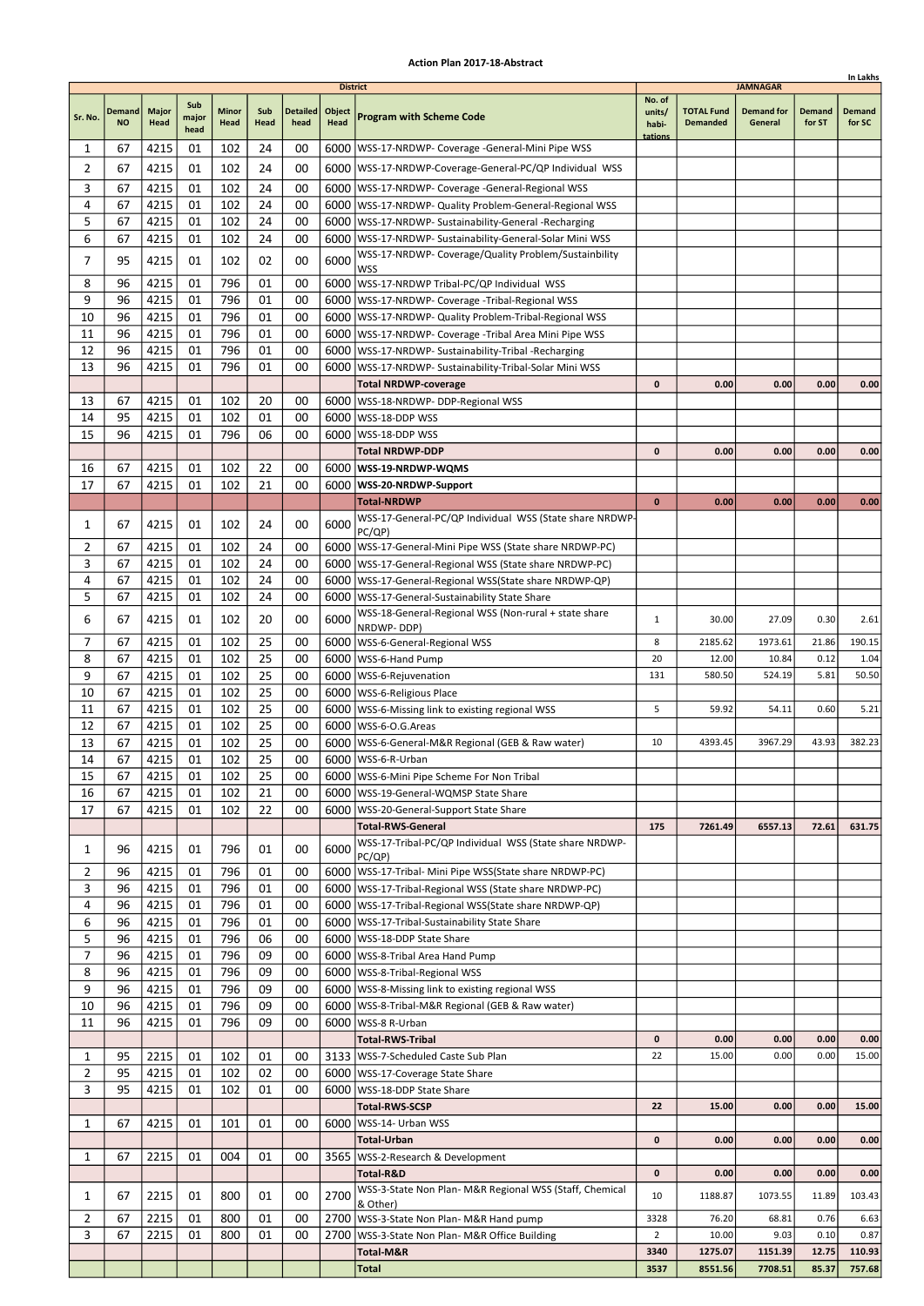|                |                            |                      |                      |                      |                 |                         | <b>District</b>       |                                                                                                          |                                      |                                      | <b>JAMNAGAR</b>              |                         |                         |
|----------------|----------------------------|----------------------|----------------------|----------------------|-----------------|-------------------------|-----------------------|----------------------------------------------------------------------------------------------------------|--------------------------------------|--------------------------------------|------------------------------|-------------------------|-------------------------|
| Sr. No.        | <b>Demand</b><br><b>NO</b> | <b>Major</b><br>Head | Sub<br>major<br>head | <b>Minor</b><br>Head | Sub<br>Head     | <b>Detailed</b><br>head | Object<br><b>Head</b> | <b>Program with Scheme Code</b>                                                                          | No. of<br>units/<br>habi-<br>tations | <b>TOTAL Fund</b><br><b>Demanded</b> | <b>Demand for</b><br>General | <b>Demand</b><br>for ST | <b>Demand</b><br>for SC |
| 1              | 67                         | 4215                 | 01                   | 102                  | 24              | 00                      |                       | 6000   WSS-17-NRDWP- Coverage - General-Mini Pipe WSS                                                    |                                      |                                      |                              |                         |                         |
| 2              | 67                         | 4215                 | 01                   | 102                  | 24              | 00                      |                       | 6000   WSS-17-NRDWP-Coverage-General-PC/QP Individual WSS                                                |                                      |                                      |                              |                         |                         |
| 3              | 67                         | 4215                 | 01                   | 102                  | 24              | 00                      |                       | 6000   WSS-17-NRDWP- Coverage - General-Regional WSS                                                     |                                      |                                      |                              |                         |                         |
| 4              | 67                         | 4215                 | 01                   | 102                  | 24              | 00                      | 6000                  | WSS-17-NRDWP- Quality Problem-General-Regional WSS                                                       |                                      |                                      |                              |                         |                         |
| 5              | 67                         | 4215                 | 01                   | 102                  | 24              | 00                      |                       | 6000   WSS-17-NRDWP- Sustainability-General -Recharging                                                  |                                      |                                      |                              |                         |                         |
| 6              | 67                         | 4215                 | 01                   | 102                  | 24              | 00                      |                       | 6000   WSS-17-NRDWP- Sustainability-General-Solar Mini WSS                                               |                                      |                                      |                              |                         |                         |
| 7              | 95                         | 4215                 | 01                   | 102                  | 02              | 00                      | 6000                  | WSS-17-NRDWP- Coverage/Quality Problem/Sustainbility<br>WSS                                              |                                      |                                      |                              |                         |                         |
| 8              | 96                         | 4215                 | 01                   | 796                  | 01              | 00                      |                       | 6000 WSS-17-NRDWP Tribal-PC/QP Individual WSS                                                            |                                      |                                      |                              |                         |                         |
| 9              | 96                         | 4215                 | 01                   | 796                  | 01              | 00                      | 6000                  | WSS-17-NRDWP- Coverage -Tribal-Regional WSS                                                              |                                      |                                      |                              |                         |                         |
| 10             | 96                         | 4215                 | 01                   | 796                  | 01              | 00                      |                       | 6000   WSS-17-NRDWP- Quality Problem-Tribal-Regional WSS                                                 |                                      |                                      |                              |                         |                         |
| 11             | 96                         | 4215                 | 01                   | 796                  | 01              | 00                      |                       | 6000   WSS-17-NRDWP- Coverage - Tribal Area Mini Pipe WSS                                                |                                      |                                      |                              |                         |                         |
| 12             | 96                         | 4215                 | 01                   | 796                  | 01              | 00                      |                       | 6000   WSS-17-NRDWP- Sustainability-Tribal -Recharging                                                   |                                      |                                      |                              |                         |                         |
| 13             | 96                         | 4215                 | 01                   | 796                  | 01              | 00                      |                       | 6000   WSS-17-NRDWP- Sustainability-Tribal-Solar Mini WSS                                                |                                      |                                      |                              |                         |                         |
| 13             | 67                         | 4215                 | 01                   | 102                  | 20              | 00                      |                       | <b>Total NRDWP-coverage</b><br>6000   WSS-18-NRDWP- DDP-Regional WSS                                     | $\mathbf 0$                          | 0.00                                 | 0.00                         | 0.00                    | 0.00                    |
| 14             | 95                         | 4215                 | 01                   | 102                  | 01              | 00                      |                       | 6000   WSS-18-DDP WSS                                                                                    |                                      |                                      |                              |                         |                         |
| 15             | 96                         | 4215                 | 01                   | 796                  | 06              | 00                      |                       | 6000   WSS-18-DDP WSS                                                                                    |                                      |                                      |                              |                         |                         |
|                |                            |                      |                      |                      |                 |                         |                       | <b>Total NRDWP-DDP</b>                                                                                   | 0                                    | 0.00                                 | 0.00                         | 0.00                    | 0.00                    |
| 16             | 67                         | 4215                 | 01                   | 102                  | 22              | 00                      |                       | 6000   WSS-19-NRDWP-WQMS                                                                                 |                                      |                                      |                              |                         |                         |
| 17             | 67                         | 4215                 | 01                   | 102                  | 21              | 00                      |                       | 6000   WSS-20-NRDWP-Support                                                                              |                                      |                                      |                              |                         |                         |
|                |                            |                      |                      |                      |                 |                         |                       | <b>Total-NRDWP</b>                                                                                       | $\mathbf{0}$                         | 0.00                                 | 0.00                         | 0.00                    | 0.00                    |
| 1              | 67                         | 4215                 | 01                   | 102                  | 24              | 00                      | 6000                  | WSS-17-General-PC/QP Individual WSS (State share NRDWP-<br>PC/QP)                                        |                                      |                                      |                              |                         |                         |
| 2              | 67                         | 4215                 | 01                   | 102                  | 24              | 00                      |                       | 6000   WSS-17-General-Mini Pipe WSS (State share NRDWP-PC)                                               |                                      |                                      |                              |                         |                         |
| 3              | 67                         | 4215                 | 01                   | 102                  | 24              | 00                      |                       | 6000   WSS-17-General-Regional WSS (State share NRDWP-PC)                                                |                                      |                                      |                              |                         |                         |
| 4              | 67                         | 4215                 | 01                   | 102                  | 24              | 00                      |                       | 6000   WSS-17-General-Regional WSS (State share NRDWP-QP)                                                |                                      |                                      |                              |                         |                         |
| 5              | 67                         | 4215                 | 01                   | 102                  | 24              | 00                      | 6000                  | WSS-17-General-Sustainability State Share                                                                |                                      |                                      |                              |                         |                         |
| 6              | 67                         | 4215                 | 01                   | 102                  | 20              | 00                      | 6000                  | WSS-18-General-Regional WSS (Non-rural + state share<br>NRDWP-DDP)                                       | $\mathbf{1}$                         | 30.00                                | 27.09                        | 0.30                    | 2.61                    |
| 7              | 67                         | 4215                 | 01                   | 102                  | 25              | 00                      | 6000                  | WSS-6-General-Regional WSS                                                                               | 8                                    | 2185.62                              | 1973.61                      | 21.86                   | 190.15                  |
| 8              | 67                         | 4215                 | 01                   | 102                  | 25              | 00                      |                       | 6000   WSS-6-Hand Pump                                                                                   | 20                                   | 12.00                                | 10.84                        | 0.12                    | 1.04                    |
| 9              | 67                         | 4215                 | 01                   | 102                  | 25              | 00                      |                       | 6000   WSS-6-Rejuvenation                                                                                | 131                                  | 580.50                               | 524.19                       | 5.81                    | 50.50                   |
| 10             | 67                         | 4215                 | 01                   | 102                  | 25              | 00                      |                       | 6000   WSS-6-Religious Place                                                                             |                                      |                                      |                              |                         |                         |
| 11             | 67                         | 4215                 | 01                   | 102                  | 25              | 00                      | 6000                  | WSS-6-Missing link to existing regional WSS                                                              | 5                                    | 59.92                                | 54.11                        | 0.60                    | 5.21                    |
| 12             | 67                         | 4215                 | 01                   | 102                  | 25              | 00                      | 6000                  | WSS-6-O.G.Areas                                                                                          |                                      |                                      |                              |                         |                         |
| 13<br>14       | 67<br>67                   | 4215<br>4215         | 01<br>01             | 102<br>102           | 25<br>25        | 00<br>00                |                       | 6000   WSS-6-General-M&R Regional (GEB & Raw water)<br>6000   WSS-6-R-Urban                              | 10                                   | 4393.45                              | 3967.29                      | 43.93                   | 382.23                  |
| 15             | 67                         | 4215                 | 01                   | $102$                | $\overline{25}$ | 00                      |                       | 6000 WSS-6-Mini Pipe Scheme For Non Tribal                                                               |                                      |                                      |                              |                         |                         |
| 16             | 67                         | 4215                 | 01                   | 102                  | 21              | 00                      |                       | 6000   WSS-19-General-WQMSP State Share                                                                  |                                      |                                      |                              |                         |                         |
| 17             | 67                         | 4215                 | 01                   | 102                  | 22              | 00                      |                       | 6000   WSS-20-General-Support State Share                                                                |                                      |                                      |                              |                         |                         |
|                |                            |                      |                      |                      |                 |                         |                       | <b>Total-RWS-General</b>                                                                                 | 175                                  | 7261.49                              | 6557.13                      | 72.61                   | 631.75                  |
| 1              | 96                         | 4215                 | 01                   | 796                  | 01              | 00                      | 6000                  | WSS-17-Tribal-PC/QP Individual WSS (State share NRDWP-                                                   |                                      |                                      |                              |                         |                         |
| 2              | 96                         | 4215                 | 01                   | 796                  | 01              | 00                      |                       | PC/QP)<br>6000   WSS-17-Tribal- Mini Pipe WSS (State share NRDWP-PC)                                     |                                      |                                      |                              |                         |                         |
| 3              | 96                         | 4215                 | 01                   | 796                  | 01              | 00                      |                       | 6000   WSS-17-Tribal-Regional WSS (State share NRDWP-PC)                                                 |                                      |                                      |                              |                         |                         |
| 4              | 96                         | 4215                 | 01                   | 796                  | 01              | 00                      |                       | 6000   WSS-17-Tribal-Regional WSS(State share NRDWP-QP)                                                  |                                      |                                      |                              |                         |                         |
| 6              | 96                         | 4215                 | 01                   | 796                  | 01              | 00                      |                       | 6000   WSS-17-Tribal-Sustainability State Share                                                          |                                      |                                      |                              |                         |                         |
| 5              | 96                         | 4215                 | 01                   | 796                  | 06              | 00                      |                       | 6000   WSS-18-DDP State Share                                                                            |                                      |                                      |                              |                         |                         |
| $\overline{7}$ | 96                         | 4215                 | 01                   | 796                  | 09              | 00                      |                       | 6000 WSS-8-Tribal Area Hand Pump                                                                         |                                      |                                      |                              |                         |                         |
| 8<br>9         | 96                         | 4215                 | 01                   | 796<br>796           | 09              | 00                      |                       | 6000   WSS-8-Tribal-Regional WSS                                                                         |                                      |                                      |                              |                         |                         |
| 10             | 96<br>96                   | 4215<br>4215         | 01<br>01             | 796                  | 09<br>09        | 00<br>00                |                       | 6000   WSS-8-Missing link to existing regional WSS<br>6000   WSS-8-Tribal-M&R Regional (GEB & Raw water) |                                      |                                      |                              |                         |                         |
| 11             | 96                         | 4215                 | 01                   | 796                  | 09              | 00                      |                       | 6000   WSS-8 R-Urban                                                                                     |                                      |                                      |                              |                         |                         |
|                |                            |                      |                      |                      |                 |                         |                       | <b>Total-RWS-Tribal</b>                                                                                  | $\mathbf 0$                          | 0.00                                 | 0.00                         | 0.00                    | 0.00                    |
| 1              | 95                         | 2215                 | 01                   | 102                  | 01              | 00                      |                       | 3133   WSS-7-Scheduled Caste Sub Plan                                                                    | 22                                   | 15.00                                | 0.00                         | 0.00                    | 15.00                   |
| $\overline{2}$ | 95                         | 4215                 | 01                   | 102                  | 02              | 00                      |                       | 6000   WSS-17-Coverage State Share                                                                       |                                      |                                      |                              |                         |                         |
| 3              | 95                         | 4215                 | 01                   | 102                  | 01              | 00                      |                       | 6000   WSS-18-DDP State Share                                                                            |                                      |                                      |                              |                         |                         |
|                |                            |                      |                      |                      |                 |                         |                       | <b>Total-RWS-SCSP</b>                                                                                    | 22                                   | 15.00                                | 0.00                         | 0.00                    | 15.00                   |
| 1              | 67                         | 4215                 | 01                   | 101                  | 01              | 00                      |                       | 6000   WSS-14- Urban WSS<br><b>Total-Urban</b>                                                           | 0                                    | 0.00                                 | 0.00                         | 0.00                    | 0.00                    |
| 1              | 67                         | 2215                 | 01                   | 004                  | 01              | 00                      |                       | 3565   WSS-2-Research & Development                                                                      |                                      |                                      |                              |                         |                         |
|                |                            |                      |                      |                      |                 |                         |                       | Total-R&D                                                                                                | 0                                    | 0.00                                 | 0.00                         | 0.00                    | 0.00                    |
| 1              | 67                         | 2215                 | 01                   | 800                  | 01              | 00                      | 2700                  | WSS-3-State Non Plan- M&R Regional WSS (Staff, Chemical                                                  | 10                                   | 1188.87                              | 1073.55                      | 11.89                   | 103.43                  |
| 2              | 67                         | 2215                 | 01                   | 800                  | 01              | 00                      |                       | & Other)<br>2700   WSS-3-State Non Plan- M&R Hand pump                                                   | 3328                                 | 76.20                                | 68.81                        | 0.76                    | 6.63                    |
| 3              | 67                         | 2215                 | 01                   | 800                  | 01              | 00                      |                       | 2700   WSS-3-State Non Plan- M&R Office Building                                                         | $\overline{2}$                       | 10.00                                | 9.03                         | 0.10                    | 0.87                    |
|                |                            |                      |                      |                      |                 |                         |                       | Total-M&R                                                                                                | 3340                                 | 1275.07                              | 1151.39                      | 12.75                   | 110.93                  |
|                |                            |                      |                      |                      |                 |                         |                       | Total                                                                                                    | 3537                                 | 8551.56                              | 7708.51                      | 85.37                   | 757.68                  |

In Lakhs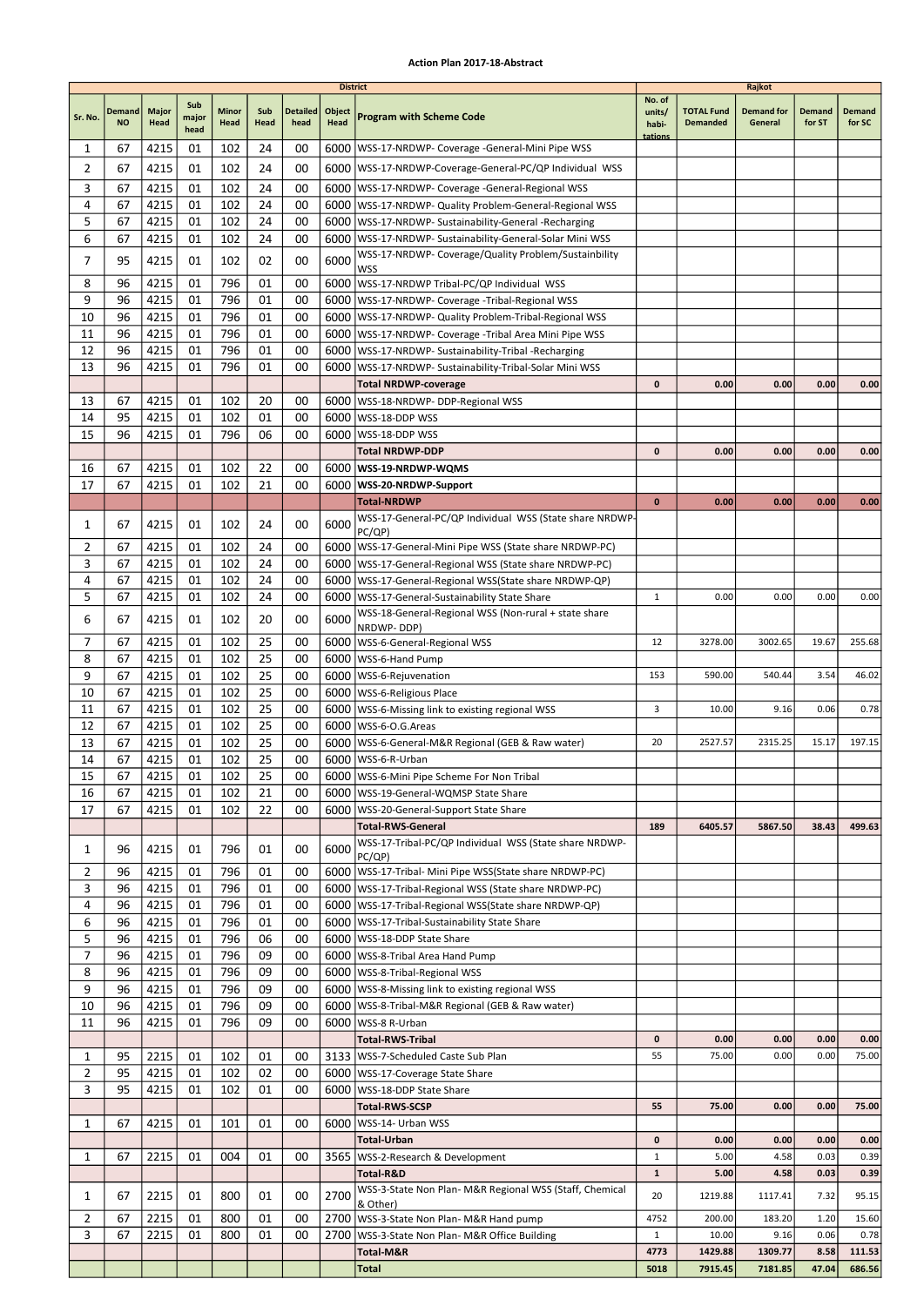|                |                     |               |                      |                      |                 |                         | <b>District</b> |                                                                                                   |                           |                                      | Rajkot                       |                  |                  |
|----------------|---------------------|---------------|----------------------|----------------------|-----------------|-------------------------|-----------------|---------------------------------------------------------------------------------------------------|---------------------------|--------------------------------------|------------------------------|------------------|------------------|
| Sr. No.        | Demand<br><b>NO</b> | Major<br>Head | Sub<br>major<br>head | <b>Minor</b><br>Head | Sub<br>Head     | <b>Detailed</b><br>head | Object<br>Head  | <b>Program with Scheme Code</b>                                                                   | No. of<br>units/<br>habi- | <b>TOTAL Fund</b><br><b>Demanded</b> | <b>Demand for</b><br>General | Demand<br>for ST | Demand<br>for SC |
| 1              | 67                  | 4215          | 01                   | 102                  | 24              | 00                      |                 | 6000   WSS-17-NRDWP- Coverage - General-Mini Pipe WSS                                             | tations                   |                                      |                              |                  |                  |
| $\overline{2}$ | 67                  | 4215          | 01                   | 102                  | 24              | 00                      |                 | 6000   WSS-17-NRDWP-Coverage-General-PC/QP Individual WSS                                         |                           |                                      |                              |                  |                  |
| 3              | 67                  | 4215          | 01                   | 102                  | 24              | 00                      |                 | 6000   WSS-17-NRDWP- Coverage - General-Regional WSS                                              |                           |                                      |                              |                  |                  |
| 4              | 67                  | 4215          | 01                   | 102                  | 24              | 00                      |                 | 6000   WSS-17-NRDWP- Quality Problem-General-Regional WSS                                         |                           |                                      |                              |                  |                  |
| 5              | 67                  | 4215          | 01                   | 102                  | 24              | 00                      |                 | 6000   WSS-17-NRDWP- Sustainability-General -Recharging                                           |                           |                                      |                              |                  |                  |
| 6              | 67                  | 4215          | 01                   | 102                  | 24              | 00                      |                 | 6000   WSS-17-NRDWP- Sustainability-General-Solar Mini WSS                                        |                           |                                      |                              |                  |                  |
| 7              | 95                  | 4215          | 01                   | 102                  | 02              | 00                      | 6000            | WSS-17-NRDWP- Coverage/Quality Problem/Sustainbility                                              |                           |                                      |                              |                  |                  |
| 8              | 96                  | 4215          | 01                   | 796                  | 01              | 00                      |                 | <b>WSS</b><br>6000 WSS-17-NRDWP Tribal-PC/QP Individual WSS                                       |                           |                                      |                              |                  |                  |
| 9              | 96                  | 4215          | 01                   | 796                  | 01              | 00                      |                 | 6000   WSS-17-NRDWP- Coverage - Tribal-Regional WSS                                               |                           |                                      |                              |                  |                  |
| 10             | 96                  | 4215          | 01                   | 796                  | 01              | 00                      |                 | 6000   WSS-17-NRDWP- Quality Problem-Tribal-Regional WSS                                          |                           |                                      |                              |                  |                  |
| 11             | 96                  | 4215          | 01                   | 796                  | 01              | 00                      | 6000            | WSS-17-NRDWP- Coverage -Tribal Area Mini Pipe WSS                                                 |                           |                                      |                              |                  |                  |
| 12             | 96                  | 4215          | 01                   | 796                  | 01              | 00                      |                 | 6000   WSS-17-NRDWP- Sustainability-Tribal -Recharging                                            |                           |                                      |                              |                  |                  |
| 13             | 96                  | 4215          | 01                   | 796                  | 01              | 00                      |                 | 6000   WSS-17-NRDWP- Sustainability-Tribal-Solar Mini WSS                                         |                           |                                      |                              |                  |                  |
|                |                     |               |                      |                      |                 |                         |                 | <b>Total NRDWP-coverage</b>                                                                       | $\mathbf{0}$              | 0.00                                 | 0.00                         | 0.00             | 0.00             |
| 13             | 67                  | 4215          | 01                   | 102                  | 20              | 00                      |                 | 6000   WSS-18-NRDWP- DDP-Regional WSS                                                             |                           |                                      |                              |                  |                  |
| 14             | 95                  | 4215          | 01                   | 102                  | 01              | 00                      | 6000            | WSS-18-DDP WSS                                                                                    |                           |                                      |                              |                  |                  |
| 15             | 96                  | 4215          | 01                   | 796                  | 06              | 00                      |                 | 6000   WSS-18-DDP WSS<br><b>Total NRDWP-DDP</b>                                                   | $\mathbf{0}$              | 0.00                                 | 0.00                         | 0.00             | 0.00             |
| 16             | 67                  | 4215          | 01                   | 102                  | 22              | 00                      |                 | 6000   WSS-19-NRDWP-WQMS                                                                          |                           |                                      |                              |                  |                  |
| 17             | 67                  | 4215          | 01                   | 102                  | 21              | 00                      | 6000            | WSS-20-NRDWP-Support                                                                              |                           |                                      |                              |                  |                  |
|                |                     |               |                      |                      |                 |                         |                 | <b>Total-NRDWP</b>                                                                                | $\bf{0}$                  | 0.00                                 | 0.00                         | 0.00             | 0.00             |
| 1              | 67                  | 4215          | 01                   | 102                  | 24              | 00                      | 6000            | WSS-17-General-PC/QP Individual WSS (State share NRDWP-                                           |                           |                                      |                              |                  |                  |
|                |                     |               |                      |                      |                 |                         |                 | PC/QP)                                                                                            |                           |                                      |                              |                  |                  |
| 2              | 67                  | 4215          | 01                   | 102                  | 24              | 00                      |                 | 6000   WSS-17-General-Mini Pipe WSS (State share NRDWP-PC)                                        |                           |                                      |                              |                  |                  |
| 3              | 67                  | 4215          | 01                   | 102                  | 24              | 00                      |                 | 6000   WSS-17-General-Regional WSS (State share NRDWP-PC)                                         |                           |                                      |                              |                  |                  |
| 4<br>5         | 67<br>67            | 4215<br>4215  | 01<br>01             | 102<br>102           | 24<br>24        | 00<br>00                | 6000            | 6000   WSS-17-General-Regional WSS (State share NRDWP-QP)                                         | $\mathbf{1}$              | 0.00                                 | 0.00                         | 0.00             | 0.00             |
|                |                     |               |                      |                      |                 |                         |                 | WSS-17-General-Sustainability State Share<br>WSS-18-General-Regional WSS (Non-rural + state share |                           |                                      |                              |                  |                  |
| 6              | 67                  | 4215          | 01                   | 102                  | 20              | 00                      | 6000            | NRDWP-DDP)                                                                                        |                           |                                      |                              |                  |                  |
| 7              | 67                  | 4215          | 01                   | 102                  | 25              | 00                      |                 | 6000   WSS-6-General-Regional WSS                                                                 | 12                        | 3278.00                              | 3002.65                      | 19.67            | 255.68           |
| 8              | 67                  | 4215          | 01                   | 102                  | 25              | 00                      |                 | 6000   WSS-6-Hand Pump                                                                            |                           |                                      |                              |                  |                  |
| 9              | 67                  | 4215          | 01                   | 102                  | 25              | 00                      |                 | 6000   WSS-6-Rejuvenation                                                                         | 153                       | 590.00                               | 540.44                       | 3.54             | 46.02            |
| 10             | 67                  | 4215          | 01                   | 102                  | 25              | 00                      |                 | 6000   WSS-6-Religious Place                                                                      |                           |                                      |                              |                  |                  |
| 11<br>12       | 67<br>67            | 4215          | 01<br>01             | 102<br>102           | 25<br>25        | 00<br>00                |                 | 6000   WSS-6-Missing link to existing regional WSS                                                | 3                         | 10.00                                | 9.16                         | 0.06             | 0.78             |
| 13             | 67                  | 4215<br>4215  | 01                   | 102                  | 25              | 00                      |                 | 6000   WSS-6-O.G. Areas<br>6000   WSS-6-General-M&R Regional (GEB & Raw water)                    | 20                        | 2527.57                              | 2315.25                      | 15.17            | 197.15           |
| 14             | 67                  | 4215          | 01                   | 102                  | 25              | 00                      |                 | 6000   WSS-6-R-Urban                                                                              |                           |                                      |                              |                  |                  |
| 15             | 67                  | 4215          | 01                   | 102                  | $\overline{25}$ | $00\,$                  |                 | 6000 WSS-6-Mini Pipe Scheme For Non Tribal                                                        |                           |                                      |                              |                  |                  |
| 16             | 67                  | 4215          | 01                   | 102                  | 21              | 00                      |                 | 6000   WSS-19-General-WQMSP State Share                                                           |                           |                                      |                              |                  |                  |
| 17             | 67                  | 4215          | 01                   | 102                  | 22              | 00                      |                 | 6000   WSS-20-General-Support State Share                                                         |                           |                                      |                              |                  |                  |
|                |                     |               |                      |                      |                 |                         |                 | <b>Total-RWS-General</b>                                                                          | 189                       | 6405.57                              | 5867.50                      | 38.43            | 499.63           |
| 1              | 96                  | 4215          | 01                   | 796                  | 01              | 00                      | 6000            | WSS-17-Tribal-PC/QP Individual WSS (State share NRDWP-                                            |                           |                                      |                              |                  |                  |
| 2              | 96                  | 4215          | 01                   | 796                  | 01              | 00                      |                 | PC/QP)<br>6000   WSS-17-Tribal- Mini Pipe WSS(State share NRDWP-PC)                               |                           |                                      |                              |                  |                  |
| 3              | 96                  | 4215          | 01                   | 796                  | 01              | 00                      |                 | 6000   WSS-17-Tribal-Regional WSS (State share NRDWP-PC)                                          |                           |                                      |                              |                  |                  |
| 4              | 96                  | 4215          | 01                   | 796                  | 01              | 00                      |                 | 6000   WSS-17-Tribal-Regional WSS (State share NRDWP-QP)                                          |                           |                                      |                              |                  |                  |
| 6              | 96                  | 4215          | 01                   | 796                  | 01              | 00                      |                 | 6000   WSS-17-Tribal-Sustainability State Share                                                   |                           |                                      |                              |                  |                  |
| 5              | 96                  | 4215          | 01                   | 796                  | 06              | 00                      |                 | 6000   WSS-18-DDP State Share                                                                     |                           |                                      |                              |                  |                  |
| 7              | 96                  | 4215          | 01                   | 796                  | 09              | 00                      |                 | 6000   WSS-8-Tribal Area Hand Pump                                                                |                           |                                      |                              |                  |                  |
| 8              | 96                  | 4215          | 01                   | 796                  | 09              | 00                      |                 | 6000   WSS-8-Tribal-Regional WSS                                                                  |                           |                                      |                              |                  |                  |
| 9              | 96                  | 4215          | 01                   | 796                  | 09              | 00                      |                 | 6000   WSS-8-Missing link to existing regional WSS                                                |                           |                                      |                              |                  |                  |
| 10<br>11       | 96<br>96            | 4215<br>4215  | 01<br>01             | 796<br>796           | 09<br>09        | 00<br>00                |                 | 6000   WSS-8-Tribal-M&R Regional (GEB & Raw water)<br>6000   WSS-8 R-Urban                        |                           |                                      |                              |                  |                  |
|                |                     |               |                      |                      |                 |                         |                 | <b>Total-RWS-Tribal</b>                                                                           | 0                         | 0.00                                 | 0.00                         | 0.00             | 0.00             |
| 1              | 95                  | 2215          | 01                   | 102                  | 01              | 00                      |                 | 3133   WSS-7-Scheduled Caste Sub Plan                                                             | 55                        | 75.00                                | 0.00                         | 0.00             | 75.00            |
| 2              | 95                  | 4215          | 01                   | 102                  | 02              | 00                      |                 | 6000   WSS-17-Coverage State Share                                                                |                           |                                      |                              |                  |                  |
| 3              | 95                  | 4215          | 01                   | 102                  | 01              | 00                      | 6000            | WSS-18-DDP State Share                                                                            |                           |                                      |                              |                  |                  |
|                |                     |               |                      |                      |                 |                         |                 | Total-RWS-SCSP                                                                                    | 55                        | 75.00                                | 0.00                         | 0.00             | 75.00            |
| 1              | 67                  | 4215          | 01                   | 101                  | 01              | 00                      |                 | 6000   WSS-14- Urban WSS                                                                          |                           |                                      |                              |                  |                  |
|                |                     |               |                      |                      |                 |                         |                 | Total-Urban                                                                                       | 0                         | 0.00                                 | 0.00                         | 0.00             | 0.00             |
| 1              | 67                  | 2215          | 01                   | 004                  | 01              | 00                      |                 | 3565   WSS-2-Research & Development                                                               | $\mathbf{1}$              | 5.00                                 | 4.58                         | 0.03             | 0.39             |
|                |                     |               |                      |                      |                 |                         |                 | Total-R&D<br>WSS-3-State Non Plan- M&R Regional WSS (Staff, Chemical                              | $\mathbf{1}$              | 5.00                                 | 4.58                         | 0.03             | 0.39             |
| 1              | 67                  | 2215          | 01                   | 800                  | 01              | 00                      | 2700            | & Other)                                                                                          | 20                        | 1219.88                              | 1117.41                      | 7.32             | 95.15            |
| 2              | 67                  | 2215          | 01                   | 800                  | 01              | 00                      |                 | 2700   WSS-3-State Non Plan- M&R Hand pump                                                        | 4752                      | 200.00                               | 183.20                       | 1.20             | 15.60            |
| 3              | 67                  | 2215          | 01                   | 800                  | 01              | 00                      |                 | 2700   WSS-3-State Non Plan- M&R Office Building                                                  | $\mathbf{1}$              | 10.00                                | 9.16                         | 0.06             | 0.78             |
|                |                     |               |                      |                      |                 |                         |                 | Total-M&R                                                                                         | 4773                      | 1429.88                              | 1309.77                      | 8.58             | 111.53           |
|                |                     |               |                      |                      |                 |                         |                 | Total                                                                                             | 5018                      | 7915.45                              | 7181.85                      | 47.04            | 686.56           |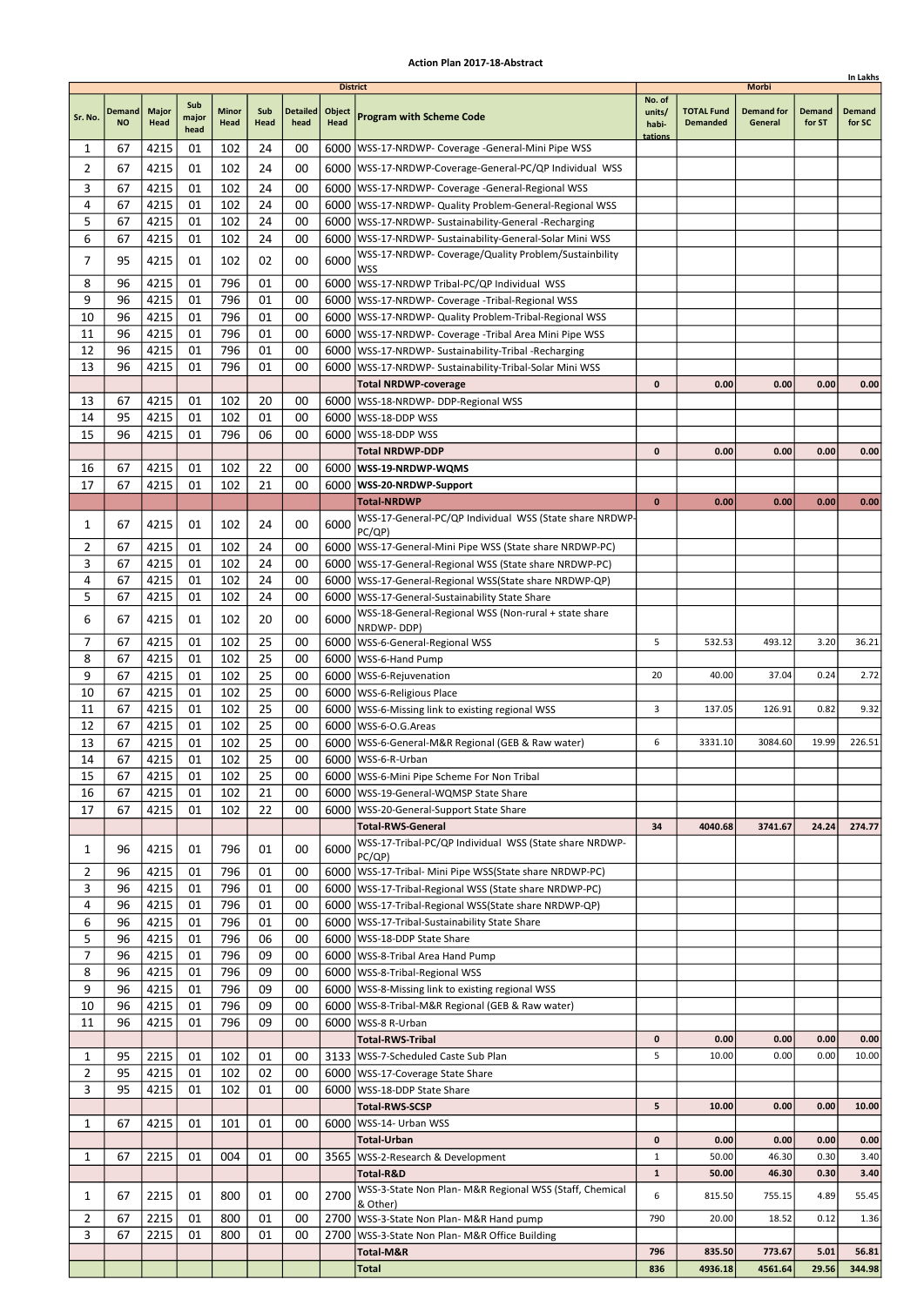|                |               |              |               |       |          |                 |                 |                                                                                  |              |                   |                   |        | In Lakhs |
|----------------|---------------|--------------|---------------|-------|----------|-----------------|-----------------|----------------------------------------------------------------------------------|--------------|-------------------|-------------------|--------|----------|
|                |               |              |               |       |          |                 | <b>District</b> |                                                                                  | No. of       |                   | Morbi             |        |          |
|                | <b>Demand</b> | <b>Major</b> | Sub           | Minor | Sub      | <b>Detailed</b> | Object          |                                                                                  | units/       | <b>TOTAL Fund</b> | <b>Demand for</b> | Demand | Demand   |
| Sr. No.        | <b>NO</b>     | Head         | major<br>head | Head  | Head     | head            | Head            | <b>Program with Scheme Code</b>                                                  | habi-        | <b>Demanded</b>   | General           | for ST | for SC   |
|                |               |              |               |       |          |                 |                 |                                                                                  | tations      |                   |                   |        |          |
| 1              | 67            | 4215         | 01            | 102   | 24       | 00              |                 | 6000   WSS-17-NRDWP- Coverage - General-Mini Pipe WSS                            |              |                   |                   |        |          |
| 2              | 67            | 4215         | 01            | 102   | 24       | 00              |                 | 6000 WSS-17-NRDWP-Coverage-General-PC/QP Individual WSS                          |              |                   |                   |        |          |
| 3              | 67            | 4215         | 01            | 102   | 24       | 00              |                 | 6000   WSS-17-NRDWP- Coverage -General-Regional WSS                              |              |                   |                   |        |          |
| 4              | 67            | 4215         | 01            | 102   | 24       | 00              |                 | 6000   WSS-17-NRDWP- Quality Problem-General-Regional WSS                        |              |                   |                   |        |          |
| 5              | 67            | 4215         | 01            | 102   | 24       | 00              |                 | 6000   WSS-17-NRDWP- Sustainability-General -Recharging                          |              |                   |                   |        |          |
| 6              | 67            | 4215         | 01            | 102   | 24       | 00              |                 | 6000   WSS-17-NRDWP- Sustainability-General-Solar Mini WSS                       |              |                   |                   |        |          |
| 7              | 95            |              |               | 102   | 02       | 00              | 6000            | WSS-17-NRDWP- Coverage/Quality Problem/Sustainbility                             |              |                   |                   |        |          |
|                |               | 4215         | 01            |       |          |                 |                 | WSS                                                                              |              |                   |                   |        |          |
| 8              | 96            | 4215         | 01            | 796   | 01       | 00              |                 | 6000   WSS-17-NRDWP Tribal-PC/QP Individual WSS                                  |              |                   |                   |        |          |
| 9              | 96            | 4215         | 01            | 796   | 01       | 00              |                 | 6000   WSS-17-NRDWP- Coverage - Tribal-Regional WSS                              |              |                   |                   |        |          |
| 10             | 96            | 4215         | 01            | 796   | 01       | 00              |                 | 6000   WSS-17-NRDWP- Quality Problem-Tribal-Regional WSS                         |              |                   |                   |        |          |
| 11             | 96            | 4215         | 01            | 796   | 01       | 00              | 6000            | WSS-17-NRDWP- Coverage -Tribal Area Mini Pipe WSS                                |              |                   |                   |        |          |
| 12             | 96            | 4215         | 01            | 796   | 01       | 00              |                 | 6000   WSS-17-NRDWP- Sustainability-Tribal - Recharging                          |              |                   |                   |        |          |
| 13             | 96            | 4215         | 01            | 796   | 01       | 00              |                 | 6000   WSS-17-NRDWP- Sustainability-Tribal-Solar Mini WSS                        |              |                   |                   |        |          |
|                |               |              |               |       |          |                 |                 | <b>Total NRDWP-coverage</b>                                                      | 0            | 0.00              | 0.00              | 0.00   | 0.00     |
| 13             | 67            | 4215         | 01            | 102   | 20       | 00              |                 | 6000   WSS-18-NRDWP- DDP-Regional WSS                                            |              |                   |                   |        |          |
| 14             | 95            | 4215         | 01            | 102   | 01       | 00              | 6000            | WSS-18-DDP WSS                                                                   |              |                   |                   |        |          |
| 15             | 96            | 4215         | 01            | 796   | 06       | 00              |                 | 6000   WSS-18-DDP WSS                                                            |              |                   |                   |        |          |
|                |               |              |               |       |          |                 |                 | Total NRDWP-DDP                                                                  | $\mathbf{0}$ | 0.00              | 0.00              | 0.00   | 0.00     |
| 16             | 67            | 4215         | 01            | 102   | 22       | 00              |                 | 6000   WSS-19-NRDWP-WQMS                                                         |              |                   |                   |        |          |
| 17             | 67            | 4215         | 01            | 102   | 21       | 00              |                 | 6000 WSS-20-NRDWP-Support                                                        |              |                   |                   |        |          |
|                |               |              |               |       |          |                 |                 |                                                                                  | $\bf{0}$     |                   | 0.00              | 0.00   |          |
|                |               |              |               |       |          |                 |                 | <b>Total-NRDWP</b>                                                               |              | 0.00              |                   |        | 0.00     |
| 1              | 67            | 4215         | 01            | 102   | 24       | 00              | 6000            | WSS-17-General-PC/QP Individual WSS (State share NRDWP-<br>PC(QP)                |              |                   |                   |        |          |
| 2              | 67            | 4215         | 01            | 102   | 24       | 00              |                 | 6000   WSS-17-General-Mini Pipe WSS (State share NRDWP-PC)                       |              |                   |                   |        |          |
| 3              | 67            | 4215         | 01            | 102   | 24       | 00              | 6000            | WSS-17-General-Regional WSS (State share NRDWP-PC)                               |              |                   |                   |        |          |
| 4              | 67            | 4215         | 01            | 102   | 24       | 00              |                 | 6000   WSS-17-General-Regional WSS (State share NRDWP-QP)                        |              |                   |                   |        |          |
| 5              | 67            |              |               | 102   | 24       | 00              |                 | 6000   WSS-17-General-Sustainability State Share                                 |              |                   |                   |        |          |
|                |               | 4215         | 01            |       |          |                 |                 |                                                                                  |              |                   |                   |        |          |
| 6              | 67            | 4215         | 01            | 102   | 20       | 00              | 6000            | WSS-18-General-Regional WSS (Non-rural + state share<br>NRDWP-DDP)               |              |                   |                   |        |          |
| 7              | 67            | 4215         | 01            | 102   | 25       | 00              |                 | 6000   WSS-6-General-Regional WSS                                                | 5            | 532.53            | 493.12            | 3.20   | 36.21    |
| 8              | 67            | 4215         | 01            | 102   | 25       | 00              | 6000            | WSS-6-Hand Pump                                                                  |              |                   |                   |        |          |
| 9              | 67            | 4215         | 01            | 102   | 25       | 00              |                 | 6000   WSS-6-Rejuvenation                                                        | 20           | 40.00             | 37.04             | 0.24   | 2.72     |
| 10             | 67            | 4215         | 01            | 102   | 25       | 00              |                 | 6000   WSS-6-Religious Place                                                     |              |                   |                   |        |          |
| 11             | 67            | 4215         | 01            | 102   | 25       | 00              |                 | 6000   WSS-6-Missing link to existing regional WSS                               | 3            | 137.05            | 126.91            | 0.82   | 9.32     |
| 12             | 67            | 4215         | 01            | 102   | 25       | 00              |                 | 6000   WSS-6-O.G. Areas                                                          |              |                   |                   |        |          |
|                |               |              |               |       | 25       | 00              |                 |                                                                                  | 6            | 3331.10           | 3084.60           | 19.99  | 226.51   |
| 13             | 67            | 4215         | 01            | 102   |          |                 |                 | 6000   WSS-6-General-M&R Regional (GEB & Raw water)                              |              |                   |                   |        |          |
| 14             | 67            | 4215         | 01            | 102   | 25       | 00              |                 | 6000 WSS-6-R-Urban                                                               |              |                   |                   |        |          |
| 15             | 67            | 4215         | 01            | 102   | 25       | 00              |                 | 6000 WSS-6-Mini Pipe Scheme For Non Tribal                                       |              |                   |                   |        |          |
| 16             | 67            | 4215         | 01            | 102   | 21       | 00              |                 | 6000   WSS-19-General-WQMSP State Share                                          |              |                   |                   |        |          |
| 17             | 67            | 4215         | 01            | 102   | 22       | 00              |                 | 6000   WSS-20-General-Support State Share                                        |              |                   |                   |        |          |
|                |               |              |               |       |          |                 |                 | <b>Total-RWS-General</b>                                                         | 34           | 4040.68           | 3741.67           | 24.24  | 274.77   |
| 1              | 96            | 4215         | 01            | 796   | 01       | 00              | 6000            | WSS-17-Tribal-PC/QP Individual WSS (State share NRDWP-                           |              |                   |                   |        |          |
| 2              | 96            | 4215         | 01            | 796   | 01       | 00              |                 | PC(QP)<br>6000   WSS-17-Tribal- Mini Pipe WSS(State share NRDWP-PC)              |              |                   |                   |        |          |
| 3              | 96            | 4215         | 01            | 796   | 01       | 00              |                 | 6000   WSS-17-Tribal-Regional WSS (State share NRDWP-PC)                         |              |                   |                   |        |          |
| 4              | 96            | 4215         | 01            | 796   | 01       | 00              |                 | 6000   WSS-17-Tribal-Regional WSS (State share NRDWP-QP)                         |              |                   |                   |        |          |
| 6              | 96            |              |               | 796   | 01       | 00              |                 |                                                                                  |              |                   |                   |        |          |
| 5              | 96            | 4215         | 01            | 796   |          | 00              |                 | 6000   WSS-17-Tribal-Sustainability State Share<br>6000   WSS-18-DDP State Share |              |                   |                   |        |          |
| 7              |               | 4215<br>4215 | 01            | 796   | 06<br>09 |                 |                 |                                                                                  |              |                   |                   |        |          |
|                | 96            |              | 01            |       |          | 00              |                 | 6000   WSS-8-Tribal Area Hand Pump                                               |              |                   |                   |        |          |
| 8              | 96            | 4215         | 01            | 796   | 09       | 00              |                 | 6000   WSS-8-Tribal-Regional WSS                                                 |              |                   |                   |        |          |
| 9              | 96            | 4215         | 01            | 796   | 09       | 00              |                 | 6000   WSS-8-Missing link to existing regional WSS                               |              |                   |                   |        |          |
| 10             | 96            | 4215         | 01            | 796   | 09       | 00              |                 | 6000   WSS-8-Tribal-M&R Regional (GEB & Raw water)                               |              |                   |                   |        |          |
| 11             | 96            | 4215         | 01            | 796   | 09       | 00              |                 | 6000   WSS-8 R-Urban                                                             |              |                   |                   |        |          |
|                |               |              |               |       |          |                 |                 | <b>Total-RWS-Tribal</b>                                                          | 0            | 0.00              | 0.00              | 0.00   | 0.00     |
| 1              | 95            | 2215         | 01            | 102   | 01       | 00              |                 | 3133   WSS-7-Scheduled Caste Sub Plan                                            | 5            | 10.00             | 0.00              | 0.00   | 10.00    |
| $\overline{2}$ | 95            | 4215         | 01            | 102   | 02       | 00              |                 | 6000   WSS-17-Coverage State Share                                               |              |                   |                   |        |          |
| 3              | 95            | 4215         | 01            | 102   | 01       | 00              |                 | 6000   WSS-18-DDP State Share                                                    |              |                   |                   |        |          |
|                |               |              |               |       |          |                 |                 | <b>Total-RWS-SCSP</b>                                                            | 5            | 10.00             | 0.00              | 0.00   | 10.00    |
| 1              | 67            | 4215         | 01            | 101   | 01       | 00              |                 | 6000   WSS-14- Urban WSS                                                         |              |                   |                   |        |          |
|                |               |              |               |       |          |                 |                 | Total-Urban                                                                      | 0            | 0.00              | 0.00              | 0.00   | 0.00     |
| 1              | 67            | 2215         | 01            | 004   | 01       | 00              |                 | 3565   WSS-2-Research & Development                                              | $\mathbf{1}$ | 50.00             | 46.30             | 0.30   | 3.40     |
|                |               |              |               |       |          |                 |                 | Total-R&D                                                                        | 1            | 50.00             | 46.30             | 0.30   | 3.40     |
| 1              | 67            | 2215         | 01            | 800   | 01       | 00              | 2700            | WSS-3-State Non Plan- M&R Regional WSS (Staff, Chemical                          | 6            | 815.50            | 755.15            | 4.89   | 55.45    |
|                |               |              |               |       |          |                 |                 | & Other)                                                                         |              |                   |                   |        |          |
| $\overline{2}$ | 67            | 2215         | 01            | 800   | 01       | 00              |                 | 2700   WSS-3-State Non Plan- M&R Hand pump                                       | 790          | 20.00             | 18.52             | 0.12   | 1.36     |
| 3              | 67            | 2215         | 01            | 800   | 01       | 00              |                 | 2700   WSS-3-State Non Plan- M&R Office Building                                 |              |                   |                   |        |          |
|                |               |              |               |       |          |                 |                 | Total-M&R                                                                        | 796          | 835.50            | 773.67            | 5.01   | 56.81    |
|                |               |              |               |       |          |                 |                 | Total                                                                            | 836          | 4936.18           | 4561.64           | 29.56  | 344.98   |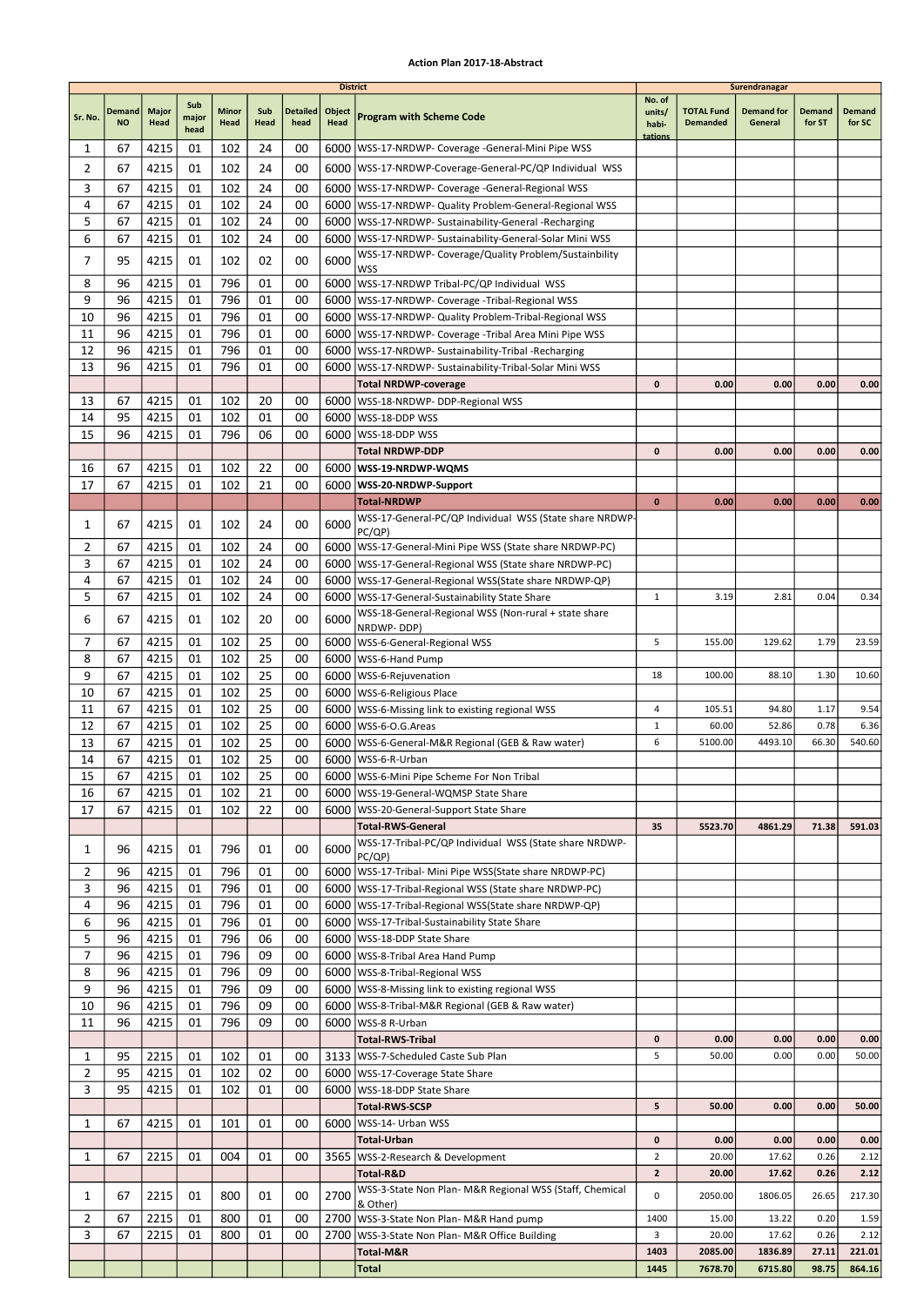|              |                            |               |                      |               |                 |                         | <b>District</b> |                                                                                                          |                                      |                                      | Surendranagar                |                         |                         |
|--------------|----------------------------|---------------|----------------------|---------------|-----------------|-------------------------|-----------------|----------------------------------------------------------------------------------------------------------|--------------------------------------|--------------------------------------|------------------------------|-------------------------|-------------------------|
| Sr. No.      | <b>Demand</b><br><b>NO</b> | Major<br>Head | Sub<br>major<br>head | Minor<br>Head | Sub<br>Head     | <b>Detailed</b><br>head | Object<br>Head  | <b>Program with Scheme Code</b>                                                                          | No. of<br>units/<br>habi-<br>tations | <b>TOTAL Fund</b><br><b>Demanded</b> | <b>Demand for</b><br>General | <b>Demand</b><br>for ST | <b>Demand</b><br>for SC |
| 1            | 67                         | 4215          | 01                   | 102           | 24              | 00                      |                 | 6000   WSS-17-NRDWP- Coverage - General-Mini Pipe WSS                                                    |                                      |                                      |                              |                         |                         |
| 2            | 67                         | 4215          | 01                   | 102           | 24              | 00                      |                 | 6000   WSS-17-NRDWP-Coverage-General-PC/QP Individual WSS                                                |                                      |                                      |                              |                         |                         |
| 3            | 67                         | 4215          | 01                   | 102           | 24              | 00                      | 6000            | WSS-17-NRDWP- Coverage -General-Regional WSS                                                             |                                      |                                      |                              |                         |                         |
| 4            | 67                         | 4215          | 01                   | 102           | 24              | 00                      |                 | 6000   WSS-17-NRDWP- Quality Problem-General-Regional WSS                                                |                                      |                                      |                              |                         |                         |
| 5            | 67                         | 4215          | 01                   | 102           | 24              | 00                      |                 | 6000   WSS-17-NRDWP- Sustainability-General -Recharging                                                  |                                      |                                      |                              |                         |                         |
| 6            | 67                         | 4215          | 01                   | 102           | 24              | 00                      |                 | 6000   WSS-17-NRDWP- Sustainability-General-Solar Mini WSS                                               |                                      |                                      |                              |                         |                         |
| 7            | 95                         | 4215          | 01                   | 102           | 02              | 00                      | 6000            | WSS-17-NRDWP- Coverage/Quality Problem/Sustainbility<br><b>WSS</b>                                       |                                      |                                      |                              |                         |                         |
| 8            | 96                         | 4215          | 01                   | 796           | 01              | 00                      |                 | 6000 WSS-17-NRDWP Tribal-PC/QP Individual WSS                                                            |                                      |                                      |                              |                         |                         |
| 9            | 96                         | 4215          | 01                   | 796           | 01              | 00                      | 6000            | WSS-17-NRDWP- Coverage -Tribal-Regional WSS                                                              |                                      |                                      |                              |                         |                         |
| 10           | 96                         | 4215          | 01                   | 796           | 01              | 00                      |                 | 6000   WSS-17-NRDWP- Quality Problem-Tribal-Regional WSS                                                 |                                      |                                      |                              |                         |                         |
| 11           | 96                         | 4215          | 01                   | 796           | 01              | 00                      |                 | 6000   WSS-17-NRDWP- Coverage - Tribal Area Mini Pipe WSS                                                |                                      |                                      |                              |                         |                         |
| 12<br>13     | 96<br>96                   | 4215<br>4215  | 01<br>01             | 796<br>796    | 01<br>01        | 00<br>00                |                 | 6000   WSS-17-NRDWP- Sustainability-Tribal -Recharging                                                   |                                      |                                      |                              |                         |                         |
|              |                            |               |                      |               |                 |                         |                 | 6000   WSS-17-NRDWP- Sustainability-Tribal-Solar Mini WSS<br><b>Total NRDWP-coverage</b>                 | 0                                    | 0.00                                 | 0.00                         | 0.00                    | 0.00                    |
| 13           | 67                         | 4215          | 01                   | 102           | 20              | 00                      |                 | 6000   WSS-18-NRDWP- DDP-Regional WSS                                                                    |                                      |                                      |                              |                         |                         |
| 14           | 95                         | 4215          | 01                   | 102           | 01              | 00                      |                 | 6000   WSS-18-DDP WSS                                                                                    |                                      |                                      |                              |                         |                         |
| 15           | 96                         | 4215          | 01                   | 796           | 06              | 00                      |                 | 6000   WSS-18-DDP WSS                                                                                    |                                      |                                      |                              |                         |                         |
|              |                            |               |                      |               |                 |                         |                 | Total NRDWP-DDP                                                                                          | 0                                    | 0.00                                 | 0.00                         | 0.00                    | 0.00                    |
| 16           | 67                         | 4215          | 01                   | 102           | 22              | 00                      |                 | 6000   WSS-19-NRDWP-WQMS                                                                                 |                                      |                                      |                              |                         |                         |
| 17           | 67                         | 4215          | 01                   | 102           | 21              | 00                      |                 | 6000 WSS-20-NRDWP-Support                                                                                |                                      |                                      |                              |                         |                         |
|              |                            |               |                      |               |                 |                         |                 | <b>Total-NRDWP</b>                                                                                       | $\mathbf{0}$                         | 0.00                                 | 0.00                         | 0.00                    | 0.00                    |
| 1            | 67                         | 4215          | 01                   | 102           | 24              | 00                      | 6000            | WSS-17-General-PC/QP Individual WSS (State share NRDWP-<br>PC/QP)                                        |                                      |                                      |                              |                         |                         |
| 2            | 67                         | 4215          | 01                   | 102           | 24              | 00                      |                 | 6000   WSS-17-General-Mini Pipe WSS (State share NRDWP-PC)                                               |                                      |                                      |                              |                         |                         |
| 3            | 67                         | 4215          | 01                   | 102           | 24              | 00                      |                 | 6000   WSS-17-General-Regional WSS (State share NRDWP-PC)                                                |                                      |                                      |                              |                         |                         |
| 4            | 67                         | 4215          | 01                   | 102           | 24              | 00                      |                 | 6000   WSS-17-General-Regional WSS(State share NRDWP-QP)                                                 |                                      |                                      |                              |                         |                         |
| 5            | 67                         | 4215          | 01                   | 102           | 24              | 00                      | 6000            | WSS-17-General-Sustainability State Share                                                                | $\mathbf{1}$                         | 3.19                                 | 2.81                         | 0.04                    | 0.34                    |
| 6            | 67                         | 4215          | 01                   | 102           | 20              | 00                      | 6000            | WSS-18-General-Regional WSS (Non-rural + state share<br>NRDWP-DDP)                                       |                                      |                                      |                              |                         |                         |
| 7            | 67                         | 4215          | 01                   | 102           | 25              | 00                      | 6000            | WSS-6-General-Regional WSS                                                                               | 5                                    | 155.00                               | 129.62                       | 1.79                    | 23.59                   |
| 8            | 67                         | 4215          | 01                   | 102           | 25              | 00                      |                 | 6000   WSS-6-Hand Pump                                                                                   |                                      |                                      |                              |                         |                         |
| 9            | 67                         | 4215          | 01                   | 102           | 25              | 00                      |                 | 6000   WSS-6-Rejuvenation                                                                                | 18                                   | 100.00                               | 88.10                        | 1.30                    | 10.60                   |
| 10           | 67                         | 4215          | 01                   | 102           | 25              | 00                      |                 | 6000   WSS-6-Religious Place                                                                             |                                      |                                      |                              |                         |                         |
| 11           | 67                         | 4215          | 01                   | 102           | 25              | 00                      | 6000            | WSS-6-Missing link to existing regional WSS                                                              | 4                                    | 105.51                               | 94.80                        | 1.17                    | 9.54                    |
| 12           | 67                         | 4215          | 01                   | 102           | 25              | 00                      | 6000            | WSS-6-O.G.Areas                                                                                          | $\mathbf{1}$                         | 60.00                                | 52.86                        | 0.78                    | 6.36                    |
| 13<br>14     | 67<br>67                   | 4215<br>4215  | 01<br>01             | 102<br>102    | 25<br>25        | 00<br>00                |                 | 6000   WSS-6-General-M&R Regional (GEB & Raw water)<br>6000   WSS-6-R-Urban                              | 6                                    | 5100.00                              | 4493.10                      | 66.30                   | 540.60                  |
| 15           | 67                         | 4215          | 01                   | 102           | $\overline{25}$ | $00\,$                  |                 | 6000 WSS-6-Mini Pipe Scheme For Non Tribal                                                               |                                      |                                      |                              |                         |                         |
| 16           | 67                         | 4215          | 01                   | 102           | 21              | 00                      |                 | 6000   WSS-19-General-WQMSP State Share                                                                  |                                      |                                      |                              |                         |                         |
| 17           | 67                         | 4215          | 01                   | 102           | 22              | 00                      |                 | 6000   WSS-20-General-Support State Share                                                                |                                      |                                      |                              |                         |                         |
|              |                            |               |                      |               |                 |                         |                 | <b>Total-RWS-General</b>                                                                                 | 35                                   | 5523.70                              | 4861.29                      | 71.38                   | 591.03                  |
| 1            | 96                         | 4215          | 01                   | 796           | 01              | 00                      | 6000            | WSS-17-Tribal-PC/QP Individual WSS (State share NRDWP-                                                   |                                      |                                      |                              |                         |                         |
| 2            | 96                         | 4215          | 01                   | 796           | 01              | 00                      |                 | PC/QP)<br>6000   WSS-17-Tribal- Mini Pipe WSS (State share NRDWP-PC)                                     |                                      |                                      |                              |                         |                         |
| 3            | 96                         | 4215          | 01                   | 796           | 01              | 00                      |                 | 6000   WSS-17-Tribal-Regional WSS (State share NRDWP-PC)                                                 |                                      |                                      |                              |                         |                         |
| 4            | 96                         | 4215          | 01                   | 796           | 01              | 00                      |                 | 6000   WSS-17-Tribal-Regional WSS(State share NRDWP-QP)                                                  |                                      |                                      |                              |                         |                         |
| 6            | 96                         | 4215          | 01                   | 796           | 01              | 00                      |                 | 6000   WSS-17-Tribal-Sustainability State Share                                                          |                                      |                                      |                              |                         |                         |
| 5            | 96                         | 4215          | 01                   | 796           | 06              | 00                      |                 | 6000   WSS-18-DDP State Share                                                                            |                                      |                                      |                              |                         |                         |
| 7            | 96                         | 4215          | 01                   | 796           | 09              | 00                      |                 | 6000   WSS-8-Tribal Area Hand Pump                                                                       |                                      |                                      |                              |                         |                         |
| 8            | 96                         | 4215          | 01                   | 796           | 09              | 00                      |                 | 6000   WSS-8-Tribal-Regional WSS                                                                         |                                      |                                      |                              |                         |                         |
| 9<br>10      | 96<br>96                   | 4215<br>4215  | 01<br>01             | 796<br>796    | 09<br>09        | 00<br>00                |                 | 6000   WSS-8-Missing link to existing regional WSS<br>6000   WSS-8-Tribal-M&R Regional (GEB & Raw water) |                                      |                                      |                              |                         |                         |
| 11           | 96                         | 4215          | 01                   | 796           | 09              | 00                      |                 | 6000   WSS-8 R-Urban                                                                                     |                                      |                                      |                              |                         |                         |
|              |                            |               |                      |               |                 |                         |                 | Total-RWS-Tribal                                                                                         | $\mathbf 0$                          | 0.00                                 | 0.00                         | 0.00                    | 0.00                    |
| 1            | 95                         | 2215          | 01                   | 102           | 01              | 00                      |                 | 3133   WSS-7-Scheduled Caste Sub Plan                                                                    | 5                                    | 50.00                                | 0.00                         | 0.00                    | 50.00                   |
| 2            | 95                         | 4215          | 01                   | 102           | 02              | 00                      |                 | 6000   WSS-17-Coverage State Share                                                                       |                                      |                                      |                              |                         |                         |
| 3            | 95                         | 4215          | 01                   | 102           | 01              | 00                      |                 | 6000   WSS-18-DDP State Share                                                                            |                                      |                                      |                              |                         |                         |
|              |                            |               |                      |               |                 |                         |                 | <b>Total-RWS-SCSP</b>                                                                                    | 5                                    | 50.00                                | 0.00                         | 0.00                    | 50.00                   |
| 1            | 67                         | 4215          | 01                   | 101           | 01              | 00                      |                 | 6000   WSS-14- Urban WSS                                                                                 |                                      |                                      |                              |                         |                         |
| $\mathbf{1}$ | 67                         | 2215          | 01                   | 004           | 01              | 00                      |                 | Total-Urban<br>3565   WSS-2-Research & Development                                                       | 0<br>$\overline{2}$                  | 0.00<br>20.00                        | 0.00<br>17.62                | 0.00<br>0.26            | 0.00<br>2.12            |
|              |                            |               |                      |               |                 |                         |                 | Total-R&D                                                                                                | $\overline{2}$                       | 20.00                                | 17.62                        | 0.26                    | 2.12                    |
|              |                            |               |                      |               |                 |                         |                 | WSS-3-State Non Plan- M&R Regional WSS (Staff, Chemical                                                  |                                      |                                      |                              |                         |                         |
| 1            | 67                         | 2215          | 01                   | 800           | 01              | 00                      | 2700            | & Other)                                                                                                 | 0                                    | 2050.00                              | 1806.05                      | 26.65                   | 217.30                  |
| 2            | 67                         | 2215          | 01                   | 800           | 01              | 00                      |                 | 2700   WSS-3-State Non Plan- M&R Hand pump                                                               | 1400                                 | 15.00                                | 13.22                        | 0.20                    | 1.59                    |
| 3            | 67                         | 2215          | 01                   | 800           | 01              | 00                      |                 | 2700   WSS-3-State Non Plan- M&R Office Building<br>Total-M&R                                            | 3<br>1403                            | 20.00<br>2085.00                     | 17.62<br>1836.89             | 0.26<br>27.11           | 2.12<br>221.01          |
|              |                            |               |                      |               |                 |                         |                 | <b>Total</b>                                                                                             | 1445                                 | 7678.70                              | 6715.80                      | 98.75                   | 864.16                  |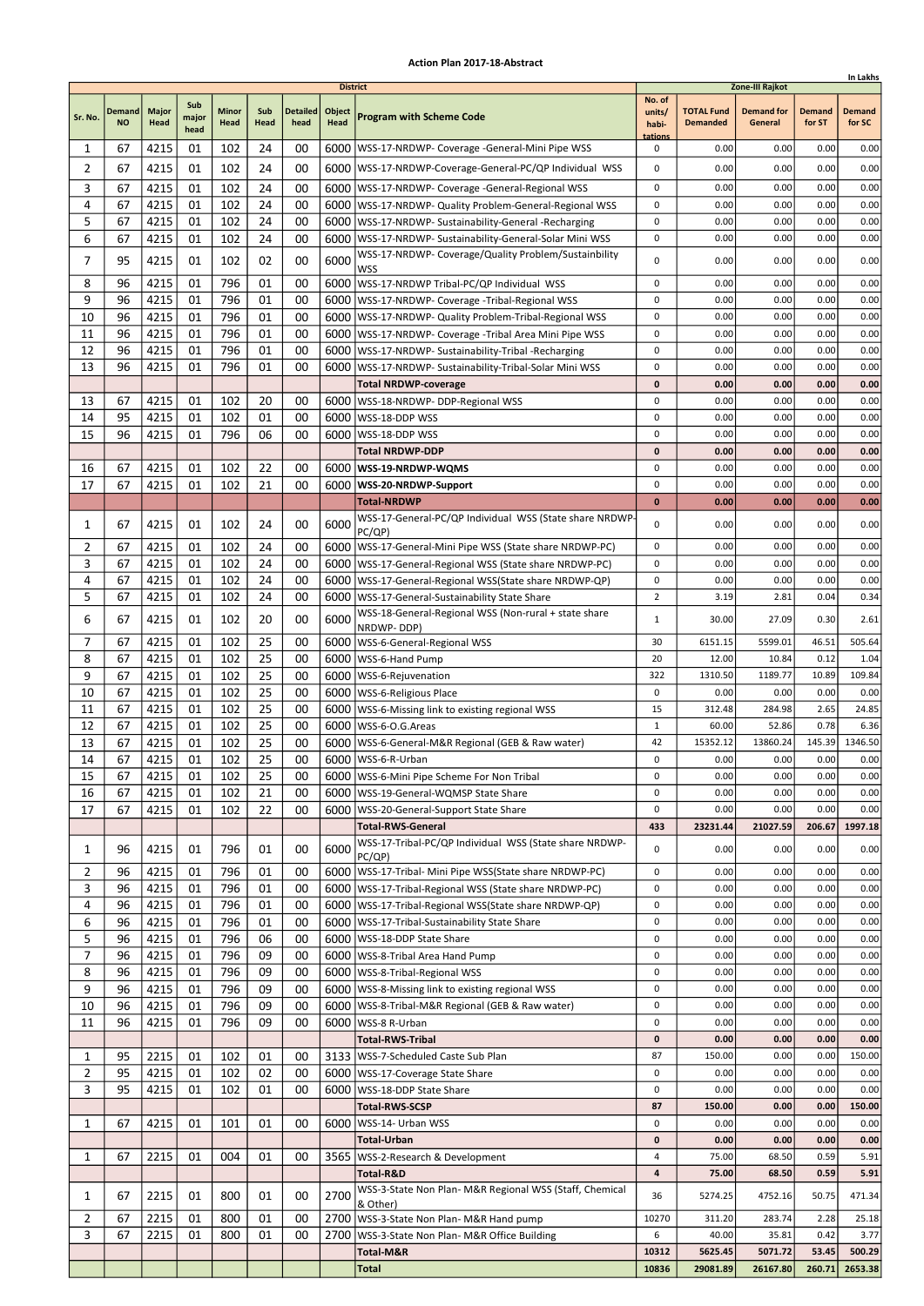|                     |                            |               |                      |               |             |                         |                                   |                                                                                                                    |                                      |                                      |                                                 |                         | In Lakhs                |
|---------------------|----------------------------|---------------|----------------------|---------------|-------------|-------------------------|-----------------------------------|--------------------------------------------------------------------------------------------------------------------|--------------------------------------|--------------------------------------|-------------------------------------------------|-------------------------|-------------------------|
| Sr. No.             | <b>Demand</b><br><b>NO</b> | Major<br>Head | Sub<br>major<br>head | Minor<br>Head | Sub<br>Head | <b>Detailed</b><br>head | <b>District</b><br>Object<br>Head | <b>Program with Scheme Code</b>                                                                                    | No. of<br>units/<br>habi-<br>tations | <b>TOTAL Fund</b><br><b>Demanded</b> | Zone-III Rajkot<br><b>Demand for</b><br>General | <b>Demand</b><br>for ST | <b>Demand</b><br>for SC |
| 1                   | 67                         | 4215          | 01                   | 102           | 24          | 00                      |                                   | 6000   WSS-17-NRDWP- Coverage - General-Mini Pipe WSS                                                              | 0                                    | 0.00                                 | 0.00                                            | 0.00                    | 0.00                    |
| $\overline{2}$      | 67                         | 4215          | 01                   | 102           | 24          | 00                      |                                   | 6000   WSS-17-NRDWP-Coverage-General-PC/QP Individual WSS                                                          | 0                                    | 0.00                                 | 0.00                                            | 0.00                    | 0.00                    |
| 3                   | 67                         | 4215          | 01                   | 102           | 24          | 00                      |                                   | 6000   WSS-17-NRDWP- Coverage -General-Regional WSS                                                                | 0                                    | 0.00                                 | 0.00                                            | 0.00                    | 0.00                    |
| 4                   | 67                         | 4215          | 01                   | 102           | 24          | 00                      |                                   | 6000   WSS-17-NRDWP- Quality Problem-General-Regional WSS                                                          | 0                                    | 0.00                                 | 0.00                                            | 0.00                    | 0.00                    |
| 5                   | 67                         | 4215          | 01                   | 102           | 24          | 00                      |                                   | 6000   WSS-17-NRDWP- Sustainability-General -Recharging                                                            | 0                                    | 0.00                                 | 0.00                                            | 0.00                    | 0.00                    |
| 6                   | 67                         | 4215          | 01                   | 102           | 24          | 00                      |                                   | 6000   WSS-17-NRDWP- Sustainability-General-Solar Mini WSS<br>WSS-17-NRDWP- Coverage/Quality Problem/Sustainbility | 0                                    | 0.00                                 | 0.00                                            | 0.00                    | 0.00                    |
| 7                   | 95                         | 4215          | 01                   | 102           | 02          | 00                      | 6000                              | WSS                                                                                                                | 0                                    | 0.00                                 | 0.00                                            | 0.00                    | 0.00                    |
| 8                   | 96                         | 4215          | 01                   | 796           | 01          | 00                      |                                   | 6000   WSS-17-NRDWP Tribal-PC/QP Individual WSS                                                                    | 0                                    | 0.00                                 | 0.00                                            | 0.00                    | 0.00                    |
| 9                   | 96                         | 4215          | 01                   | 796           | 01          | 00                      |                                   | 6000   WSS-17-NRDWP- Coverage - Tribal-Regional WSS                                                                | 0                                    | 0.00                                 | 0.00                                            | 0.00                    | 0.00                    |
| 10                  | 96                         | 4215          | 01                   | 796           | 01          | 00                      |                                   | 6000   WSS-17-NRDWP- Quality Problem-Tribal-Regional WSS                                                           | 0                                    | 0.00                                 | 0.00                                            | 0.00                    | 0.00                    |
| 11<br>12            | 96<br>96                   | 4215<br>4215  | 01<br>01             | 796<br>796    | 01<br>01    | 00<br>00                |                                   | 6000   WSS-17-NRDWP- Coverage - Tribal Area Mini Pipe WSS                                                          | 0<br>0                               | 0.00<br>0.00                         | 0.00<br>0.00                                    | 0.00<br>0.00            | 0.00<br>0.00            |
| 13                  | 96                         | 4215          | 01                   | 796           | 01          | 00                      | 6000                              | 6000   WSS-17-NRDWP- Sustainability-Tribal -Recharging<br>WSS-17-NRDWP- Sustainability-Tribal-Solar Mini WSS       | 0                                    | 0.00                                 | 0.00                                            | 0.00                    | 0.00                    |
|                     |                            |               |                      |               |             |                         |                                   | <b>Total NRDWP-coverage</b>                                                                                        | 0                                    | 0.00                                 | 0.00                                            | 0.00                    | 0.00                    |
| 13                  | 67                         | 4215          | 01                   | 102           | 20          | 00                      |                                   | 6000   WSS-18-NRDWP- DDP-Regional WSS                                                                              | 0                                    | 0.00                                 | 0.00                                            | 0.00                    | 0.00                    |
| 14                  | 95                         | 4215          | 01                   | 102           | 01          | 00                      |                                   | 6000   WSS-18-DDP WSS                                                                                              | 0                                    | 0.00                                 | 0.00                                            | 0.00                    | 0.00                    |
| 15                  | 96                         | 4215          | 01                   | 796           | 06          | 00                      | 6000                              | WSS-18-DDP WSS                                                                                                     | 0                                    | 0.00                                 | 0.00                                            | 0.00                    | 0.00                    |
|                     |                            |               |                      |               |             |                         |                                   | <b>Total NRDWP-DDP</b>                                                                                             | 0                                    | 0.00                                 | 0.00                                            | 0.00                    | 0.00                    |
| 16                  | 67                         | 4215          | 01                   | 102           | 22          | 00                      |                                   | 6000   WSS-19-NRDWP-WQMS                                                                                           | 0                                    | 0.00                                 | 0.00                                            | 0.00                    | 0.00                    |
| 17                  | 67                         | 4215          | 01                   | 102           | 21          | 00                      |                                   | 6000   WSS-20-NRDWP-Support                                                                                        | 0                                    | 0.00                                 | 0.00                                            | 0.00                    | 0.00                    |
|                     |                            |               |                      |               |             |                         |                                   | <b>Total-NRDWP</b><br>WSS-17-General-PC/QP Individual WSS (State share NRDWP                                       | 0                                    | 0.00                                 | 0.00                                            | 0.00                    | 0.00                    |
| 1                   | 67                         | 4215          | 01                   | 102           | 24          | 00                      | 6000                              | PC/QP)                                                                                                             | 0                                    | 0.00                                 | 0.00                                            | 0.00                    | 0.00                    |
| 2                   | 67                         | 4215          | 01                   | 102           | 24          | 00                      |                                   | 6000   WSS-17-General-Mini Pipe WSS (State share NRDWP-PC)                                                         | 0                                    | 0.00                                 | 0.00                                            | 0.00                    | 0.00                    |
| 3                   | 67                         | 4215          | 01                   | 102           | 24          | 00                      |                                   | 6000   WSS-17-General-Regional WSS (State share NRDWP-PC)                                                          | 0                                    | 0.00                                 | 0.00                                            | 0.00                    | 0.00                    |
| 4                   | 67                         | 4215          | 01                   | 102           | 24          | 00                      |                                   | 6000   WSS-17-General-Regional WSS (State share NRDWP-QP)                                                          | 0                                    | 0.00                                 | 0.00                                            | 0.00                    | 0.00                    |
| 5                   | 67                         | 4215          | 01                   | 102           | 24          | 00                      |                                   | 6000   WSS-17-General-Sustainability State Share<br>WSS-18-General-Regional WSS (Non-rural + state share           | $\overline{2}$                       | 3.19                                 | 2.81                                            | 0.04                    | 0.34                    |
| 6                   | 67                         | 4215          | 01                   | 102           | 20          | 00                      | 6000                              | NRDWP-DDP)                                                                                                         | $\mathbf{1}$                         | 30.00                                | 27.09                                           | 0.30                    | 2.61                    |
| 7                   | 67                         | 4215          | 01                   | 102           | 25          | 00                      |                                   | 6000   WSS-6-General-Regional WSS                                                                                  | 30                                   | 6151.15                              | 5599.01                                         | 46.51                   | 505.64                  |
| 8                   | 67                         | 4215          | 01                   | 102           | 25          | 00                      | 6000                              | WSS-6-Hand Pump                                                                                                    | 20                                   | 12.00                                | 10.84                                           | 0.12                    | 1.04                    |
| 9                   | 67                         | 4215          | 01                   | 102           | 25          | 00                      |                                   | 6000   WSS-6-Rejuvenation                                                                                          | 322                                  | 1310.50                              | 1189.77                                         | 10.89                   | 109.84                  |
| 10                  | 67<br>67                   | 4215          | 01<br>01             | 102<br>102    | 25<br>25    | 00<br>00                |                                   | 6000   WSS-6-Religious Place                                                                                       | 0<br>15                              | 0.00<br>312.48                       | 0.00<br>284.98                                  | 0.00<br>2.65            | 0.00<br>24.85           |
| 11<br>12            | 67                         | 4215<br>4215  | 01                   | 102           | 25          | 00                      |                                   | 6000   WSS-6-Missing link to existing regional WSS<br>6000   WSS-6-O.G. Areas                                      | $\mathbf{1}$                         | 60.00                                | 52.86                                           | 0.78                    | 6.36                    |
| 13                  | 67                         | 4215          | 01                   | 102           | 25          | 00                      |                                   | 6000   WSS-6-General-M&R Regional (GEB & Raw water)                                                                | 42                                   | 15352.12                             | 13860.24                                        | 145.39                  | 1346.50                 |
| 14                  | 67                         | 4215          | 01                   | 102           | 25          | 00                      |                                   | 6000   WSS-6-R-Urban                                                                                               | 0                                    | 0.00                                 | 0.00                                            | 0.00                    | 0.00                    |
| 15                  | 67                         | 4215          | 01                   | 102           | 25          | 00                      |                                   | 6000 WSS-6-Mini Pipe Scheme For Non Tribal                                                                         | 0                                    | 0.00                                 | 0.00                                            | 0.00                    | 0.00                    |
| 16                  | 67                         | 4215          | 01                   | 102           | 21          | 00                      |                                   | 6000   WSS-19-General-WQMSP State Share                                                                            | 0                                    | 0.00                                 | 0.00                                            | 0.00                    | 0.00                    |
| 17                  | 67                         | 4215          | 01                   | 102           | 22          | 00                      |                                   | 6000   WSS-20-General-Support State Share                                                                          | 0                                    | 0.00                                 | 0.00                                            | 0.00                    | 0.00                    |
|                     |                            |               |                      |               |             |                         |                                   | <b>Total-RWS-General</b><br>WSS-17-Tribal-PC/QP Individual WSS (State share NRDWP-                                 | 433                                  | 23231.44                             | 21027.59                                        | 206.67                  | 1997.18                 |
| 1<br>$\overline{2}$ | 96<br>96                   | 4215<br>4215  | 01<br>01             | 796<br>796    | 01<br>01    | 00<br>00                | 6000                              | PC/QP)<br>6000   WSS-17-Tribal- Mini Pipe WSS (State share NRDWP-PC)                                               | 0<br>0                               | 0.00<br>0.00                         | 0.00<br>0.00                                    | 0.00<br>0.00            | 0.00<br>0.00            |
| 3                   | 96                         | 4215          | 01                   | 796           | 01          | 00                      |                                   | 6000   WSS-17-Tribal-Regional WSS (State share NRDWP-PC)                                                           | 0                                    | 0.00                                 | 0.00                                            | 0.00                    | 0.00                    |
| 4                   | 96                         | 4215          | 01                   | 796           | 01          | 00                      |                                   | 6000   WSS-17-Tribal-Regional WSS (State share NRDWP-QP)                                                           | 0                                    | 0.00                                 | 0.00                                            | 0.00                    | 0.00                    |
| 6                   | 96                         | 4215          | 01                   | 796           | 01          | 00                      |                                   | 6000   WSS-17-Tribal-Sustainability State Share                                                                    | 0                                    | 0.00                                 | 0.00                                            | 0.00                    | 0.00                    |
| 5                   | 96                         | 4215          | 01                   | 796           | 06          | 00                      |                                   | 6000   WSS-18-DDP State Share                                                                                      | 0                                    | 0.00                                 | 0.00                                            | 0.00                    | 0.00                    |
| $\overline{7}$      | 96                         | 4215          | 01                   | 796           | 09          | 00                      |                                   | 6000 WSS-8-Tribal Area Hand Pump                                                                                   | 0                                    | 0.00                                 | 0.00                                            | 0.00                    | 0.00                    |
| 8                   | 96                         | 4215          | 01                   | 796           | 09          | 00                      |                                   | 6000   WSS-8-Tribal-Regional WSS                                                                                   | 0                                    | 0.00                                 | 0.00                                            | 0.00                    | 0.00                    |
| 9<br>10             | 96<br>96                   | 4215<br>4215  | 01<br>01             | 796<br>796    | 09<br>09    | 00<br>00                |                                   | 6000   WSS-8-Missing link to existing regional WSS                                                                 | 0<br>0                               | 0.00<br>0.00                         | 0.00<br>0.00                                    | 0.00<br>0.00            | 0.00<br>0.00            |
| 11                  | 96                         | 4215          | 01                   | 796           | 09          | 00                      |                                   | 6000   WSS-8-Tribal-M&R Regional (GEB & Raw water)<br>6000   WSS-8 R-Urban                                         | 0                                    | 0.00                                 | 0.00                                            | 0.00                    | 0.00                    |
|                     |                            |               |                      |               |             |                         |                                   | <b>Total-RWS-Tribal</b>                                                                                            | 0                                    | 0.00                                 | 0.00                                            | 0.00                    | 0.00                    |
| 1                   | 95                         | 2215          | 01                   | 102           | 01          | 00                      |                                   | 3133   WSS-7-Scheduled Caste Sub Plan                                                                              | 87                                   | 150.00                               | 0.00                                            | 0.00                    | 150.00                  |
| $\overline{2}$      | 95                         | 4215          | 01                   | 102           | 02          | 00                      |                                   | 6000   WSS-17-Coverage State Share                                                                                 | 0                                    | 0.00                                 | 0.00                                            | 0.00                    | 0.00                    |
| 3                   | 95                         | 4215          | 01                   | 102           | 01          | 00                      |                                   | 6000   WSS-18-DDP State Share                                                                                      | 0                                    | 0.00                                 | 0.00                                            | 0.00                    | 0.00                    |
|                     |                            |               |                      |               |             |                         |                                   | <b>Total-RWS-SCSP</b>                                                                                              | 87                                   | 150.00                               | 0.00                                            | 0.00                    | 150.00                  |
| 1                   | 67                         | 4215          | 01                   | 101           | 01          | 00                      | 6000                              | WSS-14- Urban WSS                                                                                                  | 0                                    | 0.00                                 | 0.00                                            | 0.00                    | 0.00                    |
| 1                   | 67                         | 2215          | 01                   | 004           | 01          | 00                      |                                   | <b>Total-Urban</b><br>3565   WSS-2-Research & Development                                                          | 0<br>4                               | 0.00<br>75.00                        | 0.00<br>68.50                                   | 0.00<br>0.59            | 0.00<br>5.91            |
|                     |                            |               |                      |               |             |                         |                                   | Total-R&D                                                                                                          | 4                                    | 75.00                                | 68.50                                           | 0.59                    | 5.91                    |
|                     |                            |               |                      |               |             |                         |                                   | WSS-3-State Non Plan- M&R Regional WSS (Staff, Chemical                                                            |                                      |                                      |                                                 |                         |                         |
| 1                   | 67                         | 2215          | 01                   | 800           | 01          | 00                      | 2700                              | & Other)                                                                                                           | 36                                   | 5274.25                              | 4752.16                                         | 50.75                   | 471.34                  |
| 2                   | 67                         | 2215          | 01                   | 800           | 01          | 00                      |                                   | 2700 WSS-3-State Non Plan- M&R Hand pump                                                                           | 10270                                | 311.20                               | 283.74                                          | 2.28                    | 25.18                   |
| 3                   | 67                         | 2215          | 01                   | 800           | 01          | 00                      | 2700                              | WSS-3-State Non Plan- M&R Office Building<br>Total-M&R                                                             | 6<br>10312                           | 40.00<br>5625.45                     | 35.81<br>5071.72                                | 0.42<br>53.45           | 3.77<br>500.29          |
|                     |                            |               |                      |               |             |                         |                                   | <b>Total</b>                                                                                                       | 10836                                | 29081.89                             | 26167.80                                        | 260.71                  | 2653.38                 |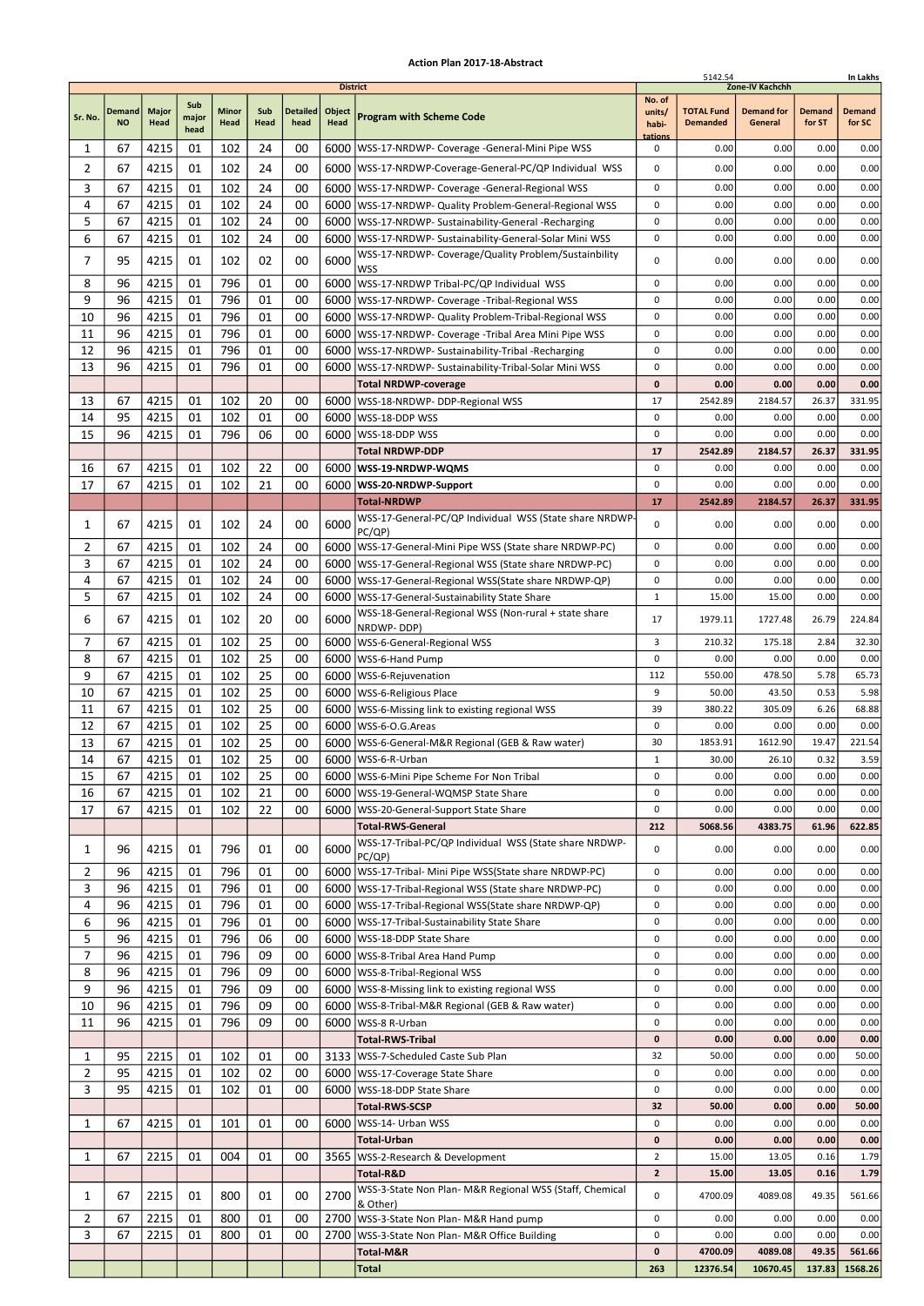|                |                            |                      |                      |                      |             |                         | <b>District</b> |                                                                                                          |                                      | 5142.54                              | Zone-IV Kachchh              |                         | In Lakhs                |
|----------------|----------------------------|----------------------|----------------------|----------------------|-------------|-------------------------|-----------------|----------------------------------------------------------------------------------------------------------|--------------------------------------|--------------------------------------|------------------------------|-------------------------|-------------------------|
| Sr. No.        | <b>Demand</b><br><b>NO</b> | <b>Major</b><br>Head | Sub<br>major<br>head | <b>Minor</b><br>Head | Sub<br>Head | <b>Detailed</b><br>head | Object<br>Head  | <b>Program with Scheme Code</b>                                                                          | No. of<br>units/<br>habi-<br>tations | <b>TOTAL Fund</b><br><b>Demanded</b> | <b>Demand for</b><br>General | <b>Demand</b><br>for ST | <b>Demand</b><br>for SC |
| 1              | 67                         | 4215                 | 01                   | 102                  | 24          | 00                      |                 | 6000   WSS-17-NRDWP- Coverage - General-Mini Pipe WSS                                                    | 0                                    | 0.00                                 | 0.00                         | 0.00                    | 0.00                    |
| 2              | 67                         | 4215                 | 01                   | 102                  | 24          | 00                      |                 | 6000   WSS-17-NRDWP-Coverage-General-PC/QP Individual WSS                                                | 0                                    | 0.00                                 | 0.00                         | 0.00                    | 0.00                    |
| 3              | 67                         | 4215                 | 01                   | 102                  | 24          | 00                      | 6000            | WSS-17-NRDWP- Coverage -General-Regional WSS                                                             | 0                                    | 0.00                                 | 0.00                         | 0.00                    | 0.00                    |
| 4              | 67                         | 4215                 | 01                   | 102                  | 24          | 00                      |                 | 6000   WSS-17-NRDWP- Quality Problem-General-Regional WSS                                                | 0                                    | 0.00                                 | 0.00                         | 0.00                    | 0.00                    |
| 5              | 67                         | 4215                 | 01                   | 102                  | 24          | 00                      |                 | 6000   WSS-17-NRDWP- Sustainability-General -Recharging                                                  | $\pmb{0}$                            | 0.00                                 | 0.00                         | 0.00                    | 0.00                    |
| 6              | 67                         | 4215                 | 01                   | 102                  | 24          | 00                      | 6000            | WSS-17-NRDWP- Sustainability-General-Solar Mini WSS                                                      | $\pmb{0}$                            | 0.00                                 | 0.00                         | 0.00                    | 0.00                    |
| 7              | 95                         | 4215                 | 01                   | 102                  | 02          | 00                      | 6000            | WSS-17-NRDWP- Coverage/Quality Problem/Sustainbility<br>WSS                                              | 0                                    | 0.00                                 | 0.00                         | 0.00                    | 0.00                    |
| 8              | 96                         | 4215                 | 01                   | 796                  | 01          | 00                      | 6000            | WSS-17-NRDWP Tribal-PC/QP Individual WSS                                                                 | 0                                    | 0.00                                 | 0.00                         | 0.00                    | 0.00                    |
| 9              | 96                         | 4215                 | 01                   | 796                  | 01          | 00                      | 6000            | WSS-17-NRDWP- Coverage -Tribal-Regional WSS                                                              | 0                                    | 0.00                                 | 0.00                         | 0.00                    | 0.00                    |
| 10             | 96                         | 4215                 | 01                   | 796                  | 01          | 00                      |                 | 6000   WSS-17-NRDWP- Quality Problem-Tribal-Regional WSS                                                 | $\pmb{0}$                            | 0.00                                 | 0.00                         | 0.00                    | 0.00                    |
| 11             | 96                         | 4215                 | 01                   | 796                  | 01          | 00                      |                 | 6000   WSS-17-NRDWP- Coverage -Tribal Area Mini Pipe WSS                                                 | $\mathbf 0$                          | 0.00                                 | 0.00                         | 0.00                    | 0.00                    |
| 12             | 96                         | 4215                 | 01                   | 796                  | 01          | 00                      |                 | 6000   WSS-17-NRDWP- Sustainability-Tribal -Recharging                                                   | 0                                    | 0.00                                 | 0.00                         | 0.00                    | 0.00                    |
| 13             | 96                         | 4215                 | 01                   | 796                  | 01          | 00                      | 6000            | WSS-17-NRDWP- Sustainability-Tribal-Solar Mini WSS<br><b>Total NRDWP-coverage</b>                        | 0<br>0                               | 0.00<br>0.00                         | 0.00<br>0.00                 | 0.00<br>0.00            | 0.00<br>0.00            |
| 13             | 67                         | 4215                 | 01                   | 102                  | 20          | 00                      |                 | 6000 WSS-18-NRDWP- DDP-Regional WSS                                                                      | 17                                   | 2542.89                              | 2184.57                      | 26.37                   | 331.95                  |
| 14             | 95                         | 4215                 | 01                   | 102                  | 01          | 00                      |                 | 6000   WSS-18-DDP WSS                                                                                    | 0                                    | 0.00                                 | 0.00                         | 0.00                    | 0.00                    |
| 15             | 96                         | 4215                 | 01                   | 796                  | 06          | 00                      |                 | 6000 WSS-18-DDP WSS                                                                                      | $\pmb{0}$                            | 0.00                                 | 0.00                         | 0.00                    | 0.00                    |
|                |                            |                      |                      |                      |             |                         |                 | <b>Total NRDWP-DDP</b>                                                                                   | 17                                   | 2542.89                              | 2184.57                      | 26.37                   | 331.95                  |
| 16             | 67                         | 4215                 | 01                   | 102                  | 22          | 00                      | 6000            | WSS-19-NRDWP-WQMS                                                                                        | 0                                    | 0.00                                 | 0.00                         | 0.00                    | 0.00                    |
| 17             | 67                         | 4215                 | 01                   | 102                  | 21          | 00                      | 6000            | WSS-20-NRDWP-Support                                                                                     | $\pmb{0}$                            | 0.00                                 | 0.00                         | 0.00                    | 0.00                    |
|                |                            |                      |                      |                      |             |                         |                 | <b>Total-NRDWP</b>                                                                                       | 17                                   | 2542.89                              | 2184.57                      | 26.37                   | 331.95                  |
| 1              | 67                         | 4215                 | 01                   | 102                  | 24          | 00                      | 6000            | WSS-17-General-PC/QP Individual WSS (State share NRDWP-<br>PC/QP)                                        | 0                                    | 0.00                                 | 0.00                         | 0.00                    | 0.00                    |
| 2              | 67                         | 4215                 | 01                   | 102                  | 24          | 00                      |                 | 6000   WSS-17-General-Mini Pipe WSS (State share NRDWP-PC)                                               | 0                                    | 0.00                                 | 0.00                         | 0.00                    | 0.00                    |
| 3              | 67                         | 4215                 | 01                   | 102                  | 24          | 00                      | 6000            | WSS-17-General-Regional WSS (State share NRDWP-PC)                                                       | $\pmb{0}$                            | 0.00                                 | 0.00                         | 0.00                    | 0.00                    |
| 4              | 67                         | 4215                 | 01                   | 102                  | 24          | 00                      | 6000            | WSS-17-General-Regional WSS(State share NRDWP-QP)                                                        | 0                                    | 0.00                                 | 0.00                         | 0.00                    | 0.00                    |
| 5              | 67                         | 4215                 | 01                   | 102                  | 24          | 00                      | 6000            | WSS-17-General-Sustainability State Share                                                                | $\mathbf 1$                          | 15.00                                | 15.00                        | 0.00                    | 0.00                    |
| 6              | 67                         | 4215                 | 01                   | 102                  | 20          | 00                      | 6000            | WSS-18-General-Regional WSS (Non-rural + state share<br>NRDWP-DDP)                                       | 17                                   | 1979.11                              | 1727.48                      | 26.79                   | 224.84                  |
| 7              | 67                         | 4215                 | 01                   | 102                  | 25          | 00                      |                 | 6000   WSS-6-General-Regional WSS                                                                        | 3                                    | 210.32                               | 175.18                       | 2.84                    | 32.30                   |
| 8              | 67                         | 4215                 | 01                   | 102                  | 25          | 00                      |                 | 6000   WSS-6-Hand Pump                                                                                   | $\pmb{0}$                            | 0.00                                 | 0.00                         | 0.00                    | 0.00                    |
| 9              | 67                         | 4215                 | 01                   | 102                  | 25          | 00                      |                 | 6000   WSS-6-Rejuvenation                                                                                | 112                                  | 550.00                               | 478.50                       | 5.78                    | 65.73                   |
| 10             | 67                         | 4215                 | 01                   | 102                  | 25          | 00                      | 6000            | WSS-6-Religious Place                                                                                    | 9                                    | 50.00                                | 43.50                        | 0.53                    | 5.98                    |
| 11             | 67                         | 4215                 | 01                   | 102                  | 25          | 00                      | 6000            | WSS-6-Missing link to existing regional WSS                                                              | 39                                   | 380.22                               | 305.09                       | 6.26                    | 68.88                   |
| 12             | 67                         | 4215                 | 01                   | 102                  | 25          | 00                      |                 | 6000   WSS-6-O.G. Areas                                                                                  | 0                                    | 0.00                                 | 0.00                         | 0.00                    | 0.00                    |
| 13<br>14       | 67<br>67                   | 4215<br>4215         | 01<br>01             | 102<br>102           | 25<br>25    | 00<br>00                |                 | 6000   WSS-6-General-M&R Regional (GEB & Raw water)<br>6000   WSS-6-R-Urban                              | 30<br>$\mathbf 1$                    | 1853.91<br>30.00                     | 1612.90<br>26.10             | 19.47<br>0.32           | 221.54<br>3.59          |
| 15             | 67                         | 4215                 | 01                   | 102                  | 25          | 00                      |                 | 6000   WSS-6-Mini Pipe Scheme For Non Tribal                                                             | 0                                    | 0.00                                 | 0.00                         | 0.00                    | 0.00                    |
| 16             | 67                         | 4215                 | 01                   | 102                  | 21          | 00                      |                 | 6000   WSS-19-General-WQMSP State Share                                                                  | $\pmb{0}$                            | 0.00                                 | 0.00                         | 0.00                    | 0.00                    |
| 17             | 67                         | 4215                 | 01                   | 102                  | 22          | 00                      |                 | 6000   WSS-20-General-Support State Share                                                                | 0                                    | 0.00                                 | 0.00                         | 0.00                    | 0.00                    |
|                |                            |                      |                      |                      |             |                         |                 | <b>Total-RWS-General</b>                                                                                 | 212                                  | 5068.56                              | 4383.75                      | 61.96                   | 622.85                  |
| 1              | 96                         | 4215                 | 01                   | 796                  | 01          | 00                      | 6000            | WSS-17-Tribal-PC/QP Individual WSS (State share NRDWP-                                                   | 0                                    | 0.00                                 | 0.00                         | 0.00                    | 0.00                    |
| 2              | 96                         | 4215                 | 01                   | 796                  | 01          | 00                      |                 | PC/QP)<br>6000   WSS-17-Tribal- Mini Pipe WSS (State share NRDWP-PC)                                     | 0                                    | 0.00                                 | 0.00                         | 0.00                    | 0.00                    |
| 3              | 96                         | 4215                 | 01                   | 796                  | 01          | 00                      |                 | 6000   WSS-17-Tribal-Regional WSS (State share NRDWP-PC)                                                 | 0                                    | 0.00                                 | 0.00                         | 0.00                    | 0.00                    |
| 4              | 96                         | 4215                 | 01                   | 796                  | 01          | 00                      |                 | 6000   WSS-17-Tribal-Regional WSS (State share NRDWP-QP)                                                 | 0                                    | 0.00                                 | 0.00                         | 0.00                    | 0.00                    |
| 6              | 96                         | 4215                 | 01                   | 796                  | 01          | 00                      |                 | 6000   WSS-17-Tribal-Sustainability State Share                                                          | 0                                    | 0.00                                 | 0.00                         | 0.00                    | 0.00                    |
| 5              | 96                         | 4215                 | 01                   | 796                  | 06          | 00                      |                 | 6000   WSS-18-DDP State Share                                                                            | 0                                    | 0.00                                 | 0.00                         | 0.00                    | 0.00                    |
| $\overline{7}$ | 96                         | 4215                 | 01                   | 796                  | 09          | 00                      |                 | 6000 WSS-8-Tribal Area Hand Pump                                                                         | $\pmb{0}$                            | 0.00                                 | 0.00                         | 0.00                    | 0.00                    |
| 8              | 96                         | 4215                 | 01                   | 796                  | 09          | 00                      |                 | 6000   WSS-8-Tribal-Regional WSS                                                                         | 0                                    | 0.00                                 | 0.00                         | 0.00                    | 0.00                    |
| 9<br>10        | 96<br>96                   | 4215<br>4215         | 01<br>01             | 796<br>796           | 09<br>09    | 00<br>00                |                 | 6000   WSS-8-Missing link to existing regional WSS<br>6000   WSS-8-Tribal-M&R Regional (GEB & Raw water) | 0<br>0                               | 0.00<br>0.00                         | 0.00<br>0.00                 | 0.00<br>0.00            | 0.00<br>0.00            |
| 11             | 96                         | 4215                 | 01                   | 796                  | 09          | 00                      |                 | 6000   WSS-8 R-Urban                                                                                     | 0                                    | 0.00                                 | 0.00                         | 0.00                    | 0.00                    |
|                |                            |                      |                      |                      |             |                         |                 | <b>Total-RWS-Tribal</b>                                                                                  | $\pmb{0}$                            | 0.00                                 | 0.00                         | 0.00                    | 0.00                    |
| 1              | 95                         | 2215                 | 01                   | 102                  | 01          | 00                      |                 | 3133   WSS-7-Scheduled Caste Sub Plan                                                                    | 32                                   | 50.00                                | 0.00                         | 0.00                    | 50.00                   |
| $\overline{2}$ | 95                         | 4215                 | 01                   | 102                  | 02          | 00                      |                 | 6000   WSS-17-Coverage State Share                                                                       | 0                                    | 0.00                                 | 0.00                         | 0.00                    | 0.00                    |
| 3              | 95                         | 4215                 | 01                   | 102                  | 01          | 00                      |                 | 6000   WSS-18-DDP State Share                                                                            | 0                                    | 0.00                                 | 0.00                         | 0.00                    | 0.00                    |
|                |                            |                      |                      |                      |             |                         |                 | <b>Total-RWS-SCSP</b>                                                                                    | 32                                   | 50.00                                | 0.00                         | 0.00                    | 50.00                   |
| 1              | 67                         | 4215                 | 01                   | 101                  | 01          | 00                      |                 | 6000   WSS-14- Urban WSS                                                                                 | 0                                    | 0.00                                 | 0.00                         | 0.00                    | 0.00                    |
| 1              | 67                         | 2215                 | 01                   | 004                  | 01          | 00                      |                 | Total-Urban<br>3565   WSS-2-Research & Development                                                       | 0<br>$\overline{2}$                  | 0.00<br>15.00                        | 0.00<br>13.05                | 0.00<br>0.16            | 0.00<br>1.79            |
|                |                            |                      |                      |                      |             |                         |                 | Total-R&D                                                                                                | $\mathbf{2}$                         | 15.00                                | 13.05                        | 0.16                    | 1.79                    |
|                |                            |                      |                      |                      |             |                         |                 | WSS-3-State Non Plan- M&R Regional WSS (Staff, Chemical                                                  |                                      |                                      |                              |                         |                         |
| 1              | 67                         | 2215                 | 01                   | 800                  | 01          | 00                      | 2700            | & Other)                                                                                                 | 0                                    | 4700.09                              | 4089.08                      | 49.35                   | 561.66                  |
| 2              | 67                         | 2215                 | 01                   | 800                  | 01          | 00                      |                 | 2700   WSS-3-State Non Plan- M&R Hand pump                                                               | 0                                    | 0.00                                 | 0.00                         | 0.00                    | 0.00                    |
| 3              | 67                         | 2215                 | 01                   | 800                  | 01          | 00                      | 2700            | WSS-3-State Non Plan- M&R Office Building                                                                | 0<br>0                               | 0.00<br>4700.09                      | 0.00<br>4089.08              | 0.00<br>49.35           | 0.00<br>561.66          |
|                |                            |                      |                      |                      |             |                         |                 | Total-M&R<br><b>Total</b>                                                                                | 263                                  | 12376.54                             | 10670.45                     | 137.83                  | 1568.26                 |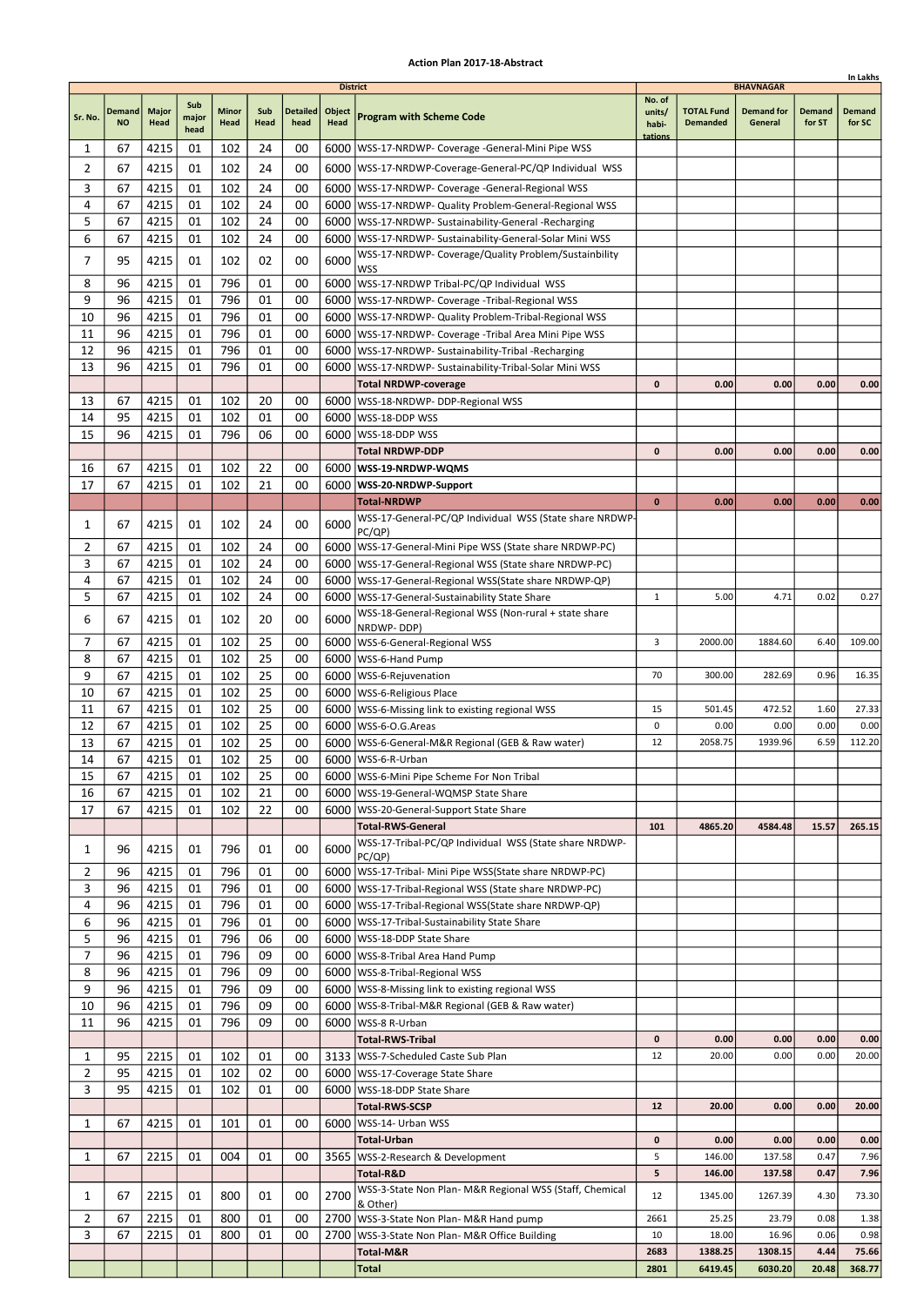|                |               |       |               |              |      |                 |                 |                                                            |              |                   |                   |               | In Lakhs      |
|----------------|---------------|-------|---------------|--------------|------|-----------------|-----------------|------------------------------------------------------------|--------------|-------------------|-------------------|---------------|---------------|
|                |               |       |               |              |      |                 | <b>District</b> |                                                            | No. of       |                   | <b>BHAVNAGAR</b>  |               |               |
|                | <b>Demand</b> | Major | Sub           | <b>Minor</b> | Sub  | <b>Detailed</b> | Object          |                                                            | units/       | <b>TOTAL Fund</b> | <b>Demand for</b> | <b>Demand</b> | <b>Demand</b> |
| Sr. No.        | <b>NO</b>     | Head  | major<br>head | Head         | Head | head            | <b>Head</b>     | <b>Program with Scheme Code</b>                            | habi-        | <b>Demanded</b>   | General           | for ST        | for SC        |
|                |               |       |               |              |      |                 |                 |                                                            | tations      |                   |                   |               |               |
| 1              | 67            | 4215  | 01            | 102          | 24   | 00              |                 | 6000   WSS-17-NRDWP- Coverage - General-Mini Pipe WSS      |              |                   |                   |               |               |
| 2              | 67            | 4215  | 01            | 102          | 24   | 00              |                 | 6000   WSS-17-NRDWP-Coverage-General-PC/QP Individual WSS  |              |                   |                   |               |               |
| 3              | 67            | 4215  | 01            | 102          | 24   | 00              |                 | 6000   WSS-17-NRDWP- Coverage - General-Regional WSS       |              |                   |                   |               |               |
| 4              | 67            | 4215  | 01            | 102          | 24   | 00              |                 | 6000   WSS-17-NRDWP- Quality Problem-General-Regional WSS  |              |                   |                   |               |               |
| 5              | 67            | 4215  | 01            | 102          | 24   | 00              |                 | 6000   WSS-17-NRDWP- Sustainability-General -Recharging    |              |                   |                   |               |               |
| 6              | 67            | 4215  | 01            | 102          | 24   | 00              | 6000            | WSS-17-NRDWP- Sustainability-General-Solar Mini WSS        |              |                   |                   |               |               |
|                |               |       |               |              |      |                 |                 | WSS-17-NRDWP- Coverage/Quality Problem/Sustainbility       |              |                   |                   |               |               |
| 7              | 95            | 4215  | 01            | 102          | 02   | 00              | 6000            | <b>WSS</b>                                                 |              |                   |                   |               |               |
| 8              | 96            | 4215  | 01            | 796          | 01   | 00              |                 | 6000   WSS-17-NRDWP Tribal-PC/QP Individual WSS            |              |                   |                   |               |               |
| 9              | 96            | 4215  | 01            | 796          | 01   | 00              |                 | 6000   WSS-17-NRDWP- Coverage - Tribal-Regional WSS        |              |                   |                   |               |               |
| 10             | 96            | 4215  | 01            | 796          | 01   | 00              |                 | 6000   WSS-17-NRDWP- Quality Problem-Tribal-Regional WSS   |              |                   |                   |               |               |
| 11             | 96            | 4215  | 01            | 796          | 01   | 00              | 6000            | WSS-17-NRDWP- Coverage -Tribal Area Mini Pipe WSS          |              |                   |                   |               |               |
| 12             | 96            | 4215  | 01            | 796          | 01   | 00              | 6000            | WSS-17-NRDWP- Sustainability-Tribal -Recharging            |              |                   |                   |               |               |
| 13             | 96            | 4215  | 01            | 796          | 01   | 00              | 6000            | WSS-17-NRDWP- Sustainability-Tribal-Solar Mini WSS         |              |                   |                   |               |               |
|                |               |       |               |              |      |                 |                 | <b>Total NRDWP-coverage</b>                                | $\mathbf{0}$ | 0.00              | 0.00              | 0.00          | 0.00          |
| 13             | 67            | 4215  |               | 102          | 20   | 00              |                 |                                                            |              |                   |                   |               |               |
|                |               |       | 01            |              |      |                 |                 | 6000   WSS-18-NRDWP- DDP-Regional WSS                      |              |                   |                   |               |               |
| 14             | 95            | 4215  | 01            | 102          | 01   | 00              | 6000            | WSS-18-DDP WSS                                             |              |                   |                   |               |               |
| 15             | 96            | 4215  | 01            | 796          | 06   | 00              | 6000            | lWSS-18-DDP WSS                                            |              |                   |                   |               |               |
|                |               |       |               |              |      |                 |                 | <b>Total NRDWP-DDP</b>                                     | $\mathbf{0}$ | 0.00              | 0.00              | 0.00          | 0.00          |
| 16             | 67            | 4215  | 01            | 102          | 22   | 00              |                 | 6000   WSS-19-NRDWP-WQMS                                   |              |                   |                   |               |               |
| 17             | 67            | 4215  | 01            | 102          | 21   | 00              |                 | 6000   WSS-20-NRDWP-Support                                |              |                   |                   |               |               |
|                |               |       |               |              |      |                 |                 | <b>Total-NRDWP</b>                                         | $\mathbf 0$  | 0.00              | 0.00              | 0.00          | 0.00          |
| 1              | 67            | 4215  | 01            | 102          | 24   | 00              | 6000            | WSS-17-General-PC/QP Individual WSS (State share NRDWP-    |              |                   |                   |               |               |
|                |               |       |               |              |      |                 |                 | PC(QP)                                                     |              |                   |                   |               |               |
| 2              | 67            | 4215  | 01            | 102          | 24   | 00              |                 | 6000   WSS-17-General-Mini Pipe WSS (State share NRDWP-PC) |              |                   |                   |               |               |
| 3              | 67            | 4215  | 01            | 102          | 24   | 00              |                 | 6000   WSS-17-General-Regional WSS (State share NRDWP-PC)  |              |                   |                   |               |               |
| 4              | 67            | 4215  | 01            | 102          | 24   | 00              |                 | 6000   WSS-17-General-Regional WSS (State share NRDWP-QP)  |              |                   |                   |               |               |
| 5              | 67            | 4215  | 01            | 102          | 24   | 00              |                 | 6000   WSS-17-General-Sustainability State Share           | $\mathbf{1}$ | 5.00              | 4.71              | 0.02          | 0.27          |
| 6              | 67            | 4215  | 01            | 102          | 20   | 00              | 6000            | WSS-18-General-Regional WSS (Non-rural + state share       |              |                   |                   |               |               |
|                |               |       |               |              |      |                 |                 | NRDWP-DDP)                                                 |              |                   |                   |               |               |
| 7              | 67            | 4215  | 01            | 102          | 25   | 00              |                 | 6000   WSS-6-General-Regional WSS                          | 3            | 2000.00           | 1884.60           | 6.40          | 109.00        |
| 8              | 67            | 4215  | 01            | 102          | 25   | 00              | 6000            | WSS-6-Hand Pump                                            |              |                   |                   |               |               |
| 9              | 67            | 4215  | 01            | 102          | 25   | 00              | 6000            | WSS-6-Rejuvenation                                         | 70           | 300.00            | 282.69            | 0.96          | 16.35         |
| 10             | 67            | 4215  | 01            | 102          | 25   | 00              |                 | 6000   WSS-6-Religious Place                               |              |                   |                   |               |               |
| 11             | 67            | 4215  | 01            | 102          | 25   | 00              |                 | 6000   WSS-6-Missing link to existing regional WSS         | 15           | 501.45            | 472.52            | 1.60          | 27.33         |
| 12             | 67            | 4215  | 01            | 102          | 25   | 00              |                 | 6000   WSS-6-O.G. Areas                                    | 0            | 0.00              | 0.00              | 0.00          | 0.00          |
| 13             | 67            | 4215  | 01            | 102          | 25   | 00              |                 | 6000   WSS-6-General-M&R Regional (GEB & Raw water)        | 12           | 2058.75           | 1939.96           | 6.59          | 112.20        |
| 14             | 67            | 4215  | 01            | 102          | 25   | 00              |                 | 6000   WSS-6-R-Urban                                       |              |                   |                   |               |               |
| 15             | 67            | 4215  | 01            | 102          | 25   | 00              |                 | 6000 WSS-6-Mini Pipe Scheme For Non Tribal                 |              |                   |                   |               |               |
| 16             | 67            | 4215  | 01            | 102          | 21   | 00              |                 | 6000   WSS-19-General-WQMSP State Share                    |              |                   |                   |               |               |
| 17             | 67            | 4215  | 01            | 102          | 22   | 00              |                 | 6000   WSS-20-General-Support State Share                  |              |                   |                   |               |               |
|                |               |       |               |              |      |                 |                 | <b>Total-RWS-General</b>                                   | 101          | 4865.20           | 4584.48           | 15.57         | 265.15        |
|                |               |       |               |              |      |                 |                 | WSS-17-Tribal-PC/QP Individual WSS (State share NRDWP-     |              |                   |                   |               |               |
| 1              | 96            | 4215  | 01            | 796          | 01   | 00              | 6000            | PC(QP)                                                     |              |                   |                   |               |               |
| 2              | 96            | 4215  | 01            | 796          | 01   | 00              |                 | 6000   WSS-17-Tribal- Mini Pipe WSS(State share NRDWP-PC)  |              |                   |                   |               |               |
| 3              | 96            | 4215  | 01            | 796          | 01   | 00              |                 | 6000   WSS-17-Tribal-Regional WSS (State share NRDWP-PC)   |              |                   |                   |               |               |
| 4              | 96            | 4215  | 01            | 796          | 01   | 00              |                 | 6000   WSS-17-Tribal-Regional WSS (State share NRDWP-QP)   |              |                   |                   |               |               |
| 6              | 96            | 4215  | 01            | 796          | 01   | 00              |                 | 6000   WSS-17-Tribal-Sustainability State Share            |              |                   |                   |               |               |
| 5              | 96            | 4215  | 01            | 796          | 06   | 00              |                 | 6000   WSS-18-DDP State Share                              |              |                   |                   |               |               |
| 7              | 96            | 4215  | 01            | 796          | 09   | 00              |                 | 6000   WSS-8-Tribal Area Hand Pump                         |              |                   |                   |               |               |
| 8              | 96            | 4215  | 01            | 796          | 09   | 00              |                 |                                                            |              |                   |                   |               |               |
|                |               |       |               |              |      |                 |                 | 6000   WSS-8-Tribal-Regional WSS                           |              |                   |                   |               |               |
| 9<br>10        | 96            | 4215  | 01            | 796<br>796   | 09   | 00              |                 | 6000   WSS-8-Missing link to existing regional WSS         |              |                   |                   |               |               |
|                | 96            | 4215  | 01            |              | 09   | 00              |                 | 6000   WSS-8-Tribal-M&R Regional (GEB & Raw water)         |              |                   |                   |               |               |
| 11             | 96            | 4215  | 01            | 796          | 09   | 00              |                 | 6000   WSS-8 R-Urban                                       |              |                   |                   |               |               |
|                |               |       |               |              |      |                 |                 | <b>Total-RWS-Tribal</b>                                    | 0            | 0.00              | 0.00              | 0.00          | 0.00          |
| 1              | 95            | 2215  | 01            | 102          | 01   | 00              |                 | 3133   WSS-7-Scheduled Caste Sub Plan                      | 12           | 20.00             | 0.00              | 0.00          | 20.00         |
| $\overline{2}$ | 95            | 4215  | 01            | 102          | 02   | 00              |                 | 6000   WSS-17-Coverage State Share                         |              |                   |                   |               |               |
| 3              | 95            | 4215  | 01            | 102          | 01   | 00              |                 | 6000   WSS-18-DDP State Share                              |              |                   |                   |               |               |
|                |               |       |               |              |      |                 |                 | Total-RWS-SCSP                                             | 12           | 20.00             | 0.00              | 0.00          | 20.00         |
| 1              | 67            | 4215  | 01            | 101          | 01   | 00              | 6000            | WSS-14- Urban WSS                                          |              |                   |                   |               |               |
|                |               |       |               |              |      |                 |                 | Total-Urban                                                | 0            | 0.00              | 0.00              | 0.00          | 0.00          |
| 1              | 67            | 2215  | 01            | 004          | 01   | 00              |                 | 3565   WSS-2-Research & Development                        | 5            | 146.00            | 137.58            | 0.47          | 7.96          |
|                |               |       |               |              |      |                 |                 | Total-R&D                                                  | 5            | 146.00            | 137.58            | 0.47          | 7.96          |
|                |               |       |               |              |      |                 |                 | WSS-3-State Non Plan- M&R Regional WSS (Staff, Chemical    |              |                   |                   |               |               |
| 1              | 67            | 2215  | 01            | 800          | 01   | 00              | 2700            | & Other)                                                   | 12           | 1345.00           | 1267.39           | 4.30          | 73.30         |
| $\overline{2}$ | 67            | 2215  | 01            | 800          | 01   | 00              |                 | 2700   WSS-3-State Non Plan- M&R Hand pump                 | 2661         | 25.25             | 23.79             | 0.08          | 1.38          |
| 3              | 67            | 2215  | 01            | 800          | 01   | 00              | 2700            | WSS-3-State Non Plan- M&R Office Building                  | 10           | 18.00             | 16.96             | 0.06          | 0.98          |
|                |               |       |               |              |      |                 |                 | Total-M&R                                                  | 2683         | 1388.25           | 1308.15           | 4.44          | 75.66         |
|                |               |       |               |              |      |                 |                 | Total                                                      | 2801         | 6419.45           | 6030.20           | 20.48         | 368.77        |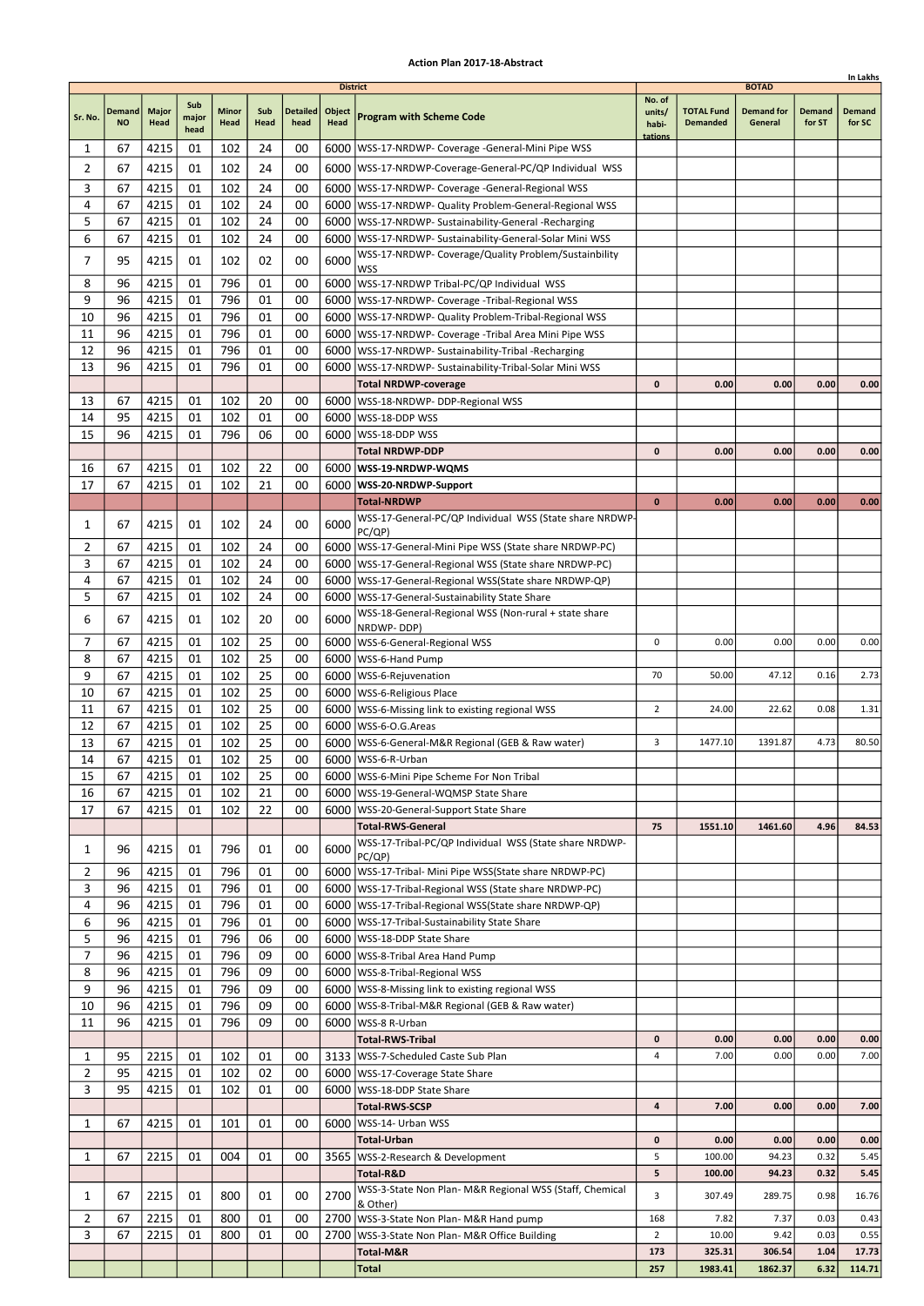|                |                            |                      |                      |               |             |                         |                                   |                                                                                                                 |                                      |                                      |                                              |                  | In Lakhs         |
|----------------|----------------------------|----------------------|----------------------|---------------|-------------|-------------------------|-----------------------------------|-----------------------------------------------------------------------------------------------------------------|--------------------------------------|--------------------------------------|----------------------------------------------|------------------|------------------|
| Sr. No.        | <b>Demand</b><br><b>NO</b> | <b>Major</b><br>Head | Sub<br>major<br>head | Minor<br>Head | Sub<br>Head | <b>Detailed</b><br>head | <b>District</b><br>Object<br>Head | <b>Program with Scheme Code</b>                                                                                 | No. of<br>units/<br>habi-<br>tations | <b>TOTAL Fund</b><br><b>Demanded</b> | <b>BOTAD</b><br><b>Demand for</b><br>General | Demand<br>for ST | Demand<br>for SC |
| 1              | 67                         | 4215                 | 01                   | 102           | 24          | 00                      |                                   | 6000   WSS-17-NRDWP- Coverage - General-Mini Pipe WSS                                                           |                                      |                                      |                                              |                  |                  |
| 2              | 67                         | 4215                 | 01                   | 102           | 24          | 00                      |                                   | 6000 WSS-17-NRDWP-Coverage-General-PC/QP Individual WSS                                                         |                                      |                                      |                                              |                  |                  |
| 3              | 67                         | 4215                 | 01                   | 102           | 24          | 00                      |                                   | 6000   WSS-17-NRDWP- Coverage -General-Regional WSS                                                             |                                      |                                      |                                              |                  |                  |
| 4              | 67                         | 4215                 | 01                   | 102           | 24          | 00                      |                                   | 6000   WSS-17-NRDWP- Quality Problem-General-Regional WSS                                                       |                                      |                                      |                                              |                  |                  |
| 5              | 67                         | 4215                 | 01                   | 102           | 24          | 00                      |                                   | 6000   WSS-17-NRDWP- Sustainability-General -Recharging                                                         |                                      |                                      |                                              |                  |                  |
| 6              | 67                         | 4215                 | 01                   | 102           | 24          | 00                      |                                   | 6000   WSS-17-NRDWP- Sustainability-General-Solar Mini WSS                                                      |                                      |                                      |                                              |                  |                  |
| $\overline{7}$ | 95                         | 4215                 | 01                   | 102           | 02          | 00                      | 6000                              | WSS-17-NRDWP- Coverage/Quality Problem/Sustainbility<br>WSS                                                     |                                      |                                      |                                              |                  |                  |
| 8              | 96                         | 4215                 | 01                   | 796           | 01          | 00                      |                                   | 6000   WSS-17-NRDWP Tribal-PC/QP Individual WSS                                                                 |                                      |                                      |                                              |                  |                  |
| 9              | 96                         | 4215                 | 01                   | 796           | 01          | 00                      |                                   | 6000   WSS-17-NRDWP- Coverage - Tribal-Regional WSS                                                             |                                      |                                      |                                              |                  |                  |
| 10             | 96                         | 4215                 | 01                   | 796           | 01          | 00                      |                                   | 6000   WSS-17-NRDWP- Quality Problem-Tribal-Regional WSS                                                        |                                      |                                      |                                              |                  |                  |
| 11             | 96                         | 4215                 | 01                   | 796           | 01          | 00                      | 6000                              | WSS-17-NRDWP- Coverage -Tribal Area Mini Pipe WSS                                                               |                                      |                                      |                                              |                  |                  |
| 12             | 96                         | 4215                 | 01                   | 796           | 01          | 00                      |                                   | 6000   WSS-17-NRDWP- Sustainability-Tribal - Recharging                                                         |                                      |                                      |                                              |                  |                  |
| 13             | 96                         | 4215                 | 01                   | 796           | 01          | 00                      |                                   | 6000   WSS-17-NRDWP- Sustainability-Tribal-Solar Mini WSS                                                       |                                      |                                      |                                              |                  |                  |
|                |                            |                      |                      |               |             |                         |                                   | <b>Total NRDWP-coverage</b>                                                                                     | 0                                    | 0.00                                 | 0.00                                         | 0.00             | 0.00             |
| 13             | 67<br>95                   | 4215                 | 01                   | 102           | 20          | 00<br>00                |                                   | 6000   WSS-18-NRDWP- DDP-Regional WSS                                                                           |                                      |                                      |                                              |                  |                  |
| 14<br>15       | 96                         | 4215<br>4215         | 01<br>01             | 102<br>796    | 01<br>06    | 00                      | 6000                              | WSS-18-DDP WSS<br>6000   WSS-18-DDP WSS                                                                         |                                      |                                      |                                              |                  |                  |
|                |                            |                      |                      |               |             |                         |                                   | Total NRDWP-DDP                                                                                                 | $\mathbf{0}$                         | 0.00                                 | 0.00                                         | 0.00             | 0.00             |
| 16             | 67                         | 4215                 | 01                   | 102           | 22          | 00                      |                                   | 6000   WSS-19-NRDWP-WQMS                                                                                        |                                      |                                      |                                              |                  |                  |
| 17             | 67                         | 4215                 | 01                   | 102           | 21          | 00                      |                                   | 6000 WSS-20-NRDWP-Support                                                                                       |                                      |                                      |                                              |                  |                  |
|                |                            |                      |                      |               |             |                         |                                   | <b>Total-NRDWP</b>                                                                                              | $\bf{0}$                             | 0.00                                 | 0.00                                         | 0.00             | 0.00             |
| 1              | 67                         | 4215                 | 01                   | 102           | 24          | 00                      | 6000                              | WSS-17-General-PC/QP Individual WSS (State share NRDWP-                                                         |                                      |                                      |                                              |                  |                  |
|                |                            |                      |                      |               |             |                         |                                   | PC(QP)                                                                                                          |                                      |                                      |                                              |                  |                  |
| 2<br>3         | 67                         | 4215                 | 01                   | 102           | 24          | 00                      |                                   | 6000   WSS-17-General-Mini Pipe WSS (State share NRDWP-PC)                                                      |                                      |                                      |                                              |                  |                  |
| 4              | 67<br>67                   | 4215<br>4215         | 01<br>01             | 102<br>102    | 24<br>24    | 00<br>00                | 6000                              | WSS-17-General-Regional WSS (State share NRDWP-PC)<br>6000   WSS-17-General-Regional WSS (State share NRDWP-QP) |                                      |                                      |                                              |                  |                  |
| 5              | 67                         | 4215                 | 01                   | 102           | 24          | 00                      |                                   | 6000   WSS-17-General-Sustainability State Share                                                                |                                      |                                      |                                              |                  |                  |
|                |                            |                      |                      |               |             |                         |                                   | WSS-18-General-Regional WSS (Non-rural + state share                                                            |                                      |                                      |                                              |                  |                  |
| 6              | 67                         | 4215                 | 01                   | 102           | 20          | 00                      | 6000                              | NRDWP-DDP)                                                                                                      |                                      |                                      |                                              |                  |                  |
| 7              | 67                         | 4215                 | 01                   | 102           | 25          | 00                      |                                   | 6000   WSS-6-General-Regional WSS                                                                               | 0                                    | 0.00                                 | 0.00                                         | 0.00             | 0.00             |
| 8              | 67                         | 4215                 | 01                   | 102           | 25          | 00                      | 6000                              | WSS-6-Hand Pump                                                                                                 |                                      |                                      |                                              |                  |                  |
| 9              | 67                         | 4215                 | 01                   | 102           | 25          | 00                      |                                   | 6000   WSS-6-Rejuvenation                                                                                       | 70                                   | 50.00                                | 47.12                                        | 0.16             | 2.73             |
| 10<br>11       | 67<br>67                   | 4215<br>4215         | 01<br>01             | 102<br>102    | 25<br>25    | 00<br>00                |                                   | 6000   WSS-6-Religious Place<br>6000   WSS-6-Missing link to existing regional WSS                              | $\overline{2}$                       | 24.00                                | 22.62                                        | 0.08             | 1.31             |
| 12             | 67                         | 4215                 | 01                   | 102           | 25          | 00                      |                                   | 6000   WSS-6-O.G. Areas                                                                                         |                                      |                                      |                                              |                  |                  |
| 13             | 67                         | 4215                 | 01                   | 102           | 25          | 00                      |                                   | 6000   WSS-6-General-M&R Regional (GEB & Raw water)                                                             | 3                                    | 1477.10                              | 1391.87                                      | 4.73             | 80.50            |
| 14             | 67                         | 4215                 | 01                   | 102           | 25          | 00                      |                                   | 6000 WSS-6-R-Urban                                                                                              |                                      |                                      |                                              |                  |                  |
| 15             | 67                         | 4215                 | 01                   | 102           | 25          | 00                      |                                   | 6000 WSS-6-Mini Pipe Scheme For Non Tribal                                                                      |                                      |                                      |                                              |                  |                  |
| 16             | 67                         | 4215                 | 01                   | 102           | 21          | 00                      |                                   | 6000   WSS-19-General-WQMSP State Share                                                                         |                                      |                                      |                                              |                  |                  |
| 17             | 67                         | 4215                 | 01                   | 102           | 22          | 00                      |                                   | 6000   WSS-20-General-Support State Share                                                                       |                                      |                                      |                                              |                  |                  |
|                |                            |                      |                      |               |             |                         |                                   | <b>Total-RWS-General</b>                                                                                        | 75                                   | 1551.10                              | 1461.60                                      | 4.96             | 84.53            |
| 1              | 96                         | 4215                 | 01                   | 796           | 01          | 00                      | 6000                              | WSS-17-Tribal-PC/QP Individual WSS (State share NRDWP-<br>PC(QP)                                                |                                      |                                      |                                              |                  |                  |
| 2              | 96                         | 4215                 | 01                   | 796           | 01          | 00                      |                                   | 6000   WSS-17-Tribal- Mini Pipe WSS(State share NRDWP-PC)                                                       |                                      |                                      |                                              |                  |                  |
| 3              | 96                         | 4215                 | 01                   | 796           | 01          | 00                      |                                   | 6000   WSS-17-Tribal-Regional WSS (State share NRDWP-PC)                                                        |                                      |                                      |                                              |                  |                  |
| 4              | 96                         | 4215                 | 01                   | 796           | 01          | 00                      |                                   | 6000   WSS-17-Tribal-Regional WSS (State share NRDWP-QP)                                                        |                                      |                                      |                                              |                  |                  |
| 6              | 96                         | 4215                 | 01                   | 796           | 01          | 00                      |                                   | 6000   WSS-17-Tribal-Sustainability State Share                                                                 |                                      |                                      |                                              |                  |                  |
| 5              | 96                         | 4215                 | 01                   | 796           | 06          | 00                      |                                   | 6000   WSS-18-DDP State Share                                                                                   |                                      |                                      |                                              |                  |                  |
| 7              | 96                         | 4215                 | 01                   | 796           | 09          | 00                      |                                   | 6000   WSS-8-Tribal Area Hand Pump                                                                              |                                      |                                      |                                              |                  |                  |
| 8<br>9         | 96<br>96                   | 4215                 | 01<br>01             | 796<br>796    | 09<br>09    | 00<br>00                |                                   | 6000   WSS-8-Tribal-Regional WSS                                                                                |                                      |                                      |                                              |                  |                  |
| 10             | 96                         | 4215<br>4215         | 01                   | 796           | 09          | 00                      |                                   | 6000   WSS-8-Missing link to existing regional WSS<br>6000   WSS-8-Tribal-M&R Regional (GEB & Raw water)        |                                      |                                      |                                              |                  |                  |
| 11             | 96                         | 4215                 | 01                   | 796           | 09          | 00                      |                                   | 6000   WSS-8 R-Urban                                                                                            |                                      |                                      |                                              |                  |                  |
|                |                            |                      |                      |               |             |                         |                                   | <b>Total-RWS-Tribal</b>                                                                                         | 0                                    | 0.00                                 | 0.00                                         | 0.00             | 0.00             |
| 1              | 95                         | 2215                 | 01                   | 102           | 01          | 00                      |                                   | 3133   WSS-7-Scheduled Caste Sub Plan                                                                           | 4                                    | 7.00                                 | 0.00                                         | 0.00             | 7.00             |
| $\overline{2}$ | 95                         | 4215                 | 01                   | 102           | 02          | 00                      |                                   | 6000   WSS-17-Coverage State Share                                                                              |                                      |                                      |                                              |                  |                  |
| 3              | 95                         | 4215                 | 01                   | 102           | 01          | 00                      |                                   | 6000   WSS-18-DDP State Share                                                                                   |                                      |                                      |                                              |                  |                  |
|                |                            |                      |                      |               |             |                         |                                   | <b>Total-RWS-SCSP</b>                                                                                           | 4                                    | 7.00                                 | 0.00                                         | 0.00             | 7.00             |
| 1              | 67                         | 4215                 | 01                   | 101           | 01          | 00                      |                                   | 6000   WSS-14- Urban WSS                                                                                        |                                      |                                      |                                              |                  |                  |
|                |                            |                      |                      |               |             |                         |                                   | Total-Urban                                                                                                     | 0                                    | 0.00                                 | 0.00                                         | 0.00             | 0.00             |
| 1              | 67                         | 2215                 | 01                   | 004           | 01          | 00                      |                                   | 3565   WSS-2-Research & Development                                                                             | 5<br>5                               | 100.00                               | 94.23<br>94.23                               | 0.32<br>0.32     | 5.45             |
|                |                            |                      |                      |               |             |                         |                                   | Total-R&D<br>WSS-3-State Non Plan- M&R Regional WSS (Staff, Chemical                                            |                                      | 100.00                               |                                              |                  | 5.45             |
| 1              | 67                         | 2215                 | 01                   | 800           | 01          | 00                      | 2700                              | & Other)                                                                                                        | 3                                    | 307.49                               | 289.75                                       | 0.98             | 16.76            |
| $\overline{2}$ | 67                         | 2215                 | 01                   | 800           | 01          | 00                      |                                   | 2700   WSS-3-State Non Plan- M&R Hand pump                                                                      | 168                                  | 7.82                                 | 7.37                                         | 0.03             | 0.43             |
| 3              | 67                         | 2215                 | 01                   | 800           | 01          | 00                      |                                   | 2700   WSS-3-State Non Plan- M&R Office Building                                                                | 2                                    | 10.00                                | 9.42                                         | 0.03             | 0.55             |
|                |                            |                      |                      |               |             |                         |                                   | Total-M&R                                                                                                       | 173                                  | 325.31                               | 306.54                                       | 1.04             | 17.73            |
|                |                            |                      |                      |               |             |                         |                                   | Total                                                                                                           | 257                                  | 1983.41                              | 1862.37                                      | 6.32             | 114.71           |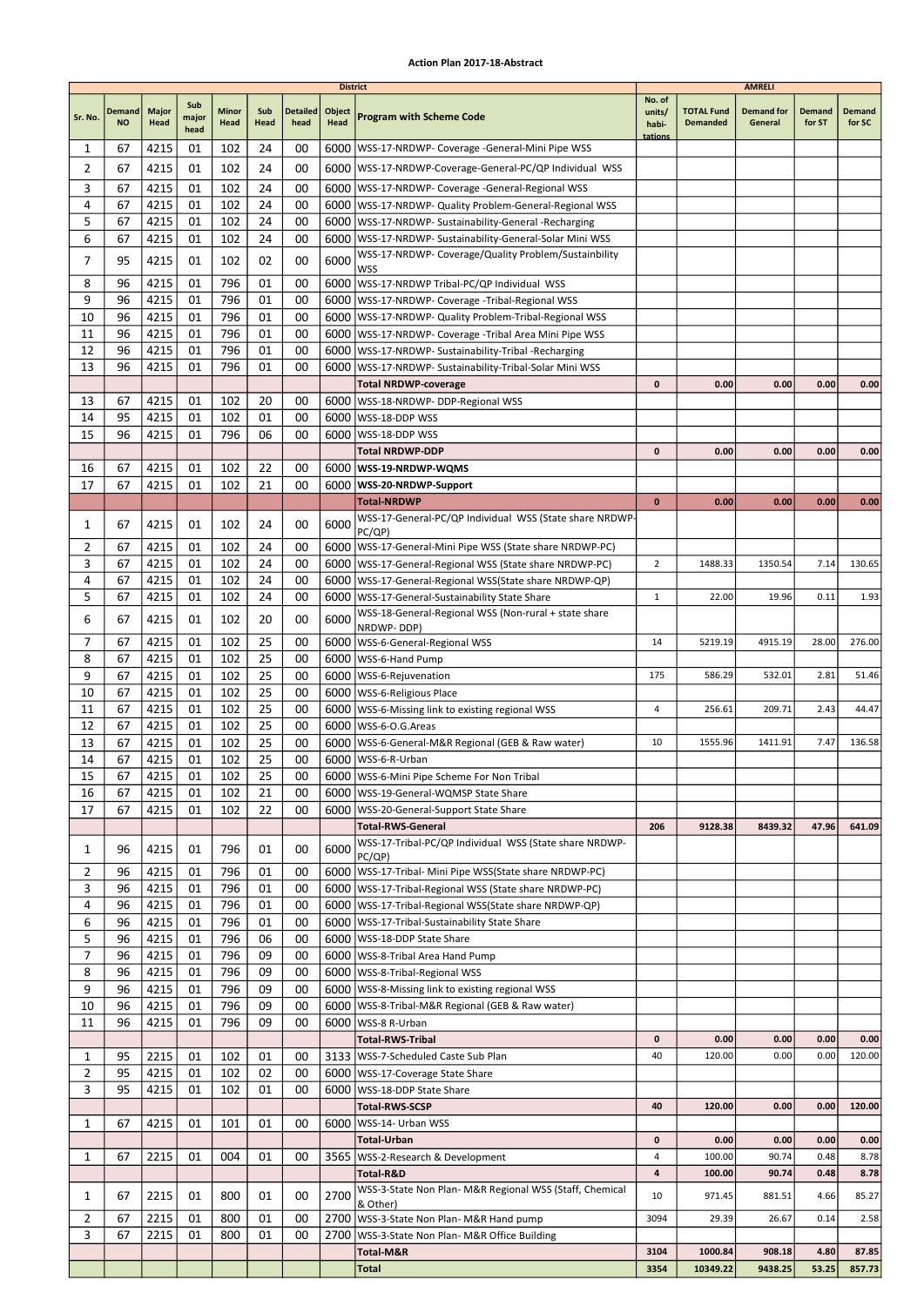|                |                            |               |                      |                      |             |                         | <b>District</b> |                                                                                                                      |                                      |                                      | <b>AMRELI</b>                |                  |                         |
|----------------|----------------------------|---------------|----------------------|----------------------|-------------|-------------------------|-----------------|----------------------------------------------------------------------------------------------------------------------|--------------------------------------|--------------------------------------|------------------------------|------------------|-------------------------|
| Sr. No.        | <b>Demand</b><br><b>NO</b> | Major<br>Head | Sub<br>major<br>head | <b>Minor</b><br>Head | Sub<br>Head | <b>Detailed</b><br>head | Object<br>Head  | <b>Program with Scheme Code</b>                                                                                      | No. of<br>units/<br>habi-<br>tations | <b>TOTAL Fund</b><br><b>Demanded</b> | <b>Demand for</b><br>General | Demand<br>for ST | <b>Demand</b><br>for SC |
| 1              | 67                         | 4215          | 01                   | 102                  | 24          | 00                      | 6000            | WSS-17-NRDWP- Coverage -General-Mini Pipe WSS                                                                        |                                      |                                      |                              |                  |                         |
| $\overline{2}$ | 67                         | 4215          | 01                   | 102                  | 24          | 00                      |                 | 6000   WSS-17-NRDWP-Coverage-General-PC/QP Individual WSS                                                            |                                      |                                      |                              |                  |                         |
| 3              | 67                         | 4215          | 01                   | 102                  | 24          | 00                      |                 | 6000   WSS-17-NRDWP- Coverage - General-Regional WSS                                                                 |                                      |                                      |                              |                  |                         |
| 4              | 67                         | 4215          | 01                   | 102                  | 24          | 00                      |                 | 6000   WSS-17-NRDWP- Quality Problem-General-Regional WSS                                                            |                                      |                                      |                              |                  |                         |
| 5              | 67                         | 4215          | 01                   | 102                  | 24          | 00                      |                 | 6000   WSS-17-NRDWP- Sustainability-General -Recharging                                                              |                                      |                                      |                              |                  |                         |
| 6              | 67                         | 4215          | 01                   | 102                  | 24          | 00                      |                 | 6000   WSS-17-NRDWP- Sustainability-General-Solar Mini WSS<br>WSS-17-NRDWP- Coverage/Quality Problem/Sustainbility   |                                      |                                      |                              |                  |                         |
| 7              | 95                         | 4215          | 01                   | 102                  | 02          | 00                      | 6000            | WSS                                                                                                                  |                                      |                                      |                              |                  |                         |
| 8              | 96                         | 4215          | 01                   | 796                  | 01          | 00                      |                 | 6000 WSS-17-NRDWP Tribal-PC/QP Individual WSS                                                                        |                                      |                                      |                              |                  |                         |
| 9              | 96                         | 4215          | 01                   | 796                  | 01          | 00                      |                 | 6000   WSS-17-NRDWP- Coverage - Tribal-Regional WSS                                                                  |                                      |                                      |                              |                  |                         |
| 10             | 96                         | 4215          | 01                   | 796                  | 01          | 00                      |                 | 6000   WSS-17-NRDWP- Quality Problem-Tribal-Regional WSS                                                             |                                      |                                      |                              |                  |                         |
| 11<br>12       | 96<br>96                   | 4215<br>4215  | 01<br>01             | 796<br>796           | 01<br>01    | 00<br>00                |                 | 6000   WSS-17-NRDWP- Coverage - Tribal Area Mini Pipe WSS<br>6000   WSS-17-NRDWP- Sustainability-Tribal -Recharging  |                                      |                                      |                              |                  |                         |
| 13             | 96                         | 4215          | 01                   | 796                  | 01          | 00                      |                 | 6000   WSS-17-NRDWP- Sustainability-Tribal-Solar Mini WSS                                                            |                                      |                                      |                              |                  |                         |
|                |                            |               |                      |                      |             |                         |                 | <b>Total NRDWP-coverage</b>                                                                                          | $\mathbf 0$                          | 0.00                                 | 0.00                         | 0.00             | 0.00                    |
| 13             | 67                         | 4215          | 01                   | 102                  | 20          | 00                      |                 | 6000   WSS-18-NRDWP- DDP-Regional WSS                                                                                |                                      |                                      |                              |                  |                         |
| 14             | 95                         | 4215          | 01                   | 102                  | 01          | 00                      |                 | 6000   WSS-18-DDP WSS                                                                                                |                                      |                                      |                              |                  |                         |
| 15             | 96                         | 4215          | 01                   | 796                  | 06          | 00                      |                 | 6000   WSS-18-DDP WSS                                                                                                |                                      |                                      |                              |                  |                         |
|                |                            |               |                      |                      |             |                         |                 | <b>Total NRDWP-DDP</b>                                                                                               | 0                                    | 0.00                                 | 0.00                         | 0.00             | 0.00                    |
| 16<br>17       | 67<br>67                   | 4215<br>4215  | 01<br>01             | 102<br>102           | 22<br>21    | 00<br>00                |                 | 6000   WSS-19-NRDWP-WQMS<br>6000   WSS-20-NRDWP-Support                                                              |                                      |                                      |                              |                  |                         |
|                |                            |               |                      |                      |             |                         |                 | <b>Total-NRDWP</b>                                                                                                   | $\bf{0}$                             | 0.00                                 | 0.00                         | 0.00             | 0.00                    |
|                |                            |               |                      | 102                  |             | 00                      | 6000            | WSS-17-General-PC/QP Individual WSS (State share NRDWP-                                                              |                                      |                                      |                              |                  |                         |
| 1              | 67                         | 4215          | 01                   |                      | 24          |                         |                 | PC/QP)                                                                                                               |                                      |                                      |                              |                  |                         |
| $\overline{2}$ | 67                         | 4215          | 01                   | 102                  | 24          | 00                      |                 | 6000   WSS-17-General-Mini Pipe WSS (State share NRDWP-PC)                                                           |                                      |                                      |                              |                  |                         |
| 3              | 67                         | 4215          | 01                   | 102                  | 24          | 00                      |                 | 6000   WSS-17-General-Regional WSS (State share NRDWP-PC)                                                            | $\overline{2}$                       | 1488.33                              | 1350.54                      | 7.14             | 130.65                  |
| 4<br>5         | 67<br>67                   | 4215<br>4215  | 01<br>01             | 102<br>102           | 24<br>24    | 00<br>00                | 6000            | 6000   WSS-17-General-Regional WSS (State share NRDWP-QP)<br>WSS-17-General-Sustainability State Share               | $\mathbf{1}$                         | 22.00                                | 19.96                        | 0.11             | 1.93                    |
|                |                            |               |                      |                      |             |                         |                 | WSS-18-General-Regional WSS (Non-rural + state share                                                                 |                                      |                                      |                              |                  |                         |
| 6              | 67                         | 4215          | 01                   | 102                  | 20          | 00                      | 6000            | NRDWP-DDP)                                                                                                           |                                      |                                      |                              |                  |                         |
| 7              | 67                         | 4215          | 01                   | 102                  | 25          | 00                      |                 | 6000   WSS-6-General-Regional WSS                                                                                    | 14                                   | 5219.19                              | 4915.19                      | 28.00            | 276.00                  |
| 8              | 67                         | 4215          | 01                   | 102                  | 25          | 00                      |                 | 6000   WSS-6-Hand Pump                                                                                               |                                      |                                      |                              |                  |                         |
| 9<br>10        | 67<br>67                   | 4215<br>4215  | 01<br>01             | 102<br>102           | 25<br>25    | 00<br>00                |                 | 6000   WSS-6-Rejuvenation<br>6000   WSS-6-Religious Place                                                            | 175                                  | 586.29                               | 532.01                       | 2.81             | 51.46                   |
| 11             | 67                         | 4215          | 01                   | 102                  | 25          | 00                      |                 | 6000   WSS-6-Missing link to existing regional WSS                                                                   | 4                                    | 256.61                               | 209.71                       | 2.43             | 44.47                   |
| 12             | 67                         | 4215          | 01                   | 102                  | 25          | 00                      |                 | 6000   WSS-6-O.G. Areas                                                                                              |                                      |                                      |                              |                  |                         |
| 13             | 67                         | 4215          | 01                   | 102                  | 25          | 00                      |                 | 6000   WSS-6-General-M&R Regional (GEB & Raw water)                                                                  | 10                                   | 1555.96                              | 1411.91                      | 7.47             | 136.58                  |
| 14             | 67                         | 4215          | 01                   | 102                  | 25          | 00                      |                 | 6000   WSS-6-R-Urban                                                                                                 |                                      |                                      |                              |                  |                         |
| 15             | 67                         | 4215          | ${\tt 01}$           | 102                  | 25          | $00\,$                  |                 | 6000 WSS-6-Mini Pipe Scheme For Non Tribal                                                                           |                                      |                                      |                              |                  |                         |
| 16             | 67<br>67                   | 4215          | 01                   | 102                  | 21          | 00<br>00                |                 | 6000   WSS-19-General-WQMSP State Share                                                                              |                                      |                                      |                              |                  |                         |
| 17             |                            | 4215          | 01                   | 102                  | 22          |                         |                 | 6000   WSS-20-General-Support State Share<br><b>Total-RWS-General</b>                                                | 206                                  | 9128.38                              | 8439.32                      | 47.96            | 641.09                  |
|                |                            |               |                      |                      |             |                         |                 | WSS-17-Tribal-PC/QP Individual WSS (State share NRDWP-                                                               |                                      |                                      |                              |                  |                         |
| 1              | 96                         | 4215          | 01                   | 796                  | 01          | 00                      | 6000            | PC/QP)                                                                                                               |                                      |                                      |                              |                  |                         |
| 2              | 96                         | 4215          | 01                   | 796                  | 01          | 00                      |                 | 6000   WSS-17-Tribal- Mini Pipe WSS (State share NRDWP-PC)                                                           |                                      |                                      |                              |                  |                         |
| 3<br>4         | 96<br>96                   | 4215<br>4215  | 01<br>01             | 796<br>796           | 01<br>01    | 00<br>00                |                 | 6000   WSS-17-Tribal-Regional WSS (State share NRDWP-PC)<br>6000   WSS-17-Tribal-Regional WSS (State share NRDWP-QP) |                                      |                                      |                              |                  |                         |
| 6              | 96                         | 4215          | 01                   | 796                  | 01          | 00                      |                 | 6000   WSS-17-Tribal-Sustainability State Share                                                                      |                                      |                                      |                              |                  |                         |
| 5              | 96                         | 4215          | 01                   | 796                  | 06          | 00                      |                 | 6000   WSS-18-DDP State Share                                                                                        |                                      |                                      |                              |                  |                         |
| 7              | 96                         | 4215          | 01                   | 796                  | 09          | 00                      |                 | 6000 WSS-8-Tribal Area Hand Pump                                                                                     |                                      |                                      |                              |                  |                         |
| 8              | 96                         | 4215          | 01                   | 796                  | 09          | 00                      |                 | 6000   WSS-8-Tribal-Regional WSS                                                                                     |                                      |                                      |                              |                  |                         |
| 9              | 96                         | 4215          | 01                   | 796                  | 09          | 00                      |                 | 6000   WSS-8-Missing link to existing regional WSS                                                                   |                                      |                                      |                              |                  |                         |
| 10             | 96                         | 4215          | 01                   | 796                  | 09          | 00                      |                 | 6000   WSS-8-Tribal-M&R Regional (GEB & Raw water)                                                                   |                                      |                                      |                              |                  |                         |
| 11             | 96                         | 4215          | 01                   | 796                  | 09          | 00                      |                 | 6000   WSS-8 R-Urban<br>Total-RWS-Tribal                                                                             | 0                                    | 0.00                                 | 0.00                         | 0.00             | 0.00                    |
| 1              | 95                         | 2215          | 01                   | 102                  | 01          | 00                      |                 | 3133   WSS-7-Scheduled Caste Sub Plan                                                                                | 40                                   | 120.00                               | 0.00                         | 0.00             | 120.00                  |
| 2              | 95                         | 4215          | 01                   | 102                  | 02          | 00                      |                 | 6000   WSS-17-Coverage State Share                                                                                   |                                      |                                      |                              |                  |                         |
| 3              | 95                         | 4215          | 01                   | 102                  | 01          | 00                      |                 | 6000   WSS-18-DDP State Share                                                                                        |                                      |                                      |                              |                  |                         |
|                |                            |               |                      |                      |             |                         |                 | <b>Total-RWS-SCSP</b>                                                                                                | 40                                   | 120.00                               | 0.00                         | 0.00             | 120.00                  |
| 1              | 67                         | 4215          | 01                   | 101                  | 01          | 00                      |                 | 6000   WSS-14- Urban WSS                                                                                             |                                      |                                      |                              |                  |                         |
|                |                            |               |                      |                      |             |                         |                 | <b>Total-Urban</b>                                                                                                   | 0                                    | 0.00                                 | 0.00                         | 0.00             | 0.00                    |
| 1              | 67                         | 2215          | 01                   | 004                  | 01          | 00                      |                 | 3565   WSS-2-Research & Development<br>Total-R&D                                                                     | 4<br>4                               | 100.00<br>100.00                     | 90.74<br>90.74               | 0.48<br>0.48     | 8.78<br>8.78            |
|                |                            |               |                      |                      |             |                         |                 | WSS-3-State Non Plan- M&R Regional WSS (Staff, Chemical                                                              |                                      |                                      |                              |                  |                         |
| 1              | 67                         | 2215          | 01                   | 800                  | 01          | 00                      | 2700            | & Other)                                                                                                             | 10                                   | 971.45                               | 881.51                       | 4.66             | 85.27                   |
| 2              | 67                         | 2215          | 01                   | 800                  | 01          | 00                      |                 | 2700 WSS-3-State Non Plan- M&R Hand pump                                                                             | 3094                                 | 29.39                                | 26.67                        | 0.14             | 2.58                    |
| 3              | 67                         | 2215          | 01                   | 800                  | 01          | 00                      |                 | 2700   WSS-3-State Non Plan- M&R Office Building                                                                     | 3104                                 | 1000.84                              | 908.18                       | 4.80             | 87.85                   |
|                |                            |               |                      |                      |             |                         |                 | Total-M&R<br><b>Total</b>                                                                                            | 3354                                 | 10349.22                             | 9438.25                      | 53.25            | 857.73                  |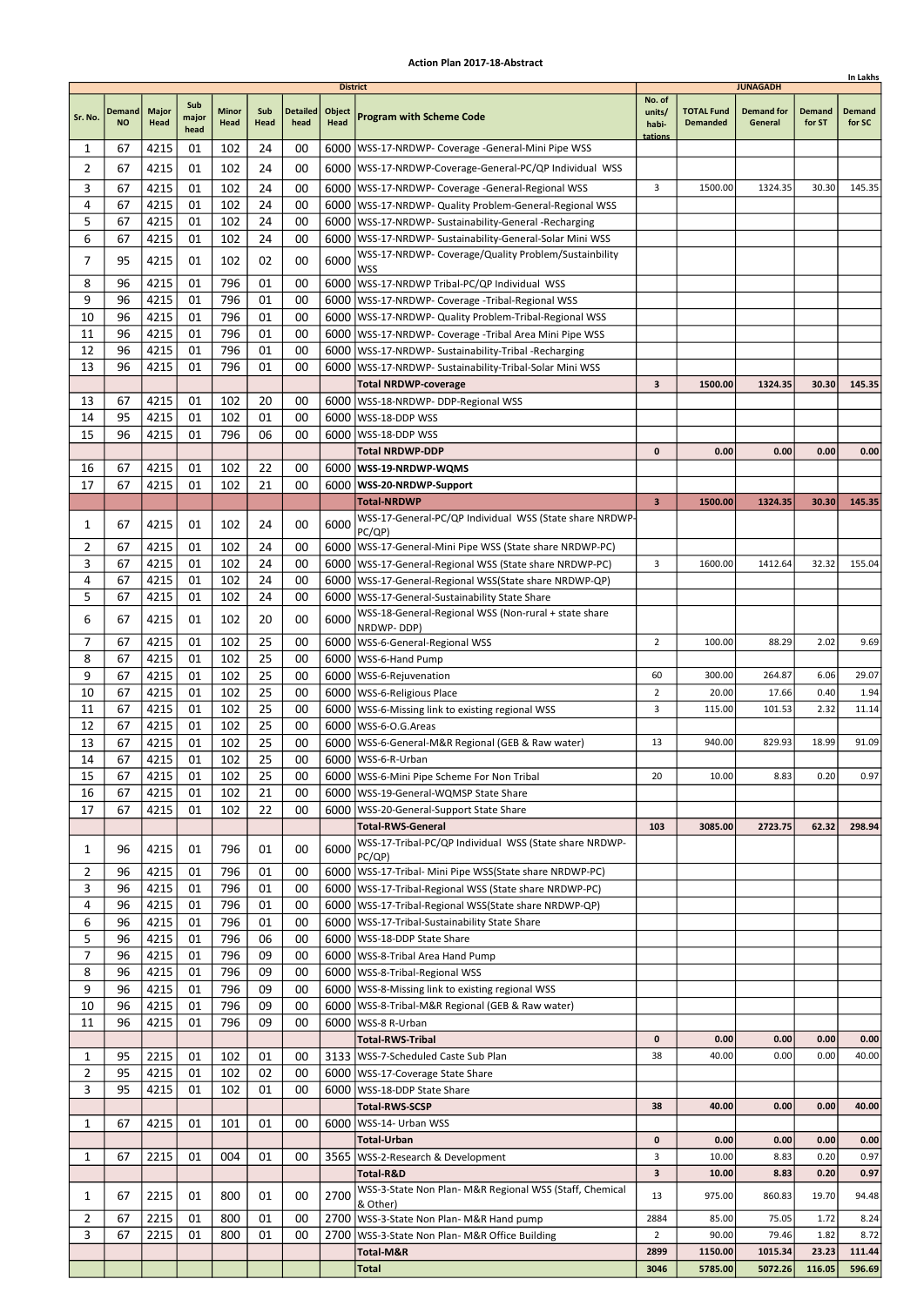|                |                            |                      |                      |                      |             |                         |                                          |                                                                                                                        |                                      |                                      |                                                 |                         | In Lakhs                |
|----------------|----------------------------|----------------------|----------------------|----------------------|-------------|-------------------------|------------------------------------------|------------------------------------------------------------------------------------------------------------------------|--------------------------------------|--------------------------------------|-------------------------------------------------|-------------------------|-------------------------|
| Sr. No.        | <b>Demand</b><br><b>NO</b> | <b>Major</b><br>Head | Sub<br>major<br>head | <b>Minor</b><br>Head | Sub<br>Head | <b>Detailed</b><br>head | <b>District</b><br>Object<br><b>Head</b> | <b>Program with Scheme Code</b>                                                                                        | No. of<br>units/<br>habi-<br>tations | <b>TOTAL Fund</b><br><b>Demanded</b> | <b>JUNAGADH</b><br><b>Demand for</b><br>General | <b>Demand</b><br>for ST | <b>Demand</b><br>for SC |
| 1              | 67                         | 4215                 | 01                   | 102                  | 24          | 00                      |                                          | 6000   WSS-17-NRDWP- Coverage - General-Mini Pipe WSS                                                                  |                                      |                                      |                                                 |                         |                         |
| $\overline{2}$ | 67                         | 4215                 | 01                   | 102                  | 24          | 00                      |                                          | 6000   WSS-17-NRDWP-Coverage-General-PC/QP Individual WSS                                                              |                                      |                                      |                                                 |                         |                         |
| 3              | 67                         | 4215                 | 01                   | 102                  | 24          | 00                      |                                          | 6000   WSS-17-NRDWP- Coverage - General-Regional WSS                                                                   | 3                                    | 1500.00                              | 1324.35                                         | 30.30                   | 145.35                  |
| 4              | 67                         | 4215                 | 01                   | 102                  | 24          | 00                      |                                          | 6000   WSS-17-NRDWP- Quality Problem-General-Regional WSS                                                              |                                      |                                      |                                                 |                         |                         |
| 5              | 67                         | 4215                 | 01                   | 102                  | 24          | 00                      |                                          | 6000   WSS-17-NRDWP- Sustainability-General -Recharging                                                                |                                      |                                      |                                                 |                         |                         |
| 6              | 67                         | 4215                 | 01                   | 102                  | 24          | 00                      |                                          | 6000   WSS-17-NRDWP- Sustainability-General-Solar Mini WSS                                                             |                                      |                                      |                                                 |                         |                         |
| 7              | 95                         | 4215                 | 01                   | 102                  | 02          | 00                      | 6000                                     | WSS-17-NRDWP- Coverage/Quality Problem/Sustainbility                                                                   |                                      |                                      |                                                 |                         |                         |
|                |                            |                      |                      |                      |             |                         |                                          | <b>WSS</b>                                                                                                             |                                      |                                      |                                                 |                         |                         |
| 8              | 96                         | 4215                 | 01                   | 796                  | 01          | 00                      |                                          | 6000 WSS-17-NRDWP Tribal-PC/QP Individual WSS                                                                          |                                      |                                      |                                                 |                         |                         |
| 9              | 96                         | 4215                 | 01                   | 796<br>796           | 01          | 00                      |                                          | 6000   WSS-17-NRDWP- Coverage - Tribal-Regional WSS                                                                    |                                      |                                      |                                                 |                         |                         |
| 10<br>11       | 96<br>96                   | 4215<br>4215         | 01<br>01             | 796                  | 01<br>01    | 00<br>00                |                                          | 6000   WSS-17-NRDWP- Quality Problem-Tribal-Regional WSS<br>6000   WSS-17-NRDWP- Coverage - Tribal Area Mini Pipe WSS  |                                      |                                      |                                                 |                         |                         |
| 12             | 96                         | 4215                 | 01                   | 796                  | 01          | 00                      |                                          | 6000   WSS-17-NRDWP- Sustainability-Tribal -Recharging                                                                 |                                      |                                      |                                                 |                         |                         |
| 13             | 96                         | 4215                 | 01                   | 796                  | 01          | 00                      | 6000                                     | WSS-17-NRDWP- Sustainability-Tribal-Solar Mini WSS                                                                     |                                      |                                      |                                                 |                         |                         |
|                |                            |                      |                      |                      |             |                         |                                          | <b>Total NRDWP-coverage</b>                                                                                            | 3                                    | 1500.00                              | 1324.35                                         | 30.30                   | 145.35                  |
| 13             | 67                         | 4215                 | 01                   | 102                  | 20          | 00                      |                                          | 6000   WSS-18-NRDWP- DDP-Regional WSS                                                                                  |                                      |                                      |                                                 |                         |                         |
| 14             | 95                         | 4215                 | 01                   | 102                  | 01          | 00                      |                                          | 6000 WSS-18-DDP WSS                                                                                                    |                                      |                                      |                                                 |                         |                         |
| 15             | 96                         | 4215                 | 01                   | 796                  | 06          | 00                      | 6000                                     | WSS-18-DDP WSS                                                                                                         |                                      |                                      |                                                 |                         |                         |
|                |                            |                      |                      |                      |             |                         |                                          | <b>Total NRDWP-DDP</b>                                                                                                 | 0                                    | 0.00                                 | 0.00                                            | 0.00                    | 0.00                    |
| 16             | 67                         | 4215                 | 01                   | 102                  | 22          | 00                      |                                          | 6000   WSS-19-NRDWP-WQMS                                                                                               |                                      |                                      |                                                 |                         |                         |
| 17             | 67                         | 4215                 | 01                   | 102                  | 21          | 00                      |                                          | 6000   WSS-20-NRDWP-Support                                                                                            |                                      |                                      |                                                 |                         |                         |
|                |                            |                      |                      |                      |             |                         |                                          | <b>Total-NRDWP</b>                                                                                                     | $\overline{\mathbf{3}}$              | 1500.00                              | 1324.35                                         | 30.30                   | 145.35                  |
| 1              | 67                         | 4215                 | 01                   | 102                  | 24          | 00                      | 6000                                     | WSS-17-General-PC/QP Individual WSS (State share NRDWP-                                                                |                                      |                                      |                                                 |                         |                         |
| 2              | 67                         | 4215                 | 01                   | 102                  | 24          | 00                      |                                          | PC/QP)<br>6000   WSS-17-General-Mini Pipe WSS (State share NRDWP-PC)                                                   |                                      |                                      |                                                 |                         |                         |
| 3              | 67                         | 4215                 | 01                   | 102                  | 24          | 00                      |                                          | 6000   WSS-17-General-Regional WSS (State share NRDWP-PC)                                                              | 3                                    | 1600.00                              | 1412.64                                         | 32.32                   | 155.04                  |
| 4              | 67                         | 4215                 | 01                   | 102                  | 24          | 00                      |                                          | 6000   WSS-17-General-Regional WSS (State share NRDWP-QP)                                                              |                                      |                                      |                                                 |                         |                         |
| 5              | 67                         | 4215                 | 01                   | 102                  | 24          | 00                      |                                          | 6000   WSS-17-General-Sustainability State Share                                                                       |                                      |                                      |                                                 |                         |                         |
|                |                            |                      |                      |                      |             |                         |                                          | WSS-18-General-Regional WSS (Non-rural + state share                                                                   |                                      |                                      |                                                 |                         |                         |
| 6              | 67                         | 4215                 | 01                   | 102                  | 20          | 00                      | 6000                                     | NRDWP-DDP)                                                                                                             |                                      |                                      |                                                 |                         |                         |
| 7              | 67                         | 4215                 | 01                   | 102                  | 25          | 00                      |                                          | 6000   WSS-6-General-Regional WSS                                                                                      | $\overline{2}$                       | 100.00                               | 88.29                                           | 2.02                    | 9.69                    |
| 8              | 67                         | 4215                 | 01                   | 102                  | 25          | 00                      | 6000                                     | WSS-6-Hand Pump                                                                                                        |                                      |                                      |                                                 |                         |                         |
| 9              | 67                         | 4215                 | 01                   | 102                  | 25          | 00                      |                                          | 6000   WSS-6-Rejuvenation                                                                                              | 60                                   | 300.00                               | 264.87                                          | 6.06                    | 29.07                   |
| 10             | 67                         | 4215                 | 01                   | 102                  | 25          | 00                      |                                          | 6000   WSS-6-Religious Place                                                                                           | $\overline{2}$                       | 20.00                                | 17.66                                           | 0.40                    | 1.94                    |
| 11<br>12       | 67<br>67                   | 4215                 | 01<br>01             | 102<br>102           | 25<br>25    | 00<br>00                |                                          | 6000   WSS-6-Missing link to existing regional WSS                                                                     | 3                                    | 115.00                               | 101.53                                          | 2.32                    | 11.14                   |
| 13             | 67                         | 4215<br>4215         | 01                   | 102                  | 25          | 00                      |                                          | 6000   WSS-6-O.G. Areas<br>6000   WSS-6-General-M&R Regional (GEB & Raw water)                                         | 13                                   | 940.00                               | 829.93                                          | 18.99                   | 91.09                   |
| 14             | 67                         | 4215                 | 01                   | 102                  | 25          | 00                      |                                          | 6000   WSS-6-R-Urban                                                                                                   |                                      |                                      |                                                 |                         |                         |
| 15             | 67                         | 4215                 | 01                   | 102                  | 25          | 00                      |                                          | 6000   WSS-6-Mini Pipe Scheme For Non Tribal                                                                           | 20                                   | 10.00                                | 8.83                                            | 0.20                    | 0.97                    |
| 16             | 67                         | 4215                 | 01                   | 102                  | 21          | 00                      |                                          | 6000   WSS-19-General-WQMSP State Share                                                                                |                                      |                                      |                                                 |                         |                         |
| 17             | 67                         | 4215                 | 01                   | 102                  | 22          | 00                      |                                          | 6000   WSS-20-General-Support State Share                                                                              |                                      |                                      |                                                 |                         |                         |
|                |                            |                      |                      |                      |             |                         |                                          | <b>Total-RWS-General</b>                                                                                               | 103                                  | 3085.00                              | 2723.75                                         | 62.32                   | 298.94                  |
| 1              | 96                         | 4215                 | 01                   | 796                  | 01          | 00                      | 6000                                     | WSS-17-Tribal-PC/QP Individual WSS (State share NRDWP-                                                                 |                                      |                                      |                                                 |                         |                         |
|                |                            |                      |                      |                      |             |                         |                                          | PC(QP)                                                                                                                 |                                      |                                      |                                                 |                         |                         |
| 2<br>3         | 96<br>96                   | 4215<br>4215         | 01<br>01             | 796<br>796           | 01<br>01    | 00<br>00                |                                          | 6000   WSS-17-Tribal- Mini Pipe WSS (State share NRDWP-PC)<br>6000   WSS-17-Tribal-Regional WSS (State share NRDWP-PC) |                                      |                                      |                                                 |                         |                         |
| 4              | 96                         | 4215                 | 01                   | 796                  | 01          | 00                      |                                          | 6000   WSS-17-Tribal-Regional WSS (State share NRDWP-QP)                                                               |                                      |                                      |                                                 |                         |                         |
| 6              | 96                         | 4215                 | 01                   | 796                  | 01          | 00                      |                                          | 6000   WSS-17-Tribal-Sustainability State Share                                                                        |                                      |                                      |                                                 |                         |                         |
| 5              | 96                         | 4215                 | 01                   | 796                  | 06          | 00                      |                                          | 6000   WSS-18-DDP State Share                                                                                          |                                      |                                      |                                                 |                         |                         |
| 7              | 96                         | 4215                 | 01                   | 796                  | 09          | 00                      |                                          | 6000   WSS-8-Tribal Area Hand Pump                                                                                     |                                      |                                      |                                                 |                         |                         |
| 8              | 96                         | 4215                 | 01                   | 796                  | 09          | 00                      |                                          | 6000   WSS-8-Tribal-Regional WSS                                                                                       |                                      |                                      |                                                 |                         |                         |
| 9              | 96                         | 4215                 | 01                   | 796                  | 09          | 00                      |                                          | 6000   WSS-8-Missing link to existing regional WSS                                                                     |                                      |                                      |                                                 |                         |                         |
| 10             | 96                         | 4215                 | 01                   | 796                  | 09          | 00                      |                                          | 6000   WSS-8-Tribal-M&R Regional (GEB & Raw water)                                                                     |                                      |                                      |                                                 |                         |                         |
| 11             | 96                         | 4215                 | 01                   | 796                  | 09          | 00                      |                                          | 6000   WSS-8 R-Urban                                                                                                   |                                      |                                      |                                                 |                         |                         |
|                |                            |                      |                      |                      |             |                         |                                          | <b>Total-RWS-Tribal</b>                                                                                                | $\mathbf 0$                          | 0.00                                 | 0.00                                            | 0.00                    | 0.00                    |
| 1              | 95                         | 2215                 | 01                   | 102                  | 01          | 00                      |                                          | 3133   WSS-7-Scheduled Caste Sub Plan                                                                                  | 38                                   | 40.00                                | 0.00                                            | 0.00                    | 40.00                   |
| $\overline{2}$ | 95                         | 4215                 | 01                   | 102                  | 02          | 00                      |                                          | 6000   WSS-17-Coverage State Share                                                                                     |                                      |                                      |                                                 |                         |                         |
| 3              | 95                         | 4215                 | 01                   | 102                  | 01          | 00                      |                                          | 6000   WSS-18-DDP State Share                                                                                          |                                      |                                      |                                                 |                         |                         |
|                |                            |                      |                      |                      |             |                         |                                          | <b>Total-RWS-SCSP</b>                                                                                                  | 38                                   | 40.00                                | 0.00                                            | 0.00                    | 40.00                   |
| 1              | 67                         | 4215                 | 01                   | 101                  | 01          | 00                      | 6000                                     | WSS-14- Urban WSS<br><b>Total-Urban</b>                                                                                | 0                                    | 0.00                                 | 0.00                                            | 0.00                    | 0.00                    |
| 1              | 67                         | 2215                 | 01                   | 004                  | 01          | 00                      |                                          | 3565   WSS-2-Research & Development                                                                                    | 3                                    | 10.00                                | 8.83                                            | 0.20                    | 0.97                    |
|                |                            |                      |                      |                      |             |                         |                                          | Total-R&D                                                                                                              | 3                                    | 10.00                                | 8.83                                            | 0.20                    | 0.97                    |
|                |                            |                      |                      |                      |             |                         |                                          | WSS-3-State Non Plan- M&R Regional WSS (Staff, Chemical                                                                |                                      |                                      |                                                 |                         |                         |
| 1              | 67                         | 2215                 | 01                   | 800                  | 01          | 00                      | 2700                                     | & Other)                                                                                                               | 13                                   | 975.00                               | 860.83                                          | 19.70                   | 94.48                   |
| 2              | 67                         | 2215                 | 01                   | 800                  | 01          | 00                      |                                          | 2700   WSS-3-State Non Plan- M&R Hand pump                                                                             | 2884                                 | 85.00                                | 75.05                                           | 1.72                    | 8.24                    |
| 3              | 67                         | 2215                 | 01                   | 800                  | 01          | 00                      | 2700                                     | WSS-3-State Non Plan- M&R Office Building                                                                              | $\overline{2}$                       | 90.00                                | 79.46                                           | 1.82                    | 8.72                    |
|                |                            |                      |                      |                      |             |                         |                                          | Total-M&R                                                                                                              | 2899                                 | 1150.00                              | 1015.34                                         | 23.23                   | 111.44                  |
|                |                            |                      |                      |                      |             |                         |                                          | <b>Total</b>                                                                                                           | 3046                                 | 5785.00                              | 5072.26                                         | 116.05                  | 596.69                  |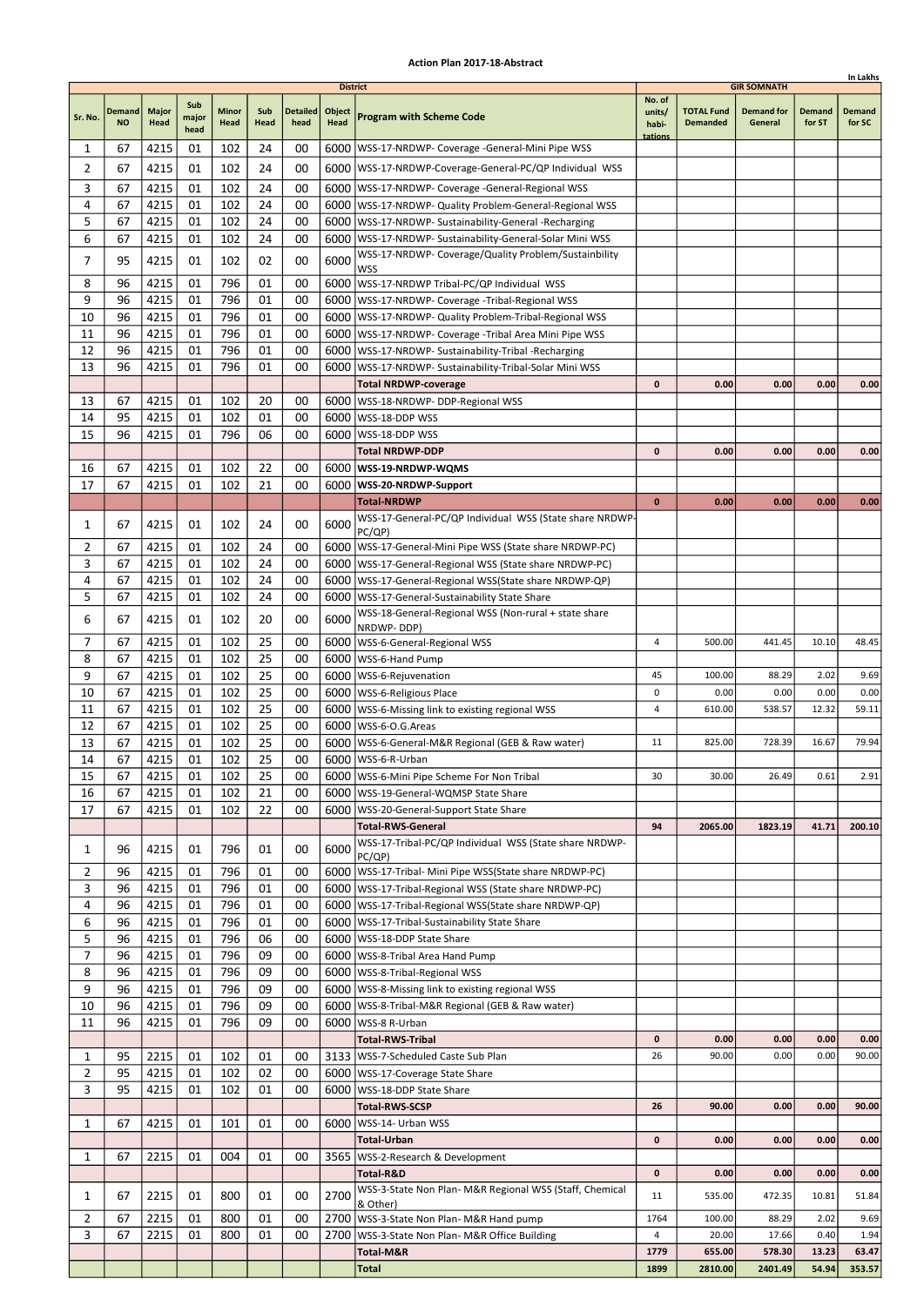|                |               |              |              |            |          |                 |                 |                                                                                                                 |                  |                   |                    |        | In Lakhs |
|----------------|---------------|--------------|--------------|------------|----------|-----------------|-----------------|-----------------------------------------------------------------------------------------------------------------|------------------|-------------------|--------------------|--------|----------|
|                |               |              |              |            |          |                 | <b>District</b> |                                                                                                                 | No. of           |                   | <b>GIR SOMNATH</b> |        |          |
| Sr. No.        | <b>Demand</b> | <b>Major</b> | Sub<br>major | Minor      | Sub      | <b>Detailed</b> | Object          | <b>Program with Scheme Code</b>                                                                                 | units/           | <b>TOTAL Fund</b> | <b>Demand for</b>  | Demand | Demand   |
|                | <b>NO</b>     | Head         | head         | Head       | Head     | head            | Head            |                                                                                                                 | habi-<br>tations | <b>Demanded</b>   | General            | for ST | for SC   |
| 1              | 67            | 4215         | 01           | 102        | 24       | 00              |                 | 6000   WSS-17-NRDWP- Coverage - General-Mini Pipe WSS                                                           |                  |                   |                    |        |          |
| 2              | 67            | 4215         | 01           | 102        | 24       | 00              |                 | 6000 WSS-17-NRDWP-Coverage-General-PC/QP Individual WSS                                                         |                  |                   |                    |        |          |
| 3              | 67            | 4215         | 01           | 102        | 24       | 00              |                 | 6000   WSS-17-NRDWP- Coverage -General-Regional WSS                                                             |                  |                   |                    |        |          |
| 4              | 67            | 4215         | 01           | 102        | 24       | 00              |                 | 6000   WSS-17-NRDWP- Quality Problem-General-Regional WSS                                                       |                  |                   |                    |        |          |
| 5              | 67            | 4215         | 01           | 102        | 24       | 00              |                 | 6000   WSS-17-NRDWP- Sustainability-General -Recharging                                                         |                  |                   |                    |        |          |
| 6              | 67            | 4215         | 01           | 102        | 24       | 00              |                 | 6000 WSS-17-NRDWP- Sustainability-General-Solar Mini WSS                                                        |                  |                   |                    |        |          |
| 7              | 95            | 4215         | 01           | 102        | 02       | 00              | 6000            | WSS-17-NRDWP- Coverage/Quality Problem/Sustainbility                                                            |                  |                   |                    |        |          |
|                |               |              |              |            |          |                 |                 | WSS                                                                                                             |                  |                   |                    |        |          |
| 8              | 96            | 4215         | 01           | 796        | 01       | 00              |                 | 6000   WSS-17-NRDWP Tribal-PC/QP Individual WSS                                                                 |                  |                   |                    |        |          |
| 9              | 96            | 4215         | 01           | 796        | 01       | 00              |                 | 6000   WSS-17-NRDWP- Coverage - Tribal-Regional WSS                                                             |                  |                   |                    |        |          |
| 10             | 96<br>96      | 4215<br>4215 | 01<br>01     | 796<br>796 | 01<br>01 | 00<br>00        | 6000            | 6000   WSS-17-NRDWP- Quality Problem-Tribal-Regional WSS                                                        |                  |                   |                    |        |          |
| 11<br>12       | 96            | 4215         | 01           | 796        | 01       | 00              |                 | WSS-17-NRDWP- Coverage -Tribal Area Mini Pipe WSS<br>6000   WSS-17-NRDWP- Sustainability-Tribal - Recharging    |                  |                   |                    |        |          |
| 13             | 96            | 4215         | 01           | 796        | 01       | 00              |                 | 6000   WSS-17-NRDWP- Sustainability-Tribal-Solar Mini WSS                                                       |                  |                   |                    |        |          |
|                |               |              |              |            |          |                 |                 | <b>Total NRDWP-coverage</b>                                                                                     | 0                | 0.00              | 0.00               | 0.00   | 0.00     |
| 13             | 67            | 4215         | 01           | 102        | 20       | 00              |                 | 6000   WSS-18-NRDWP- DDP-Regional WSS                                                                           |                  |                   |                    |        |          |
| 14             | 95            | 4215         | 01           | 102        | 01       | 00              | 6000            | WSS-18-DDP WSS                                                                                                  |                  |                   |                    |        |          |
| 15             | 96            | 4215         | 01           | 796        | 06       | 00              |                 | 6000   WSS-18-DDP WSS                                                                                           |                  |                   |                    |        |          |
|                |               |              |              |            |          |                 |                 | Total NRDWP-DDP                                                                                                 | $\mathbf{0}$     | 0.00              | 0.00               | 0.00   | 0.00     |
| 16             | 67            | 4215         | 01           | 102        | 22       | 00              |                 | 6000   WSS-19-NRDWP-WQMS                                                                                        |                  |                   |                    |        |          |
| 17             | 67            | 4215         | 01           | 102        | 21       | 00              |                 | 6000 WSS-20-NRDWP-Support                                                                                       |                  |                   |                    |        |          |
|                |               |              |              |            |          |                 |                 | <b>Total-NRDWP</b>                                                                                              | $\bf{0}$         | 0.00              | 0.00               | 0.00   | 0.00     |
| 1              | 67            | 4215         | 01           | 102        | 24       | 00              | 6000            | WSS-17-General-PC/QP Individual WSS (State share NRDWP-                                                         |                  |                   |                    |        |          |
|                |               |              |              |            |          |                 |                 | PC(QP)                                                                                                          |                  |                   |                    |        |          |
| 2<br>3         | 67            | 4215         | 01           | 102        | 24       | 00              |                 | 6000   WSS-17-General-Mini Pipe WSS (State share NRDWP-PC)                                                      |                  |                   |                    |        |          |
| 4              | 67<br>67      | 4215<br>4215 | 01<br>01     | 102<br>102 | 24<br>24 | 00<br>00        | 6000            | WSS-17-General-Regional WSS (State share NRDWP-PC)<br>6000   WSS-17-General-Regional WSS (State share NRDWP-QP) |                  |                   |                    |        |          |
| 5              | 67            | 4215         | 01           | 102        | 24       | 00              |                 | 6000   WSS-17-General-Sustainability State Share                                                                |                  |                   |                    |        |          |
|                |               |              |              |            |          |                 |                 | WSS-18-General-Regional WSS (Non-rural + state share                                                            |                  |                   |                    |        |          |
| 6              | 67            | 4215         | 01           | 102        | 20       | 00              | 6000            | NRDWP-DDP)                                                                                                      |                  |                   |                    |        |          |
| 7              | 67            | 4215         | 01           | 102        | 25       | 00              |                 | 6000   WSS-6-General-Regional WSS                                                                               | 4                | 500.00            | 441.45             | 10.10  | 48.45    |
| 8              | 67            | 4215         | 01           | 102        | 25       | 00              | 6000            | WSS-6-Hand Pump                                                                                                 |                  |                   |                    |        |          |
| 9              | 67            | 4215         | 01           | 102        | 25       | 00              |                 | 6000   WSS-6-Rejuvenation                                                                                       | 45               | 100.00            | 88.29              | 2.02   | 9.69     |
| 10             | 67            | 4215         | 01           | 102        | 25       | 00              |                 | 6000   WSS-6-Religious Place                                                                                    | 0                | 0.00              | 0.00               | 0.00   | 0.00     |
| 11             | 67            | 4215         | 01           | 102        | 25       | 00              |                 | 6000   WSS-6-Missing link to existing regional WSS                                                              | 4                | 610.00            | 538.57             | 12.32  | 59.11    |
| 12<br>13       | 67<br>67      | 4215<br>4215 | 01<br>01     | 102<br>102 | 25<br>25 | 00<br>00        |                 | 6000   WSS-6-O.G. Areas                                                                                         | 11               | 825.00            | 728.39             | 16.67  | 79.94    |
| 14             | 67            | 4215         | 01           | 102        | 25       | 00              |                 | 6000   WSS-6-General-M&R Regional (GEB & Raw water)<br>6000 WSS-6-R-Urban                                       |                  |                   |                    |        |          |
| 15             | 67            | 4215         | 01           | 102        | 25       | 00              |                 | 6000   WSS-6-Mini Pipe Scheme For Non Tribal                                                                    | 30               | 30.00             | 26.49              | 0.61   | 2.91     |
| 16             | 67            | 4215         | 01           | 102        | 21       | 00              |                 | 6000   WSS-19-General-WQMSP State Share                                                                         |                  |                   |                    |        |          |
| 17             | 67            | 4215         | 01           | 102        | 22       | 00              |                 | 6000   WSS-20-General-Support State Share                                                                       |                  |                   |                    |        |          |
|                |               |              |              |            |          |                 |                 | <b>Total-RWS-General</b>                                                                                        | 94               | 2065.00           | 1823.19            | 41.71  | 200.10   |
| 1              | 96            | 4215         | 01           | 796        | 01       | 00              | 6000            | WSS-17-Tribal-PC/QP Individual WSS (State share NRDWP-                                                          |                  |                   |                    |        |          |
|                |               |              |              |            |          |                 |                 | PC(QP)                                                                                                          |                  |                   |                    |        |          |
| 2              | 96            | 4215         | 01           | 796        | 01       | 00              |                 | 6000   WSS-17-Tribal- Mini Pipe WSS(State share NRDWP-PC)                                                       |                  |                   |                    |        |          |
| 3              | 96            | 4215         | 01           | 796        | 01       | 00              |                 | 6000   WSS-17-Tribal-Regional WSS (State share NRDWP-PC)                                                        |                  |                   |                    |        |          |
| 4<br>6         | 96<br>96      | 4215<br>4215 | 01<br>01     | 796<br>796 | 01<br>01 | 00<br>00        |                 | 6000   WSS-17-Tribal-Regional WSS (State share NRDWP-QP)                                                        |                  |                   |                    |        |          |
| 5              | 96            | 4215         | 01           | 796        | 06       | 00              |                 | 6000   WSS-17-Tribal-Sustainability State Share<br>6000   WSS-18-DDP State Share                                |                  |                   |                    |        |          |
| 7              | 96            | 4215         | 01           | 796        | 09       | 00              |                 | 6000   WSS-8-Tribal Area Hand Pump                                                                              |                  |                   |                    |        |          |
| 8              | 96            | 4215         | 01           | 796        | 09       | 00              |                 | 6000   WSS-8-Tribal-Regional WSS                                                                                |                  |                   |                    |        |          |
| 9              | 96            | 4215         | 01           | 796        | 09       | 00              |                 | 6000   WSS-8-Missing link to existing regional WSS                                                              |                  |                   |                    |        |          |
| 10             | 96            | 4215         | 01           | 796        | 09       | 00              |                 | 6000   WSS-8-Tribal-M&R Regional (GEB & Raw water)                                                              |                  |                   |                    |        |          |
| 11             | 96            | 4215         | 01           | 796        | 09       | 00              |                 | 6000   WSS-8 R-Urban                                                                                            |                  |                   |                    |        |          |
|                |               |              |              |            |          |                 |                 | <b>Total-RWS-Tribal</b>                                                                                         | 0                | 0.00              | 0.00               | 0.00   | 0.00     |
| 1              | 95            | 2215         | 01           | 102        | 01       | 00              |                 | 3133   WSS-7-Scheduled Caste Sub Plan                                                                           | 26               | 90.00             | 0.00               | 0.00   | 90.00    |
| $\overline{2}$ | 95            | 4215         | 01           | 102        | 02       | 00              |                 | 6000   WSS-17-Coverage State Share                                                                              |                  |                   |                    |        |          |
| 3              | 95            | 4215         | 01           | 102        | 01       | 00              |                 | 6000   WSS-18-DDP State Share                                                                                   |                  |                   |                    |        |          |
|                |               |              |              |            |          |                 |                 | <b>Total-RWS-SCSP</b>                                                                                           | 26               | 90.00             | 0.00               | 0.00   | 90.00    |
| 1              | 67            | 4215         | 01           | 101        | 01       | 00              |                 | 6000   WSS-14- Urban WSS                                                                                        |                  |                   |                    |        |          |
|                |               |              |              |            |          |                 |                 | Total-Urban                                                                                                     | 0                | 0.00              | 0.00               | 0.00   | 0.00     |
| 1              | 67            | 2215         | 01           | 004        | 01       | 00              |                 | 3565   WSS-2-Research & Development                                                                             |                  |                   |                    |        |          |
|                |               |              |              |            |          |                 |                 | Total-R&D                                                                                                       | 0                | 0.00              | 0.00               | 0.00   | 0.00     |
| 1              | 67            | 2215         | 01           | 800        | 01       | 00              | 2700            | WSS-3-State Non Plan- M&R Regional WSS (Staff, Chemical<br>& Other)                                             | 11               | 535.00            | 472.35             | 10.81  | 51.84    |
| $\overline{2}$ | 67            | 2215         | 01           | 800        | 01       | 00              |                 | 2700   WSS-3-State Non Plan- M&R Hand pump                                                                      | 1764             | 100.00            | 88.29              | 2.02   | 9.69     |
| 3              | 67            | 2215         | 01           | 800        | 01       | 00              |                 | 2700   WSS-3-State Non Plan- M&R Office Building                                                                | 4                | 20.00             | 17.66              | 0.40   | 1.94     |
|                |               |              |              |            |          |                 |                 | Total-M&R                                                                                                       | 1779             | 655.00            | 578.30             | 13.23  | 63.47    |
|                |               |              |              |            |          |                 |                 | Total                                                                                                           | 1899             | 2810.00           | 2401.49            | 54.94  | 353.57   |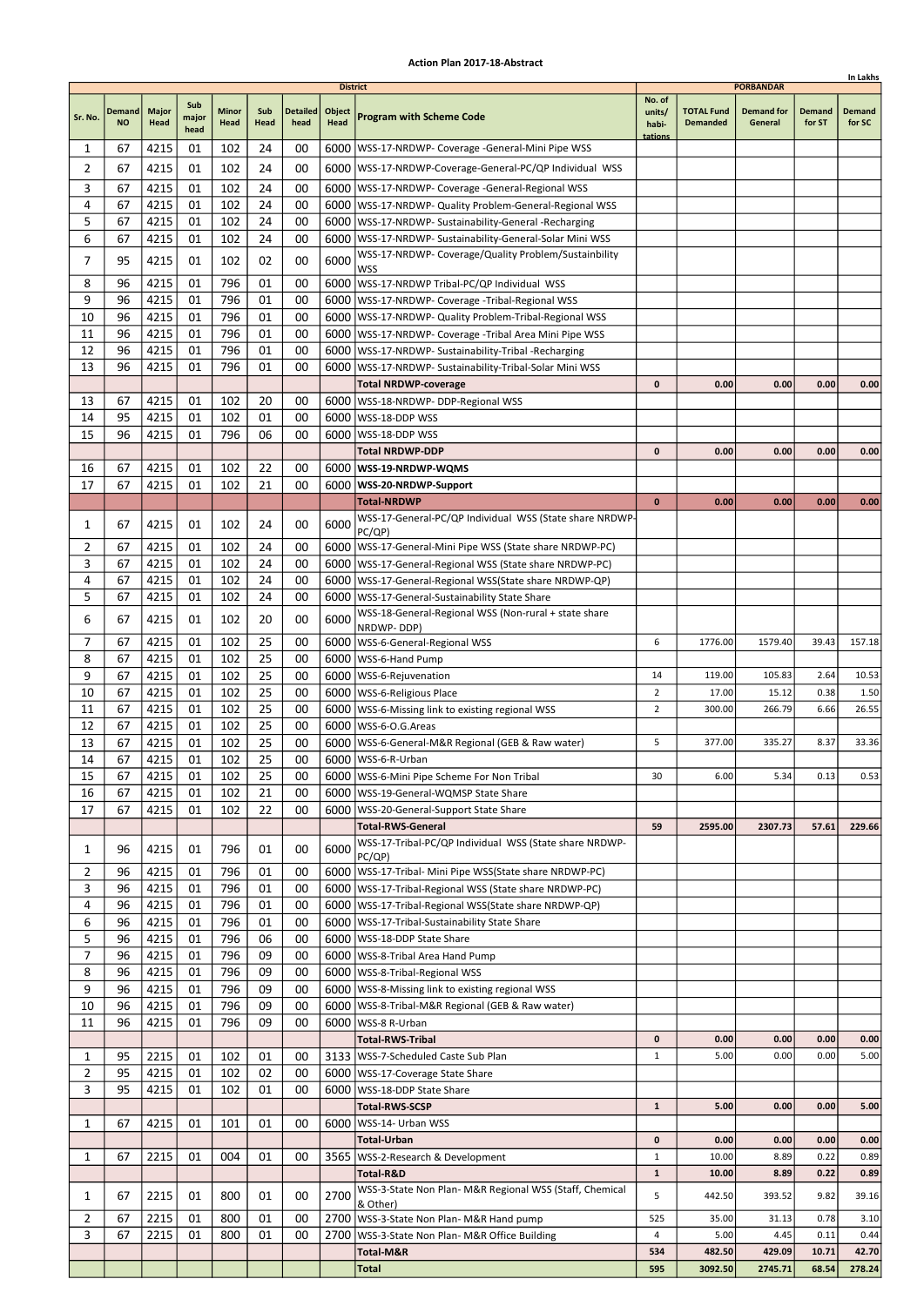|                |               |              |               |              |          |                 |                           |                                                                                                                |                              |                   |                                       |                | In Lakhs        |
|----------------|---------------|--------------|---------------|--------------|----------|-----------------|---------------------------|----------------------------------------------------------------------------------------------------------------|------------------------------|-------------------|---------------------------------------|----------------|-----------------|
|                | <b>Demand</b> | <b>Major</b> | Sub           | <b>Minor</b> | Sub      | <b>Detailed</b> | <b>District</b><br>Object |                                                                                                                | No. of<br>units/             | <b>TOTAL Fund</b> | <b>PORBANDAR</b><br><b>Demand for</b> | <b>Demand</b>  | <b>Demand</b>   |
| Sr. No.        | <b>NO</b>     | Head         | major<br>head | Head         | Head     | head            | <b>Head</b>               | <b>Program with Scheme Code</b>                                                                                | habi-<br>tations             | <b>Demanded</b>   | General                               | for ST         | for SC          |
| 1              | 67            | 4215         | 01            | 102          | 24       | 00              |                           | 6000   WSS-17-NRDWP- Coverage - General-Mini Pipe WSS                                                          |                              |                   |                                       |                |                 |
| 2              | 67            | 4215         | 01            | 102          | 24       | 00              |                           | 6000   WSS-17-NRDWP-Coverage-General-PC/QP Individual WSS                                                      |                              |                   |                                       |                |                 |
| 3              | 67            | 4215         | 01            | 102          | 24       | 00              |                           | 6000   WSS-17-NRDWP- Coverage - General-Regional WSS                                                           |                              |                   |                                       |                |                 |
| 4              | 67            | 4215         | 01            | 102          | 24       | 00              |                           | 6000   WSS-17-NRDWP- Quality Problem-General-Regional WSS                                                      |                              |                   |                                       |                |                 |
| 5<br>6         | 67<br>67      | 4215         | 01<br>01      | 102<br>102   | 24<br>24 | 00<br>00        | 6000                      | 6000   WSS-17-NRDWP- Sustainability-General -Recharging<br>WSS-17-NRDWP- Sustainability-General-Solar Mini WSS |                              |                   |                                       |                |                 |
|                |               | 4215         |               |              |          |                 |                           | WSS-17-NRDWP- Coverage/Quality Problem/Sustainbility                                                           |                              |                   |                                       |                |                 |
| 7              | 95            | 4215         | 01            | 102          | 02       | 00              | 6000                      | <b>WSS</b>                                                                                                     |                              |                   |                                       |                |                 |
| 8              | 96            | 4215         | 01            | 796          | 01       | 00              |                           | 6000   WSS-17-NRDWP Tribal-PC/QP Individual WSS                                                                |                              |                   |                                       |                |                 |
| 9              | 96            | 4215         | 01            | 796          | 01       | 00              |                           | 6000   WSS-17-NRDWP- Coverage - Tribal-Regional WSS                                                            |                              |                   |                                       |                |                 |
| 10             | 96            | 4215         | 01            | 796          | 01       | 00              |                           | 6000   WSS-17-NRDWP- Quality Problem-Tribal-Regional WSS                                                       |                              |                   |                                       |                |                 |
| 11<br>12       | 96<br>96      | 4215<br>4215 | 01<br>01      | 796<br>796   | 01<br>01 | 00<br>00        | 6000<br>6000              | WSS-17-NRDWP- Coverage -Tribal Area Mini Pipe WSS<br>WSS-17-NRDWP- Sustainability-Tribal -Recharging           |                              |                   |                                       |                |                 |
| 13             | 96            | 4215         | 01            | 796          | 01       | 00              | 6000                      | WSS-17-NRDWP- Sustainability-Tribal-Solar Mini WSS                                                             |                              |                   |                                       |                |                 |
|                |               |              |               |              |          |                 |                           | <b>Total NRDWP-coverage</b>                                                                                    | $\mathbf{0}$                 | 0.00              | 0.00                                  | 0.00           | 0.00            |
| 13             | 67            | 4215         | 01            | 102          | 20       | 00              |                           | 6000   WSS-18-NRDWP- DDP-Regional WSS                                                                          |                              |                   |                                       |                |                 |
| 14             | 95            | 4215         | 01            | 102          | 01       | 00              | 6000                      | WSS-18-DDP WSS                                                                                                 |                              |                   |                                       |                |                 |
| 15             | 96            | 4215         | 01            | 796          | 06       | 00              | 6000                      | lWSS-18-DDP WSS                                                                                                |                              |                   |                                       |                |                 |
|                |               |              |               |              |          |                 |                           | Total NRDWP-DDP                                                                                                | $\mathbf{0}$                 | 0.00              | 0.00                                  | 0.00           | 0.00            |
| 16             | 67            | 4215         | 01            | 102          | 22       | 00              |                           | 6000   WSS-19-NRDWP-WQMS                                                                                       |                              |                   |                                       |                |                 |
| 17             | 67            | 4215         | 01            | 102          | 21       | 00              |                           | 6000   WSS-20-NRDWP-Support                                                                                    |                              |                   |                                       |                |                 |
|                |               |              |               |              |          |                 |                           | <b>Total-NRDWP</b><br>WSS-17-General-PC/QP Individual WSS (State share NRDWP-                                  | $\mathbf 0$                  | 0.00              | 0.00                                  | 0.00           | 0.00            |
| 1              | 67            | 4215         | 01            | 102          | 24       | 00              | 6000                      | PC(QP)                                                                                                         |                              |                   |                                       |                |                 |
| 2              | 67            | 4215         | 01            | 102          | 24       | 00              |                           | 6000   WSS-17-General-Mini Pipe WSS (State share NRDWP-PC)                                                     |                              |                   |                                       |                |                 |
| 3              | 67            | 4215         | 01            | 102          | 24       | 00              |                           | 6000   WSS-17-General-Regional WSS (State share NRDWP-PC)                                                      |                              |                   |                                       |                |                 |
| 4              | 67            | 4215         | 01            | 102          | 24       | 00              |                           | 6000   WSS-17-General-Regional WSS (State share NRDWP-QP)                                                      |                              |                   |                                       |                |                 |
| 5              | 67            | 4215         | 01            | 102          | 24       | 00              |                           | 6000   WSS-17-General-Sustainability State Share                                                               |                              |                   |                                       |                |                 |
| 6              | 67            | 4215         | 01            | 102          | 20       | 00              | 6000                      | WSS-18-General-Regional WSS (Non-rural + state share<br>NRDWP-DDP)                                             |                              |                   |                                       |                |                 |
| 7              | 67            | 4215         | 01            | 102          | 25       | 00              |                           | 6000   WSS-6-General-Regional WSS                                                                              | 6                            | 1776.00           | 1579.40                               | 39.43          | 157.18          |
| 8              | 67            | 4215         | 01            | 102          | 25       | 00              | 6000                      | WSS-6-Hand Pump                                                                                                |                              |                   |                                       |                |                 |
| 9              | 67            | 4215         | 01            | 102          | 25       | 00              | 6000                      | WSS-6-Rejuvenation                                                                                             | 14                           | 119.00            | 105.83                                | 2.64           | 10.53           |
| 10             | 67            | 4215         | 01            | 102          | 25       | 00              |                           | 6000   WSS-6-Religious Place                                                                                   | $\overline{2}$               | 17.00             | 15.12                                 | 0.38           | 1.50            |
| 11             | 67            | 4215         | 01            | 102          | 25       | 00              |                           | 6000   WSS-6-Missing link to existing regional WSS                                                             | $\overline{2}$               | 300.00            | 266.79                                | 6.66           | 26.55           |
| 12             | 67            | 4215         | 01            | 102          | 25<br>25 | 00              |                           | 6000   WSS-6-O.G. Areas                                                                                        | 5                            |                   |                                       |                |                 |
| 13<br>14       | 67<br>67      | 4215<br>4215 | 01<br>01      | 102<br>102   | 25       | 00<br>00        |                           | 6000   WSS-6-General-M&R Regional (GEB & Raw water)<br>6000   WSS-6-R-Urban                                    |                              | 377.00            | 335.27                                | 8.37           | 33.36           |
| 15             | 67            | 4215         | 01            | 102          | 25       | 00              |                           | 6000   WSS-6-Mini Pipe Scheme For Non Tribal                                                                   | 30                           | 6.00              | 5.34                                  | 0.13           | 0.53            |
| 16             | 67            | 4215         | 01            | 102          | 21       | 00              |                           | 6000   WSS-19-General-WQMSP State Share                                                                        |                              |                   |                                       |                |                 |
| 17             | 67            | 4215         | 01            | 102          | 22       | 00              |                           | 6000   WSS-20-General-Support State Share                                                                      |                              |                   |                                       |                |                 |
|                |               |              |               |              |          |                 |                           | <b>Total-RWS-General</b>                                                                                       | 59                           | 2595.00           | 2307.73                               | 57.61          | 229.66          |
| 1              | 96            | 4215         | 01            | 796          | 01       | 00              | 6000                      | WSS-17-Tribal-PC/QP Individual WSS (State share NRDWP-                                                         |                              |                   |                                       |                |                 |
| 2              | 96            | 4215         | 01            | 796          | 01       | 00              |                           | PC(QP)<br>6000   WSS-17-Tribal- Mini Pipe WSS(State share NRDWP-PC)                                            |                              |                   |                                       |                |                 |
| 3              | 96            | 4215         | 01            | 796          | 01       | 00              |                           | 6000   WSS-17-Tribal-Regional WSS (State share NRDWP-PC)                                                       |                              |                   |                                       |                |                 |
| 4              | 96            | 4215         | 01            | 796          | 01       | 00              |                           | 6000   WSS-17-Tribal-Regional WSS (State share NRDWP-QP)                                                       |                              |                   |                                       |                |                 |
| 6              | 96            | 4215         | 01            | 796          | 01       | 00              |                           | 6000   WSS-17-Tribal-Sustainability State Share                                                                |                              |                   |                                       |                |                 |
| 5              | 96            | 4215         | 01            | 796          | 06       | 00              |                           | 6000   WSS-18-DDP State Share                                                                                  |                              |                   |                                       |                |                 |
| 7              | 96            | 4215         | 01            | 796          | 09       | 00              |                           | 6000   WSS-8-Tribal Area Hand Pump                                                                             |                              |                   |                                       |                |                 |
| 8              | 96            | 4215         | 01            | 796          | 09       | 00              |                           | 6000   WSS-8-Tribal-Regional WSS                                                                               |                              |                   |                                       |                |                 |
| 9<br>10        | 96<br>96      | 4215<br>4215 | 01<br>01      | 796<br>796   | 09<br>09 | 00<br>00        |                           | 6000   WSS-8-Missing link to existing regional WSS                                                             |                              |                   |                                       |                |                 |
| 11             | 96            | 4215         | 01            | 796          | 09       | 00              |                           | 6000   WSS-8-Tribal-M&R Regional (GEB & Raw water)<br>6000   WSS-8 R-Urban                                     |                              |                   |                                       |                |                 |
|                |               |              |               |              |          |                 |                           | <b>Total-RWS-Tribal</b>                                                                                        | 0                            | 0.00              | 0.00                                  | 0.00           | 0.00            |
| 1              | 95            | 2215         | 01            | 102          | 01       | 00              |                           | 3133   WSS-7-Scheduled Caste Sub Plan                                                                          | $\mathbf{1}$                 | 5.00              | 0.00                                  | 0.00           | 5.00            |
| $\overline{2}$ | 95            | 4215         | 01            | 102          | 02       | 00              |                           | 6000   WSS-17-Coverage State Share                                                                             |                              |                   |                                       |                |                 |
| 3              | 95            | 4215         | 01            | 102          | 01       | 00              |                           | 6000   WSS-18-DDP State Share                                                                                  |                              |                   |                                       |                |                 |
|                |               |              |               |              |          |                 |                           | <b>Total-RWS-SCSP</b>                                                                                          | $\mathbf{1}$                 | 5.00              | 0.00                                  | 0.00           | 5.00            |
| 1              | 67            | 4215         | 01            | 101          | 01       | 00              | 6000                      | WSS-14- Urban WSS                                                                                              |                              |                   |                                       |                |                 |
|                |               |              |               |              |          |                 |                           | Total-Urban                                                                                                    | 0                            | 0.00              | 0.00                                  | 0.00           | 0.00            |
| 1              | 67            | 2215         | 01            | 004          | 01       | 00              |                           | 3565   WSS-2-Research & Development<br>Total-R&D                                                               | $\mathbf{1}$<br>$\mathbf{1}$ | 10.00<br>10.00    | 8.89<br>8.89                          | 0.22<br>0.22   | 0.89<br>0.89    |
|                |               |              |               |              |          |                 |                           | WSS-3-State Non Plan- M&R Regional WSS (Staff, Chemical                                                        |                              |                   |                                       |                |                 |
| 1              | 67            | 2215         | 01            | 800          | 01       | 00              | 2700                      | & Other)                                                                                                       | 5                            | 442.50            | 393.52                                | 9.82           | 39.16           |
| $\overline{2}$ | 67            | 2215         | 01            | 800          | 01       | 00              |                           | 2700   WSS-3-State Non Plan- M&R Hand pump                                                                     | 525                          | 35.00             | 31.13                                 | 0.78           | 3.10            |
| 3              | 67            | 2215         | 01            | 800          | 01       | 00              | 2700                      | WSS-3-State Non Plan- M&R Office Building                                                                      | 4                            | 5.00              | 4.45                                  | 0.11           | 0.44            |
|                |               |              |               |              |          |                 |                           | Total-M&R<br>Total                                                                                             | 534<br>595                   | 482.50<br>3092.50 | 429.09<br>2745.71                     | 10.71<br>68.54 | 42.70<br>278.24 |
|                |               |              |               |              |          |                 |                           |                                                                                                                |                              |                   |                                       |                |                 |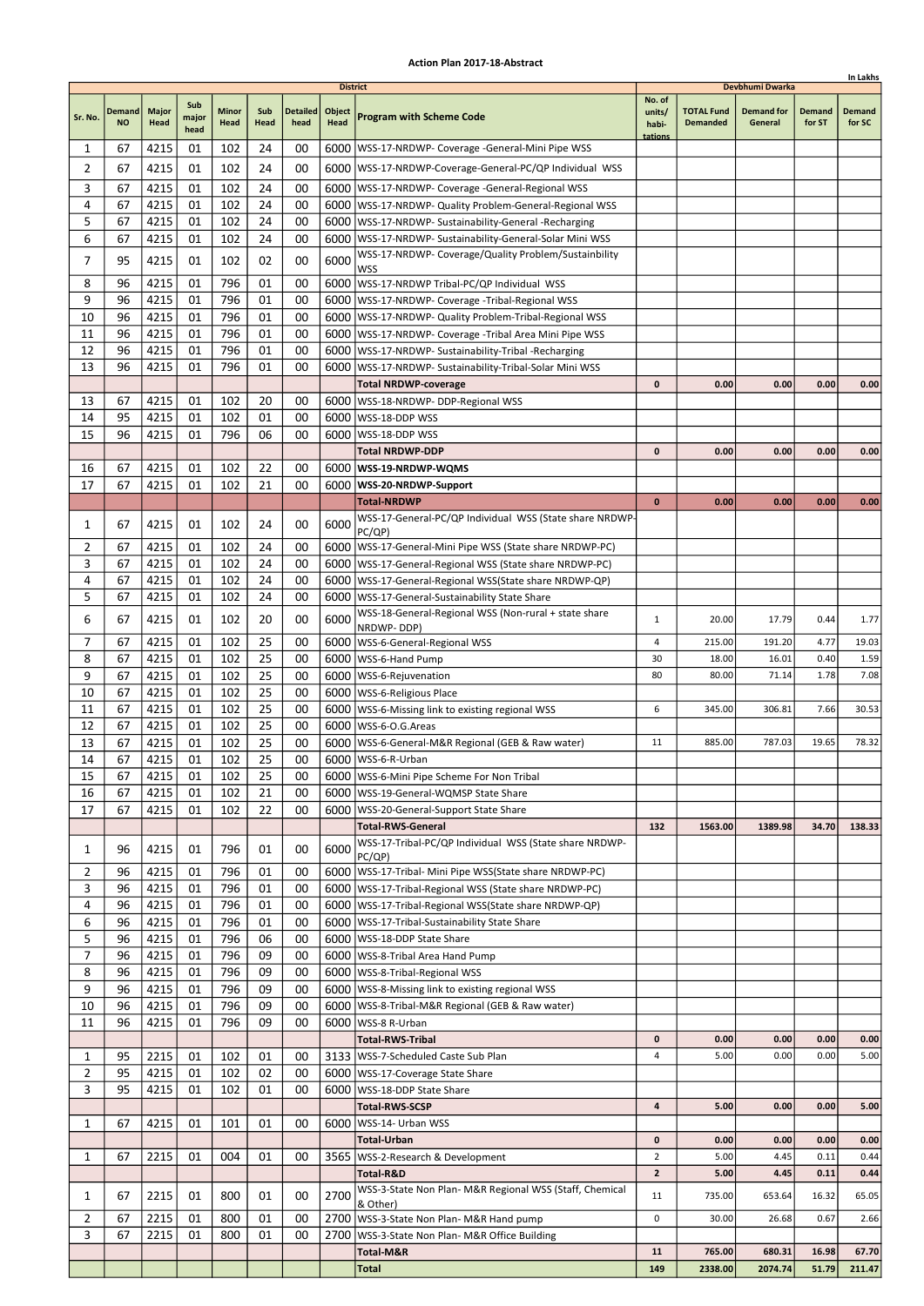|                |                     |                      |                      |                      |             |                         |                                          |                                                                                      |                                      |                                      |                                                 |                         | In Lakhs                |
|----------------|---------------------|----------------------|----------------------|----------------------|-------------|-------------------------|------------------------------------------|--------------------------------------------------------------------------------------|--------------------------------------|--------------------------------------|-------------------------------------------------|-------------------------|-------------------------|
| Sr. No.        | Demand<br><b>NO</b> | <b>Major</b><br>Head | Sub<br>major<br>head | <b>Minor</b><br>Head | Sub<br>Head | <b>Detailed</b><br>head | <b>District</b><br>Object<br><b>Head</b> | <b>Program with Scheme Code</b>                                                      | No. of<br>units/<br>habi-<br>tations | <b>TOTAL Fund</b><br><b>Demanded</b> | Devbhumi Dwarka<br><b>Demand for</b><br>General | <b>Demand</b><br>for ST | <b>Demand</b><br>for SC |
| 1              | 67                  | 4215                 | 01                   | 102                  | 24          | 00                      |                                          | 6000   WSS-17-NRDWP- Coverage -General-Mini Pipe WSS                                 |                                      |                                      |                                                 |                         |                         |
| 2              | 67                  | 4215                 | 01                   | 102                  | 24          | 00                      |                                          | 6000   WSS-17-NRDWP-Coverage-General-PC/QP Individual WSS                            |                                      |                                      |                                                 |                         |                         |
| 3              | 67                  | 4215                 | 01                   | 102                  | 24          | 00                      |                                          | 6000   WSS-17-NRDWP- Coverage - General-Regional WSS                                 |                                      |                                      |                                                 |                         |                         |
| 4              | 67                  | 4215                 | 01                   | 102                  | 24          | 00                      |                                          | 6000   WSS-17-NRDWP- Quality Problem-General-Regional WSS                            |                                      |                                      |                                                 |                         |                         |
| 5              | 67                  | 4215                 | 01                   | 102                  | 24          | 00                      |                                          | 6000   WSS-17-NRDWP- Sustainability-General -Recharging                              |                                      |                                      |                                                 |                         |                         |
| 6              | 67                  | 4215                 | 01                   | 102                  | 24          | 00                      |                                          | 6000   WSS-17-NRDWP- Sustainability-General-Solar Mini WSS                           |                                      |                                      |                                                 |                         |                         |
| 7              | 95                  | 4215                 | 01                   | 102                  | 02          | 00                      | 6000                                     | WSS-17-NRDWP- Coverage/Quality Problem/Sustainbility                                 |                                      |                                      |                                                 |                         |                         |
| 8              | 96                  | 4215                 | 01                   | 796                  | 01          | 00                      |                                          | <b>WSS</b><br>6000 WSS-17-NRDWP Tribal-PC/QP Individual WSS                          |                                      |                                      |                                                 |                         |                         |
| 9              | 96                  | 4215                 | 01                   | 796                  | 01          | 00                      |                                          | 6000   WSS-17-NRDWP- Coverage - Tribal-Regional WSS                                  |                                      |                                      |                                                 |                         |                         |
| 10             | 96                  | 4215                 | 01                   | 796                  | 01          | 00                      |                                          | 6000   WSS-17-NRDWP- Quality Problem-Tribal-Regional WSS                             |                                      |                                      |                                                 |                         |                         |
| 11             | 96                  | 4215                 | 01                   | 796                  | 01          | 00                      |                                          | 6000   WSS-17-NRDWP- Coverage - Tribal Area Mini Pipe WSS                            |                                      |                                      |                                                 |                         |                         |
| 12             | 96                  | 4215                 | 01                   | 796                  | 01          | 00                      |                                          | 6000   WSS-17-NRDWP- Sustainability-Tribal -Recharging                               |                                      |                                      |                                                 |                         |                         |
| 13             | 96                  | 4215                 | 01                   | 796                  | 01          | 00                      | 6000                                     | WSS-17-NRDWP- Sustainability-Tribal-Solar Mini WSS                                   |                                      |                                      |                                                 |                         |                         |
|                |                     |                      |                      |                      |             |                         |                                          | <b>Total NRDWP-coverage</b>                                                          | 0                                    | 0.00                                 | 0.00                                            | 0.00                    | 0.00                    |
| 13             | 67                  | 4215                 | 01                   | 102                  | 20          | 00                      |                                          | 6000   WSS-18-NRDWP- DDP-Regional WSS                                                |                                      |                                      |                                                 |                         |                         |
| 14             | 95                  | 4215                 | 01                   | 102                  | 01          | 00                      |                                          | 6000   WSS-18-DDP WSS                                                                |                                      |                                      |                                                 |                         |                         |
| 15             | 96                  | 4215                 | 01                   | 796                  | 06          | 00                      | 6000                                     | WSS-18-DDP WSS                                                                       |                                      |                                      |                                                 |                         |                         |
|                |                     |                      |                      |                      |             |                         |                                          | <b>Total NRDWP-DDP</b>                                                               | 0                                    | 0.00                                 | 0.00                                            | 0.00                    | 0.00                    |
| 16             | 67                  | 4215                 | 01                   | 102                  | 22          | 00                      |                                          | 6000   WSS-19-NRDWP-WQMS                                                             |                                      |                                      |                                                 |                         |                         |
| 17             | 67                  | 4215                 | 01                   | 102                  | 21          | 00                      |                                          | 6000   WSS-20-NRDWP-Support                                                          | $\bf{0}$                             | 0.00                                 | 0.00                                            | 0.00                    | 0.00                    |
|                |                     |                      |                      |                      |             |                         |                                          | <b>Total-NRDWP</b><br>WSS-17-General-PC/QP Individual WSS (State share NRDWP-        |                                      |                                      |                                                 |                         |                         |
| 1              | 67                  | 4215                 | 01                   | 102                  | 24          | 00                      | 6000                                     | PC/QP)                                                                               |                                      |                                      |                                                 |                         |                         |
| 2              | 67                  | 4215                 | 01                   | 102                  | 24          | 00                      |                                          | 6000   WSS-17-General-Mini Pipe WSS (State share NRDWP-PC)                           |                                      |                                      |                                                 |                         |                         |
| 3              | 67                  | 4215                 | 01                   | 102                  | 24          | 00                      |                                          | 6000   WSS-17-General-Regional WSS (State share NRDWP-PC)                            |                                      |                                      |                                                 |                         |                         |
| 4              | 67                  | 4215                 | 01                   | 102                  | 24          | 00                      |                                          | 6000   WSS-17-General-Regional WSS (State share NRDWP-QP)                            |                                      |                                      |                                                 |                         |                         |
| 5              | 67                  | 4215                 | 01                   | 102                  | 24          | 00                      |                                          | 6000   WSS-17-General-Sustainability State Share                                     |                                      |                                      |                                                 |                         |                         |
| 6              | 67                  | 4215                 | 01                   | 102                  | 20          | 00                      | 6000                                     | WSS-18-General-Regional WSS (Non-rural + state share                                 | 1                                    | 20.00                                | 17.79                                           | 0.44                    | 1.77                    |
| 7              | 67                  | 4215                 | 01                   | 102                  | 25          | 00                      |                                          | NRDWP-DDP)<br>6000   WSS-6-General-Regional WSS                                      | 4                                    | 215.00                               | 191.20                                          | 4.77                    | 19.03                   |
| 8              | 67                  | 4215                 | 01                   | 102                  | 25          | 00                      |                                          | 6000   WSS-6-Hand Pump                                                               | 30                                   | 18.00                                | 16.01                                           | 0.40                    | 1.59                    |
| 9              | 67                  | 4215                 | 01                   | 102                  | 25          | 00                      |                                          | 6000   WSS-6-Rejuvenation                                                            | 80                                   | 80.00                                | 71.14                                           | 1.78                    | 7.08                    |
| 10             | 67                  | 4215                 | 01                   | 102                  | 25          | 00                      |                                          | 6000   WSS-6-Religious Place                                                         |                                      |                                      |                                                 |                         |                         |
| 11             | 67                  | 4215                 | 01                   | 102                  | 25          | 00                      |                                          | 6000   WSS-6-Missing link to existing regional WSS                                   | 6                                    | 345.00                               | 306.81                                          | 7.66                    | 30.53                   |
| 12             | 67                  | 4215                 | 01                   | 102                  | 25          | 00                      |                                          | 6000   WSS-6-O.G. Areas                                                              |                                      |                                      |                                                 |                         |                         |
| 13             | 67                  | 4215                 | 01                   | 102                  | 25          | 00                      |                                          | 6000   WSS-6-General-M&R Regional (GEB & Raw water)                                  | 11                                   | 885.00                               | 787.03                                          | 19.65                   | 78.32                   |
| 14             | 67                  | 4215                 | 01                   | 102                  | 25          | 00                      |                                          | 6000   WSS-6-R-Urban                                                                 |                                      |                                      |                                                 |                         |                         |
| 15             | 67                  | 4215                 | 01                   | 102                  | 25          | 00                      |                                          | 6000 WSS-6-Mini Pipe Scheme For Non Tribal                                           |                                      |                                      |                                                 |                         |                         |
| 16<br>17       | 67<br>67            | 4215<br>4215         | 01<br>01             | 102<br>102           | 21<br>22    | 00<br>00                |                                          | 6000   WSS-19-General-WQMSP State Share<br>6000   WSS-20-General-Support State Share |                                      |                                      |                                                 |                         |                         |
|                |                     |                      |                      |                      |             |                         |                                          | <b>Total-RWS-General</b>                                                             | 132                                  | 1563.00                              | 1389.98                                         | 34.70                   | 138.33                  |
|                |                     |                      |                      |                      |             |                         |                                          | WSS-17-Tribal-PC/QP Individual WSS (State share NRDWP-                               |                                      |                                      |                                                 |                         |                         |
| 1              | 96                  | 4215                 | 01                   | 796                  | 01          | 00                      | 6000                                     | PC/QP)                                                                               |                                      |                                      |                                                 |                         |                         |
| 2              | 96                  | 4215                 | 01                   | 796                  | 01          | 00                      |                                          | 6000   WSS-17-Tribal- Mini Pipe WSS (State share NRDWP-PC)                           |                                      |                                      |                                                 |                         |                         |
| 3              | 96                  | 4215                 | 01                   | 796                  | 01          | 00                      |                                          | 6000   WSS-17-Tribal-Regional WSS (State share NRDWP-PC)                             |                                      |                                      |                                                 |                         |                         |
| 4              | 96                  | 4215                 | 01                   | 796                  | 01          | 00                      |                                          | 6000   WSS-17-Tribal-Regional WSS (State share NRDWP-QP)                             |                                      |                                      |                                                 |                         |                         |
| 6<br>5         | 96<br>96            | 4215<br>4215         | 01<br>01             | 796<br>796           | 01<br>06    | 00<br>00                |                                          | 6000   WSS-17-Tribal-Sustainability State Share<br>6000   WSS-18-DDP State Share     |                                      |                                      |                                                 |                         |                         |
| 7              | 96                  | 4215                 | 01                   | 796                  | 09          | 00                      |                                          | 6000 WSS-8-Tribal Area Hand Pump                                                     |                                      |                                      |                                                 |                         |                         |
| 8              | 96                  | 4215                 | 01                   | 796                  | 09          | 00                      |                                          | 6000   WSS-8-Tribal-Regional WSS                                                     |                                      |                                      |                                                 |                         |                         |
| 9              | 96                  | 4215                 | 01                   | 796                  | 09          | 00                      |                                          | 6000   WSS-8-Missing link to existing regional WSS                                   |                                      |                                      |                                                 |                         |                         |
| 10             | 96                  | 4215                 | 01                   | 796                  | 09          | 00                      |                                          | 6000   WSS-8-Tribal-M&R Regional (GEB & Raw water)                                   |                                      |                                      |                                                 |                         |                         |
| 11             | 96                  | 4215                 | 01                   | 796                  | 09          | 00                      |                                          | 6000   WSS-8 R-Urban                                                                 |                                      |                                      |                                                 |                         |                         |
|                |                     |                      |                      |                      |             |                         |                                          | <b>Total-RWS-Tribal</b>                                                              | 0                                    | 0.00                                 | 0.00                                            | 0.00                    | 0.00                    |
| 1              | 95                  | 2215                 | 01                   | 102                  | 01          | 00                      |                                          | 3133   WSS-7-Scheduled Caste Sub Plan                                                | 4                                    | 5.00                                 | 0.00                                            | 0.00                    | 5.00                    |
| $\overline{2}$ | 95                  | 4215                 | 01                   | 102                  | 02          | 00                      |                                          | 6000   WSS-17-Coverage State Share                                                   |                                      |                                      |                                                 |                         |                         |
| 3              | 95                  | 4215                 | 01                   | 102                  | 01          | 00                      |                                          | 6000   WSS-18-DDP State Share                                                        |                                      |                                      |                                                 |                         |                         |
|                |                     |                      |                      |                      |             |                         |                                          | <b>Total-RWS-SCSP</b>                                                                | 4                                    | 5.00                                 | 0.00                                            | 0.00                    | 5.00                    |
| 1              | 67                  | 4215                 | 01                   | 101                  | 01          | 00                      |                                          | 6000   WSS-14- Urban WSS                                                             |                                      |                                      |                                                 |                         |                         |
| 1              | 67                  | 2215                 | 01                   | 004                  | 01          | 00                      |                                          | <b>Total-Urban</b><br>3565   WSS-2-Research & Development                            | 0<br>$\overline{2}$                  | 0.00<br>5.00                         | 0.00<br>4.45                                    | 0.00<br>0.11            | 0.00<br>0.44            |
|                |                     |                      |                      |                      |             |                         |                                          | Total-R&D                                                                            | $\mathbf{z}$                         | 5.00                                 | 4.45                                            | 0.11                    | 0.44                    |
|                |                     |                      |                      |                      |             |                         |                                          | WSS-3-State Non Plan- M&R Regional WSS (Staff, Chemical                              |                                      |                                      |                                                 |                         |                         |
| 1              | 67                  | 2215                 | 01                   | 800                  | 01          | 00                      | 2700                                     | & Other)                                                                             | 11                                   | 735.00                               | 653.64                                          | 16.32                   | 65.05                   |
| 2              | 67                  | 2215                 | 01                   | 800                  | 01          | 00                      |                                          | 2700   WSS-3-State Non Plan- M&R Hand pump                                           | 0                                    | 30.00                                | 26.68                                           | 0.67                    | 2.66                    |
| 3              | 67                  | 2215                 | 01                   | 800                  | 01          | 00                      | 2700                                     | WSS-3-State Non Plan- M&R Office Building                                            |                                      |                                      |                                                 |                         |                         |
|                |                     |                      |                      |                      |             |                         |                                          | Total-M&R<br><b>Total</b>                                                            | 11<br>149                            | 765.00<br>2338.00                    | 680.31<br>2074.74                               | 16.98<br>51.79          | 67.70<br>211.47         |
|                |                     |                      |                      |                      |             |                         |                                          |                                                                                      |                                      |                                      |                                                 |                         |                         |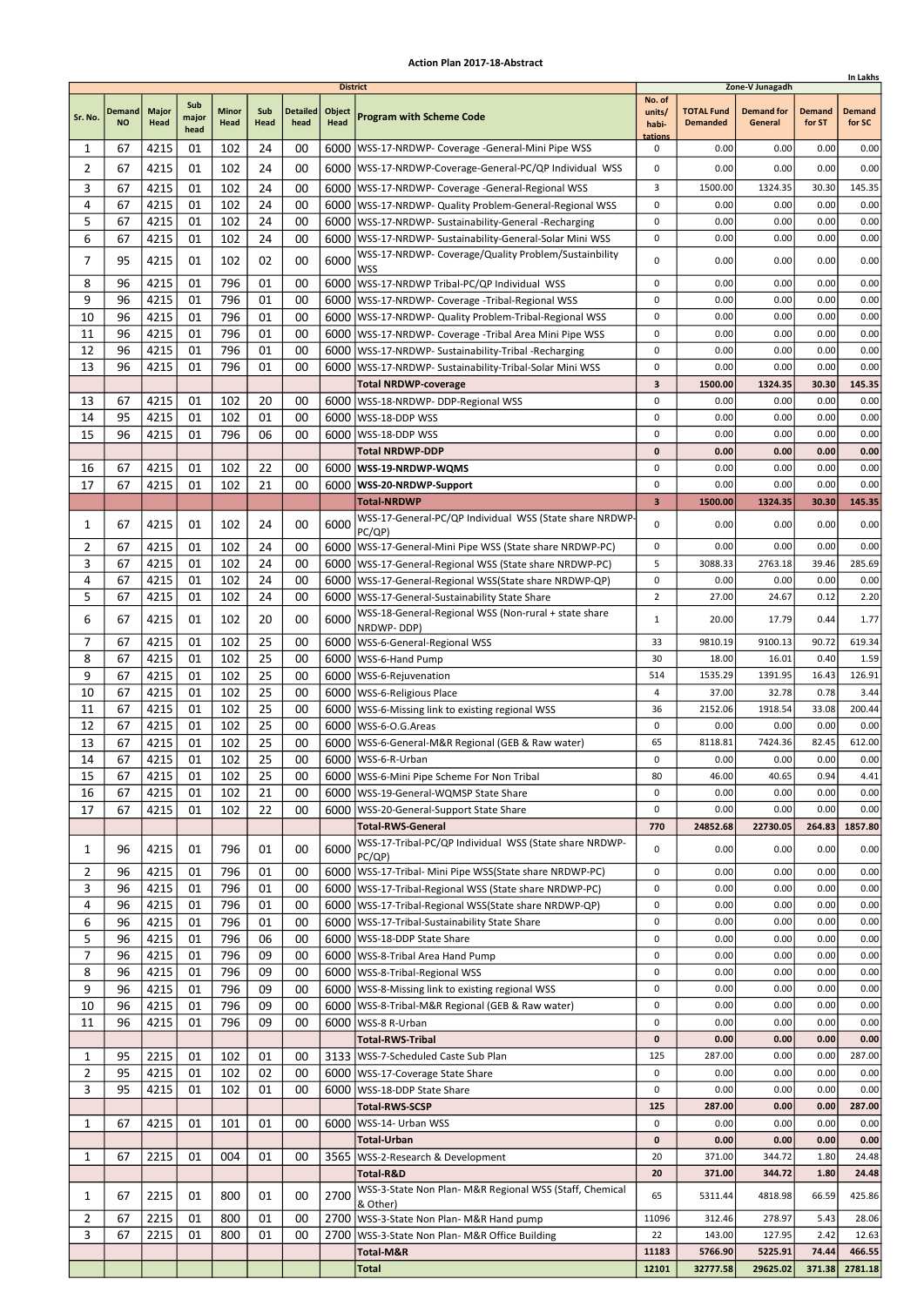|                |                     |               |                      |                      |             |                         |                                   |                                                                                                              |                                      |                                      |                                                 |                         | In Lakhs                |
|----------------|---------------------|---------------|----------------------|----------------------|-------------|-------------------------|-----------------------------------|--------------------------------------------------------------------------------------------------------------|--------------------------------------|--------------------------------------|-------------------------------------------------|-------------------------|-------------------------|
| Sr. No.        | Demand<br><b>NO</b> | Major<br>Head | Sub<br>major<br>head | <b>Minor</b><br>Head | Sub<br>Head | <b>Detailed</b><br>head | <b>District</b><br>Object<br>Head | <b>Program with Scheme Code</b>                                                                              | No. of<br>units/<br>habi-<br>tations | <b>TOTAL Fund</b><br><b>Demanded</b> | Zone-V Junagadh<br><b>Demand for</b><br>General | <b>Demand</b><br>for ST | <b>Demand</b><br>for SC |
| 1              | 67                  | 4215          | 01                   | 102                  | 24          | 00                      |                                   | 6000   WSS-17-NRDWP- Coverage - General-Mini Pipe WSS                                                        | 0                                    | 0.00                                 | 0.00                                            | 0.00                    | 0.00                    |
| $\overline{2}$ | 67                  | 4215          | 01                   | 102                  | 24          | 00                      |                                   | 6000   WSS-17-NRDWP-Coverage-General-PC/QP Individual WSS                                                    | 0                                    | 0.00                                 | 0.00                                            | 0.00                    | 0.00                    |
| 3              | 67                  | 4215          | 01                   | 102                  | 24          | 00                      |                                   | 6000   WSS-17-NRDWP- Coverage -General-Regional WSS                                                          | 3                                    | 1500.00                              | 1324.35                                         | 30.30                   | 145.35                  |
| 4              | 67                  | 4215          | 01                   | 102                  | 24          | 00                      |                                   | 6000   WSS-17-NRDWP- Quality Problem-General-Regional WSS                                                    | 0                                    | 0.00                                 | 0.00                                            | 0.00                    | 0.00                    |
| 5              | 67                  | 4215          | 01                   | 102                  | 24          | 00                      |                                   | 6000   WSS-17-NRDWP- Sustainability-General -Recharging                                                      | 0                                    | 0.00                                 | 0.00                                            | 0.00                    | 0.00                    |
| 6              | 67                  | 4215          | 01                   | 102                  | 24          | 00                      |                                   | 6000 WSS-17-NRDWP- Sustainability-General-Solar Mini WSS                                                     | 0                                    | 0.00                                 | 0.00                                            | 0.00                    | 0.00                    |
| 7              | 95                  | 4215          | 01                   | 102                  | 02          | 00                      | 6000                              | WSS-17-NRDWP- Coverage/Quality Problem/Sustainbility<br>WSS                                                  | 0                                    | 0.00                                 | 0.00                                            | 0.00                    | 0.00                    |
| 8              | 96                  | 4215          | 01                   | 796                  | 01          | 00                      |                                   | 6000   WSS-17-NRDWP Tribal-PC/QP Individual WSS                                                              | 0                                    | 0.00                                 | 0.00                                            | 0.00                    | 0.00                    |
| 9              | 96                  | 4215          | 01                   | 796                  | 01          | 00                      |                                   | 6000   WSS-17-NRDWP- Coverage - Tribal-Regional WSS                                                          | 0                                    | 0.00                                 | 0.00                                            | 0.00                    | 0.00                    |
| 10             | 96                  | 4215          | 01                   | 796                  | 01          | 00                      |                                   | 6000   WSS-17-NRDWP- Quality Problem-Tribal-Regional WSS                                                     | 0                                    | 0.00                                 | 0.00                                            | 0.00                    | 0.00                    |
| 11             | 96                  | 4215          | 01                   | 796                  | 01          | 00                      |                                   | 6000   WSS-17-NRDWP- Coverage - Tribal Area Mini Pipe WSS                                                    | 0                                    | 0.00                                 | 0.00                                            | 0.00                    | 0.00                    |
| 12<br>13       | 96<br>96            | 4215<br>4215  | 01<br>01             | 796<br>796           | 01<br>01    | 00<br>00                | 6000                              | 6000   WSS-17-NRDWP- Sustainability-Tribal -Recharging<br>WSS-17-NRDWP- Sustainability-Tribal-Solar Mini WSS | 0<br>0                               | 0.00<br>0.00                         | 0.00<br>0.00                                    | 0.00<br>0.00            | 0.00<br>0.00            |
|                |                     |               |                      |                      |             |                         |                                   | <b>Total NRDWP-coverage</b>                                                                                  | 3                                    | 1500.00                              | 1324.35                                         | 30.30                   | 145.35                  |
| 13             | 67                  | 4215          | 01                   | 102                  | 20          | 00                      |                                   | 6000   WSS-18-NRDWP- DDP-Regional WSS                                                                        | 0                                    | 0.00                                 | 0.00                                            | 0.00                    | 0.00                    |
| 14             | 95                  | 4215          | 01                   | 102                  | 01          | 00                      |                                   | 6000   WSS-18-DDP WSS                                                                                        | 0                                    | 0.00                                 | 0.00                                            | 0.00                    | 0.00                    |
| 15             | 96                  | 4215          | 01                   | 796                  | 06          | 00                      | 6000                              | WSS-18-DDP WSS                                                                                               | 0                                    | 0.00                                 | 0.00                                            | 0.00                    | 0.00                    |
|                |                     |               |                      |                      |             |                         |                                   | <b>Total NRDWP-DDP</b>                                                                                       | 0                                    | 0.00                                 | 0.00                                            | 0.00                    | 0.00                    |
| 16             | 67                  | 4215          | 01                   | 102                  | 22          | 00                      |                                   | 6000   WSS-19-NRDWP-WQMS                                                                                     | 0                                    | 0.00                                 | 0.00                                            | 0.00                    | 0.00                    |
| 17             | 67                  | 4215          | 01                   | 102                  | 21          | 00                      |                                   | 6000   WSS-20-NRDWP-Support                                                                                  | 0                                    | 0.00                                 | 0.00                                            | 0.00                    | 0.00                    |
|                |                     |               |                      |                      |             |                         |                                   | <b>Total-NRDWP</b><br>WSS-17-General-PC/QP Individual WSS (State share NRDWP                                 | 3                                    | 1500.00                              | 1324.35                                         | 30.30                   | 145.35                  |
| 1              | 67                  | 4215          | 01                   | 102                  | 24          | 00                      | 6000                              | PC/QP)                                                                                                       | 0                                    | 0.00                                 | 0.00                                            | 0.00                    | 0.00                    |
| 2              | 67                  | 4215          | 01                   | 102                  | 24          | 00                      |                                   | 6000   WSS-17-General-Mini Pipe WSS (State share NRDWP-PC)                                                   | 0                                    | 0.00                                 | 0.00                                            | 0.00                    | 0.00                    |
| 3              | 67                  | 4215          | 01                   | 102                  | 24          | 00                      |                                   | 6000   WSS-17-General-Regional WSS (State share NRDWP-PC)                                                    | 5                                    | 3088.33                              | 2763.18                                         | 39.46                   | 285.69                  |
| 4              | 67                  | 4215          | 01                   | 102                  | 24          | 00                      | 6000                              | WSS-17-General-Regional WSS(State share NRDWP-QP)                                                            | 0                                    | 0.00                                 | 0.00                                            | 0.00                    | 0.00                    |
| 5              | 67                  | 4215          | 01                   | 102                  | 24          | 00                      |                                   | 6000   WSS-17-General-Sustainability State Share<br>WSS-18-General-Regional WSS (Non-rural + state share     | $\overline{2}$                       | 27.00                                | 24.67                                           | 0.12                    | 2.20                    |
| 6              | 67                  | 4215          | 01                   | 102                  | 20          | 00                      | 6000                              | NRDWP-DDP)                                                                                                   | $\mathbf{1}$                         | 20.00                                | 17.79                                           | 0.44                    | 1.77                    |
| 7              | 67                  | 4215          | 01                   | 102                  | 25          | 00                      |                                   | 6000   WSS-6-General-Regional WSS                                                                            | 33                                   | 9810.19                              | 9100.13                                         | 90.72                   | 619.34                  |
| 8              | 67                  | 4215          | 01                   | 102                  | 25          | 00                      | 6000                              | WSS-6-Hand Pump                                                                                              | 30                                   | 18.00                                | 16.01                                           | 0.40                    | 1.59                    |
| 9              | 67                  | 4215          | 01                   | 102                  | 25          | 00                      |                                   | 6000   WSS-6-Rejuvenation                                                                                    | 514                                  | 1535.29                              | 1391.95                                         | 16.43                   | 126.91                  |
| 10             | 67<br>67            | 4215          | 01<br>01             | 102<br>102           | 25<br>25    | 00<br>00                |                                   | 6000   WSS-6-Religious Place                                                                                 | 4<br>36                              | 37.00<br>2152.06                     | 32.78<br>1918.54                                | 0.78<br>33.08           | 3.44<br>200.44          |
| 11<br>12       | 67                  | 4215<br>4215  | 01                   | 102                  | 25          | 00                      |                                   | 6000   WSS-6-Missing link to existing regional WSS<br>6000   WSS-6-O.G. Areas                                | 0                                    | 0.00                                 | 0.00                                            | 0.00                    | 0.00                    |
| 13             | 67                  | 4215          | 01                   | 102                  | 25          | 00                      |                                   | 6000   WSS-6-General-M&R Regional (GEB & Raw water)                                                          | 65                                   | 8118.81                              | 7424.36                                         | 82.45                   | 612.00                  |
| 14             | 67                  | 4215          | 01                   | 102                  | 25          | 00                      |                                   | 6000   WSS-6-R-Urban                                                                                         | 0                                    | 0.00                                 | 0.00                                            | 0.00                    | 0.00                    |
| 15             | 67                  | 4215          | 01                   | 102                  | 25          | 00                      |                                   | 6000 WSS-6-Mini Pipe Scheme For Non Tribal                                                                   | 80                                   | 46.00                                | 40.65                                           | 0.94                    | 4.41                    |
| 16             | 67                  | 4215          | 01                   | 102                  | 21          | 00                      |                                   | 6000   WSS-19-General-WQMSP State Share                                                                      | 0                                    | 0.00                                 | 0.00                                            | 0.00                    | 0.00                    |
| 17             | 67                  | 4215          | 01                   | 102                  | 22          | 00                      |                                   | 6000   WSS-20-General-Support State Share                                                                    | 0                                    | 0.00                                 | 0.00                                            | 0.00                    | 0.00                    |
|                |                     |               |                      |                      |             |                         |                                   | <b>Total-RWS-General</b><br>WSS-17-Tribal-PC/QP Individual WSS (State share NRDWP-                           | 770                                  | 24852.68                             | 22730.05                                        | 264.83                  | 1857.80                 |
| 1              | 96                  | 4215          | 01                   | 796                  | 01          | 00                      | 6000                              | PC/QP)                                                                                                       | 0                                    | 0.00                                 | 0.00                                            | 0.00                    | 0.00                    |
| $\overline{2}$ | 96                  | 4215          | 01                   | 796                  | 01          | 00                      |                                   | 6000   WSS-17-Tribal- Mini Pipe WSS (State share NRDWP-PC)                                                   | 0                                    | 0.00                                 | 0.00                                            | 0.00                    | 0.00                    |
| 3<br>4         | 96<br>96            | 4215          | 01                   | 796<br>796           | 01          | 00<br>00                |                                   | 6000   WSS-17-Tribal-Regional WSS (State share NRDWP-PC)                                                     | 0<br>0                               | 0.00                                 | 0.00                                            | 0.00                    | 0.00                    |
| 6              | 96                  | 4215<br>4215  | 01<br>01             | 796                  | 01<br>01    | 00                      |                                   | 6000   WSS-17-Tribal-Regional WSS (State share NRDWP-QP)<br>6000   WSS-17-Tribal-Sustainability State Share  | 0                                    | 0.00<br>0.00                         | 0.00<br>0.00                                    | 0.00<br>0.00            | 0.00<br>0.00            |
| 5              | 96                  | 4215          | 01                   | 796                  | 06          | 00                      |                                   | 6000   WSS-18-DDP State Share                                                                                | 0                                    | 0.00                                 | 0.00                                            | 0.00                    | 0.00                    |
| $\overline{7}$ | 96                  | 4215          | 01                   | 796                  | 09          | 00                      |                                   | 6000 WSS-8-Tribal Area Hand Pump                                                                             | 0                                    | 0.00                                 | 0.00                                            | 0.00                    | 0.00                    |
| 8              | 96                  | 4215          | 01                   | 796                  | 09          | 00                      |                                   | 6000   WSS-8-Tribal-Regional WSS                                                                             | 0                                    | 0.00                                 | 0.00                                            | 0.00                    | 0.00                    |
| 9              | 96                  | 4215          | 01                   | 796                  | 09          | 00                      |                                   | 6000   WSS-8-Missing link to existing regional WSS                                                           | 0                                    | 0.00                                 | 0.00                                            | 0.00                    | 0.00                    |
| 10             | 96                  | 4215          | 01                   | 796                  | 09          | 00                      |                                   | 6000   WSS-8-Tribal-M&R Regional (GEB & Raw water)                                                           | 0                                    | 0.00                                 | 0.00                                            | 0.00                    | 0.00                    |
| 11             | 96                  | 4215          | 01                   | 796                  | 09          | 00                      |                                   | 6000   WSS-8 R-Urban                                                                                         | 0                                    | 0.00                                 | 0.00                                            | 0.00                    | 0.00                    |
| 1              | 95                  | 2215          | 01                   | 102                  | 01          | 00                      |                                   | <b>Total-RWS-Tribal</b><br>3133   WSS-7-Scheduled Caste Sub Plan                                             | 0<br>125                             | 0.00<br>287.00                       | 0.00<br>0.00                                    | 0.00<br>0.00            | 0.00<br>287.00          |
| $\overline{2}$ | 95                  | 4215          | 01                   | 102                  | 02          | 00                      |                                   | 6000   WSS-17-Coverage State Share                                                                           | 0                                    | 0.00                                 | 0.00                                            | 0.00                    | 0.00                    |
| 3              | 95                  | 4215          | 01                   | 102                  | 01          | 00                      |                                   | 6000   WSS-18-DDP State Share                                                                                | 0                                    | 0.00                                 | 0.00                                            | 0.00                    | 0.00                    |
|                |                     |               |                      |                      |             |                         |                                   | <b>Total-RWS-SCSP</b>                                                                                        | 125                                  | 287.00                               | 0.00                                            | 0.00                    | 287.00                  |
| 1              | 67                  | 4215          | 01                   | 101                  | 01          | 00                      | 6000                              | WSS-14- Urban WSS                                                                                            | 0                                    | 0.00                                 | 0.00                                            | 0.00                    | 0.00                    |
|                |                     |               |                      |                      |             |                         |                                   | <b>Total-Urban</b>                                                                                           | 0                                    | 0.00                                 | 0.00                                            | 0.00                    | 0.00                    |
| 1              | 67                  | 2215          | 01                   | 004                  | 01          | 00                      |                                   | 3565   WSS-2-Research & Development                                                                          | 20                                   | 371.00                               | 344.72                                          | 1.80                    | 24.48                   |
|                |                     |               |                      |                      |             |                         |                                   | Total-R&D<br>WSS-3-State Non Plan- M&R Regional WSS (Staff, Chemical                                         | 20                                   | 371.00                               | 344.72                                          | 1.80                    | 24.48                   |
| 1              | 67                  | 2215          | 01                   | 800                  | 01          | 00                      | 2700                              | & Other)                                                                                                     | 65                                   | 5311.44                              | 4818.98                                         | 66.59                   | 425.86                  |
| 2              | 67                  | 2215          | 01                   | 800                  | 01          | 00                      |                                   | 2700 WSS-3-State Non Plan- M&R Hand pump                                                                     | 11096                                | 312.46                               | 278.97                                          | 5.43                    | 28.06                   |
| 3              | 67                  | 2215          | 01                   | 800                  | 01          | 00                      | 2700                              | WSS-3-State Non Plan- M&R Office Building                                                                    | 22                                   | 143.00                               | 127.95                                          | 2.42                    | 12.63                   |
|                |                     |               |                      |                      |             |                         |                                   | Total-M&R<br><b>Total</b>                                                                                    | 11183<br>12101                       | 5766.90<br>32777.58                  | 5225.91<br>29625.02                             | 74.44<br>371.38         | 466.55<br>2781.18       |
|                |                     |               |                      |                      |             |                         |                                   |                                                                                                              |                                      |                                      |                                                 |                         |                         |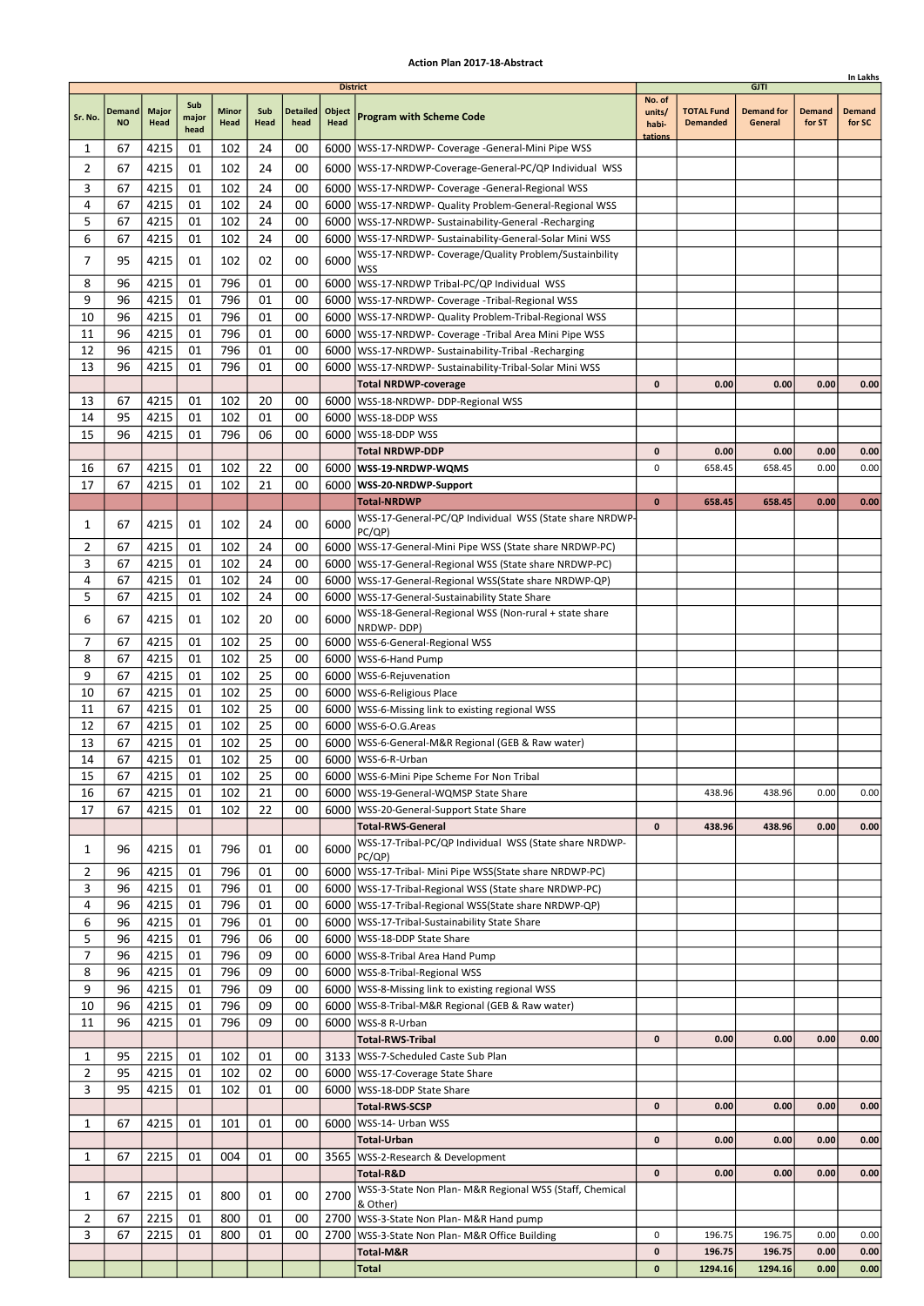| In Lakhs       |                     |                      |                      |                      |             |                         |                                   |                                                                                                               |                                      |                                      |                                             |                         |                         |
|----------------|---------------------|----------------------|----------------------|----------------------|-------------|-------------------------|-----------------------------------|---------------------------------------------------------------------------------------------------------------|--------------------------------------|--------------------------------------|---------------------------------------------|-------------------------|-------------------------|
| Sr. No.        | Demand<br><b>NO</b> | <b>Major</b><br>Head | Sub<br>major<br>head | <b>Minor</b><br>Head | Sub<br>Head | <b>Detailed</b><br>head | <b>District</b><br>Object<br>Head | <b>Program with Scheme Code</b>                                                                               | No. of<br>units/<br>habi-<br>tations | <b>TOTAL Fund</b><br><b>Demanded</b> | <b>GJTI</b><br><b>Demand for</b><br>General | <b>Demand</b><br>for ST | <b>Demand</b><br>for SC |
| 1              | 67                  | 4215                 | 01                   | 102                  | 24          | 00                      |                                   | 6000   WSS-17-NRDWP- Coverage - General-Mini Pipe WSS                                                         |                                      |                                      |                                             |                         |                         |
| 2              | 67                  | 4215                 | 01                   | 102                  | 24          | 00                      |                                   | 6000   WSS-17-NRDWP-Coverage-General-PC/QP Individual WSS                                                     |                                      |                                      |                                             |                         |                         |
| 3              | 67                  | 4215                 | 01                   | 102                  | 24          | 00                      |                                   | 6000   WSS-17-NRDWP- Coverage - General-Regional WSS                                                          |                                      |                                      |                                             |                         |                         |
| 4              | 67                  | 4215                 | 01                   | 102                  | 24          | 00                      |                                   | 6000   WSS-17-NRDWP- Quality Problem-General-Regional WSS                                                     |                                      |                                      |                                             |                         |                         |
| 5              | 67                  | 4215                 | 01                   | 102                  | 24          | 00                      |                                   | 6000   WSS-17-NRDWP- Sustainability-General -Recharging                                                       |                                      |                                      |                                             |                         |                         |
| 6              | 67                  | 4215                 | 01                   | 102                  | 24          | 00                      |                                   | 6000   WSS-17-NRDWP- Sustainability-General-Solar Mini WSS                                                    |                                      |                                      |                                             |                         |                         |
| 7              | 95                  | 4215                 | 01                   | 102                  | 02          | 00                      | 6000                              | WSS-17-NRDWP- Coverage/Quality Problem/Sustainbility<br><b>WSS</b>                                            |                                      |                                      |                                             |                         |                         |
| 8              | 96                  | 4215                 | 01                   | 796                  | 01          | 00                      |                                   | 6000 WSS-17-NRDWP Tribal-PC/QP Individual WSS                                                                 |                                      |                                      |                                             |                         |                         |
| 9              | 96                  | 4215                 | 01                   | 796                  | 01          | 00                      |                                   | 6000   WSS-17-NRDWP- Coverage - Tribal-Regional WSS                                                           |                                      |                                      |                                             |                         |                         |
| 10             | 96                  | 4215                 | 01                   | 796                  | 01          | 00                      |                                   | 6000   WSS-17-NRDWP- Quality Problem-Tribal-Regional WSS                                                      |                                      |                                      |                                             |                         |                         |
| 11             | 96                  | 4215                 | 01                   | 796                  | 01          | 00                      |                                   | 6000   WSS-17-NRDWP- Coverage - Tribal Area Mini Pipe WSS                                                     |                                      |                                      |                                             |                         |                         |
| 12             | 96                  | 4215                 | 01                   | 796                  | 01          | 00                      |                                   | 6000   WSS-17-NRDWP- Sustainability-Tribal -Recharging                                                        |                                      |                                      |                                             |                         |                         |
| 13             | 96                  | 4215                 | 01                   | 796                  | 01          | 00                      | 6000                              | WSS-17-NRDWP- Sustainability-Tribal-Solar Mini WSS                                                            |                                      |                                      |                                             |                         |                         |
|                |                     |                      |                      |                      |             |                         |                                   | <b>Total NRDWP-coverage</b>                                                                                   | 0                                    | 0.00                                 | 0.00                                        | 0.00                    | 0.00                    |
| 13             | 67                  | 4215                 | 01                   | 102                  | 20          | 00                      |                                   | 6000   WSS-18-NRDWP- DDP-Regional WSS                                                                         |                                      |                                      |                                             |                         |                         |
| 14<br>15       | 95<br>96            | 4215<br>4215         | 01<br>01             | 102<br>796           | 01<br>06    | 00<br>00                |                                   | 6000   WSS-18-DDP WSS<br>6000   WSS-18-DDP WSS                                                                |                                      |                                      |                                             |                         |                         |
|                |                     |                      |                      |                      |             |                         |                                   | <b>Total NRDWP-DDP</b>                                                                                        | 0                                    | 0.00                                 | 0.00                                        | 0.00                    | 0.00                    |
| 16             | 67                  | 4215                 | 01                   | 102                  | 22          | 00                      |                                   | 6000   WSS-19-NRDWP-WQMS                                                                                      | 0                                    | 658.45                               | 658.45                                      | 0.00                    | 0.00                    |
| 17             | 67                  | 4215                 | 01                   | 102                  | 21          | 00                      |                                   | 6000   WSS-20-NRDWP-Support                                                                                   |                                      |                                      |                                             |                         |                         |
|                |                     |                      |                      |                      |             |                         |                                   | <b>Total-NRDWP</b>                                                                                            | $\bf{0}$                             | 658.45                               | 658.45                                      | 0.00                    | 0.00                    |
| 1              | 67                  | 4215                 | 01                   | 102                  | 24          | 00                      | 6000                              | WSS-17-General-PC/QP Individual WSS (State share NRDWP-                                                       |                                      |                                      |                                             |                         |                         |
|                |                     |                      |                      |                      |             |                         |                                   | PC/QP)                                                                                                        |                                      |                                      |                                             |                         |                         |
| 2              | 67                  | 4215                 | 01                   | 102                  | 24          | 00                      |                                   | 6000   WSS-17-General-Mini Pipe WSS (State share NRDWP-PC)                                                    |                                      |                                      |                                             |                         |                         |
| 3              | 67                  | 4215                 | 01                   | 102                  | 24          | 00                      |                                   | 6000   WSS-17-General-Regional WSS (State share NRDWP-PC)                                                     |                                      |                                      |                                             |                         |                         |
| 4<br>5         | 67<br>67            | 4215<br>4215         | 01<br>01             | 102<br>102           | 24<br>24    | 00<br>00                |                                   | 6000   WSS-17-General-Regional WSS (State share NRDWP-QP)<br>6000   WSS-17-General-Sustainability State Share |                                      |                                      |                                             |                         |                         |
|                |                     |                      |                      |                      |             |                         |                                   | WSS-18-General-Regional WSS (Non-rural + state share                                                          |                                      |                                      |                                             |                         |                         |
| 6              | 67                  | 4215                 | 01                   | 102                  | 20          | 00                      | 6000                              | NRDWP-DDP)                                                                                                    |                                      |                                      |                                             |                         |                         |
| 7              | 67                  | 4215                 | 01                   | 102                  | 25          | 00                      |                                   | 6000   WSS-6-General-Regional WSS                                                                             |                                      |                                      |                                             |                         |                         |
| 8              | 67                  | 4215                 | 01                   | 102                  | 25          | 00                      |                                   | 6000   WSS-6-Hand Pump                                                                                        |                                      |                                      |                                             |                         |                         |
| 9              | 67                  | 4215                 | 01                   | 102                  | 25          | 00                      |                                   | 6000   WSS-6-Rejuvenation                                                                                     |                                      |                                      |                                             |                         |                         |
| 10             | 67                  | 4215                 | 01                   | 102                  | 25          | 00                      |                                   | 6000   WSS-6-Religious Place                                                                                  |                                      |                                      |                                             |                         |                         |
| 11<br>12       | 67<br>67            | 4215<br>4215         | 01<br>01             | 102<br>102           | 25<br>25    | 00<br>00                |                                   | 6000   WSS-6-Missing link to existing regional WSS<br>6000   WSS-6-O.G. Areas                                 |                                      |                                      |                                             |                         |                         |
| 13             | 67                  | 4215                 | 01                   | 102                  | 25          | 00                      |                                   | 6000   WSS-6-General-M&R Regional (GEB & Raw water)                                                           |                                      |                                      |                                             |                         |                         |
| 14             | 67                  | 4215                 | 01                   | 102                  | 25          | 00                      |                                   | 6000   WSS-6-R-Urban                                                                                          |                                      |                                      |                                             |                         |                         |
| 15             | 67                  | 4215                 | 01                   | 102                  | 25          | 00                      |                                   | 6000 WSS-6-Mini Pipe Scheme For Non Tribal                                                                    |                                      |                                      |                                             |                         |                         |
| 16             | 67                  | 4215                 | 01                   | 102                  | 21          | 00                      |                                   | 6000   WSS-19-General-WQMSP State Share                                                                       |                                      | 438.96                               | 438.96                                      | 0.00                    | 0.00                    |
| 17             | 67                  | 4215                 | 01                   | 102                  | 22          | 00                      |                                   | 6000   WSS-20-General-Support State Share                                                                     |                                      |                                      |                                             |                         |                         |
|                |                     |                      |                      |                      |             |                         |                                   | <b>Total-RWS-General</b>                                                                                      | 0                                    | 438.96                               | 438.96                                      | 0.00                    | 0.00                    |
| 1              | 96                  | 4215                 | 01                   | 796                  | 01          | 00                      | 6000                              | WSS-17-Tribal-PC/QP Individual WSS (State share NRDWP-<br>PC/QP)                                              |                                      |                                      |                                             |                         |                         |
| 2              | 96                  | 4215                 | 01                   | 796                  | 01          | 00                      |                                   | 6000   WSS-17-Tribal- Mini Pipe WSS (State share NRDWP-PC)                                                    |                                      |                                      |                                             |                         |                         |
| 3              | 96                  | 4215                 | 01                   | 796                  | 01          | 00                      |                                   | 6000   WSS-17-Tribal-Regional WSS (State share NRDWP-PC)                                                      |                                      |                                      |                                             |                         |                         |
| 4              | 96                  | 4215                 | 01                   | 796                  | 01          | 00                      |                                   | 6000   WSS-17-Tribal-Regional WSS (State share NRDWP-QP)                                                      |                                      |                                      |                                             |                         |                         |
| 6              | 96                  | 4215                 | 01                   | 796                  | 01          | 00                      |                                   | 6000   WSS-17-Tribal-Sustainability State Share                                                               |                                      |                                      |                                             |                         |                         |
| 5              | 96                  | 4215                 | 01                   | 796                  | 06          | 00                      |                                   | 6000   WSS-18-DDP State Share                                                                                 |                                      |                                      |                                             |                         |                         |
| 7              | 96                  | 4215                 | 01                   | 796                  | 09          | 00                      |                                   | 6000 WSS-8-Tribal Area Hand Pump                                                                              |                                      |                                      |                                             |                         |                         |
| 8              | 96                  | 4215                 | 01                   | 796                  | 09          | 00                      |                                   | 6000   WSS-8-Tribal-Regional WSS                                                                              |                                      |                                      |                                             |                         |                         |
| 9<br>10        | 96<br>96            | 4215<br>4215         | 01<br>01             | 796<br>796           | 09<br>09    | 00<br>00                |                                   | 6000   WSS-8-Missing link to existing regional WSS<br>6000   WSS-8-Tribal-M&R Regional (GEB & Raw water)      |                                      |                                      |                                             |                         |                         |
| 11             | 96                  | 4215                 | 01                   | 796                  | 09          | 00                      |                                   | 6000   WSS-8 R-Urban                                                                                          |                                      |                                      |                                             |                         |                         |
|                |                     |                      |                      |                      |             |                         |                                   | <b>Total-RWS-Tribal</b>                                                                                       | 0                                    | 0.00                                 | 0.00                                        | 0.00                    | 0.00                    |
| 1              | 95                  | 2215                 | 01                   | 102                  | 01          | 00                      |                                   | 3133   WSS-7-Scheduled Caste Sub Plan                                                                         |                                      |                                      |                                             |                         |                         |
| $\overline{2}$ | 95                  | 4215                 | 01                   | 102                  | 02          | 00                      |                                   | 6000   WSS-17-Coverage State Share                                                                            |                                      |                                      |                                             |                         |                         |
| 3              | 95                  | 4215                 | 01                   | 102                  | 01          | 00                      |                                   | 6000   WSS-18-DDP State Share                                                                                 |                                      |                                      |                                             |                         |                         |
|                |                     |                      |                      |                      |             |                         |                                   | <b>Total-RWS-SCSP</b>                                                                                         | 0                                    | 0.00                                 | 0.00                                        | 0.00                    | 0.00                    |
| 1              | 67                  | 4215                 | 01                   | 101                  | 01          | 00                      |                                   | 6000   WSS-14- Urban WSS                                                                                      |                                      |                                      |                                             |                         |                         |
|                |                     |                      |                      |                      |             |                         |                                   | <b>Total-Urban</b>                                                                                            | 0                                    | 0.00                                 | 0.00                                        | 0.00                    | 0.00                    |
| 1              | 67                  | 2215                 | 01                   | 004                  | 01          | 00                      |                                   | 3565   WSS-2-Research & Development                                                                           |                                      |                                      |                                             |                         |                         |
|                |                     |                      |                      |                      |             |                         |                                   | Total-R&D<br>WSS-3-State Non Plan- M&R Regional WSS (Staff, Chemical                                          | 0                                    | 0.00                                 | 0.00                                        | 0.00                    | 0.00                    |
| 1              | 67                  | 2215                 | 01                   | 800                  | 01          | 00                      | 2700                              | & Other)                                                                                                      |                                      |                                      |                                             |                         |                         |
| 2              | 67                  | 2215                 | 01                   | 800                  | 01          | 00                      |                                   | 2700   WSS-3-State Non Plan- M&R Hand pump                                                                    |                                      |                                      |                                             |                         |                         |
| 3              | 67                  | 2215                 | 01                   | 800                  | 01          | 00                      | 2700                              | WSS-3-State Non Plan- M&R Office Building                                                                     | 0                                    | 196.75                               | 196.75                                      | 0.00                    | 0.00                    |
|                |                     |                      |                      |                      |             |                         |                                   | Total-M&R                                                                                                     | 0                                    | 196.75                               | 196.75                                      | 0.00                    | 0.00                    |
|                |                     |                      |                      |                      |             |                         |                                   | <b>Total</b>                                                                                                  | $\mathbf 0$                          | 1294.16                              | 1294.16                                     | 0.00                    | 0.00                    |